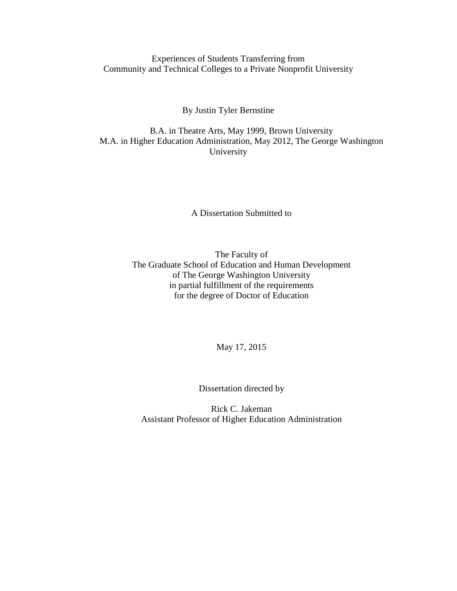Experiences of Students Transferring from Community and Technical Colleges to a Private Nonprofit University

By Justin Tyler Bernstine

B.A. in Theatre Arts, May 1999, Brown University M.A. in Higher Education Administration, May 2012, The George Washington University

A Dissertation Submitted to

The Faculty of The Graduate School of Education and Human Development of The George Washington University in partial fulfillment of the requirements for the degree of Doctor of Education

May 17, 2015

Dissertation directed by

Rick C. Jakeman Assistant Professor of Higher Education Administration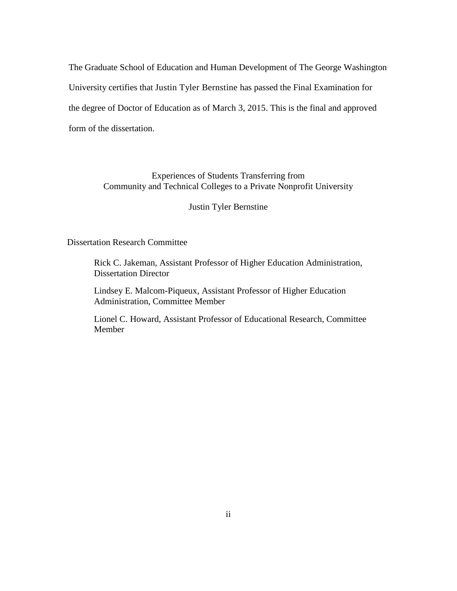The Graduate School of Education and Human Development of The George Washington University certifies that Justin Tyler Bernstine has passed the Final Examination for the degree of Doctor of Education as of March 3, 2015. This is the final and approved form of the dissertation.

> Experiences of Students Transferring from Community and Technical Colleges to a Private Nonprofit University

> > Justin Tyler Bernstine

Dissertation Research Committee

Rick C. Jakeman, Assistant Professor of Higher Education Administration, Dissertation Director

Lindsey E. Malcom-Piqueux, Assistant Professor of Higher Education Administration, Committee Member

Lionel C. Howard, Assistant Professor of Educational Research, Committee Member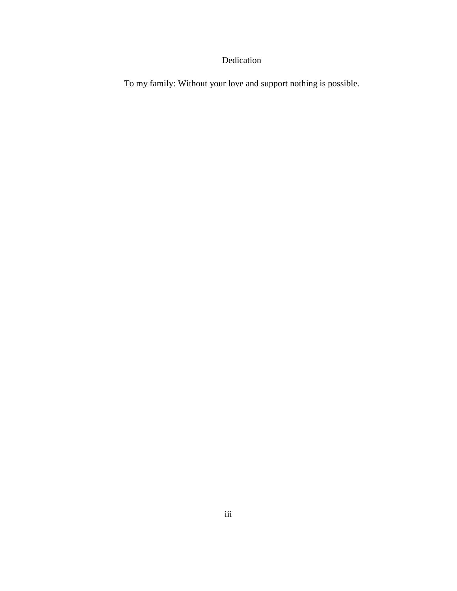# Dedication

<span id="page-2-0"></span>To my family: Without your love and support nothing is possible.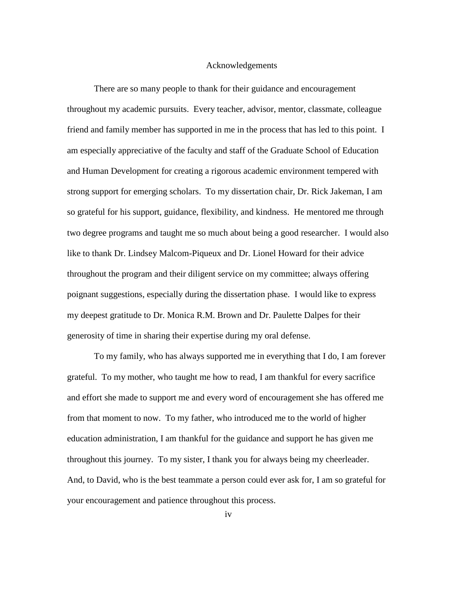## Acknowledgements

<span id="page-3-0"></span>There are so many people to thank for their guidance and encouragement throughout my academic pursuits. Every teacher, advisor, mentor, classmate, colleague friend and family member has supported in me in the process that has led to this point. I am especially appreciative of the faculty and staff of the Graduate School of Education and Human Development for creating a rigorous academic environment tempered with strong support for emerging scholars. To my dissertation chair, Dr. Rick Jakeman, I am so grateful for his support, guidance, flexibility, and kindness. He mentored me through two degree programs and taught me so much about being a good researcher. I would also like to thank Dr. Lindsey Malcom-Piqueux and Dr. Lionel Howard for their advice throughout the program and their diligent service on my committee; always offering poignant suggestions, especially during the dissertation phase. I would like to express my deepest gratitude to Dr. Monica R.M. Brown and Dr. Paulette Dalpes for their generosity of time in sharing their expertise during my oral defense.

To my family, who has always supported me in everything that I do, I am forever grateful. To my mother, who taught me how to read, I am thankful for every sacrifice and effort she made to support me and every word of encouragement she has offered me from that moment to now. To my father, who introduced me to the world of higher education administration, I am thankful for the guidance and support he has given me throughout this journey. To my sister, I thank you for always being my cheerleader. And, to David, who is the best teammate a person could ever ask for, I am so grateful for your encouragement and patience throughout this process.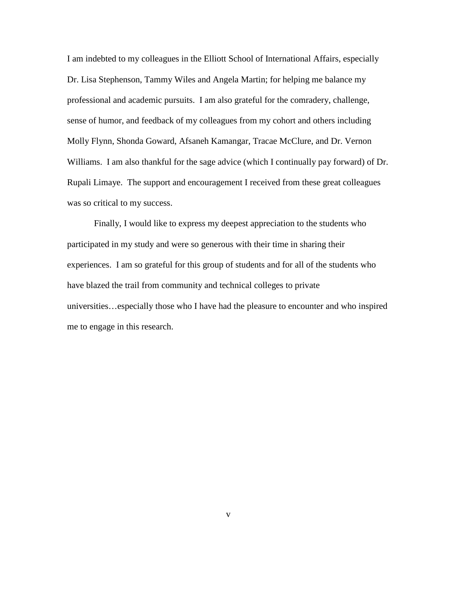I am indebted to my colleagues in the Elliott School of International Affairs, especially Dr. Lisa Stephenson, Tammy Wiles and Angela Martin; for helping me balance my professional and academic pursuits. I am also grateful for the comradery, challenge, sense of humor, and feedback of my colleagues from my cohort and others including Molly Flynn, Shonda Goward, Afsaneh Kamangar, Tracae McClure, and Dr. Vernon Williams. I am also thankful for the sage advice (which I continually pay forward) of Dr. Rupali Limaye. The support and encouragement I received from these great colleagues was so critical to my success.

Finally, I would like to express my deepest appreciation to the students who participated in my study and were so generous with their time in sharing their experiences. I am so grateful for this group of students and for all of the students who have blazed the trail from community and technical colleges to private universities…especially those who I have had the pleasure to encounter and who inspired me to engage in this research.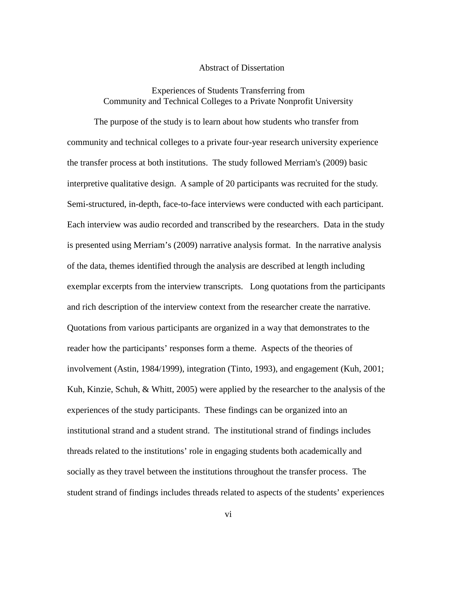### Abstract of Dissertation

# <span id="page-5-0"></span>Experiences of Students Transferring from Community and Technical Colleges to a Private Nonprofit University

The purpose of the study is to learn about how students who transfer from community and technical colleges to a private four-year research university experience the transfer process at both institutions. The study followed Merriam's (2009) basic interpretive qualitative design. A sample of 20 participants was recruited for the study. Semi-structured, in-depth, face-to-face interviews were conducted with each participant. Each interview was audio recorded and transcribed by the researchers. Data in the study is presented using Merriam's (2009) narrative analysis format. In the narrative analysis of the data, themes identified through the analysis are described at length including exemplar excerpts from the interview transcripts. Long quotations from the participants and rich description of the interview context from the researcher create the narrative. Quotations from various participants are organized in a way that demonstrates to the reader how the participants' responses form a theme. Aspects of the theories of involvement (Astin, 1984/1999), integration (Tinto, 1993), and engagement (Kuh, 2001; Kuh, Kinzie, Schuh, & Whitt, 2005) were applied by the researcher to the analysis of the experiences of the study participants. These findings can be organized into an institutional strand and a student strand. The institutional strand of findings includes threads related to the institutions' role in engaging students both academically and socially as they travel between the institutions throughout the transfer process. The student strand of findings includes threads related to aspects of the students' experiences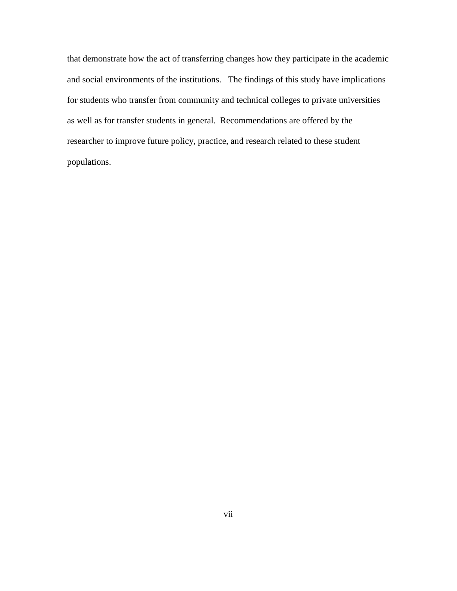that demonstrate how the act of transferring changes how they participate in the academic and social environments of the institutions. The findings of this study have implications for students who transfer from community and technical colleges to private universities as well as for transfer students in general. Recommendations are offered by the researcher to improve future policy, practice, and research related to these student populations.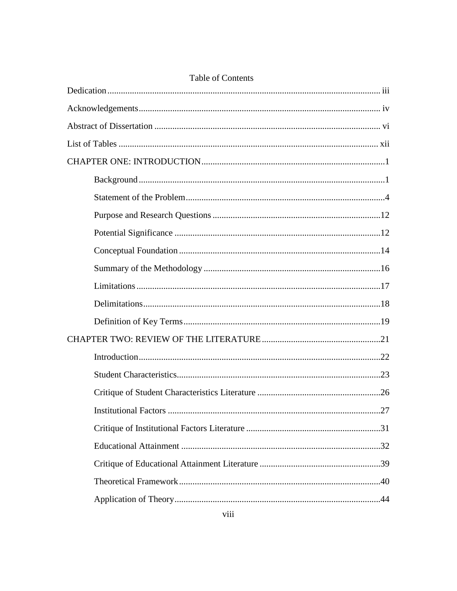| Table of Contents                  |
|------------------------------------|
|                                    |
|                                    |
|                                    |
|                                    |
|                                    |
|                                    |
|                                    |
|                                    |
|                                    |
|                                    |
|                                    |
|                                    |
|                                    |
|                                    |
|                                    |
|                                    |
|                                    |
|                                    |
| <b>Institutional Factors</b><br>27 |
|                                    |
|                                    |
|                                    |
|                                    |
|                                    |

# $Table of C$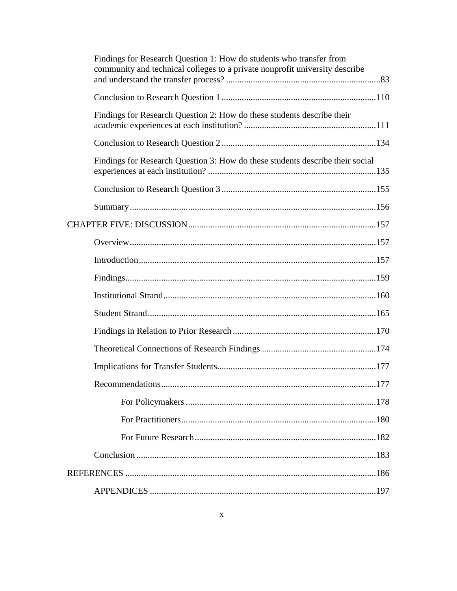|  | Findings for Research Question 1: How do students who transfer from<br>community and technical colleges to a private nonprofit university describe |  |
|--|----------------------------------------------------------------------------------------------------------------------------------------------------|--|
|  |                                                                                                                                                    |  |
|  | Findings for Research Question 2: How do these students describe their                                                                             |  |
|  |                                                                                                                                                    |  |
|  | Findings for Research Question 3: How do these students describe their social                                                                      |  |
|  |                                                                                                                                                    |  |
|  |                                                                                                                                                    |  |
|  |                                                                                                                                                    |  |
|  |                                                                                                                                                    |  |
|  |                                                                                                                                                    |  |
|  |                                                                                                                                                    |  |
|  |                                                                                                                                                    |  |
|  |                                                                                                                                                    |  |
|  |                                                                                                                                                    |  |
|  |                                                                                                                                                    |  |
|  |                                                                                                                                                    |  |
|  |                                                                                                                                                    |  |
|  |                                                                                                                                                    |  |
|  |                                                                                                                                                    |  |
|  |                                                                                                                                                    |  |
|  |                                                                                                                                                    |  |
|  |                                                                                                                                                    |  |
|  |                                                                                                                                                    |  |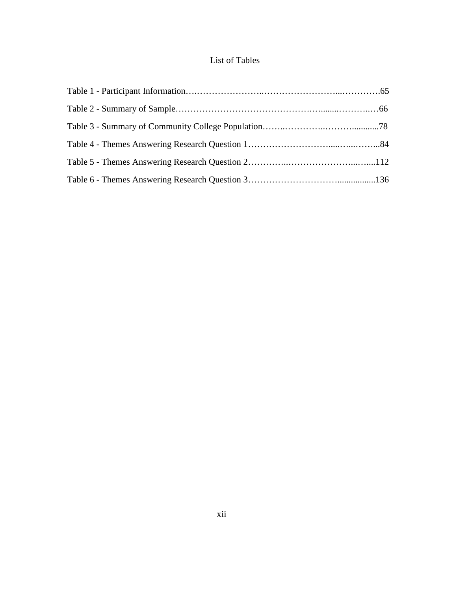# List of Tables

<span id="page-11-0"></span>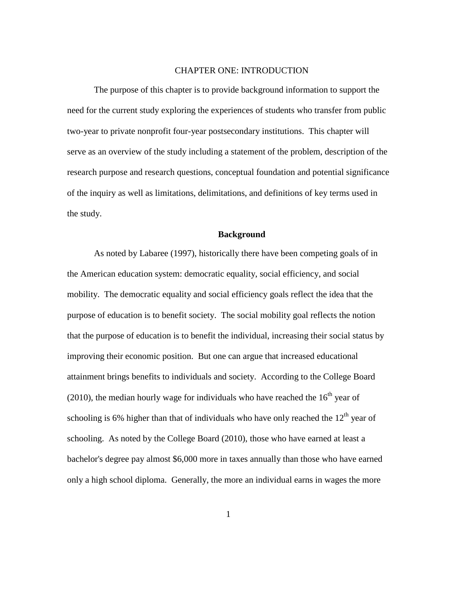## CHAPTER ONE: INTRODUCTION

<span id="page-12-0"></span>The purpose of this chapter is to provide background information to support the need for the current study exploring the experiences of students who transfer from public two-year to private nonprofit four-year postsecondary institutions. This chapter will serve as an overview of the study including a statement of the problem, description of the research purpose and research questions, conceptual foundation and potential significance of the inquiry as well as limitations, delimitations, and definitions of key terms used in the study.

## **Background**

<span id="page-12-1"></span>As noted by Labaree (1997), historically there have been competing goals of in the American education system: democratic equality, social efficiency, and social mobility. The democratic equality and social efficiency goals reflect the idea that the purpose of education is to benefit society. The social mobility goal reflects the notion that the purpose of education is to benefit the individual, increasing their social status by improving their economic position. But one can argue that increased educational attainment brings benefits to individuals and society. According to the College Board (2010), the median hourly wage for individuals who have reached the  $16<sup>th</sup>$  year of schooling is 6% higher than that of individuals who have only reached the  $12<sup>th</sup>$  year of schooling. As noted by the College Board (2010), those who have earned at least a bachelor's degree pay almost \$6,000 more in taxes annually than those who have earned only a high school diploma. Generally, the more an individual earns in wages the more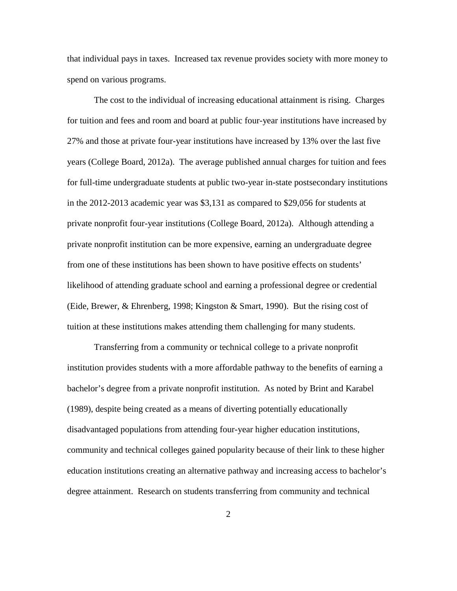that individual pays in taxes. Increased tax revenue provides society with more money to spend on various programs.

The cost to the individual of increasing educational attainment is rising. Charges for tuition and fees and room and board at public four-year institutions have increased by 27% and those at private four-year institutions have increased by 13% over the last five years (College Board, 2012a). The average published annual charges for tuition and fees for full-time undergraduate students at public two-year in-state postsecondary institutions in the 2012-2013 academic year was \$3,131 as compared to \$29,056 for students at private nonprofit four-year institutions (College Board, 2012a). Although attending a private nonprofit institution can be more expensive, earning an undergraduate degree from one of these institutions has been shown to have positive effects on students' likelihood of attending graduate school and earning a professional degree or credential (Eide, Brewer, & Ehrenberg, 1998; Kingston & Smart, 1990). But the rising cost of tuition at these institutions makes attending them challenging for many students.

Transferring from a community or technical college to a private nonprofit institution provides students with a more affordable pathway to the benefits of earning a bachelor's degree from a private nonprofit institution. As noted by Brint and Karabel (1989), despite being created as a means of diverting potentially educationally disadvantaged populations from attending four-year higher education institutions, community and technical colleges gained popularity because of their link to these higher education institutions creating an alternative pathway and increasing access to bachelor's degree attainment. Research on students transferring from community and technical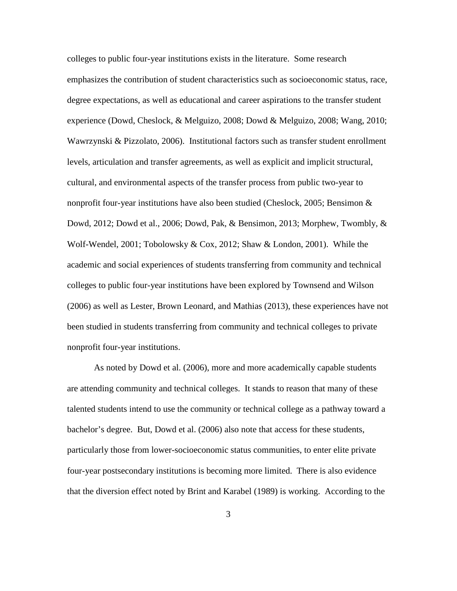colleges to public four-year institutions exists in the literature. Some research emphasizes the contribution of student characteristics such as socioeconomic status, race, degree expectations, as well as educational and career aspirations to the transfer student experience (Dowd, Cheslock, & Melguizo, 2008; Dowd & Melguizo, 2008; Wang, 2010; Wawrzynski & Pizzolato, 2006). Institutional factors such as transfer student enrollment levels, articulation and transfer agreements, as well as explicit and implicit structural, cultural, and environmental aspects of the transfer process from public two-year to nonprofit four-year institutions have also been studied (Cheslock, 2005; Bensimon  $\&$ Dowd, 2012; Dowd et al., 2006; Dowd, Pak, & Bensimon, 2013; Morphew, Twombly, & Wolf-Wendel, 2001; Tobolowsky & Cox, 2012; Shaw & London, 2001). While the academic and social experiences of students transferring from community and technical colleges to public four-year institutions have been explored by Townsend and Wilson (2006) as well as Lester, Brown Leonard, and Mathias (2013), these experiences have not been studied in students transferring from community and technical colleges to private nonprofit four-year institutions.

As noted by Dowd et al. (2006), more and more academically capable students are attending community and technical colleges. It stands to reason that many of these talented students intend to use the community or technical college as a pathway toward a bachelor's degree. But, Dowd et al. (2006) also note that access for these students, particularly those from lower-socioeconomic status communities, to enter elite private four-year postsecondary institutions is becoming more limited. There is also evidence that the diversion effect noted by Brint and Karabel (1989) is working. According to the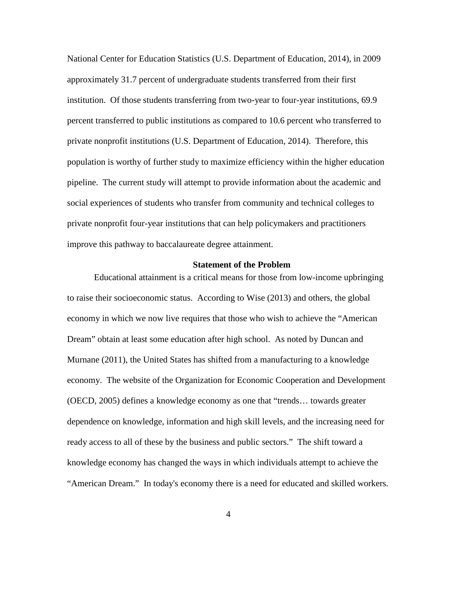National Center for Education Statistics (U.S. Department of Education, 2014), in 2009 approximately 31.7 percent of undergraduate students transferred from their first institution. Of those students transferring from two-year to four-year institutions, 69.9 percent transferred to public institutions as compared to 10.6 percent who transferred to private nonprofit institutions (U.S. Department of Education, 2014). Therefore, this population is worthy of further study to maximize efficiency within the higher education pipeline. The current study will attempt to provide information about the academic and social experiences of students who transfer from community and technical colleges to private nonprofit four-year institutions that can help policymakers and practitioners improve this pathway to baccalaureate degree attainment.

#### **Statement of the Problem**

<span id="page-15-0"></span>Educational attainment is a critical means for those from low-income upbringing to raise their socioeconomic status. According to Wise (2013) and others, the global economy in which we now live requires that those who wish to achieve the "American Dream" obtain at least some education after high school. As noted by Duncan and Murnane (2011), the United States has shifted from a manufacturing to a knowledge economy. The website of the Organization for Economic Cooperation and Development (OECD, 2005) defines a knowledge economy as one that "trends… towards greater dependence on knowledge, information and high skill levels, and the increasing need for ready access to all of these by the business and public sectors." The shift toward a knowledge economy has changed the ways in which individuals attempt to achieve the "American Dream." In today's economy there is a need for educated and skilled workers.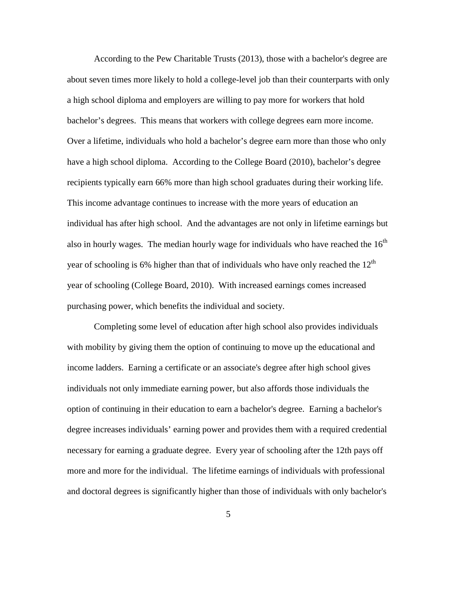According to the Pew Charitable Trusts (2013), those with a bachelor's degree are about seven times more likely to hold a college-level job than their counterparts with only a high school diploma and employers are willing to pay more for workers that hold bachelor's degrees. This means that workers with college degrees earn more income. Over a lifetime, individuals who hold a bachelor's degree earn more than those who only have a high school diploma. According to the College Board (2010), bachelor's degree recipients typically earn 66% more than high school graduates during their working life. This income advantage continues to increase with the more years of education an individual has after high school. And the advantages are not only in lifetime earnings but also in hourly wages. The median hourly wage for individuals who have reached the  $16<sup>th</sup>$ year of schooling is 6% higher than that of individuals who have only reached the  $12<sup>th</sup>$ year of schooling (College Board, 2010). With increased earnings comes increased purchasing power, which benefits the individual and society.

Completing some level of education after high school also provides individuals with mobility by giving them the option of continuing to move up the educational and income ladders. Earning a certificate or an associate's degree after high school gives individuals not only immediate earning power, but also affords those individuals the option of continuing in their education to earn a bachelor's degree. Earning a bachelor's degree increases individuals' earning power and provides them with a required credential necessary for earning a graduate degree. Every year of schooling after the 12th pays off more and more for the individual. The lifetime earnings of individuals with professional and doctoral degrees is significantly higher than those of individuals with only bachelor's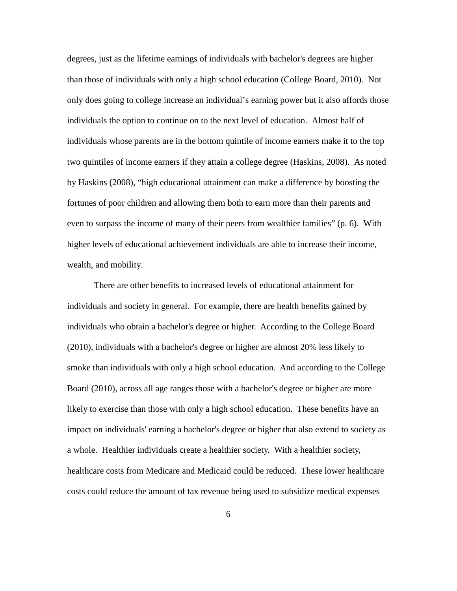degrees, just as the lifetime earnings of individuals with bachelor's degrees are higher than those of individuals with only a high school education (College Board, 2010). Not only does going to college increase an individual's earning power but it also affords those individuals the option to continue on to the next level of education. Almost half of individuals whose parents are in the bottom quintile of income earners make it to the top two quintiles of income earners if they attain a college degree (Haskins, 2008). As noted by Haskins (2008), "high educational attainment can make a difference by boosting the fortunes of poor children and allowing them both to earn more than their parents and even to surpass the income of many of their peers from wealthier families" (p. 6). With higher levels of educational achievement individuals are able to increase their income, wealth, and mobility.

There are other benefits to increased levels of educational attainment for individuals and society in general. For example, there are health benefits gained by individuals who obtain a bachelor's degree or higher. According to the College Board (2010), individuals with a bachelor's degree or higher are almost 20% less likely to smoke than individuals with only a high school education. And according to the College Board (2010), across all age ranges those with a bachelor's degree or higher are more likely to exercise than those with only a high school education. These benefits have an impact on individuals' earning a bachelor's degree or higher that also extend to society as a whole. Healthier individuals create a healthier society. With a healthier society, healthcare costs from Medicare and Medicaid could be reduced. These lower healthcare costs could reduce the amount of tax revenue being used to subsidize medical expenses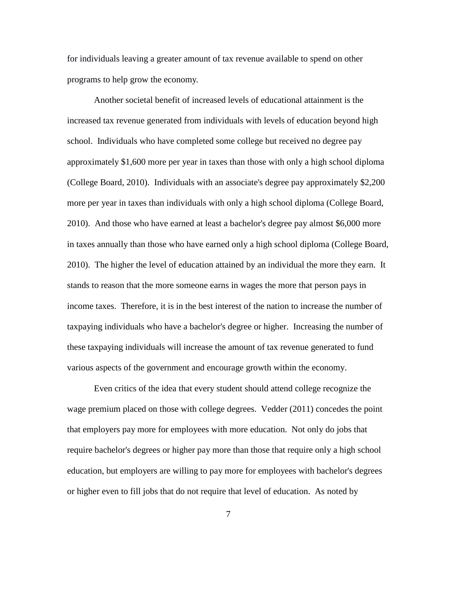for individuals leaving a greater amount of tax revenue available to spend on other programs to help grow the economy.

Another societal benefit of increased levels of educational attainment is the increased tax revenue generated from individuals with levels of education beyond high school. Individuals who have completed some college but received no degree pay approximately \$1,600 more per year in taxes than those with only a high school diploma (College Board, 2010). Individuals with an associate's degree pay approximately \$2,200 more per year in taxes than individuals with only a high school diploma (College Board, 2010). And those who have earned at least a bachelor's degree pay almost \$6,000 more in taxes annually than those who have earned only a high school diploma (College Board, 2010). The higher the level of education attained by an individual the more they earn. It stands to reason that the more someone earns in wages the more that person pays in income taxes. Therefore, it is in the best interest of the nation to increase the number of taxpaying individuals who have a bachelor's degree or higher. Increasing the number of these taxpaying individuals will increase the amount of tax revenue generated to fund various aspects of the government and encourage growth within the economy.

Even critics of the idea that every student should attend college recognize the wage premium placed on those with college degrees. Vedder (2011) concedes the point that employers pay more for employees with more education. Not only do jobs that require bachelor's degrees or higher pay more than those that require only a high school education, but employers are willing to pay more for employees with bachelor's degrees or higher even to fill jobs that do not require that level of education. As noted by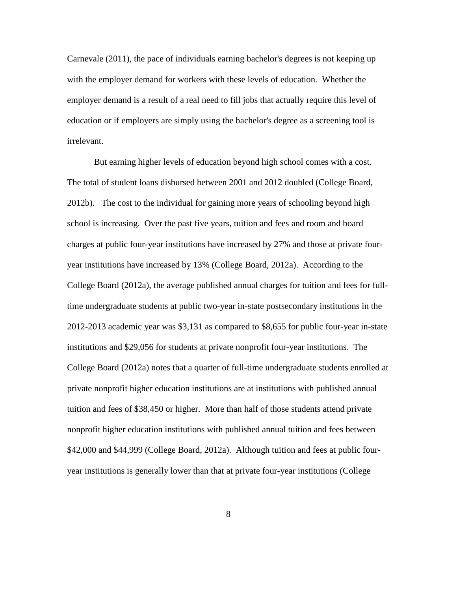Carnevale (2011), the pace of individuals earning bachelor's degrees is not keeping up with the employer demand for workers with these levels of education. Whether the employer demand is a result of a real need to fill jobs that actually require this level of education or if employers are simply using the bachelor's degree as a screening tool is irrelevant.

But earning higher levels of education beyond high school comes with a cost. The total of student loans disbursed between 2001 and 2012 doubled (College Board, 2012b). The cost to the individual for gaining more years of schooling beyond high school is increasing. Over the past five years, tuition and fees and room and board charges at public four-year institutions have increased by 27% and those at private fouryear institutions have increased by 13% (College Board, 2012a). According to the College Board (2012a), the average published annual charges for tuition and fees for fulltime undergraduate students at public two-year in-state postsecondary institutions in the 2012-2013 academic year was \$3,131 as compared to \$8,655 for public four-year in-state institutions and \$29,056 for students at private nonprofit four-year institutions. The College Board (2012a) notes that a quarter of full-time undergraduate students enrolled at private nonprofit higher education institutions are at institutions with published annual tuition and fees of \$38,450 or higher. More than half of those students attend private nonprofit higher education institutions with published annual tuition and fees between \$42,000 and \$44,999 (College Board, 2012a). Although tuition and fees at public fouryear institutions is generally lower than that at private four-year institutions (College

8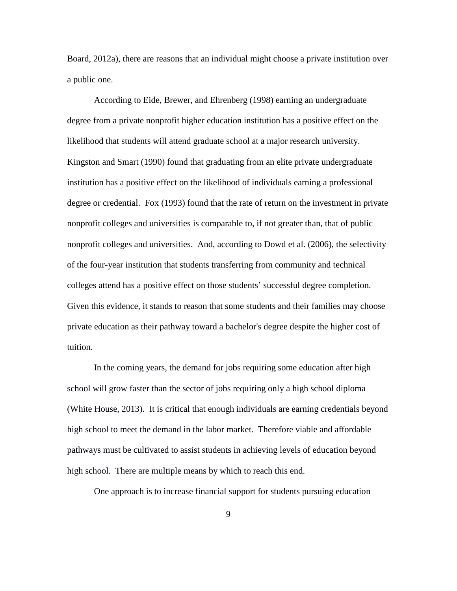Board, 2012a), there are reasons that an individual might choose a private institution over a public one.

According to Eide, Brewer, and Ehrenberg (1998) earning an undergraduate degree from a private nonprofit higher education institution has a positive effect on the likelihood that students will attend graduate school at a major research university. Kingston and Smart (1990) found that graduating from an elite private undergraduate institution has a positive effect on the likelihood of individuals earning a professional degree or credential. Fox (1993) found that the rate of return on the investment in private nonprofit colleges and universities is comparable to, if not greater than, that of public nonprofit colleges and universities. And, according to Dowd et al. (2006), the selectivity of the four-year institution that students transferring from community and technical colleges attend has a positive effect on those students' successful degree completion. Given this evidence, it stands to reason that some students and their families may choose private education as their pathway toward a bachelor's degree despite the higher cost of tuition.

In the coming years, the demand for jobs requiring some education after high school will grow faster than the sector of jobs requiring only a high school diploma (White House, 2013). It is critical that enough individuals are earning credentials beyond high school to meet the demand in the labor market. Therefore viable and affordable pathways must be cultivated to assist students in achieving levels of education beyond high school. There are multiple means by which to reach this end.

One approach is to increase financial support for students pursuing education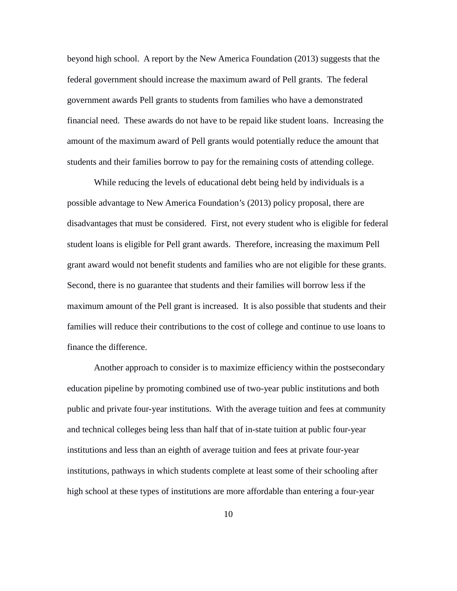beyond high school. A report by the New America Foundation (2013) suggests that the federal government should increase the maximum award of Pell grants. The federal government awards Pell grants to students from families who have a demonstrated financial need. These awards do not have to be repaid like student loans. Increasing the amount of the maximum award of Pell grants would potentially reduce the amount that students and their families borrow to pay for the remaining costs of attending college.

While reducing the levels of educational debt being held by individuals is a possible advantage to New America Foundation's (2013) policy proposal, there are disadvantages that must be considered. First, not every student who is eligible for federal student loans is eligible for Pell grant awards. Therefore, increasing the maximum Pell grant award would not benefit students and families who are not eligible for these grants. Second, there is no guarantee that students and their families will borrow less if the maximum amount of the Pell grant is increased. It is also possible that students and their families will reduce their contributions to the cost of college and continue to use loans to finance the difference.

Another approach to consider is to maximize efficiency within the postsecondary education pipeline by promoting combined use of two-year public institutions and both public and private four-year institutions. With the average tuition and fees at community and technical colleges being less than half that of in-state tuition at public four-year institutions and less than an eighth of average tuition and fees at private four-year institutions, pathways in which students complete at least some of their schooling after high school at these types of institutions are more affordable than entering a four-year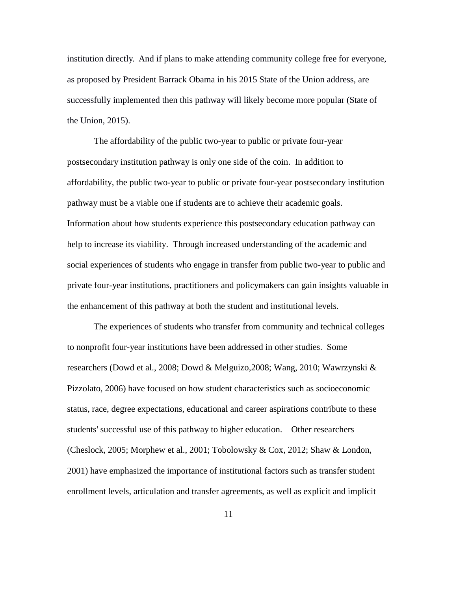institution directly. And if plans to make attending community college free for everyone, as proposed by President Barrack Obama in his 2015 State of the Union address, are successfully implemented then this pathway will likely become more popular (State of the Union, 2015).

The affordability of the public two-year to public or private four-year postsecondary institution pathway is only one side of the coin. In addition to affordability, the public two-year to public or private four-year postsecondary institution pathway must be a viable one if students are to achieve their academic goals. Information about how students experience this postsecondary education pathway can help to increase its viability. Through increased understanding of the academic and social experiences of students who engage in transfer from public two-year to public and private four-year institutions, practitioners and policymakers can gain insights valuable in the enhancement of this pathway at both the student and institutional levels.

The experiences of students who transfer from community and technical colleges to nonprofit four-year institutions have been addressed in other studies. Some researchers (Dowd et al., 2008; Dowd & Melguizo,2008; Wang, 2010; Wawrzynski & Pizzolato, 2006) have focused on how student characteristics such as socioeconomic status, race, degree expectations, educational and career aspirations contribute to these students' successful use of this pathway to higher education. Other researchers (Cheslock, 2005; Morphew et al., 2001; Tobolowsky & Cox, 2012; Shaw & London, 2001) have emphasized the importance of institutional factors such as transfer student enrollment levels, articulation and transfer agreements, as well as explicit and implicit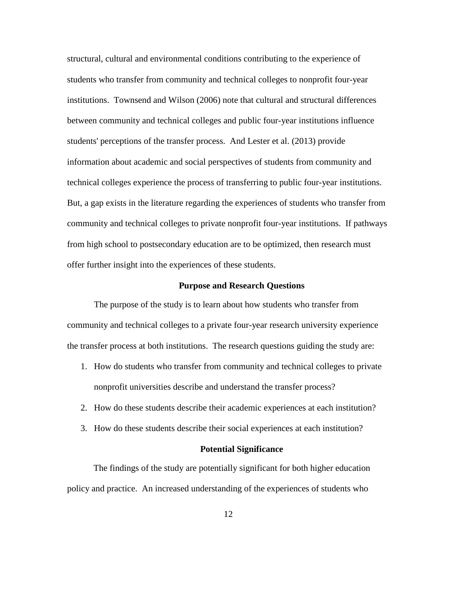structural, cultural and environmental conditions contributing to the experience of students who transfer from community and technical colleges to nonprofit four-year institutions. Townsend and Wilson (2006) note that cultural and structural differences between community and technical colleges and public four-year institutions influence students' perceptions of the transfer process. And Lester et al. (2013) provide information about academic and social perspectives of students from community and technical colleges experience the process of transferring to public four-year institutions. But, a gap exists in the literature regarding the experiences of students who transfer from community and technical colleges to private nonprofit four-year institutions. If pathways from high school to postsecondary education are to be optimized, then research must offer further insight into the experiences of these students.

#### **Purpose and Research Questions**

<span id="page-23-0"></span>The purpose of the study is to learn about how students who transfer from community and technical colleges to a private four-year research university experience the transfer process at both institutions. The research questions guiding the study are:

- 1. How do students who transfer from community and technical colleges to private nonprofit universities describe and understand the transfer process?
- 2. How do these students describe their academic experiences at each institution?
- 3. How do these students describe their social experiences at each institution?

### **Potential Significance**

<span id="page-23-1"></span>The findings of the study are potentially significant for both higher education policy and practice. An increased understanding of the experiences of students who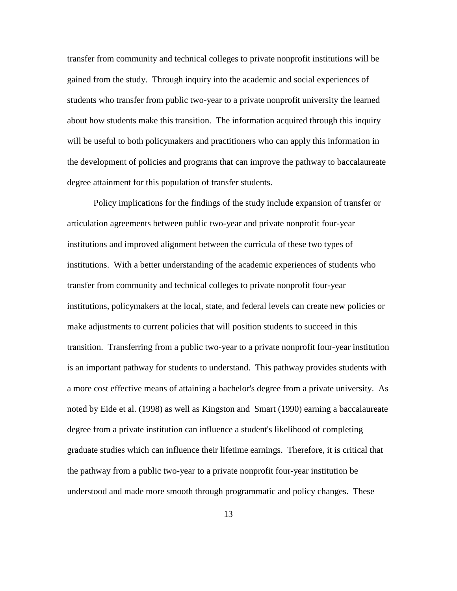transfer from community and technical colleges to private nonprofit institutions will be gained from the study. Through inquiry into the academic and social experiences of students who transfer from public two-year to a private nonprofit university the learned about how students make this transition. The information acquired through this inquiry will be useful to both policymakers and practitioners who can apply this information in the development of policies and programs that can improve the pathway to baccalaureate degree attainment for this population of transfer students.

Policy implications for the findings of the study include expansion of transfer or articulation agreements between public two-year and private nonprofit four-year institutions and improved alignment between the curricula of these two types of institutions. With a better understanding of the academic experiences of students who transfer from community and technical colleges to private nonprofit four-year institutions, policymakers at the local, state, and federal levels can create new policies or make adjustments to current policies that will position students to succeed in this transition. Transferring from a public two-year to a private nonprofit four-year institution is an important pathway for students to understand. This pathway provides students with a more cost effective means of attaining a bachelor's degree from a private university. As noted by Eide et al. (1998) as well as Kingston and Smart (1990) earning a baccalaureate degree from a private institution can influence a student's likelihood of completing graduate studies which can influence their lifetime earnings. Therefore, it is critical that the pathway from a public two-year to a private nonprofit four-year institution be understood and made more smooth through programmatic and policy changes. These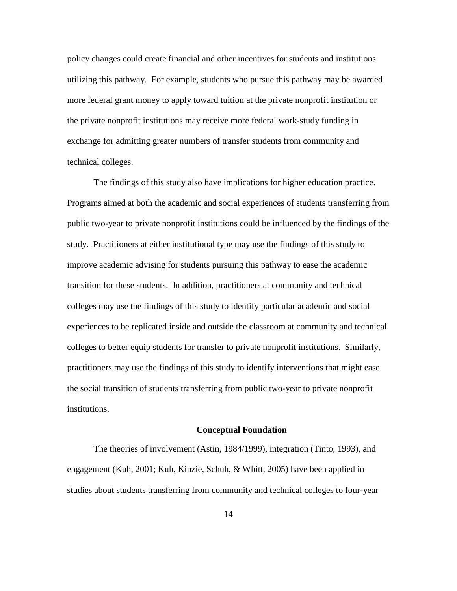policy changes could create financial and other incentives for students and institutions utilizing this pathway. For example, students who pursue this pathway may be awarded more federal grant money to apply toward tuition at the private nonprofit institution or the private nonprofit institutions may receive more federal work-study funding in exchange for admitting greater numbers of transfer students from community and technical colleges.

The findings of this study also have implications for higher education practice. Programs aimed at both the academic and social experiences of students transferring from public two-year to private nonprofit institutions could be influenced by the findings of the study. Practitioners at either institutional type may use the findings of this study to improve academic advising for students pursuing this pathway to ease the academic transition for these students. In addition, practitioners at community and technical colleges may use the findings of this study to identify particular academic and social experiences to be replicated inside and outside the classroom at community and technical colleges to better equip students for transfer to private nonprofit institutions. Similarly, practitioners may use the findings of this study to identify interventions that might ease the social transition of students transferring from public two-year to private nonprofit institutions.

#### **Conceptual Foundation**

<span id="page-25-0"></span>The theories of involvement (Astin, 1984/1999), integration (Tinto, 1993), and engagement (Kuh, 2001; Kuh, Kinzie, Schuh, & Whitt, 2005) have been applied in studies about students transferring from community and technical colleges to four-year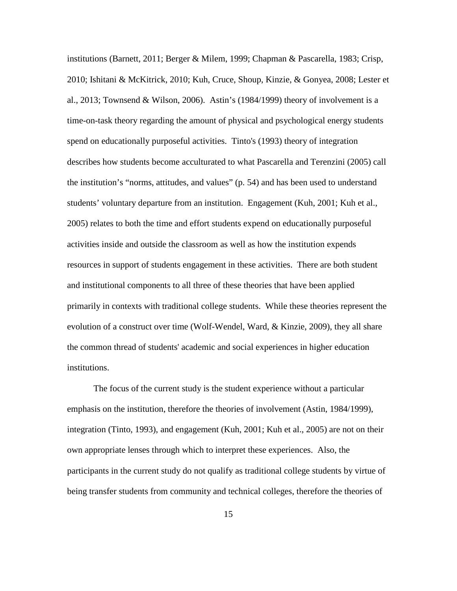institutions (Barnett, 2011; Berger & Milem, 1999; Chapman & Pascarella, 1983; Crisp, 2010; Ishitani & McKitrick, 2010; Kuh, Cruce, Shoup, Kinzie, & Gonyea, 2008; Lester et al., 2013; Townsend & Wilson, 2006). Astin's (1984/1999) theory of involvement is a time-on-task theory regarding the amount of physical and psychological energy students spend on educationally purposeful activities. Tinto's (1993) theory of integration describes how students become acculturated to what Pascarella and Terenzini (2005) call the institution's "norms, attitudes, and values" (p. 54) and has been used to understand students' voluntary departure from an institution. Engagement (Kuh, 2001; Kuh et al., 2005) relates to both the time and effort students expend on educationally purposeful activities inside and outside the classroom as well as how the institution expends resources in support of students engagement in these activities. There are both student and institutional components to all three of these theories that have been applied primarily in contexts with traditional college students. While these theories represent the evolution of a construct over time (Wolf-Wendel, Ward, & Kinzie, 2009), they all share the common thread of students' academic and social experiences in higher education institutions.

The focus of the current study is the student experience without a particular emphasis on the institution, therefore the theories of involvement (Astin, 1984/1999), integration (Tinto, 1993), and engagement (Kuh, 2001; Kuh et al., 2005) are not on their own appropriate lenses through which to interpret these experiences. Also, the participants in the current study do not qualify as traditional college students by virtue of being transfer students from community and technical colleges, therefore the theories of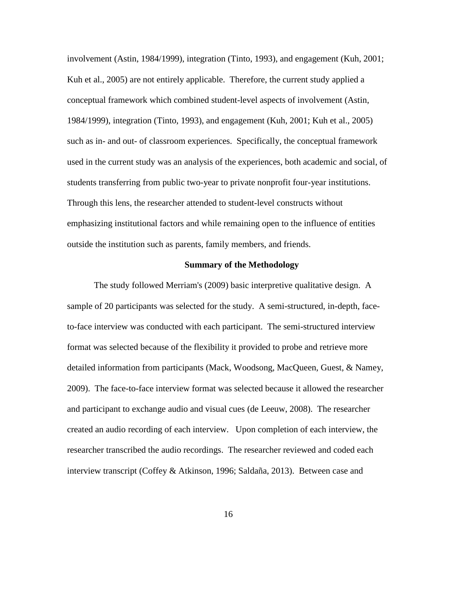involvement (Astin, 1984/1999), integration (Tinto, 1993), and engagement (Kuh, 2001; Kuh et al., 2005) are not entirely applicable. Therefore, the current study applied a conceptual framework which combined student-level aspects of involvement (Astin, 1984/1999), integration (Tinto, 1993), and engagement (Kuh, 2001; Kuh et al., 2005) such as in- and out- of classroom experiences. Specifically, the conceptual framework used in the current study was an analysis of the experiences, both academic and social, of students transferring from public two-year to private nonprofit four-year institutions. Through this lens, the researcher attended to student-level constructs without emphasizing institutional factors and while remaining open to the influence of entities outside the institution such as parents, family members, and friends.

#### **Summary of the Methodology**

<span id="page-27-0"></span>The study followed Merriam's (2009) basic interpretive qualitative design. A sample of 20 participants was selected for the study. A semi-structured, in-depth, faceto-face interview was conducted with each participant. The semi-structured interview format was selected because of the flexibility it provided to probe and retrieve more detailed information from participants (Mack, Woodsong, MacQueen, Guest, & Namey, 2009). The face-to-face interview format was selected because it allowed the researcher and participant to exchange audio and visual cues (de Leeuw, 2008). The researcher created an audio recording of each interview. Upon completion of each interview, the researcher transcribed the audio recordings. The researcher reviewed and coded each interview transcript (Coffey & Atkinson, 1996; Saldaña, 2013). Between case and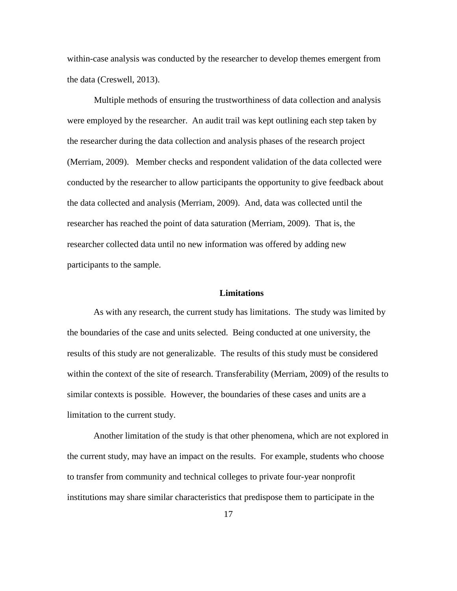within-case analysis was conducted by the researcher to develop themes emergent from the data (Creswell, 2013).

Multiple methods of ensuring the trustworthiness of data collection and analysis were employed by the researcher. An audit trail was kept outlining each step taken by the researcher during the data collection and analysis phases of the research project (Merriam, 2009). Member checks and respondent validation of the data collected were conducted by the researcher to allow participants the opportunity to give feedback about the data collected and analysis (Merriam, 2009). And, data was collected until the researcher has reached the point of data saturation (Merriam, 2009). That is, the researcher collected data until no new information was offered by adding new participants to the sample.

## **Limitations**

<span id="page-28-0"></span>As with any research, the current study has limitations. The study was limited by the boundaries of the case and units selected. Being conducted at one university, the results of this study are not generalizable. The results of this study must be considered within the context of the site of research. Transferability (Merriam, 2009) of the results to similar contexts is possible. However, the boundaries of these cases and units are a limitation to the current study.

Another limitation of the study is that other phenomena, which are not explored in the current study, may have an impact on the results. For example, students who choose to transfer from community and technical colleges to private four-year nonprofit institutions may share similar characteristics that predispose them to participate in the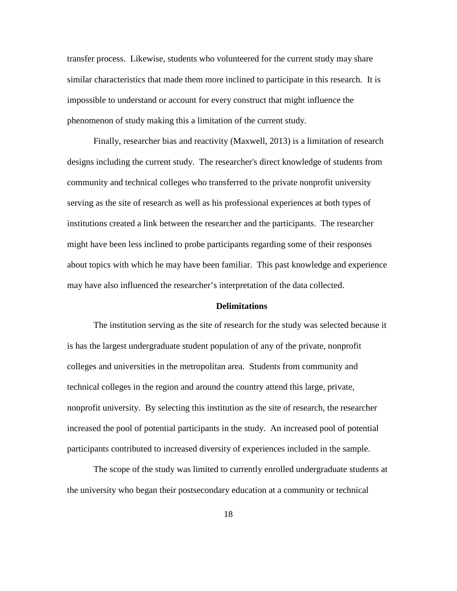transfer process. Likewise, students who volunteered for the current study may share similar characteristics that made them more inclined to participate in this research. It is impossible to understand or account for every construct that might influence the phenomenon of study making this a limitation of the current study.

Finally, researcher bias and reactivity (Maxwell, 2013) is a limitation of research designs including the current study. The researcher's direct knowledge of students from community and technical colleges who transferred to the private nonprofit university serving as the site of research as well as his professional experiences at both types of institutions created a link between the researcher and the participants. The researcher might have been less inclined to probe participants regarding some of their responses about topics with which he may have been familiar. This past knowledge and experience may have also influenced the researcher's interpretation of the data collected.

#### **Delimitations**

<span id="page-29-0"></span>The institution serving as the site of research for the study was selected because it is has the largest undergraduate student population of any of the private, nonprofit colleges and universities in the metropolitan area. Students from community and technical colleges in the region and around the country attend this large, private, nonprofit university. By selecting this institution as the site of research, the researcher increased the pool of potential participants in the study. An increased pool of potential participants contributed to increased diversity of experiences included in the sample.

The scope of the study was limited to currently enrolled undergraduate students at the university who began their postsecondary education at a community or technical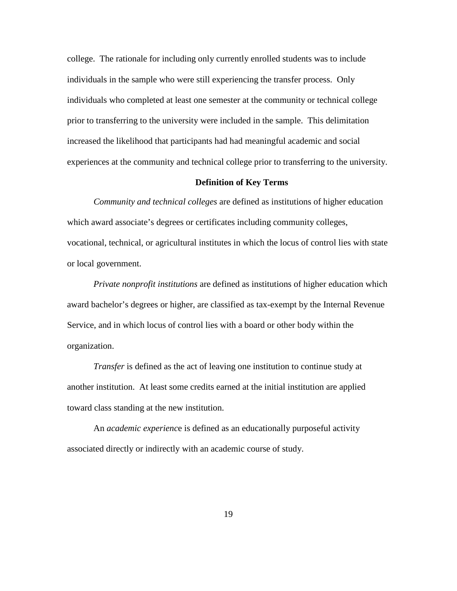college. The rationale for including only currently enrolled students was to include individuals in the sample who were still experiencing the transfer process. Only individuals who completed at least one semester at the community or technical college prior to transferring to the university were included in the sample. This delimitation increased the likelihood that participants had had meaningful academic and social experiences at the community and technical college prior to transferring to the university.

# **Definition of Key Terms**

<span id="page-30-0"></span>*Community and technical colleges* are defined as institutions of higher education which award associate's degrees or certificates including community colleges, vocational, technical, or agricultural institutes in which the locus of control lies with state or local government.

*Private nonprofit institutions* are defined as institutions of higher education which award bachelor's degrees or higher, are classified as tax-exempt by the Internal Revenue Service, and in which locus of control lies with a board or other body within the organization.

*Transfer* is defined as the act of leaving one institution to continue study at another institution. At least some credits earned at the initial institution are applied toward class standing at the new institution.

An *academic experienc*e is defined as an educationally purposeful activity associated directly or indirectly with an academic course of study.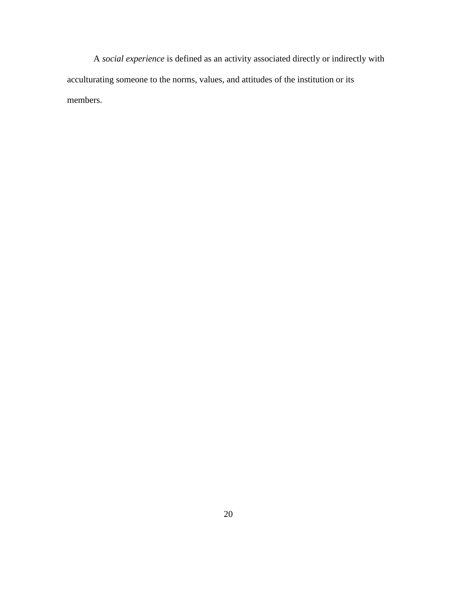A *social experience* is defined as an activity associated directly or indirectly with acculturating someone to the norms, values, and attitudes of the institution or its members.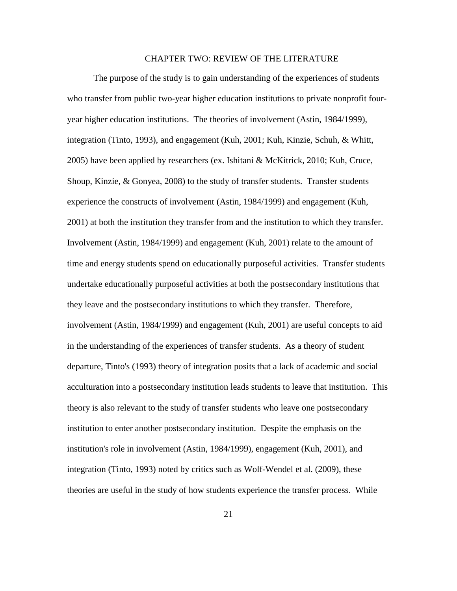## CHAPTER TWO: REVIEW OF THE LITERATURE

<span id="page-32-0"></span>The purpose of the study is to gain understanding of the experiences of students who transfer from public two-year higher education institutions to private nonprofit fouryear higher education institutions. The theories of involvement (Astin, 1984/1999), integration (Tinto, 1993), and engagement (Kuh, 2001; Kuh, Kinzie, Schuh, & Whitt, 2005) have been applied by researchers (ex. Ishitani & McKitrick, 2010; Kuh, Cruce, Shoup, Kinzie, & Gonyea, 2008) to the study of transfer students. Transfer students experience the constructs of involvement (Astin, 1984/1999) and engagement (Kuh, 2001) at both the institution they transfer from and the institution to which they transfer. Involvement (Astin, 1984/1999) and engagement (Kuh, 2001) relate to the amount of time and energy students spend on educationally purposeful activities. Transfer students undertake educationally purposeful activities at both the postsecondary institutions that they leave and the postsecondary institutions to which they transfer. Therefore, involvement (Astin, 1984/1999) and engagement (Kuh, 2001) are useful concepts to aid in the understanding of the experiences of transfer students. As a theory of student departure, Tinto's (1993) theory of integration posits that a lack of academic and social acculturation into a postsecondary institution leads students to leave that institution. This theory is also relevant to the study of transfer students who leave one postsecondary institution to enter another postsecondary institution. Despite the emphasis on the institution's role in involvement (Astin, 1984/1999), engagement (Kuh, 2001), and integration (Tinto, 1993) noted by critics such as Wolf-Wendel et al. (2009), these theories are useful in the study of how students experience the transfer process. While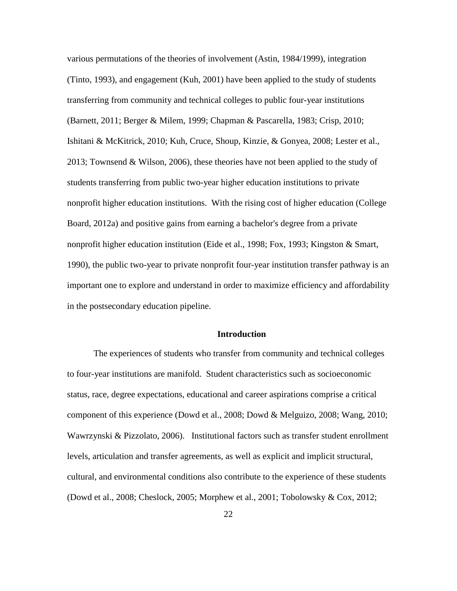various permutations of the theories of involvement (Astin, 1984/1999), integration (Tinto, 1993), and engagement (Kuh, 2001) have been applied to the study of students transferring from community and technical colleges to public four-year institutions (Barnett, 2011; Berger & Milem, 1999; Chapman & Pascarella, 1983; Crisp, 2010; Ishitani & McKitrick, 2010; Kuh, Cruce, Shoup, Kinzie, & Gonyea, 2008; Lester et al., 2013; Townsend & Wilson, 2006), these theories have not been applied to the study of students transferring from public two-year higher education institutions to private nonprofit higher education institutions. With the rising cost of higher education (College Board, 2012a) and positive gains from earning a bachelor's degree from a private nonprofit higher education institution (Eide et al., 1998; Fox, 1993; Kingston & Smart, 1990), the public two-year to private nonprofit four-year institution transfer pathway is an important one to explore and understand in order to maximize efficiency and affordability in the postsecondary education pipeline.

## **Introduction**

<span id="page-33-0"></span>The experiences of students who transfer from community and technical colleges to four-year institutions are manifold. Student characteristics such as socioeconomic status, race, degree expectations, educational and career aspirations comprise a critical component of this experience (Dowd et al., 2008; Dowd & Melguizo, 2008; Wang, 2010; Wawrzynski & Pizzolato, 2006). Institutional factors such as transfer student enrollment levels, articulation and transfer agreements, as well as explicit and implicit structural, cultural, and environmental conditions also contribute to the experience of these students (Dowd et al., 2008; Cheslock, 2005; Morphew et al., 2001; Tobolowsky & Cox, 2012;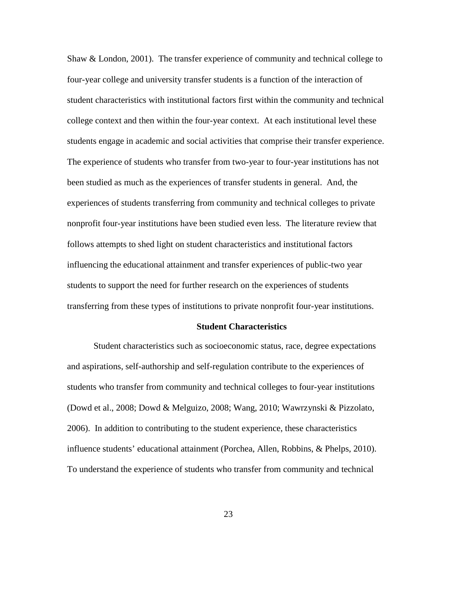Shaw & London, 2001). The transfer experience of community and technical college to four-year college and university transfer students is a function of the interaction of student characteristics with institutional factors first within the community and technical college context and then within the four-year context. At each institutional level these students engage in academic and social activities that comprise their transfer experience. The experience of students who transfer from two-year to four-year institutions has not been studied as much as the experiences of transfer students in general. And, the experiences of students transferring from community and technical colleges to private nonprofit four-year institutions have been studied even less. The literature review that follows attempts to shed light on student characteristics and institutional factors influencing the educational attainment and transfer experiences of public-two year students to support the need for further research on the experiences of students transferring from these types of institutions to private nonprofit four-year institutions.

#### **Student Characteristics**

<span id="page-34-0"></span>Student characteristics such as socioeconomic status, race, degree expectations and aspirations, self-authorship and self-regulation contribute to the experiences of students who transfer from community and technical colleges to four-year institutions (Dowd et al., 2008; Dowd & Melguizo, 2008; Wang, 2010; Wawrzynski & Pizzolato, 2006). In addition to contributing to the student experience, these characteristics influence students' educational attainment (Porchea, Allen, Robbins, & Phelps, 2010). To understand the experience of students who transfer from community and technical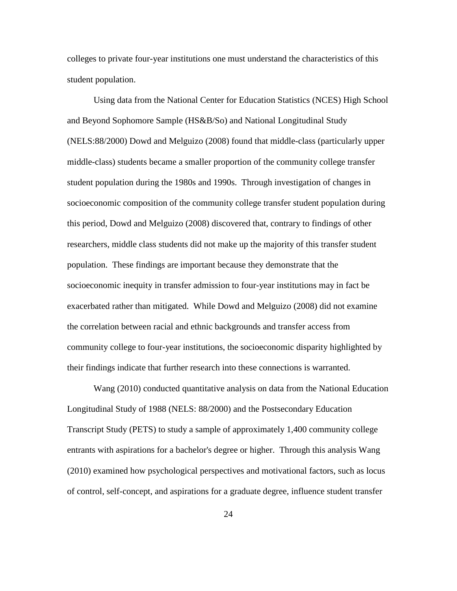colleges to private four-year institutions one must understand the characteristics of this student population.

Using data from the National Center for Education Statistics (NCES) High School and Beyond Sophomore Sample (HS&B/So) and National Longitudinal Study (NELS:88/2000) Dowd and Melguizo (2008) found that middle-class (particularly upper middle-class) students became a smaller proportion of the community college transfer student population during the 1980s and 1990s. Through investigation of changes in socioeconomic composition of the community college transfer student population during this period, Dowd and Melguizo (2008) discovered that, contrary to findings of other researchers, middle class students did not make up the majority of this transfer student population. These findings are important because they demonstrate that the socioeconomic inequity in transfer admission to four-year institutions may in fact be exacerbated rather than mitigated. While Dowd and Melguizo (2008) did not examine the correlation between racial and ethnic backgrounds and transfer access from community college to four-year institutions, the socioeconomic disparity highlighted by their findings indicate that further research into these connections is warranted.

Wang (2010) conducted quantitative analysis on data from the National Education Longitudinal Study of 1988 (NELS: 88/2000) and the Postsecondary Education Transcript Study (PETS) to study a sample of approximately 1,400 community college entrants with aspirations for a bachelor's degree or higher. Through this analysis Wang (2010) examined how psychological perspectives and motivational factors, such as locus of control, self-concept, and aspirations for a graduate degree, influence student transfer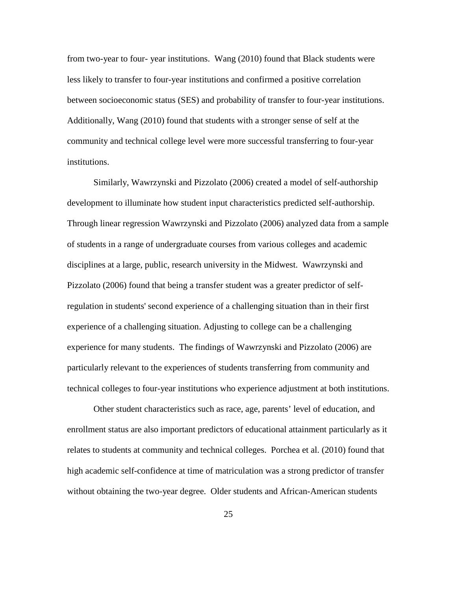from two-year to four- year institutions. Wang (2010) found that Black students were less likely to transfer to four-year institutions and confirmed a positive correlation between socioeconomic status (SES) and probability of transfer to four-year institutions. Additionally, Wang (2010) found that students with a stronger sense of self at the community and technical college level were more successful transferring to four-year institutions.

Similarly, Wawrzynski and Pizzolato (2006) created a model of self-authorship development to illuminate how student input characteristics predicted self-authorship. Through linear regression Wawrzynski and Pizzolato (2006) analyzed data from a sample of students in a range of undergraduate courses from various colleges and academic disciplines at a large, public, research university in the Midwest. Wawrzynski and Pizzolato (2006) found that being a transfer student was a greater predictor of selfregulation in students' second experience of a challenging situation than in their first experience of a challenging situation. Adjusting to college can be a challenging experience for many students. The findings of Wawrzynski and Pizzolato (2006) are particularly relevant to the experiences of students transferring from community and technical colleges to four-year institutions who experience adjustment at both institutions.

Other student characteristics such as race, age, parents' level of education, and enrollment status are also important predictors of educational attainment particularly as it relates to students at community and technical colleges. Porchea et al. (2010) found that high academic self-confidence at time of matriculation was a strong predictor of transfer without obtaining the two-year degree. Older students and African-American students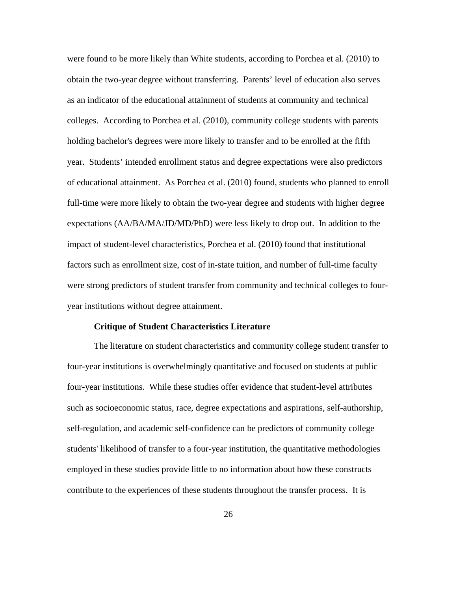were found to be more likely than White students, according to Porchea et al. (2010) to obtain the two-year degree without transferring. Parents' level of education also serves as an indicator of the educational attainment of students at community and technical colleges. According to Porchea et al. (2010), community college students with parents holding bachelor's degrees were more likely to transfer and to be enrolled at the fifth year. Students' intended enrollment status and degree expectations were also predictors of educational attainment. As Porchea et al. (2010) found, students who planned to enroll full-time were more likely to obtain the two-year degree and students with higher degree expectations (AA/BA/MA/JD/MD/PhD) were less likely to drop out. In addition to the impact of student-level characteristics, Porchea et al. (2010) found that institutional factors such as enrollment size, cost of in-state tuition, and number of full-time faculty were strong predictors of student transfer from community and technical colleges to fouryear institutions without degree attainment.

#### **Critique of Student Characteristics Literature**

The literature on student characteristics and community college student transfer to four-year institutions is overwhelmingly quantitative and focused on students at public four-year institutions. While these studies offer evidence that student-level attributes such as socioeconomic status, race, degree expectations and aspirations, self-authorship, self-regulation, and academic self-confidence can be predictors of community college students' likelihood of transfer to a four-year institution, the quantitative methodologies employed in these studies provide little to no information about how these constructs contribute to the experiences of these students throughout the transfer process. It is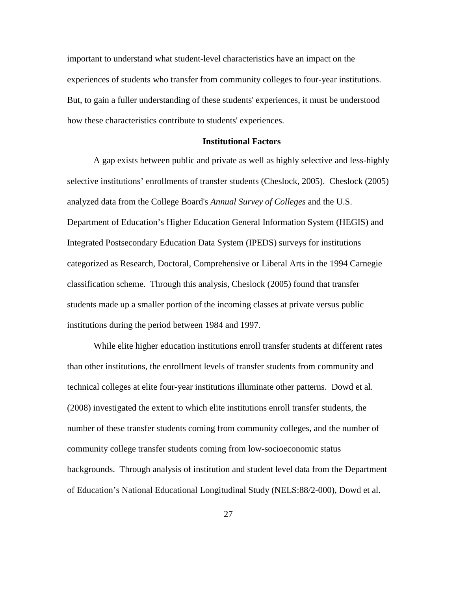important to understand what student-level characteristics have an impact on the experiences of students who transfer from community colleges to four-year institutions. But, to gain a fuller understanding of these students' experiences, it must be understood how these characteristics contribute to students' experiences.

#### **Institutional Factors**

A gap exists between public and private as well as highly selective and less-highly selective institutions' enrollments of transfer students (Cheslock, 2005). Cheslock (2005) analyzed data from the College Board's *Annual Survey of Colleges* and the U.S. Department of Education's Higher Education General Information System (HEGIS) and Integrated Postsecondary Education Data System (IPEDS) surveys for institutions categorized as Research, Doctoral, Comprehensive or Liberal Arts in the 1994 Carnegie classification scheme. Through this analysis, Cheslock (2005) found that transfer students made up a smaller portion of the incoming classes at private versus public institutions during the period between 1984 and 1997.

While elite higher education institutions enroll transfer students at different rates than other institutions, the enrollment levels of transfer students from community and technical colleges at elite four-year institutions illuminate other patterns. Dowd et al. (2008) investigated the extent to which elite institutions enroll transfer students, the number of these transfer students coming from community colleges, and the number of community college transfer students coming from low-socioeconomic status backgrounds. Through analysis of institution and student level data from the Department of Education's National Educational Longitudinal Study (NELS:88/2-000), Dowd et al.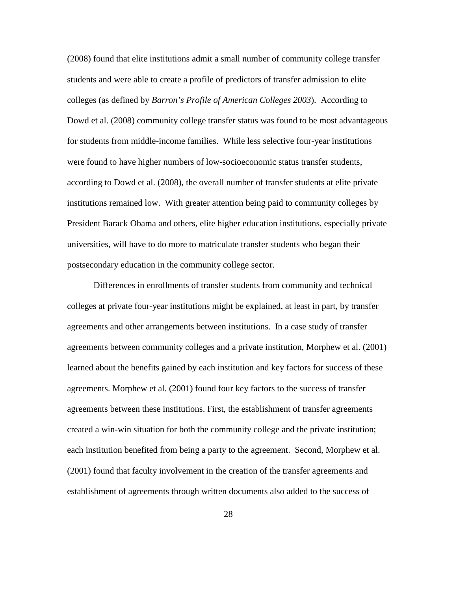(2008) found that elite institutions admit a small number of community college transfer students and were able to create a profile of predictors of transfer admission to elite colleges (as defined by *Barron's Profile of American Colleges 2003*). According to Dowd et al. (2008) community college transfer status was found to be most advantageous for students from middle-income families. While less selective four-year institutions were found to have higher numbers of low-socioeconomic status transfer students, according to Dowd et al. (2008), the overall number of transfer students at elite private institutions remained low. With greater attention being paid to community colleges by President Barack Obama and others, elite higher education institutions, especially private universities, will have to do more to matriculate transfer students who began their postsecondary education in the community college sector.

Differences in enrollments of transfer students from community and technical colleges at private four-year institutions might be explained, at least in part, by transfer agreements and other arrangements between institutions. In a case study of transfer agreements between community colleges and a private institution, Morphew et al. (2001) learned about the benefits gained by each institution and key factors for success of these agreements. Morphew et al. (2001) found four key factors to the success of transfer agreements between these institutions. First, the establishment of transfer agreements created a win-win situation for both the community college and the private institution; each institution benefited from being a party to the agreement. Second, Morphew et al. (2001) found that faculty involvement in the creation of the transfer agreements and establishment of agreements through written documents also added to the success of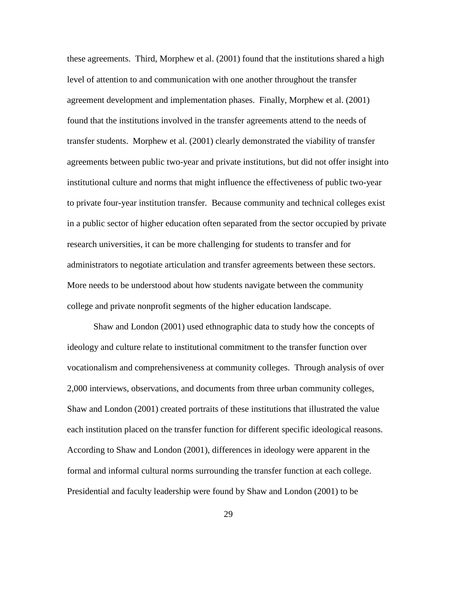these agreements. Third, Morphew et al. (2001) found that the institutions shared a high level of attention to and communication with one another throughout the transfer agreement development and implementation phases. Finally, Morphew et al. (2001) found that the institutions involved in the transfer agreements attend to the needs of transfer students. Morphew et al. (2001) clearly demonstrated the viability of transfer agreements between public two-year and private institutions, but did not offer insight into institutional culture and norms that might influence the effectiveness of public two-year to private four-year institution transfer. Because community and technical colleges exist in a public sector of higher education often separated from the sector occupied by private research universities, it can be more challenging for students to transfer and for administrators to negotiate articulation and transfer agreements between these sectors. More needs to be understood about how students navigate between the community college and private nonprofit segments of the higher education landscape.

Shaw and London (2001) used ethnographic data to study how the concepts of ideology and culture relate to institutional commitment to the transfer function over vocationalism and comprehensiveness at community colleges. Through analysis of over 2,000 interviews, observations, and documents from three urban community colleges, Shaw and London (2001) created portraits of these institutions that illustrated the value each institution placed on the transfer function for different specific ideological reasons. According to Shaw and London (2001), differences in ideology were apparent in the formal and informal cultural norms surrounding the transfer function at each college. Presidential and faculty leadership were found by Shaw and London (2001) to be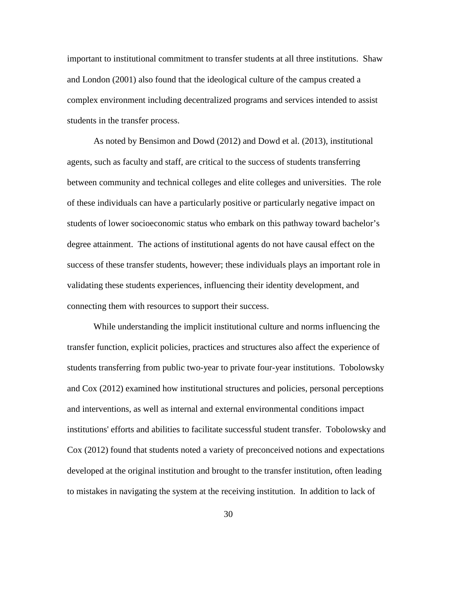important to institutional commitment to transfer students at all three institutions. Shaw and London (2001) also found that the ideological culture of the campus created a complex environment including decentralized programs and services intended to assist students in the transfer process.

As noted by Bensimon and Dowd (2012) and Dowd et al. (2013), institutional agents, such as faculty and staff, are critical to the success of students transferring between community and technical colleges and elite colleges and universities. The role of these individuals can have a particularly positive or particularly negative impact on students of lower socioeconomic status who embark on this pathway toward bachelor's degree attainment. The actions of institutional agents do not have causal effect on the success of these transfer students, however; these individuals plays an important role in validating these students experiences, influencing their identity development, and connecting them with resources to support their success.

While understanding the implicit institutional culture and norms influencing the transfer function, explicit policies, practices and structures also affect the experience of students transferring from public two-year to private four-year institutions. Tobolowsky and Cox (2012) examined how institutional structures and policies, personal perceptions and interventions, as well as internal and external environmental conditions impact institutions' efforts and abilities to facilitate successful student transfer. Tobolowsky and Cox (2012) found that students noted a variety of preconceived notions and expectations developed at the original institution and brought to the transfer institution, often leading to mistakes in navigating the system at the receiving institution. In addition to lack of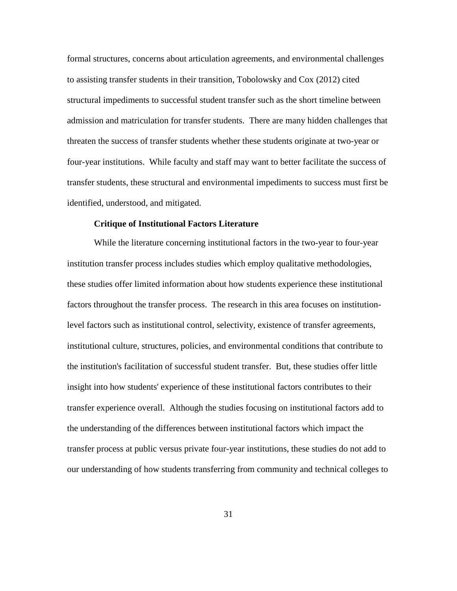formal structures, concerns about articulation agreements, and environmental challenges to assisting transfer students in their transition, Tobolowsky and Cox (2012) cited structural impediments to successful student transfer such as the short timeline between admission and matriculation for transfer students. There are many hidden challenges that threaten the success of transfer students whether these students originate at two-year or four-year institutions. While faculty and staff may want to better facilitate the success of transfer students, these structural and environmental impediments to success must first be identified, understood, and mitigated.

### **Critique of Institutional Factors Literature**

While the literature concerning institutional factors in the two-year to four-year institution transfer process includes studies which employ qualitative methodologies, these studies offer limited information about how students experience these institutional factors throughout the transfer process. The research in this area focuses on institutionlevel factors such as institutional control, selectivity, existence of transfer agreements, institutional culture, structures, policies, and environmental conditions that contribute to the institution's facilitation of successful student transfer. But, these studies offer little insight into how students' experience of these institutional factors contributes to their transfer experience overall. Although the studies focusing on institutional factors add to the understanding of the differences between institutional factors which impact the transfer process at public versus private four-year institutions, these studies do not add to our understanding of how students transferring from community and technical colleges to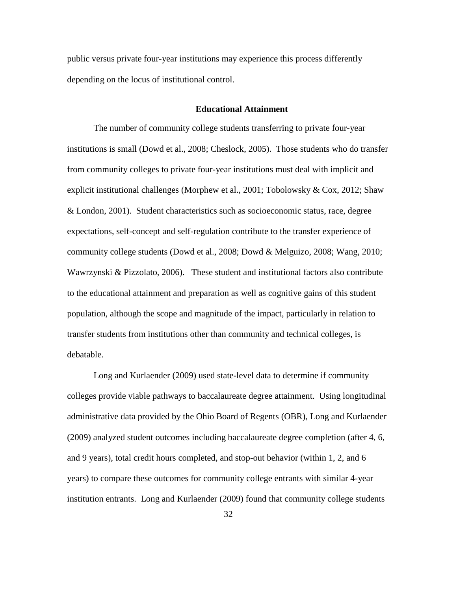public versus private four-year institutions may experience this process differently depending on the locus of institutional control.

#### **Educational Attainment**

The number of community college students transferring to private four-year institutions is small (Dowd et al., 2008; Cheslock, 2005). Those students who do transfer from community colleges to private four-year institutions must deal with implicit and explicit institutional challenges (Morphew et al., 2001; Tobolowsky  $& \text{Cox}$ , 2012; Shaw & London, 2001). Student characteristics such as socioeconomic status, race, degree expectations, self-concept and self-regulation contribute to the transfer experience of community college students (Dowd et al., 2008; Dowd & Melguizo, 2008; Wang, 2010; Wawrzynski & Pizzolato, 2006). These student and institutional factors also contribute to the educational attainment and preparation as well as cognitive gains of this student population, although the scope and magnitude of the impact, particularly in relation to transfer students from institutions other than community and technical colleges, is debatable.

Long and Kurlaender (2009) used state-level data to determine if community colleges provide viable pathways to baccalaureate degree attainment. Using longitudinal administrative data provided by the Ohio Board of Regents (OBR), Long and Kurlaender (2009) analyzed student outcomes including baccalaureate degree completion (after 4, 6, and 9 years), total credit hours completed, and stop-out behavior (within 1, 2, and 6 years) to compare these outcomes for community college entrants with similar 4-year institution entrants. Long and Kurlaender (2009) found that community college students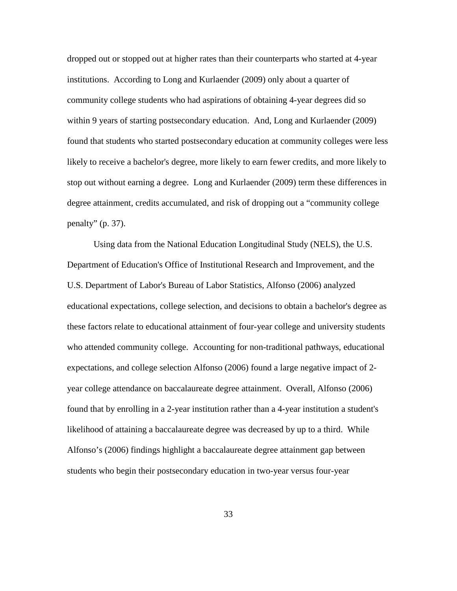dropped out or stopped out at higher rates than their counterparts who started at 4-year institutions. According to Long and Kurlaender (2009) only about a quarter of community college students who had aspirations of obtaining 4-year degrees did so within 9 years of starting postsecondary education. And, Long and Kurlaender (2009) found that students who started postsecondary education at community colleges were less likely to receive a bachelor's degree, more likely to earn fewer credits, and more likely to stop out without earning a degree. Long and Kurlaender (2009) term these differences in degree attainment, credits accumulated, and risk of dropping out a "community college penalty"  $(p. 37)$ .

Using data from the National Education Longitudinal Study (NELS), the U.S. Department of Education's Office of Institutional Research and Improvement, and the U.S. Department of Labor's Bureau of Labor Statistics, Alfonso (2006) analyzed educational expectations, college selection, and decisions to obtain a bachelor's degree as these factors relate to educational attainment of four-year college and university students who attended community college. Accounting for non-traditional pathways, educational expectations, and college selection Alfonso (2006) found a large negative impact of 2 year college attendance on baccalaureate degree attainment. Overall, Alfonso (2006) found that by enrolling in a 2-year institution rather than a 4-year institution a student's likelihood of attaining a baccalaureate degree was decreased by up to a third. While Alfonso's (2006) findings highlight a baccalaureate degree attainment gap between students who begin their postsecondary education in two-year versus four-year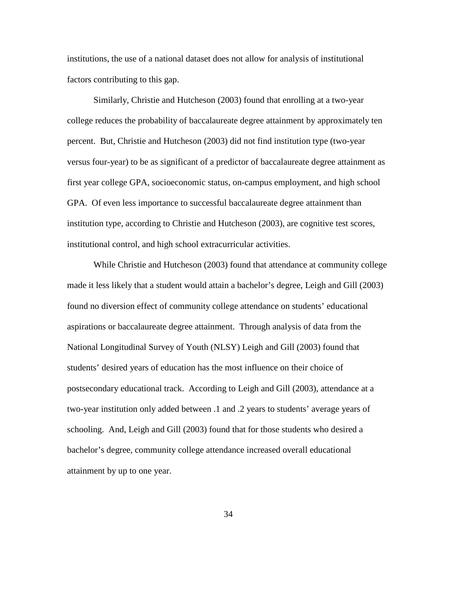institutions, the use of a national dataset does not allow for analysis of institutional factors contributing to this gap.

Similarly, Christie and Hutcheson (2003) found that enrolling at a two-year college reduces the probability of baccalaureate degree attainment by approximately ten percent. But, Christie and Hutcheson (2003) did not find institution type (two-year versus four-year) to be as significant of a predictor of baccalaureate degree attainment as first year college GPA, socioeconomic status, on-campus employment, and high school GPA. Of even less importance to successful baccalaureate degree attainment than institution type, according to Christie and Hutcheson (2003), are cognitive test scores, institutional control, and high school extracurricular activities.

While Christie and Hutcheson (2003) found that attendance at community college made it less likely that a student would attain a bachelor's degree, Leigh and Gill (2003) found no diversion effect of community college attendance on students' educational aspirations or baccalaureate degree attainment. Through analysis of data from the National Longitudinal Survey of Youth (NLSY) Leigh and Gill (2003) found that students' desired years of education has the most influence on their choice of postsecondary educational track. According to Leigh and Gill (2003), attendance at a two-year institution only added between .1 and .2 years to students' average years of schooling. And, Leigh and Gill (2003) found that for those students who desired a bachelor's degree, community college attendance increased overall educational attainment by up to one year.

34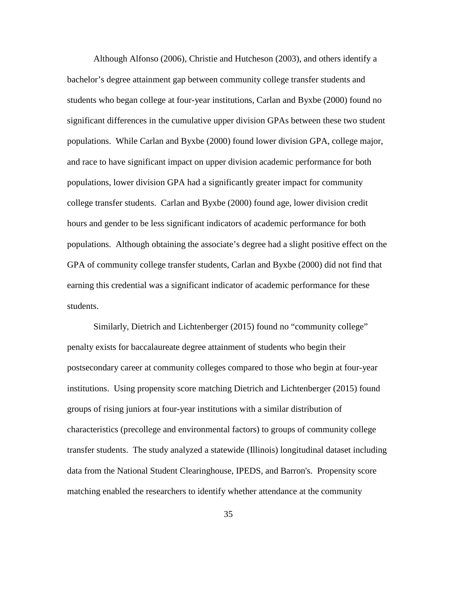Although Alfonso (2006), Christie and Hutcheson (2003), and others identify a bachelor's degree attainment gap between community college transfer students and students who began college at four-year institutions, Carlan and Byxbe (2000) found no significant differences in the cumulative upper division GPAs between these two student populations. While Carlan and Byxbe (2000) found lower division GPA, college major, and race to have significant impact on upper division academic performance for both populations, lower division GPA had a significantly greater impact for community college transfer students. Carlan and Byxbe (2000) found age, lower division credit hours and gender to be less significant indicators of academic performance for both populations. Although obtaining the associate's degree had a slight positive effect on the GPA of community college transfer students, Carlan and Byxbe (2000) did not find that earning this credential was a significant indicator of academic performance for these students.

Similarly, Dietrich and Lichtenberger (2015) found no "community college" penalty exists for baccalaureate degree attainment of students who begin their postsecondary career at community colleges compared to those who begin at four-year institutions. Using propensity score matching Dietrich and Lichtenberger (2015) found groups of rising juniors at four-year institutions with a similar distribution of characteristics (precollege and environmental factors) to groups of community college transfer students. The study analyzed a statewide (Illinois) longitudinal dataset including data from the National Student Clearinghouse, IPEDS, and Barron's. Propensity score matching enabled the researchers to identify whether attendance at the community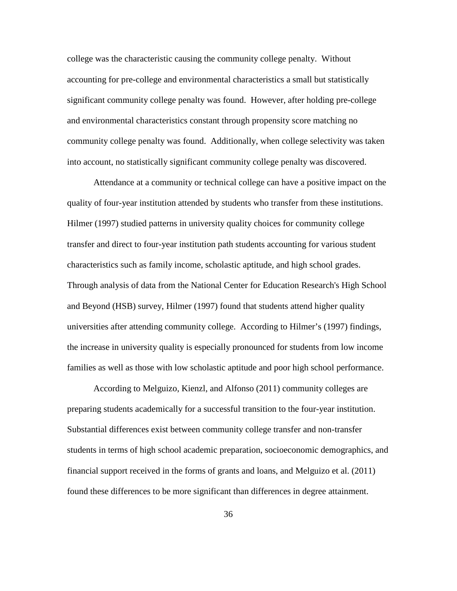college was the characteristic causing the community college penalty. Without accounting for pre-college and environmental characteristics a small but statistically significant community college penalty was found. However, after holding pre-college and environmental characteristics constant through propensity score matching no community college penalty was found. Additionally, when college selectivity was taken into account, no statistically significant community college penalty was discovered.

Attendance at a community or technical college can have a positive impact on the quality of four-year institution attended by students who transfer from these institutions. Hilmer (1997) studied patterns in university quality choices for community college transfer and direct to four-year institution path students accounting for various student characteristics such as family income, scholastic aptitude, and high school grades. Through analysis of data from the National Center for Education Research's High School and Beyond (HSB) survey, Hilmer (1997) found that students attend higher quality universities after attending community college. According to Hilmer's (1997) findings, the increase in university quality is especially pronounced for students from low income families as well as those with low scholastic aptitude and poor high school performance.

According to Melguizo, Kienzl, and Alfonso (2011) community colleges are preparing students academically for a successful transition to the four-year institution. Substantial differences exist between community college transfer and non-transfer students in terms of high school academic preparation, socioeconomic demographics, and financial support received in the forms of grants and loans, and Melguizo et al. (2011) found these differences to be more significant than differences in degree attainment.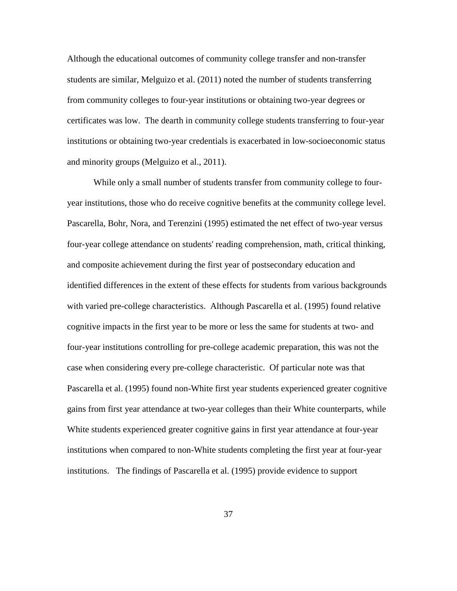Although the educational outcomes of community college transfer and non-transfer students are similar, Melguizo et al. (2011) noted the number of students transferring from community colleges to four-year institutions or obtaining two-year degrees or certificates was low. The dearth in community college students transferring to four-year institutions or obtaining two-year credentials is exacerbated in low-socioeconomic status and minority groups (Melguizo et al., 2011).

While only a small number of students transfer from community college to fouryear institutions, those who do receive cognitive benefits at the community college level. Pascarella, Bohr, Nora, and Terenzini (1995) estimated the net effect of two-year versus four-year college attendance on students' reading comprehension, math, critical thinking, and composite achievement during the first year of postsecondary education and identified differences in the extent of these effects for students from various backgrounds with varied pre-college characteristics. Although Pascarella et al. (1995) found relative cognitive impacts in the first year to be more or less the same for students at two- and four-year institutions controlling for pre-college academic preparation, this was not the case when considering every pre-college characteristic. Of particular note was that Pascarella et al. (1995) found non-White first year students experienced greater cognitive gains from first year attendance at two-year colleges than their White counterparts, while White students experienced greater cognitive gains in first year attendance at four-year institutions when compared to non-White students completing the first year at four-year institutions. The findings of Pascarella et al. (1995) provide evidence to support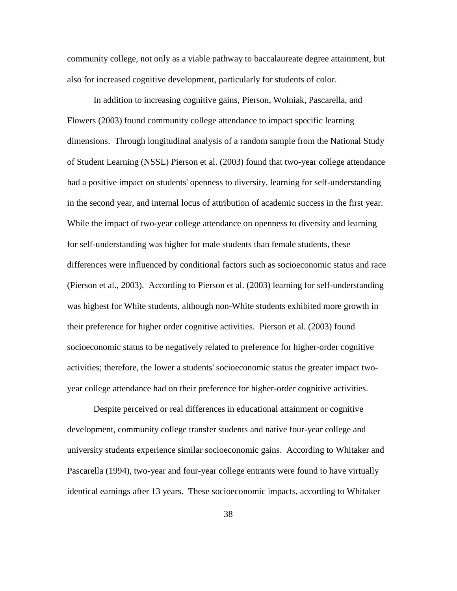community college, not only as a viable pathway to baccalaureate degree attainment, but also for increased cognitive development, particularly for students of color.

In addition to increasing cognitive gains, Pierson, Wolniak, Pascarella, and Flowers (2003) found community college attendance to impact specific learning dimensions. Through longitudinal analysis of a random sample from the National Study of Student Learning (NSSL) Pierson et al. (2003) found that two-year college attendance had a positive impact on students' openness to diversity, learning for self-understanding in the second year, and internal locus of attribution of academic success in the first year. While the impact of two-year college attendance on openness to diversity and learning for self-understanding was higher for male students than female students, these differences were influenced by conditional factors such as socioeconomic status and race (Pierson et al., 2003). According to Pierson et al. (2003) learning for self-understanding was highest for White students, although non-White students exhibited more growth in their preference for higher order cognitive activities. Pierson et al. (2003) found socioeconomic status to be negatively related to preference for higher-order cognitive activities; therefore, the lower a students' socioeconomic status the greater impact twoyear college attendance had on their preference for higher-order cognitive activities.

Despite perceived or real differences in educational attainment or cognitive development, community college transfer students and native four-year college and university students experience similar socioeconomic gains. According to Whitaker and Pascarella (1994), two-year and four-year college entrants were found to have virtually identical earnings after 13 years. These socioeconomic impacts, according to Whitaker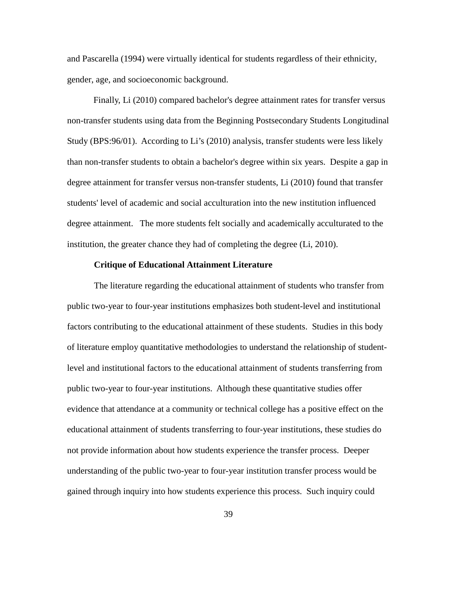and Pascarella (1994) were virtually identical for students regardless of their ethnicity, gender, age, and socioeconomic background.

Finally, Li (2010) compared bachelor's degree attainment rates for transfer versus non-transfer students using data from the Beginning Postsecondary Students Longitudinal Study (BPS:96/01). According to Li's (2010) analysis, transfer students were less likely than non-transfer students to obtain a bachelor's degree within six years. Despite a gap in degree attainment for transfer versus non-transfer students, Li (2010) found that transfer students' level of academic and social acculturation into the new institution influenced degree attainment. The more students felt socially and academically acculturated to the institution, the greater chance they had of completing the degree (Li, 2010).

## **Critique of Educational Attainment Literature**

The literature regarding the educational attainment of students who transfer from public two-year to four-year institutions emphasizes both student-level and institutional factors contributing to the educational attainment of these students. Studies in this body of literature employ quantitative methodologies to understand the relationship of studentlevel and institutional factors to the educational attainment of students transferring from public two-year to four-year institutions. Although these quantitative studies offer evidence that attendance at a community or technical college has a positive effect on the educational attainment of students transferring to four-year institutions, these studies do not provide information about how students experience the transfer process. Deeper understanding of the public two-year to four-year institution transfer process would be gained through inquiry into how students experience this process. Such inquiry could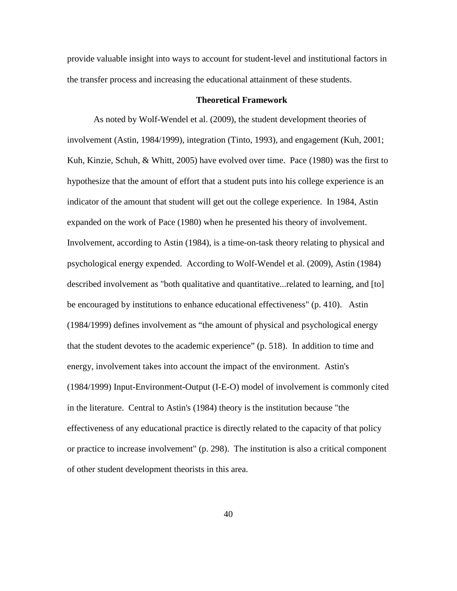provide valuable insight into ways to account for student-level and institutional factors in the transfer process and increasing the educational attainment of these students.

## **Theoretical Framework**

As noted by Wolf-Wendel et al. (2009), the student development theories of involvement (Astin, 1984/1999), integration (Tinto, 1993), and engagement (Kuh, 2001; Kuh, Kinzie, Schuh, & Whitt, 2005) have evolved over time. Pace (1980) was the first to hypothesize that the amount of effort that a student puts into his college experience is an indicator of the amount that student will get out the college experience. In 1984, Astin expanded on the work of Pace (1980) when he presented his theory of involvement. Involvement, according to Astin (1984), is a time-on-task theory relating to physical and psychological energy expended. According to Wolf-Wendel et al. (2009), Astin (1984) described involvement as "both qualitative and quantitative...related to learning, and [to] be encouraged by institutions to enhance educational effectiveness" (p. 410). Astin (1984/1999) defines involvement as "the amount of physical and psychological energy that the student devotes to the academic experience" (p. 518). In addition to time and energy, involvement takes into account the impact of the environment. Astin's (1984/1999) Input-Environment-Output (I-E-O) model of involvement is commonly cited in the literature. Central to Astin's (1984) theory is the institution because "the effectiveness of any educational practice is directly related to the capacity of that policy or practice to increase involvement" (p. 298). The institution is also a critical component of other student development theorists in this area.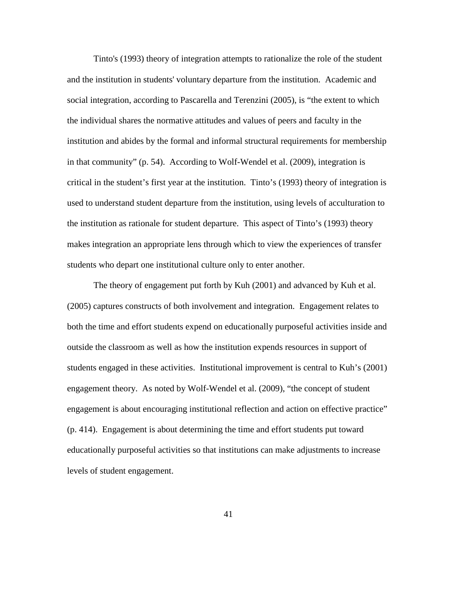Tinto's (1993) theory of integration attempts to rationalize the role of the student and the institution in students' voluntary departure from the institution. Academic and social integration, according to Pascarella and Terenzini (2005), is "the extent to which the individual shares the normative attitudes and values of peers and faculty in the institution and abides by the formal and informal structural requirements for membership in that community" (p. 54). According to Wolf-Wendel et al. (2009), integration is critical in the student's first year at the institution. Tinto's (1993) theory of integration is used to understand student departure from the institution, using levels of acculturation to the institution as rationale for student departure. This aspect of Tinto's (1993) theory makes integration an appropriate lens through which to view the experiences of transfer students who depart one institutional culture only to enter another.

The theory of engagement put forth by Kuh (2001) and advanced by Kuh et al. (2005) captures constructs of both involvement and integration. Engagement relates to both the time and effort students expend on educationally purposeful activities inside and outside the classroom as well as how the institution expends resources in support of students engaged in these activities. Institutional improvement is central to Kuh's (2001) engagement theory. As noted by Wolf-Wendel et al. (2009), "the concept of student engagement is about encouraging institutional reflection and action on effective practice" (p. 414). Engagement is about determining the time and effort students put toward educationally purposeful activities so that institutions can make adjustments to increase levels of student engagement.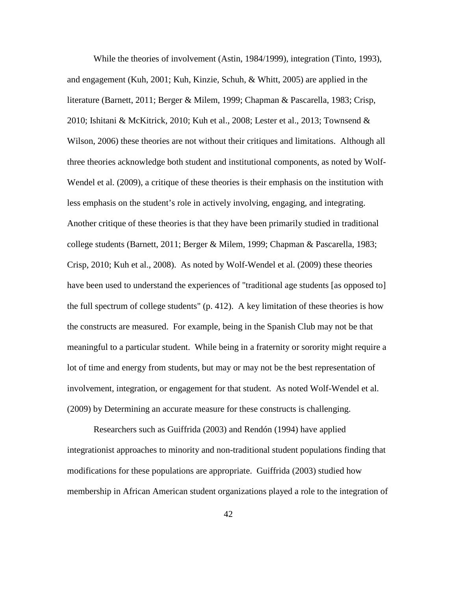While the theories of involvement (Astin, 1984/1999), integration (Tinto, 1993), and engagement (Kuh, 2001; Kuh, Kinzie, Schuh, & Whitt, 2005) are applied in the literature (Barnett, 2011; Berger & Milem, 1999; Chapman & Pascarella, 1983; Crisp, 2010; Ishitani & McKitrick, 2010; Kuh et al., 2008; Lester et al., 2013; Townsend & Wilson, 2006) these theories are not without their critiques and limitations. Although all three theories acknowledge both student and institutional components, as noted by Wolf-Wendel et al. (2009), a critique of these theories is their emphasis on the institution with less emphasis on the student's role in actively involving, engaging, and integrating. Another critique of these theories is that they have been primarily studied in traditional college students (Barnett, 2011; Berger & Milem, 1999; Chapman & Pascarella, 1983; Crisp, 2010; Kuh et al., 2008). As noted by Wolf-Wendel et al. (2009) these theories have been used to understand the experiences of "traditional age students [as opposed to] the full spectrum of college students" (p. 412). A key limitation of these theories is how the constructs are measured. For example, being in the Spanish Club may not be that meaningful to a particular student. While being in a fraternity or sorority might require a lot of time and energy from students, but may or may not be the best representation of involvement, integration, or engagement for that student. As noted Wolf-Wendel et al. (2009) by Determining an accurate measure for these constructs is challenging.

Researchers such as Guiffrida (2003) and Rendón (1994) have applied integrationist approaches to minority and non-traditional student populations finding that modifications for these populations are appropriate. Guiffrida (2003) studied how membership in African American student organizations played a role to the integration of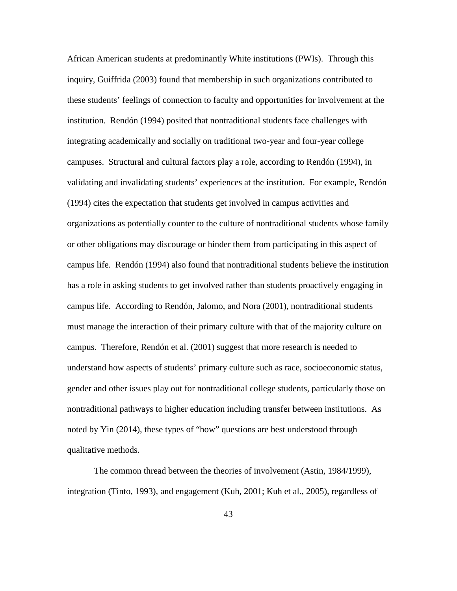African American students at predominantly White institutions (PWIs). Through this inquiry, Guiffrida (2003) found that membership in such organizations contributed to these students' feelings of connection to faculty and opportunities for involvement at the institution. Rendón (1994) posited that nontraditional students face challenges with integrating academically and socially on traditional two-year and four-year college campuses. Structural and cultural factors play a role, according to Rendón (1994), in validating and invalidating students' experiences at the institution. For example, Rendón (1994) cites the expectation that students get involved in campus activities and organizations as potentially counter to the culture of nontraditional students whose family or other obligations may discourage or hinder them from participating in this aspect of campus life. Rendón (1994) also found that nontraditional students believe the institution has a role in asking students to get involved rather than students proactively engaging in campus life. According to Rendón, Jalomo, and Nora (2001), nontraditional students must manage the interaction of their primary culture with that of the majority culture on campus. Therefore, Rendón et al. (2001) suggest that more research is needed to understand how aspects of students' primary culture such as race, socioeconomic status, gender and other issues play out for nontraditional college students, particularly those on nontraditional pathways to higher education including transfer between institutions. As noted by Yin (2014), these types of "how" questions are best understood through qualitative methods.

The common thread between the theories of involvement (Astin, 1984/1999), integration (Tinto, 1993), and engagement (Kuh, 2001; Kuh et al., 2005), regardless of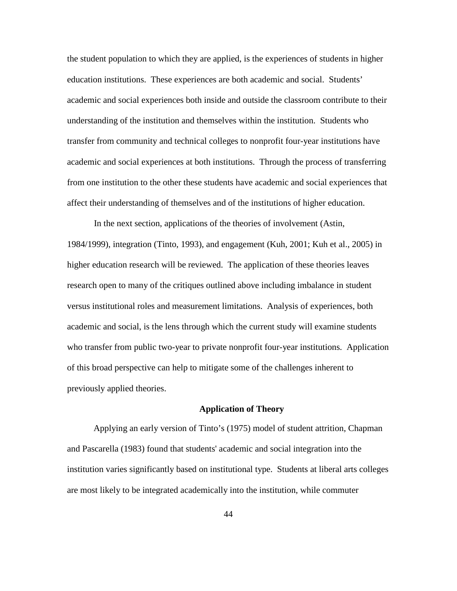the student population to which they are applied, is the experiences of students in higher education institutions. These experiences are both academic and social. Students' academic and social experiences both inside and outside the classroom contribute to their understanding of the institution and themselves within the institution. Students who transfer from community and technical colleges to nonprofit four-year institutions have academic and social experiences at both institutions. Through the process of transferring from one institution to the other these students have academic and social experiences that affect their understanding of themselves and of the institutions of higher education.

In the next section, applications of the theories of involvement (Astin, 1984/1999), integration (Tinto, 1993), and engagement (Kuh, 2001; Kuh et al., 2005) in higher education research will be reviewed. The application of these theories leaves research open to many of the critiques outlined above including imbalance in student versus institutional roles and measurement limitations. Analysis of experiences, both academic and social, is the lens through which the current study will examine students who transfer from public two-year to private nonprofit four-year institutions. Application of this broad perspective can help to mitigate some of the challenges inherent to previously applied theories.

## **Application of Theory**

Applying an early version of Tinto's (1975) model of student attrition, Chapman and Pascarella (1983) found that students' academic and social integration into the institution varies significantly based on institutional type. Students at liberal arts colleges are most likely to be integrated academically into the institution, while commuter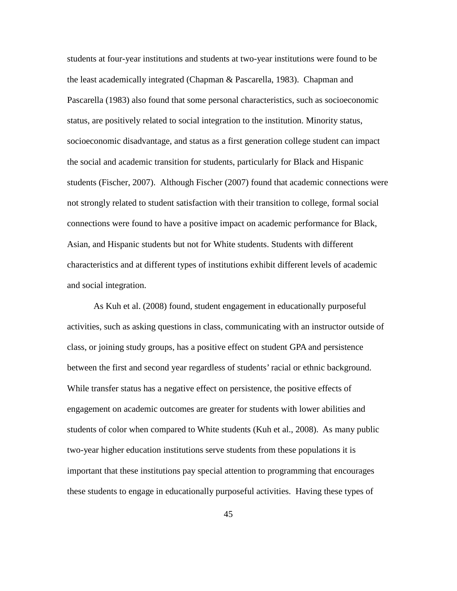students at four-year institutions and students at two-year institutions were found to be the least academically integrated (Chapman & Pascarella, 1983). Chapman and Pascarella (1983) also found that some personal characteristics, such as socioeconomic status, are positively related to social integration to the institution. Minority status, socioeconomic disadvantage, and status as a first generation college student can impact the social and academic transition for students, particularly for Black and Hispanic students (Fischer, 2007). Although Fischer (2007) found that academic connections were not strongly related to student satisfaction with their transition to college, formal social connections were found to have a positive impact on academic performance for Black, Asian, and Hispanic students but not for White students. Students with different characteristics and at different types of institutions exhibit different levels of academic and social integration.

As Kuh et al. (2008) found, student engagement in educationally purposeful activities, such as asking questions in class, communicating with an instructor outside of class, or joining study groups, has a positive effect on student GPA and persistence between the first and second year regardless of students' racial or ethnic background. While transfer status has a negative effect on persistence, the positive effects of engagement on academic outcomes are greater for students with lower abilities and students of color when compared to White students (Kuh et al., 2008). As many public two-year higher education institutions serve students from these populations it is important that these institutions pay special attention to programming that encourages these students to engage in educationally purposeful activities. Having these types of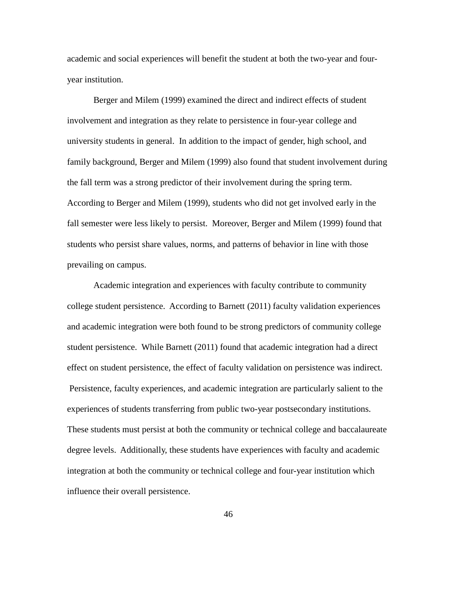academic and social experiences will benefit the student at both the two-year and fouryear institution.

Berger and Milem (1999) examined the direct and indirect effects of student involvement and integration as they relate to persistence in four-year college and university students in general. In addition to the impact of gender, high school, and family background, Berger and Milem (1999) also found that student involvement during the fall term was a strong predictor of their involvement during the spring term. According to Berger and Milem (1999), students who did not get involved early in the fall semester were less likely to persist. Moreover, Berger and Milem (1999) found that students who persist share values, norms, and patterns of behavior in line with those prevailing on campus.

Academic integration and experiences with faculty contribute to community college student persistence. According to Barnett (2011) faculty validation experiences and academic integration were both found to be strong predictors of community college student persistence. While Barnett (2011) found that academic integration had a direct effect on student persistence, the effect of faculty validation on persistence was indirect. Persistence, faculty experiences, and academic integration are particularly salient to the experiences of students transferring from public two-year postsecondary institutions. These students must persist at both the community or technical college and baccalaureate degree levels. Additionally, these students have experiences with faculty and academic integration at both the community or technical college and four-year institution which influence their overall persistence.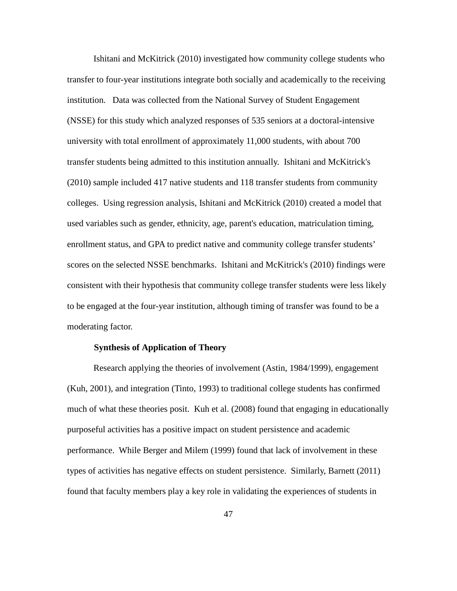Ishitani and McKitrick (2010) investigated how community college students who transfer to four-year institutions integrate both socially and academically to the receiving institution. Data was collected from the National Survey of Student Engagement (NSSE) for this study which analyzed responses of 535 seniors at a doctoral-intensive university with total enrollment of approximately 11,000 students, with about 700 transfer students being admitted to this institution annually. Ishitani and McKitrick's (2010) sample included 417 native students and 118 transfer students from community colleges. Using regression analysis, Ishitani and McKitrick (2010) created a model that used variables such as gender, ethnicity, age, parent's education, matriculation timing, enrollment status, and GPA to predict native and community college transfer students' scores on the selected NSSE benchmarks. Ishitani and McKitrick's (2010) findings were consistent with their hypothesis that community college transfer students were less likely to be engaged at the four-year institution, although timing of transfer was found to be a moderating factor.

## **Synthesis of Application of Theory**

Research applying the theories of involvement (Astin, 1984/1999), engagement (Kuh, 2001), and integration (Tinto, 1993) to traditional college students has confirmed much of what these theories posit. Kuh et al. (2008) found that engaging in educationally purposeful activities has a positive impact on student persistence and academic performance. While Berger and Milem (1999) found that lack of involvement in these types of activities has negative effects on student persistence. Similarly, Barnett (2011) found that faculty members play a key role in validating the experiences of students in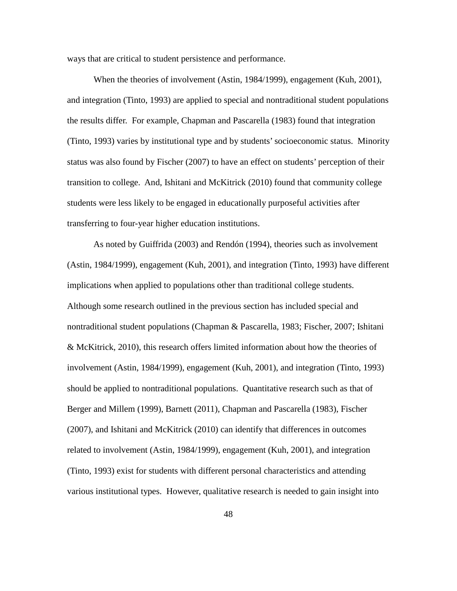ways that are critical to student persistence and performance.

When the theories of involvement (Astin, 1984/1999), engagement (Kuh, 2001), and integration (Tinto, 1993) are applied to special and nontraditional student populations the results differ. For example, Chapman and Pascarella (1983) found that integration (Tinto, 1993) varies by institutional type and by students' socioeconomic status. Minority status was also found by Fischer (2007) to have an effect on students' perception of their transition to college. And, Ishitani and McKitrick (2010) found that community college students were less likely to be engaged in educationally purposeful activities after transferring to four-year higher education institutions.

As noted by Guiffrida (2003) and Rendón (1994), theories such as involvement (Astin, 1984/1999), engagement (Kuh, 2001), and integration (Tinto, 1993) have different implications when applied to populations other than traditional college students. Although some research outlined in the previous section has included special and nontraditional student populations (Chapman & Pascarella, 1983; Fischer, 2007; Ishitani & McKitrick, 2010), this research offers limited information about how the theories of involvement (Astin, 1984/1999), engagement (Kuh, 2001), and integration (Tinto, 1993) should be applied to nontraditional populations. Quantitative research such as that of Berger and Millem (1999), Barnett (2011), Chapman and Pascarella (1983), Fischer (2007), and Ishitani and McKitrick (2010) can identify that differences in outcomes related to involvement (Astin, 1984/1999), engagement (Kuh, 2001), and integration (Tinto, 1993) exist for students with different personal characteristics and attending various institutional types. However, qualitative research is needed to gain insight into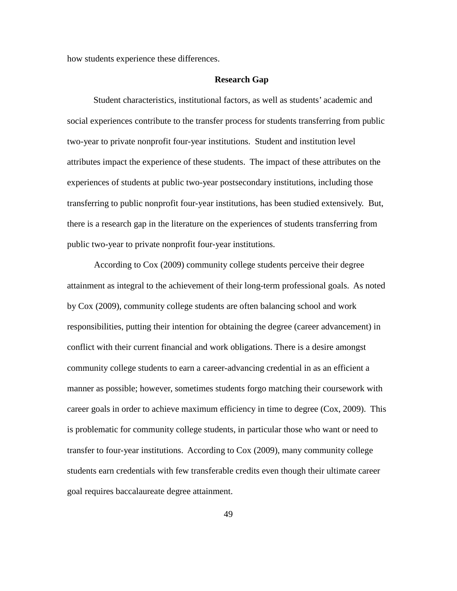how students experience these differences.

### **Research Gap**

Student characteristics, institutional factors, as well as students' academic and social experiences contribute to the transfer process for students transferring from public two-year to private nonprofit four-year institutions. Student and institution level attributes impact the experience of these students. The impact of these attributes on the experiences of students at public two-year postsecondary institutions, including those transferring to public nonprofit four-year institutions, has been studied extensively. But, there is a research gap in the literature on the experiences of students transferring from public two-year to private nonprofit four-year institutions.

According to Cox (2009) community college students perceive their degree attainment as integral to the achievement of their long-term professional goals. As noted by Cox (2009), community college students are often balancing school and work responsibilities, putting their intention for obtaining the degree (career advancement) in conflict with their current financial and work obligations. There is a desire amongst community college students to earn a career-advancing credential in as an efficient a manner as possible; however, sometimes students forgo matching their coursework with career goals in order to achieve maximum efficiency in time to degree (Cox, 2009). This is problematic for community college students, in particular those who want or need to transfer to four-year institutions. According to Cox (2009), many community college students earn credentials with few transferable credits even though their ultimate career goal requires baccalaureate degree attainment.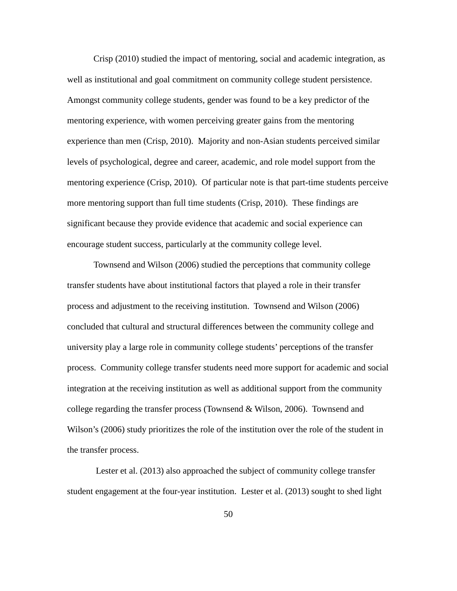Crisp (2010) studied the impact of mentoring, social and academic integration, as well as institutional and goal commitment on community college student persistence. Amongst community college students, gender was found to be a key predictor of the mentoring experience, with women perceiving greater gains from the mentoring experience than men (Crisp, 2010). Majority and non-Asian students perceived similar levels of psychological, degree and career, academic, and role model support from the mentoring experience (Crisp, 2010). Of particular note is that part-time students perceive more mentoring support than full time students (Crisp, 2010). These findings are significant because they provide evidence that academic and social experience can encourage student success, particularly at the community college level.

Townsend and Wilson (2006) studied the perceptions that community college transfer students have about institutional factors that played a role in their transfer process and adjustment to the receiving institution. Townsend and Wilson (2006) concluded that cultural and structural differences between the community college and university play a large role in community college students' perceptions of the transfer process. Community college transfer students need more support for academic and social integration at the receiving institution as well as additional support from the community college regarding the transfer process (Townsend  $& Wilson, 2006$ ). Townsend and Wilson's (2006) study prioritizes the role of the institution over the role of the student in the transfer process.

Lester et al. (2013) also approached the subject of community college transfer student engagement at the four-year institution. Lester et al. (2013) sought to shed light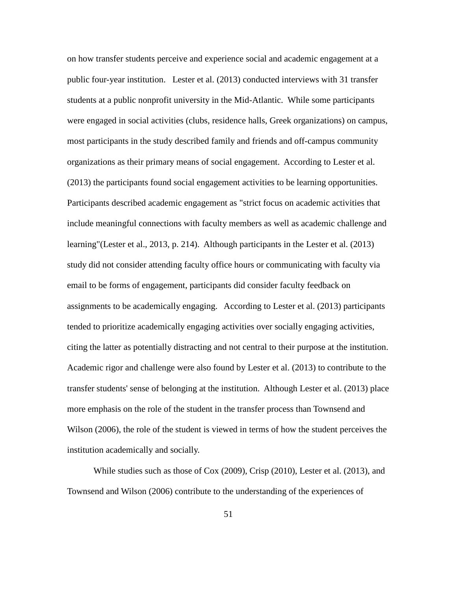on how transfer students perceive and experience social and academic engagement at a public four-year institution. Lester et al. (2013) conducted interviews with 31 transfer students at a public nonprofit university in the Mid-Atlantic. While some participants were engaged in social activities (clubs, residence halls, Greek organizations) on campus, most participants in the study described family and friends and off-campus community organizations as their primary means of social engagement. According to Lester et al. (2013) the participants found social engagement activities to be learning opportunities. Participants described academic engagement as "strict focus on academic activities that include meaningful connections with faculty members as well as academic challenge and learning"(Lester et al., 2013, p. 214). Although participants in the Lester et al. (2013) study did not consider attending faculty office hours or communicating with faculty via email to be forms of engagement, participants did consider faculty feedback on assignments to be academically engaging. According to Lester et al. (2013) participants tended to prioritize academically engaging activities over socially engaging activities, citing the latter as potentially distracting and not central to their purpose at the institution. Academic rigor and challenge were also found by Lester et al. (2013) to contribute to the transfer students' sense of belonging at the institution. Although Lester et al. (2013) place more emphasis on the role of the student in the transfer process than Townsend and Wilson (2006), the role of the student is viewed in terms of how the student perceives the institution academically and socially.

While studies such as those of Cox (2009), Crisp (2010), Lester et al. (2013), and Townsend and Wilson (2006) contribute to the understanding of the experiences of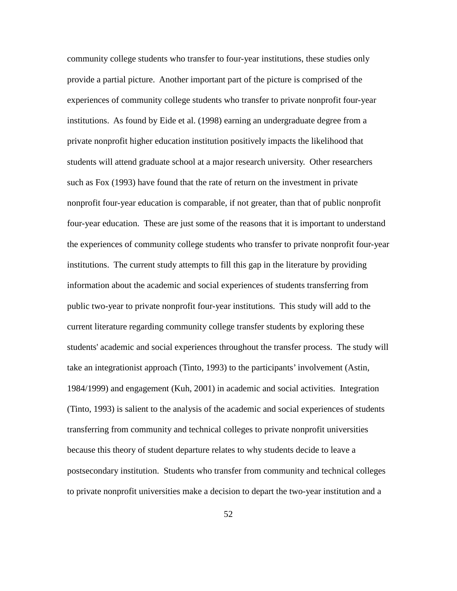community college students who transfer to four-year institutions, these studies only provide a partial picture. Another important part of the picture is comprised of the experiences of community college students who transfer to private nonprofit four-year institutions. As found by Eide et al. (1998) earning an undergraduate degree from a private nonprofit higher education institution positively impacts the likelihood that students will attend graduate school at a major research university. Other researchers such as Fox (1993) have found that the rate of return on the investment in private nonprofit four-year education is comparable, if not greater, than that of public nonprofit four-year education. These are just some of the reasons that it is important to understand the experiences of community college students who transfer to private nonprofit four-year institutions. The current study attempts to fill this gap in the literature by providing information about the academic and social experiences of students transferring from public two-year to private nonprofit four-year institutions. This study will add to the current literature regarding community college transfer students by exploring these students' academic and social experiences throughout the transfer process. The study will take an integrationist approach (Tinto, 1993) to the participants' involvement (Astin, 1984/1999) and engagement (Kuh, 2001) in academic and social activities. Integration (Tinto, 1993) is salient to the analysis of the academic and social experiences of students transferring from community and technical colleges to private nonprofit universities because this theory of student departure relates to why students decide to leave a postsecondary institution. Students who transfer from community and technical colleges to private nonprofit universities make a decision to depart the two-year institution and a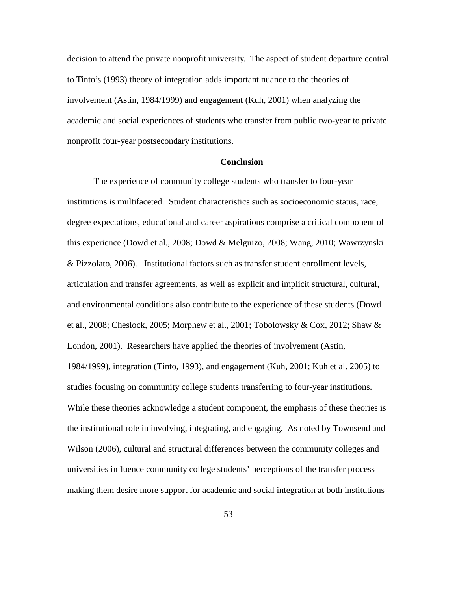decision to attend the private nonprofit university. The aspect of student departure central to Tinto's (1993) theory of integration adds important nuance to the theories of involvement (Astin, 1984/1999) and engagement (Kuh, 2001) when analyzing the academic and social experiences of students who transfer from public two-year to private nonprofit four-year postsecondary institutions.

#### **Conclusion**

The experience of community college students who transfer to four-year institutions is multifaceted. Student characteristics such as socioeconomic status, race, degree expectations, educational and career aspirations comprise a critical component of this experience (Dowd et al., 2008; Dowd & Melguizo, 2008; Wang, 2010; Wawrzynski & Pizzolato, 2006). Institutional factors such as transfer student enrollment levels, articulation and transfer agreements, as well as explicit and implicit structural, cultural, and environmental conditions also contribute to the experience of these students (Dowd et al., 2008; Cheslock, 2005; Morphew et al., 2001; Tobolowsky & Cox, 2012; Shaw & London, 2001). Researchers have applied the theories of involvement (Astin, 1984/1999), integration (Tinto, 1993), and engagement (Kuh, 2001; Kuh et al. 2005) to studies focusing on community college students transferring to four-year institutions. While these theories acknowledge a student component, the emphasis of these theories is the institutional role in involving, integrating, and engaging. As noted by Townsend and Wilson (2006), cultural and structural differences between the community colleges and universities influence community college students' perceptions of the transfer process making them desire more support for academic and social integration at both institutions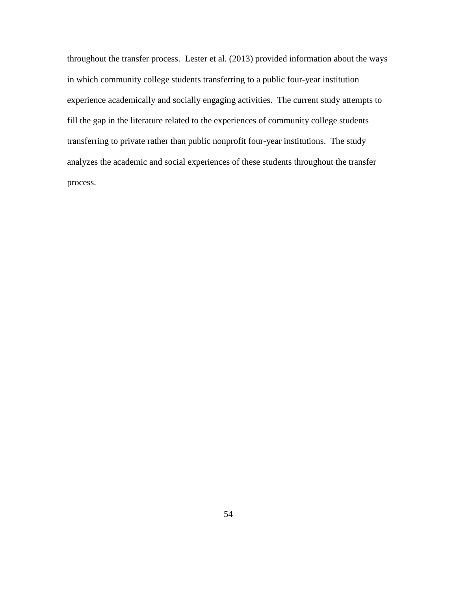throughout the transfer process. Lester et al. (2013) provided information about the ways in which community college students transferring to a public four-year institution experience academically and socially engaging activities. The current study attempts to fill the gap in the literature related to the experiences of community college students transferring to private rather than public nonprofit four-year institutions. The study analyzes the academic and social experiences of these students throughout the transfer process.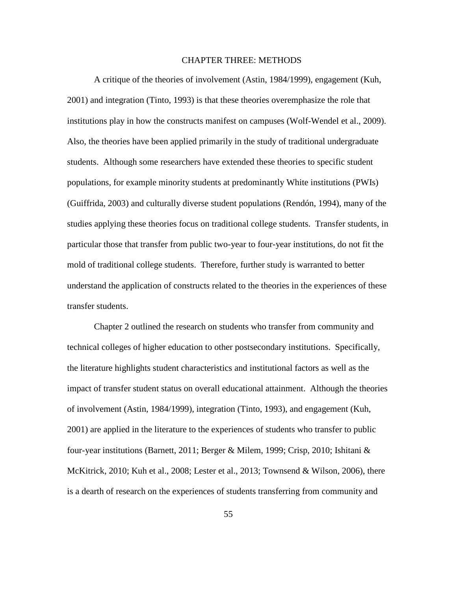#### CHAPTER THREE: METHODS

A critique of the theories of involvement (Astin, 1984/1999), engagement (Kuh, 2001) and integration (Tinto, 1993) is that these theories overemphasize the role that institutions play in how the constructs manifest on campuses (Wolf-Wendel et al., 2009). Also, the theories have been applied primarily in the study of traditional undergraduate students. Although some researchers have extended these theories to specific student populations, for example minority students at predominantly White institutions (PWIs) (Guiffrida, 2003) and culturally diverse student populations (Rendón, 1994), many of the studies applying these theories focus on traditional college students. Transfer students, in particular those that transfer from public two-year to four-year institutions, do not fit the mold of traditional college students. Therefore, further study is warranted to better understand the application of constructs related to the theories in the experiences of these transfer students.

Chapter 2 outlined the research on students who transfer from community and technical colleges of higher education to other postsecondary institutions. Specifically, the literature highlights student characteristics and institutional factors as well as the impact of transfer student status on overall educational attainment. Although the theories of involvement (Astin, 1984/1999), integration (Tinto, 1993), and engagement (Kuh, 2001) are applied in the literature to the experiences of students who transfer to public four-year institutions (Barnett, 2011; Berger & Milem, 1999; Crisp, 2010; Ishitani & McKitrick, 2010; Kuh et al., 2008; Lester et al., 2013; Townsend & Wilson, 2006), there is a dearth of research on the experiences of students transferring from community and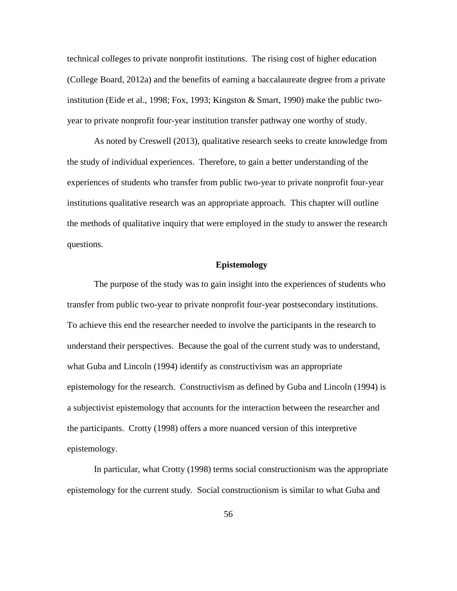technical colleges to private nonprofit institutions. The rising cost of higher education (College Board, 2012a) and the benefits of earning a baccalaureate degree from a private institution (Eide et al., 1998; Fox, 1993; Kingston & Smart, 1990) make the public twoyear to private nonprofit four-year institution transfer pathway one worthy of study.

As noted by Creswell (2013), qualitative research seeks to create knowledge from the study of individual experiences. Therefore, to gain a better understanding of the experiences of students who transfer from public two-year to private nonprofit four-year institutions qualitative research was an appropriate approach. This chapter will outline the methods of qualitative inquiry that were employed in the study to answer the research questions.

## **Epistemology**

The purpose of the study was to gain insight into the experiences of students who transfer from public two-year to private nonprofit four-year postsecondary institutions. To achieve this end the researcher needed to involve the participants in the research to understand their perspectives. Because the goal of the current study was to understand, what Guba and Lincoln (1994) identify as constructivism was an appropriate epistemology for the research. Constructivism as defined by Guba and Lincoln (1994) is a subjectivist epistemology that accounts for the interaction between the researcher and the participants. Crotty (1998) offers a more nuanced version of this interpretive epistemology.

In particular, what Crotty (1998) terms social constructionism was the appropriate epistemology for the current study. Social constructionism is similar to what Guba and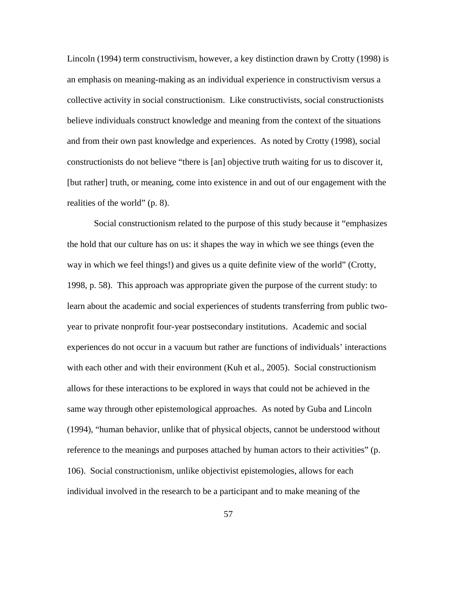Lincoln (1994) term constructivism, however, a key distinction drawn by Crotty (1998) is an emphasis on meaning-making as an individual experience in constructivism versus a collective activity in social constructionism. Like constructivists, social constructionists believe individuals construct knowledge and meaning from the context of the situations and from their own past knowledge and experiences. As noted by Crotty (1998), social constructionists do not believe "there is [an] objective truth waiting for us to discover it, [but rather] truth, or meaning, come into existence in and out of our engagement with the realities of the world" (p. 8).

Social constructionism related to the purpose of this study because it "emphasizes the hold that our culture has on us: it shapes the way in which we see things (even the way in which we feel things!) and gives us a quite definite view of the world" (Crotty, 1998, p. 58). This approach was appropriate given the purpose of the current study: to learn about the academic and social experiences of students transferring from public twoyear to private nonprofit four-year postsecondary institutions. Academic and social experiences do not occur in a vacuum but rather are functions of individuals' interactions with each other and with their environment (Kuh et al., 2005). Social constructionism allows for these interactions to be explored in ways that could not be achieved in the same way through other epistemological approaches. As noted by Guba and Lincoln (1994), "human behavior, unlike that of physical objects, cannot be understood without reference to the meanings and purposes attached by human actors to their activities" (p. 106). Social constructionism, unlike objectivist epistemologies, allows for each individual involved in the research to be a participant and to make meaning of the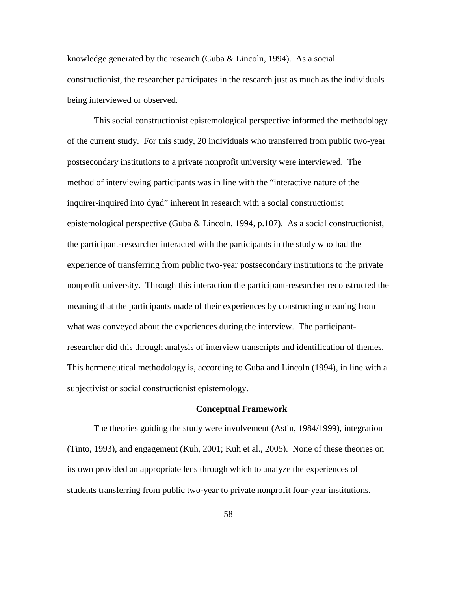knowledge generated by the research (Guba  $& Lincoln, 1994$ ). As a social constructionist, the researcher participates in the research just as much as the individuals being interviewed or observed.

This social constructionist epistemological perspective informed the methodology of the current study. For this study, 20 individuals who transferred from public two-year postsecondary institutions to a private nonprofit university were interviewed. The method of interviewing participants was in line with the "interactive nature of the inquirer-inquired into dyad" inherent in research with a social constructionist epistemological perspective (Guba & Lincoln, 1994, p.107). As a social constructionist, the participant-researcher interacted with the participants in the study who had the experience of transferring from public two-year postsecondary institutions to the private nonprofit university. Through this interaction the participant-researcher reconstructed the meaning that the participants made of their experiences by constructing meaning from what was conveyed about the experiences during the interview. The participantresearcher did this through analysis of interview transcripts and identification of themes. This hermeneutical methodology is, according to Guba and Lincoln (1994), in line with a subjectivist or social constructionist epistemology.

#### **Conceptual Framework**

The theories guiding the study were involvement (Astin, 1984/1999), integration (Tinto, 1993), and engagement (Kuh, 2001; Kuh et al., 2005). None of these theories on its own provided an appropriate lens through which to analyze the experiences of students transferring from public two-year to private nonprofit four-year institutions.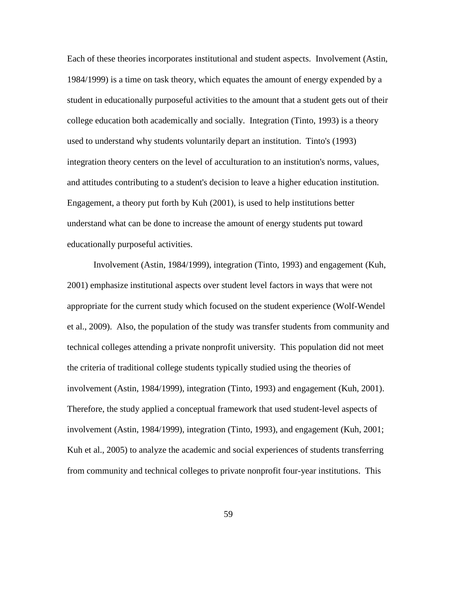Each of these theories incorporates institutional and student aspects. Involvement (Astin, 1984/1999) is a time on task theory, which equates the amount of energy expended by a student in educationally purposeful activities to the amount that a student gets out of their college education both academically and socially. Integration (Tinto, 1993) is a theory used to understand why students voluntarily depart an institution. Tinto's (1993) integration theory centers on the level of acculturation to an institution's norms, values, and attitudes contributing to a student's decision to leave a higher education institution. Engagement, a theory put forth by Kuh (2001), is used to help institutions better understand what can be done to increase the amount of energy students put toward educationally purposeful activities.

Involvement (Astin, 1984/1999), integration (Tinto, 1993) and engagement (Kuh, 2001) emphasize institutional aspects over student level factors in ways that were not appropriate for the current study which focused on the student experience (Wolf-Wendel et al., 2009). Also, the population of the study was transfer students from community and technical colleges attending a private nonprofit university. This population did not meet the criteria of traditional college students typically studied using the theories of involvement (Astin, 1984/1999), integration (Tinto, 1993) and engagement (Kuh, 2001). Therefore, the study applied a conceptual framework that used student-level aspects of involvement (Astin, 1984/1999), integration (Tinto, 1993), and engagement (Kuh, 2001; Kuh et al., 2005) to analyze the academic and social experiences of students transferring from community and technical colleges to private nonprofit four-year institutions. This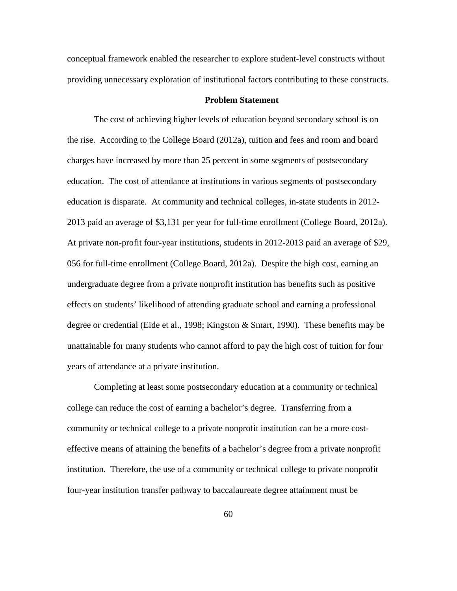conceptual framework enabled the researcher to explore student-level constructs without providing unnecessary exploration of institutional factors contributing to these constructs.

# **Problem Statement**

The cost of achieving higher levels of education beyond secondary school is on the rise. According to the College Board (2012a), tuition and fees and room and board charges have increased by more than 25 percent in some segments of postsecondary education. The cost of attendance at institutions in various segments of postsecondary education is disparate. At community and technical colleges, in-state students in 2012- 2013 paid an average of \$3,131 per year for full-time enrollment (College Board, 2012a). At private non-profit four-year institutions, students in 2012-2013 paid an average of \$29, 056 for full-time enrollment (College Board, 2012a). Despite the high cost, earning an undergraduate degree from a private nonprofit institution has benefits such as positive effects on students' likelihood of attending graduate school and earning a professional degree or credential (Eide et al., 1998; Kingston & Smart, 1990). These benefits may be unattainable for many students who cannot afford to pay the high cost of tuition for four years of attendance at a private institution.

Completing at least some postsecondary education at a community or technical college can reduce the cost of earning a bachelor's degree. Transferring from a community or technical college to a private nonprofit institution can be a more costeffective means of attaining the benefits of a bachelor's degree from a private nonprofit institution. Therefore, the use of a community or technical college to private nonprofit four-year institution transfer pathway to baccalaureate degree attainment must be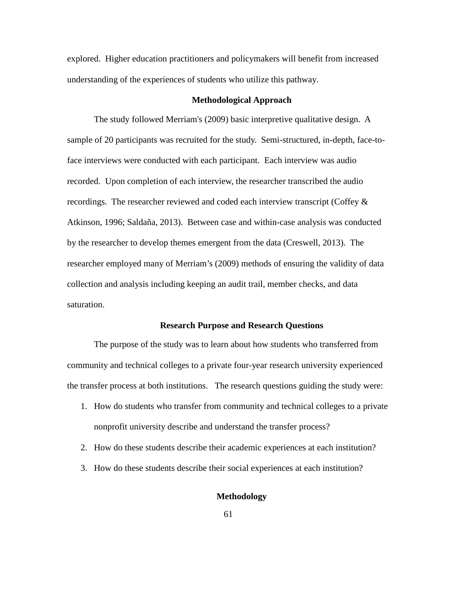explored. Higher education practitioners and policymakers will benefit from increased understanding of the experiences of students who utilize this pathway.

#### **Methodological Approach**

The study followed Merriam's (2009) basic interpretive qualitative design. A sample of 20 participants was recruited for the study. Semi-structured, in-depth, face-toface interviews were conducted with each participant. Each interview was audio recorded. Upon completion of each interview, the researcher transcribed the audio recordings. The researcher reviewed and coded each interview transcript (Coffey & Atkinson, 1996; Saldaña, 2013). Between case and within-case analysis was conducted by the researcher to develop themes emergent from the data (Creswell, 2013). The researcher employed many of Merriam's (2009) methods of ensuring the validity of data collection and analysis including keeping an audit trail, member checks, and data saturation.

## **Research Purpose and Research Questions**

The purpose of the study was to learn about how students who transferred from community and technical colleges to a private four-year research university experienced the transfer process at both institutions. The research questions guiding the study were:

- 1. How do students who transfer from community and technical colleges to a private nonprofit university describe and understand the transfer process?
- 2. How do these students describe their academic experiences at each institution?
- 3. How do these students describe their social experiences at each institution?

#### **Methodology**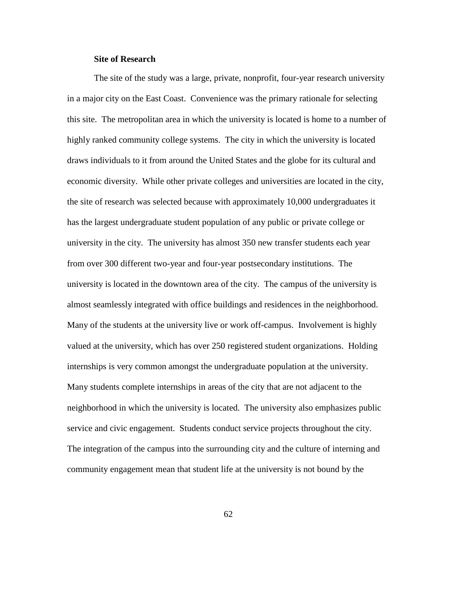## **Site of Research**

The site of the study was a large, private, nonprofit, four-year research university in a major city on the East Coast. Convenience was the primary rationale for selecting this site. The metropolitan area in which the university is located is home to a number of highly ranked community college systems. The city in which the university is located draws individuals to it from around the United States and the globe for its cultural and economic diversity. While other private colleges and universities are located in the city, the site of research was selected because with approximately 10,000 undergraduates it has the largest undergraduate student population of any public or private college or university in the city. The university has almost 350 new transfer students each year from over 300 different two-year and four-year postsecondary institutions. The university is located in the downtown area of the city. The campus of the university is almost seamlessly integrated with office buildings and residences in the neighborhood. Many of the students at the university live or work off-campus. Involvement is highly valued at the university, which has over 250 registered student organizations. Holding internships is very common amongst the undergraduate population at the university. Many students complete internships in areas of the city that are not adjacent to the neighborhood in which the university is located. The university also emphasizes public service and civic engagement. Students conduct service projects throughout the city. The integration of the campus into the surrounding city and the culture of interning and community engagement mean that student life at the university is not bound by the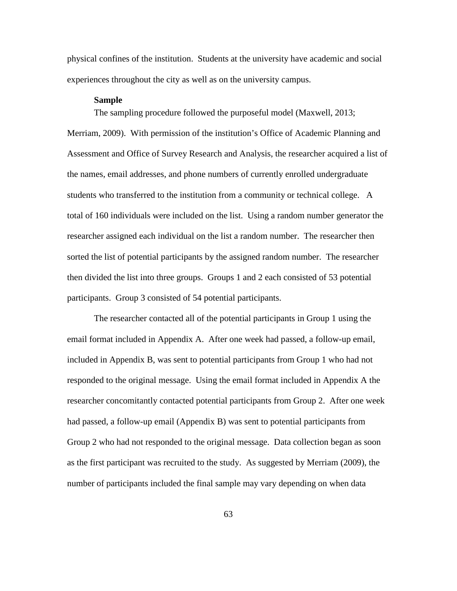physical confines of the institution. Students at the university have academic and social experiences throughout the city as well as on the university campus.

# **Sample**

The sampling procedure followed the purposeful model (Maxwell, 2013; Merriam, 2009). With permission of the institution's Office of Academic Planning and Assessment and Office of Survey Research and Analysis, the researcher acquired a list of the names, email addresses, and phone numbers of currently enrolled undergraduate students who transferred to the institution from a community or technical college. A total of 160 individuals were included on the list. Using a random number generator the researcher assigned each individual on the list a random number. The researcher then sorted the list of potential participants by the assigned random number. The researcher then divided the list into three groups. Groups 1 and 2 each consisted of 53 potential participants. Group 3 consisted of 54 potential participants.

The researcher contacted all of the potential participants in Group 1 using the email format included in Appendix A. After one week had passed, a follow-up email, included in Appendix B, was sent to potential participants from Group 1 who had not responded to the original message. Using the email format included in Appendix A the researcher concomitantly contacted potential participants from Group 2. After one week had passed, a follow-up email (Appendix B) was sent to potential participants from Group 2 who had not responded to the original message. Data collection began as soon as the first participant was recruited to the study. As suggested by Merriam (2009), the number of participants included the final sample may vary depending on when data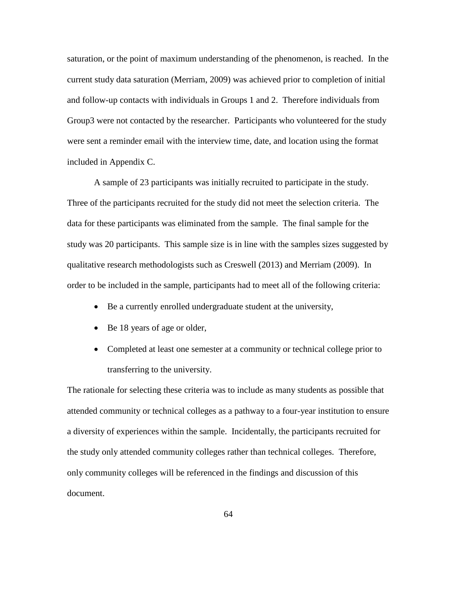saturation, or the point of maximum understanding of the phenomenon, is reached. In the current study data saturation (Merriam, 2009) was achieved prior to completion of initial and follow-up contacts with individuals in Groups 1 and 2. Therefore individuals from Group3 were not contacted by the researcher. Participants who volunteered for the study were sent a reminder email with the interview time, date, and location using the format included in Appendix C.

A sample of 23 participants was initially recruited to participate in the study. Three of the participants recruited for the study did not meet the selection criteria. The data for these participants was eliminated from the sample. The final sample for the study was 20 participants. This sample size is in line with the samples sizes suggested by qualitative research methodologists such as Creswell (2013) and Merriam (2009). In order to be included in the sample, participants had to meet all of the following criteria:

- Be a currently enrolled undergraduate student at the university,
- Be 18 years of age or older,
- Completed at least one semester at a community or technical college prior to transferring to the university.

The rationale for selecting these criteria was to include as many students as possible that attended community or technical colleges as a pathway to a four-year institution to ensure a diversity of experiences within the sample. Incidentally, the participants recruited for the study only attended community colleges rather than technical colleges. Therefore, only community colleges will be referenced in the findings and discussion of this document.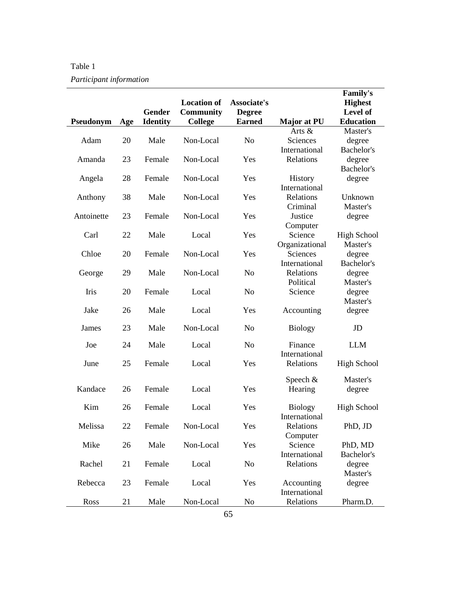| Table 1                 |
|-------------------------|
| Participant information |

| Pseudonym  | Age | Gender<br><b>Identity</b> | <b>Location of</b><br><b>Community</b><br>College | Associate's<br><b>Degree</b><br><b>Earned</b> | Major at PU           | <b>Family's</b><br><b>Highest</b><br>Level of<br><b>Education</b> |
|------------|-----|---------------------------|---------------------------------------------------|-----------------------------------------------|-----------------------|-------------------------------------------------------------------|
|            |     |                           |                                                   |                                               | Arts &                | Master's                                                          |
| Adam       | 20  | Male                      | Non-Local                                         | N <sub>o</sub>                                | Sciences              | degree                                                            |
|            |     |                           |                                                   |                                               | International         | Bachelor's                                                        |
| Amanda     | 23  | Female                    | Non-Local                                         | Yes                                           | Relations             | degree                                                            |
|            |     |                           |                                                   |                                               |                       | Bachelor's                                                        |
| Angela     | 28  | Female                    | Non-Local                                         | Yes                                           | <b>History</b>        | degree                                                            |
|            |     | Male                      |                                                   |                                               | International         |                                                                   |
| Anthony    | 38  |                           | Non-Local                                         | Yes                                           | Relations<br>Criminal | Unknown<br>Master's                                               |
| Antoinette | 23  | Female                    | Non-Local                                         | Yes                                           | Justice               | degree                                                            |
|            |     |                           |                                                   |                                               | Computer              |                                                                   |
| Carl       | 22  | Male                      | Local                                             | Yes                                           | Science               | <b>High School</b>                                                |
|            |     |                           |                                                   |                                               | Organizational        | Master's                                                          |
| Chloe      | 20  | Female                    | Non-Local                                         | Yes                                           | Sciences              | degree                                                            |
|            |     |                           |                                                   |                                               | International         | Bachelor's                                                        |
| George     | 29  | Male                      | Non-Local                                         | N <sub>o</sub>                                | Relations             | degree                                                            |
|            |     |                           |                                                   |                                               | Political             | Master's                                                          |
| Iris       | 20  | Female                    | Local                                             | N <sub>o</sub>                                | Science               | degree                                                            |
|            |     |                           |                                                   |                                               |                       | Master's                                                          |
| Jake       | 26  | Male                      | Local                                             | Yes                                           | Accounting            | degree                                                            |
| James      | 23  | Male                      | Non-Local                                         | N <sub>o</sub>                                | <b>Biology</b>        | JD                                                                |
|            |     |                           |                                                   |                                               |                       |                                                                   |
| Joe        | 24  | Male                      | Local                                             | N <sub>o</sub>                                | Finance               | <b>LLM</b>                                                        |
|            |     |                           |                                                   |                                               | International         |                                                                   |
| June       | 25  | Female                    | Local                                             | Yes                                           | Relations             | <b>High School</b>                                                |
|            |     |                           |                                                   |                                               |                       |                                                                   |
| Kandace    | 26  | Female                    | Local                                             | Yes                                           | Speech $&$            | Master's<br>degree                                                |
|            |     |                           |                                                   |                                               | Hearing               |                                                                   |
| Kim        | 26  | Female                    | Local                                             | Yes                                           | <b>Biology</b>        | <b>High School</b>                                                |
|            |     |                           |                                                   |                                               | International         |                                                                   |
| Melissa    | 22  | Female                    | Non-Local                                         | Yes                                           | Relations             | PhD, JD                                                           |
|            |     |                           |                                                   |                                               | Computer              |                                                                   |
| Mike       | 26  | Male                      | Non-Local                                         | Yes                                           | Science               | PhD, MD                                                           |
|            |     |                           |                                                   |                                               | International         | Bachelor's                                                        |
| Rachel     | 21  | Female                    | Local                                             | N <sub>0</sub>                                | Relations             | degree                                                            |
|            |     |                           |                                                   |                                               |                       | Master's                                                          |
| Rebecca    | 23  | Female                    | Local                                             | Yes                                           | Accounting            | degree                                                            |
|            |     |                           |                                                   |                                               | International         |                                                                   |
| Ross       | 21  | Male                      | Non-Local                                         | No                                            | Relations             | Pharm.D.                                                          |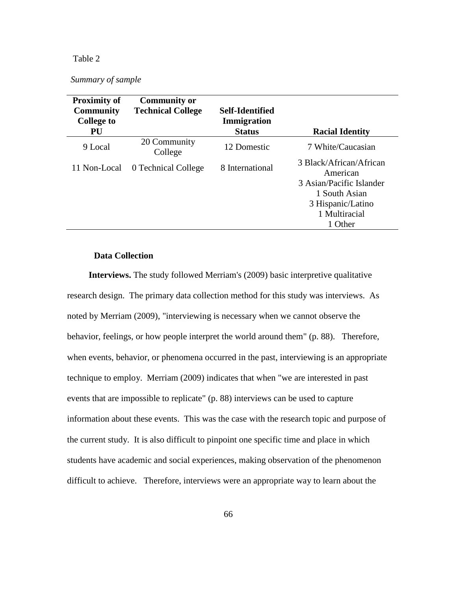# Table 2

| Summary of sample |
|-------------------|
|-------------------|

| <b>Proximity of</b> | <b>Community or</b>      |                 |                                     |
|---------------------|--------------------------|-----------------|-------------------------------------|
| <b>Community</b>    | <b>Technical College</b> | Self-Identified |                                     |
| <b>College to</b>   |                          | Immigration     |                                     |
| PU                  |                          | <b>Status</b>   | <b>Racial Identity</b>              |
| 9 Local             | 20 Community<br>College  | 12 Domestic     | 7 White/Caucasian                   |
| 11 Non-Local        | 0 Technical College      | 8 International | 3 Black/African/African<br>American |
|                     |                          |                 | 3 Asian/Pacific Islander            |
|                     |                          |                 | 1 South Asian                       |
|                     |                          |                 | 3 Hispanic/Latino                   |
|                     |                          |                 | 1 Multiracial                       |
|                     |                          |                 | 1 Other                             |

# **Data Collection**

**Interviews.** The study followed Merriam's (2009) basic interpretive qualitative research design. The primary data collection method for this study was interviews. As noted by Merriam (2009), "interviewing is necessary when we cannot observe the behavior, feelings, or how people interpret the world around them" (p. 88). Therefore, when events, behavior, or phenomena occurred in the past, interviewing is an appropriate technique to employ. Merriam (2009) indicates that when "we are interested in past events that are impossible to replicate" (p. 88) interviews can be used to capture information about these events. This was the case with the research topic and purpose of the current study. It is also difficult to pinpoint one specific time and place in which students have academic and social experiences, making observation of the phenomenon difficult to achieve. Therefore, interviews were an appropriate way to learn about the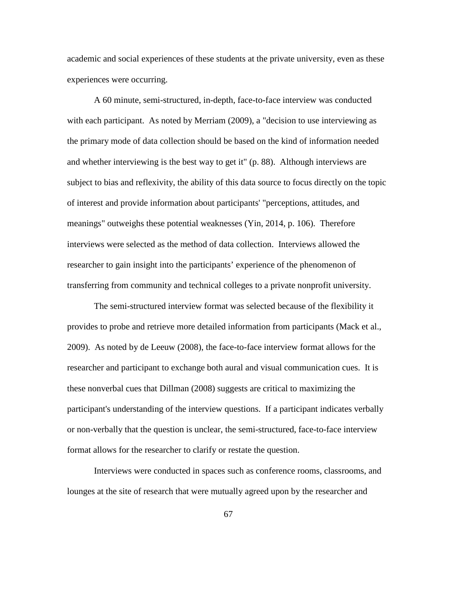academic and social experiences of these students at the private university, even as these experiences were occurring.

A 60 minute, semi-structured, in-depth, face-to-face interview was conducted with each participant. As noted by Merriam (2009), a "decision to use interviewing as the primary mode of data collection should be based on the kind of information needed and whether interviewing is the best way to get it" (p. 88). Although interviews are subject to bias and reflexivity, the ability of this data source to focus directly on the topic of interest and provide information about participants' "perceptions, attitudes, and meanings" outweighs these potential weaknesses (Yin, 2014, p. 106). Therefore interviews were selected as the method of data collection. Interviews allowed the researcher to gain insight into the participants' experience of the phenomenon of transferring from community and technical colleges to a private nonprofit university.

The semi-structured interview format was selected because of the flexibility it provides to probe and retrieve more detailed information from participants (Mack et al., 2009). As noted by de Leeuw (2008), the face-to-face interview format allows for the researcher and participant to exchange both aural and visual communication cues. It is these nonverbal cues that Dillman (2008) suggests are critical to maximizing the participant's understanding of the interview questions. If a participant indicates verbally or non-verbally that the question is unclear, the semi-structured, face-to-face interview format allows for the researcher to clarify or restate the question.

Interviews were conducted in spaces such as conference rooms, classrooms, and lounges at the site of research that were mutually agreed upon by the researcher and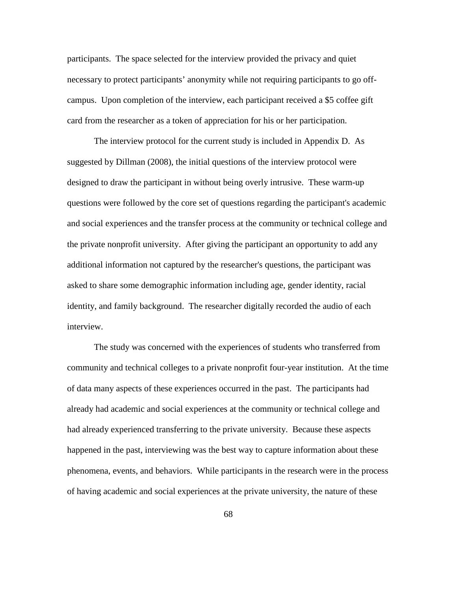participants. The space selected for the interview provided the privacy and quiet necessary to protect participants' anonymity while not requiring participants to go offcampus. Upon completion of the interview, each participant received a \$5 coffee gift card from the researcher as a token of appreciation for his or her participation.

The interview protocol for the current study is included in Appendix D. As suggested by Dillman (2008), the initial questions of the interview protocol were designed to draw the participant in without being overly intrusive. These warm-up questions were followed by the core set of questions regarding the participant's academic and social experiences and the transfer process at the community or technical college and the private nonprofit university. After giving the participant an opportunity to add any additional information not captured by the researcher's questions, the participant was asked to share some demographic information including age, gender identity, racial identity, and family background. The researcher digitally recorded the audio of each interview.

The study was concerned with the experiences of students who transferred from community and technical colleges to a private nonprofit four-year institution. At the time of data many aspects of these experiences occurred in the past. The participants had already had academic and social experiences at the community or technical college and had already experienced transferring to the private university. Because these aspects happened in the past, interviewing was the best way to capture information about these phenomena, events, and behaviors. While participants in the research were in the process of having academic and social experiences at the private university, the nature of these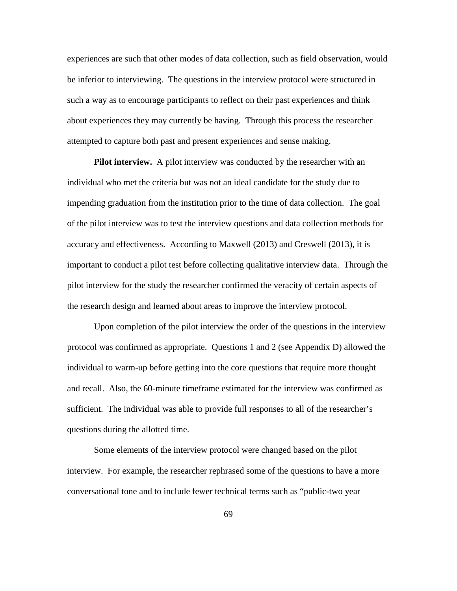experiences are such that other modes of data collection, such as field observation, would be inferior to interviewing. The questions in the interview protocol were structured in such a way as to encourage participants to reflect on their past experiences and think about experiences they may currently be having. Through this process the researcher attempted to capture both past and present experiences and sense making.

**Pilot interview.** A pilot interview was conducted by the researcher with an individual who met the criteria but was not an ideal candidate for the study due to impending graduation from the institution prior to the time of data collection. The goal of the pilot interview was to test the interview questions and data collection methods for accuracy and effectiveness. According to Maxwell (2013) and Creswell (2013), it is important to conduct a pilot test before collecting qualitative interview data. Through the pilot interview for the study the researcher confirmed the veracity of certain aspects of the research design and learned about areas to improve the interview protocol.

Upon completion of the pilot interview the order of the questions in the interview protocol was confirmed as appropriate. Questions 1 and 2 (see Appendix D) allowed the individual to warm-up before getting into the core questions that require more thought and recall. Also, the 60-minute timeframe estimated for the interview was confirmed as sufficient. The individual was able to provide full responses to all of the researcher's questions during the allotted time.

Some elements of the interview protocol were changed based on the pilot interview. For example, the researcher rephrased some of the questions to have a more conversational tone and to include fewer technical terms such as "public-two year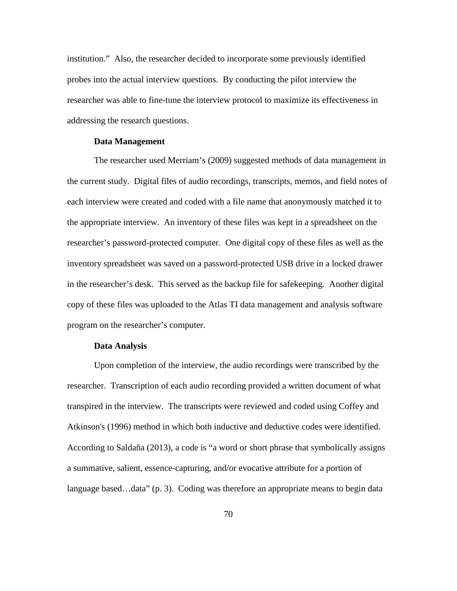institution." Also, the researcher decided to incorporate some previously identified probes into the actual interview questions. By conducting the pilot interview the researcher was able to fine-tune the interview protocol to maximize its effectiveness in addressing the research questions.

#### **Data Management**

The researcher used Merriam's (2009) suggested methods of data management in the current study. Digital files of audio recordings, transcripts, memos, and field notes of each interview were created and coded with a file name that anonymously matched it to the appropriate interview. An inventory of these files was kept in a spreadsheet on the researcher's password-protected computer. One digital copy of these files as well as the inventory spreadsheet was saved on a password-protected USB drive in a locked drawer in the researcher's desk. This served as the backup file for safekeeping. Another digital copy of these files was uploaded to the Atlas TI data management and analysis software program on the researcher's computer.

#### **Data Analysis**

Upon completion of the interview, the audio recordings were transcribed by the researcher. Transcription of each audio recording provided a written document of what transpired in the interview. The transcripts were reviewed and coded using Coffey and Atkinson's (1996) method in which both inductive and deductive codes were identified. According to Saldaña (2013), a code is "a word or short phrase that symbolically assigns a summative, salient, essence-capturing, and/or evocative attribute for a portion of language based...data" (p. 3). Coding was therefore an appropriate means to begin data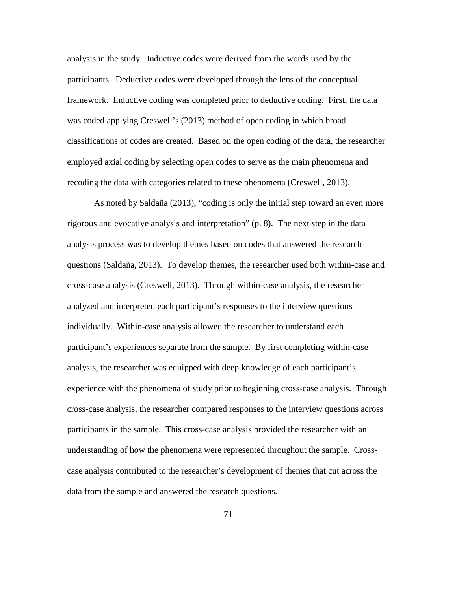analysis in the study. Inductive codes were derived from the words used by the participants. Deductive codes were developed through the lens of the conceptual framework. Inductive coding was completed prior to deductive coding. First, the data was coded applying Creswell's (2013) method of open coding in which broad classifications of codes are created. Based on the open coding of the data, the researcher employed axial coding by selecting open codes to serve as the main phenomena and recoding the data with categories related to these phenomena (Creswell, 2013).

As noted by Saldaña (2013), "coding is only the initial step toward an even more rigorous and evocative analysis and interpretation" (p. 8). The next step in the data analysis process was to develop themes based on codes that answered the research questions (Saldaña, 2013). To develop themes, the researcher used both within-case and cross-case analysis (Creswell, 2013). Through within-case analysis, the researcher analyzed and interpreted each participant's responses to the interview questions individually. Within-case analysis allowed the researcher to understand each participant's experiences separate from the sample. By first completing within-case analysis, the researcher was equipped with deep knowledge of each participant's experience with the phenomena of study prior to beginning cross-case analysis. Through cross-case analysis, the researcher compared responses to the interview questions across participants in the sample. This cross-case analysis provided the researcher with an understanding of how the phenomena were represented throughout the sample. Crosscase analysis contributed to the researcher's development of themes that cut across the data from the sample and answered the research questions.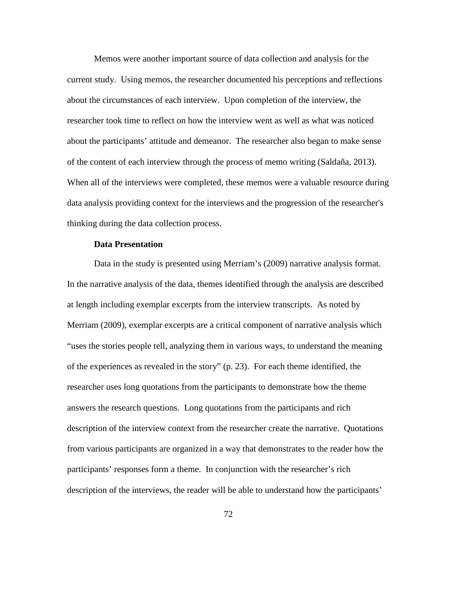Memos were another important source of data collection and analysis for the current study. Using memos, the researcher documented his perceptions and reflections about the circumstances of each interview. Upon completion of the interview, the researcher took time to reflect on how the interview went as well as what was noticed about the participants' attitude and demeanor. The researcher also began to make sense of the content of each interview through the process of memo writing (Saldaña, 2013). When all of the interviews were completed, these memos were a valuable resource during data analysis providing context for the interviews and the progression of the researcher's thinking during the data collection process.

### **Data Presentation**

Data in the study is presented using Merriam's (2009) narrative analysis format. In the narrative analysis of the data, themes identified through the analysis are described at length including exemplar excerpts from the interview transcripts. As noted by Merriam (2009), exemplar excerpts are a critical component of narrative analysis which "uses the stories people tell, analyzing them in various ways, to understand the meaning of the experiences as revealed in the story" (p. 23). For each theme identified, the researcher uses long quotations from the participants to demonstrate how the theme answers the research questions. Long quotations from the participants and rich description of the interview context from the researcher create the narrative. Quotations from various participants are organized in a way that demonstrates to the reader how the participants' responses form a theme. In conjunction with the researcher's rich description of the interviews, the reader will be able to understand how the participants'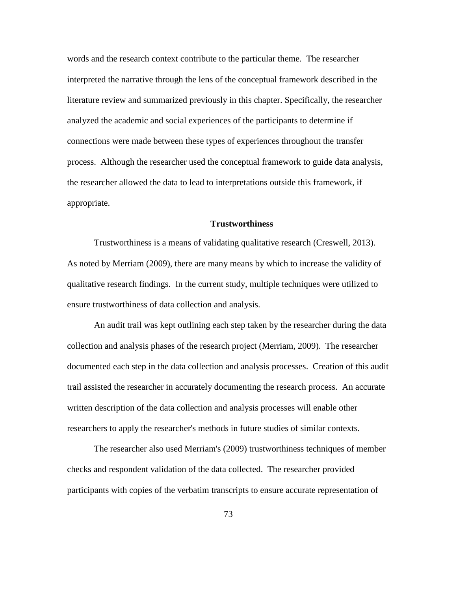words and the research context contribute to the particular theme. The researcher interpreted the narrative through the lens of the conceptual framework described in the literature review and summarized previously in this chapter. Specifically, the researcher analyzed the academic and social experiences of the participants to determine if connections were made between these types of experiences throughout the transfer process. Although the researcher used the conceptual framework to guide data analysis, the researcher allowed the data to lead to interpretations outside this framework, if appropriate.

# **Trustworthiness**

Trustworthiness is a means of validating qualitative research (Creswell, 2013). As noted by Merriam (2009), there are many means by which to increase the validity of qualitative research findings. In the current study, multiple techniques were utilized to ensure trustworthiness of data collection and analysis.

An audit trail was kept outlining each step taken by the researcher during the data collection and analysis phases of the research project (Merriam, 2009). The researcher documented each step in the data collection and analysis processes. Creation of this audit trail assisted the researcher in accurately documenting the research process. An accurate written description of the data collection and analysis processes will enable other researchers to apply the researcher's methods in future studies of similar contexts.

The researcher also used Merriam's (2009) trustworthiness techniques of member checks and respondent validation of the data collected. The researcher provided participants with copies of the verbatim transcripts to ensure accurate representation of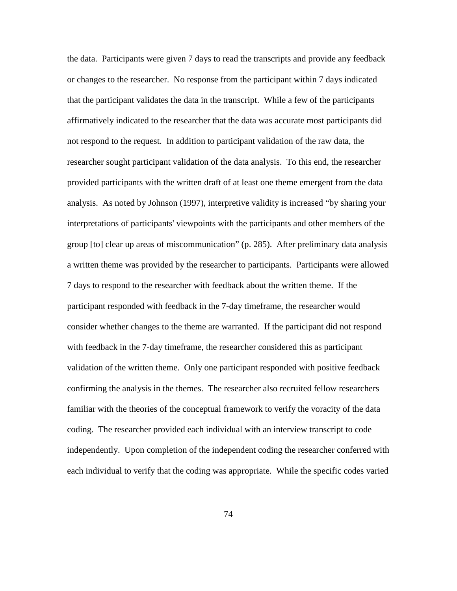the data. Participants were given 7 days to read the transcripts and provide any feedback or changes to the researcher. No response from the participant within 7 days indicated that the participant validates the data in the transcript. While a few of the participants affirmatively indicated to the researcher that the data was accurate most participants did not respond to the request. In addition to participant validation of the raw data, the researcher sought participant validation of the data analysis. To this end, the researcher provided participants with the written draft of at least one theme emergent from the data analysis. As noted by Johnson (1997), interpretive validity is increased "by sharing your interpretations of participants' viewpoints with the participants and other members of the group [to] clear up areas of miscommunication" (p. 285). After preliminary data analysis a written theme was provided by the researcher to participants. Participants were allowed 7 days to respond to the researcher with feedback about the written theme. If the participant responded with feedback in the 7-day timeframe, the researcher would consider whether changes to the theme are warranted. If the participant did not respond with feedback in the 7-day timeframe, the researcher considered this as participant validation of the written theme. Only one participant responded with positive feedback confirming the analysis in the themes. The researcher also recruited fellow researchers familiar with the theories of the conceptual framework to verify the voracity of the data coding. The researcher provided each individual with an interview transcript to code independently. Upon completion of the independent coding the researcher conferred with each individual to verify that the coding was appropriate. While the specific codes varied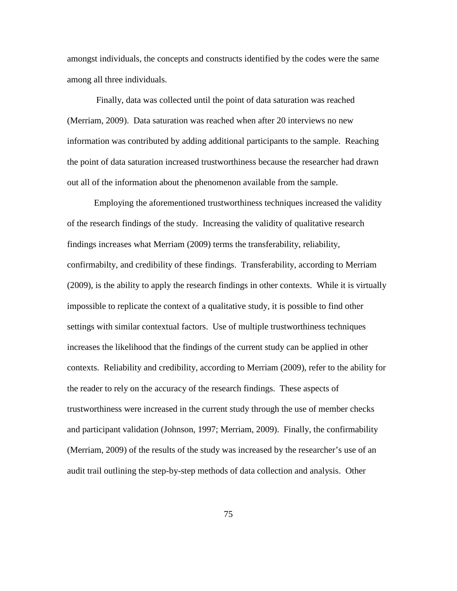amongst individuals, the concepts and constructs identified by the codes were the same among all three individuals.

Finally, data was collected until the point of data saturation was reached (Merriam, 2009). Data saturation was reached when after 20 interviews no new information was contributed by adding additional participants to the sample. Reaching the point of data saturation increased trustworthiness because the researcher had drawn out all of the information about the phenomenon available from the sample.

Employing the aforementioned trustworthiness techniques increased the validity of the research findings of the study. Increasing the validity of qualitative research findings increases what Merriam (2009) terms the transferability, reliability, confirmabilty, and credibility of these findings. Transferability, according to Merriam (2009), is the ability to apply the research findings in other contexts. While it is virtually impossible to replicate the context of a qualitative study, it is possible to find other settings with similar contextual factors. Use of multiple trustworthiness techniques increases the likelihood that the findings of the current study can be applied in other contexts. Reliability and credibility, according to Merriam (2009), refer to the ability for the reader to rely on the accuracy of the research findings. These aspects of trustworthiness were increased in the current study through the use of member checks and participant validation (Johnson, 1997; Merriam, 2009). Finally, the confirmability (Merriam, 2009) of the results of the study was increased by the researcher's use of an audit trail outlining the step-by-step methods of data collection and analysis. Other

75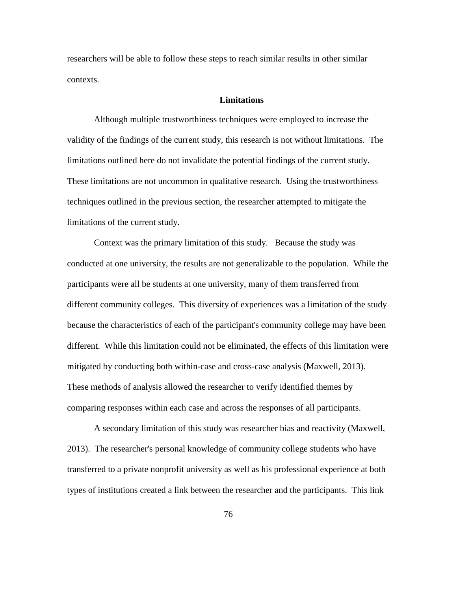researchers will be able to follow these steps to reach similar results in other similar contexts.

# **Limitations**

Although multiple trustworthiness techniques were employed to increase the validity of the findings of the current study, this research is not without limitations. The limitations outlined here do not invalidate the potential findings of the current study. These limitations are not uncommon in qualitative research. Using the trustworthiness techniques outlined in the previous section, the researcher attempted to mitigate the limitations of the current study.

Context was the primary limitation of this study. Because the study was conducted at one university, the results are not generalizable to the population. While the participants were all be students at one university, many of them transferred from different community colleges. This diversity of experiences was a limitation of the study because the characteristics of each of the participant's community college may have been different. While this limitation could not be eliminated, the effects of this limitation were mitigated by conducting both within-case and cross-case analysis (Maxwell, 2013). These methods of analysis allowed the researcher to verify identified themes by comparing responses within each case and across the responses of all participants.

A secondary limitation of this study was researcher bias and reactivity (Maxwell, 2013). The researcher's personal knowledge of community college students who have transferred to a private nonprofit university as well as his professional experience at both types of institutions created a link between the researcher and the participants. This link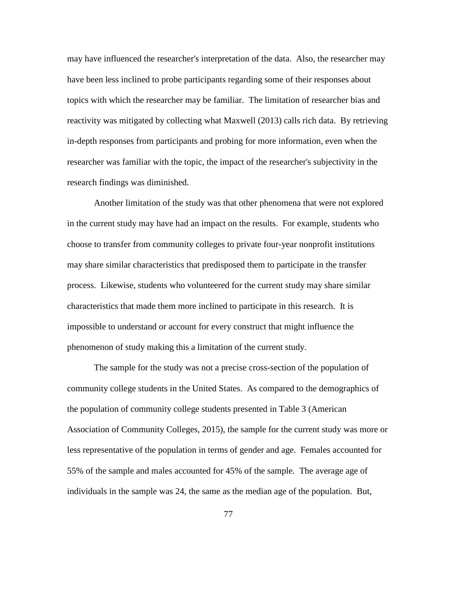may have influenced the researcher's interpretation of the data. Also, the researcher may have been less inclined to probe participants regarding some of their responses about topics with which the researcher may be familiar. The limitation of researcher bias and reactivity was mitigated by collecting what Maxwell (2013) calls rich data. By retrieving in-depth responses from participants and probing for more information, even when the researcher was familiar with the topic, the impact of the researcher's subjectivity in the research findings was diminished.

Another limitation of the study was that other phenomena that were not explored in the current study may have had an impact on the results. For example, students who choose to transfer from community colleges to private four-year nonprofit institutions may share similar characteristics that predisposed them to participate in the transfer process. Likewise, students who volunteered for the current study may share similar characteristics that made them more inclined to participate in this research. It is impossible to understand or account for every construct that might influence the phenomenon of study making this a limitation of the current study.

The sample for the study was not a precise cross-section of the population of community college students in the United States. As compared to the demographics of the population of community college students presented in Table 3 (American Association of Community Colleges, 2015), the sample for the current study was more or less representative of the population in terms of gender and age. Females accounted for 55% of the sample and males accounted for 45% of the sample. The average age of individuals in the sample was 24, the same as the median age of the population. But,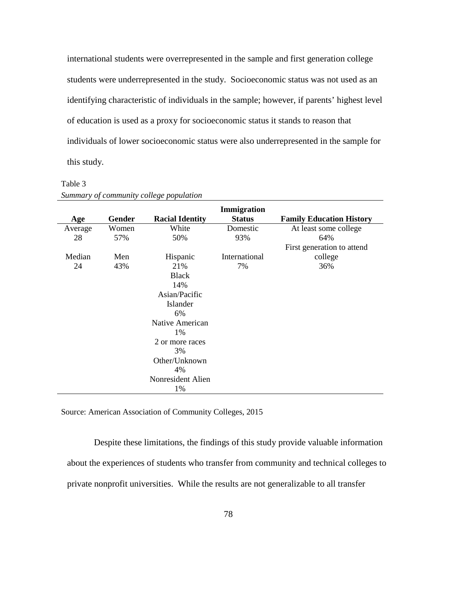international students were overrepresented in the sample and first generation college students were underrepresented in the study. Socioeconomic status was not used as an identifying characteristic of individuals in the sample; however, if parents' highest level of education is used as a proxy for socioeconomic status it stands to reason that individuals of lower socioeconomic status were also underrepresented in the sample for this study.

## Table 3

| Age     | Gender | <b>Racial Identity</b> | Immigration<br><b>Status</b> | <b>Family Education History</b> |
|---------|--------|------------------------|------------------------------|---------------------------------|
| Average | Women  | White                  | Domestic                     | At least some college           |
| 28      | 57%    | 50%                    | 93%                          | 64%                             |
|         |        |                        | First generation to attend   |                                 |
| Median  | Men    | Hispanic               | International                | college                         |
| 24      | 43%    | 21%                    | 7%                           | 36%                             |
|         |        | <b>Black</b>           |                              |                                 |
|         |        | 14%                    |                              |                                 |
|         |        | Asian/Pacific          |                              |                                 |
|         |        | Islander               |                              |                                 |
|         |        | 6%                     |                              |                                 |
|         |        | Native American        |                              |                                 |
|         |        | 1%                     |                              |                                 |
|         |        | 2 or more races        |                              |                                 |
|         |        | 3%                     |                              |                                 |
|         |        | Other/Unknown          |                              |                                 |
|         |        | 4%                     |                              |                                 |
|         |        | Nonresident Alien      |                              |                                 |
|         |        | 1%                     |                              |                                 |

*Summary of community college population*

Source: American Association of Community Colleges, 2015

Despite these limitations, the findings of this study provide valuable information about the experiences of students who transfer from community and technical colleges to private nonprofit universities. While the results are not generalizable to all transfer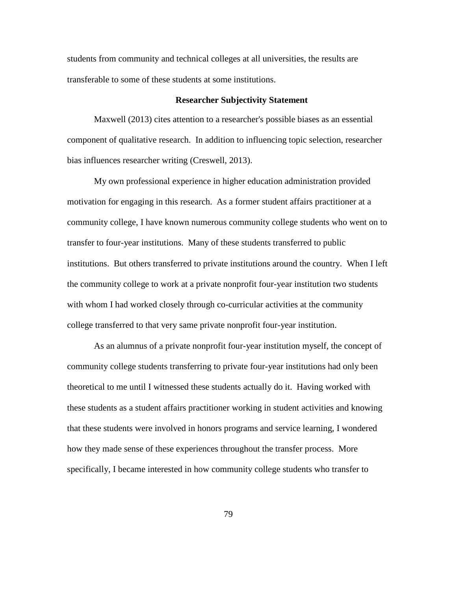students from community and technical colleges at all universities, the results are transferable to some of these students at some institutions.

#### **Researcher Subjectivity Statement**

Maxwell (2013) cites attention to a researcher's possible biases as an essential component of qualitative research. In addition to influencing topic selection, researcher bias influences researcher writing (Creswell, 2013).

My own professional experience in higher education administration provided motivation for engaging in this research. As a former student affairs practitioner at a community college, I have known numerous community college students who went on to transfer to four-year institutions. Many of these students transferred to public institutions. But others transferred to private institutions around the country. When I left the community college to work at a private nonprofit four-year institution two students with whom I had worked closely through co-curricular activities at the community college transferred to that very same private nonprofit four-year institution.

As an alumnus of a private nonprofit four-year institution myself, the concept of community college students transferring to private four-year institutions had only been theoretical to me until I witnessed these students actually do it. Having worked with these students as a student affairs practitioner working in student activities and knowing that these students were involved in honors programs and service learning, I wondered how they made sense of these experiences throughout the transfer process. More specifically, I became interested in how community college students who transfer to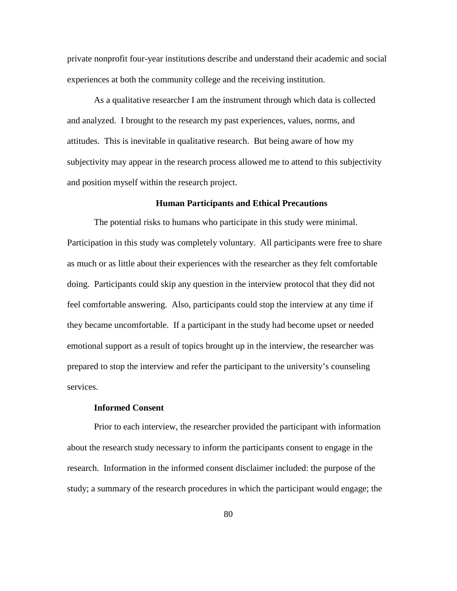private nonprofit four-year institutions describe and understand their academic and social experiences at both the community college and the receiving institution.

As a qualitative researcher I am the instrument through which data is collected and analyzed. I brought to the research my past experiences, values, norms, and attitudes. This is inevitable in qualitative research. But being aware of how my subjectivity may appear in the research process allowed me to attend to this subjectivity and position myself within the research project.

## **Human Participants and Ethical Precautions**

The potential risks to humans who participate in this study were minimal. Participation in this study was completely voluntary. All participants were free to share as much or as little about their experiences with the researcher as they felt comfortable doing. Participants could skip any question in the interview protocol that they did not feel comfortable answering. Also, participants could stop the interview at any time if they became uncomfortable. If a participant in the study had become upset or needed emotional support as a result of topics brought up in the interview, the researcher was prepared to stop the interview and refer the participant to the university's counseling services.

## **Informed Consent**

Prior to each interview, the researcher provided the participant with information about the research study necessary to inform the participants consent to engage in the research. Information in the informed consent disclaimer included: the purpose of the study; a summary of the research procedures in which the participant would engage; the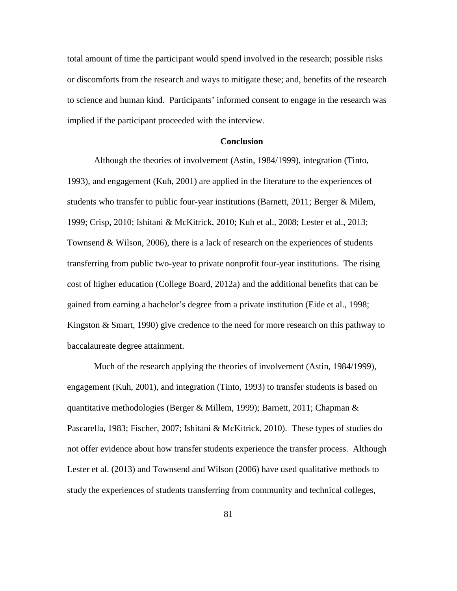total amount of time the participant would spend involved in the research; possible risks or discomforts from the research and ways to mitigate these; and, benefits of the research to science and human kind. Participants' informed consent to engage in the research was implied if the participant proceeded with the interview.

### **Conclusion**

Although the theories of involvement (Astin, 1984/1999), integration (Tinto, 1993), and engagement (Kuh, 2001) are applied in the literature to the experiences of students who transfer to public four-year institutions (Barnett, 2011; Berger & Milem, 1999; Crisp, 2010; Ishitani & McKitrick, 2010; Kuh et al., 2008; Lester et al., 2013; Townsend & Wilson, 2006), there is a lack of research on the experiences of students transferring from public two-year to private nonprofit four-year institutions. The rising cost of higher education (College Board, 2012a) and the additional benefits that can be gained from earning a bachelor's degree from a private institution (Eide et al., 1998; Kingston & Smart, 1990) give credence to the need for more research on this pathway to baccalaureate degree attainment.

Much of the research applying the theories of involvement (Astin, 1984/1999), engagement (Kuh, 2001), and integration (Tinto, 1993) to transfer students is based on quantitative methodologies (Berger & Millem, 1999); Barnett, 2011; Chapman & Pascarella, 1983; Fischer, 2007; Ishitani & McKitrick, 2010). These types of studies do not offer evidence about how transfer students experience the transfer process. Although Lester et al. (2013) and Townsend and Wilson (2006) have used qualitative methods to study the experiences of students transferring from community and technical colleges,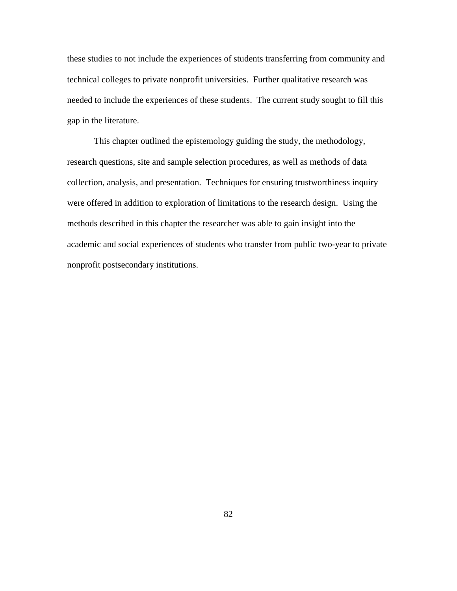these studies to not include the experiences of students transferring from community and technical colleges to private nonprofit universities. Further qualitative research was needed to include the experiences of these students. The current study sought to fill this gap in the literature.

This chapter outlined the epistemology guiding the study, the methodology, research questions, site and sample selection procedures, as well as methods of data collection, analysis, and presentation. Techniques for ensuring trustworthiness inquiry were offered in addition to exploration of limitations to the research design. Using the methods described in this chapter the researcher was able to gain insight into the academic and social experiences of students who transfer from public two-year to private nonprofit postsecondary institutions.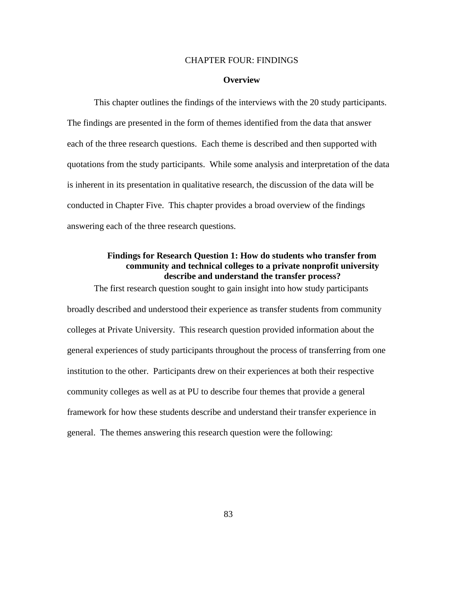#### CHAPTER FOUR: FINDINGS

#### **Overview**

This chapter outlines the findings of the interviews with the 20 study participants. The findings are presented in the form of themes identified from the data that answer each of the three research questions. Each theme is described and then supported with quotations from the study participants. While some analysis and interpretation of the data is inherent in its presentation in qualitative research, the discussion of the data will be conducted in Chapter Five. This chapter provides a broad overview of the findings answering each of the three research questions.

# **Findings for Research Question 1: How do students who transfer from community and technical colleges to a private nonprofit university describe and understand the transfer process?**

The first research question sought to gain insight into how study participants broadly described and understood their experience as transfer students from community colleges at Private University. This research question provided information about the general experiences of study participants throughout the process of transferring from one institution to the other. Participants drew on their experiences at both their respective community colleges as well as at PU to describe four themes that provide a general framework for how these students describe and understand their transfer experience in general. The themes answering this research question were the following: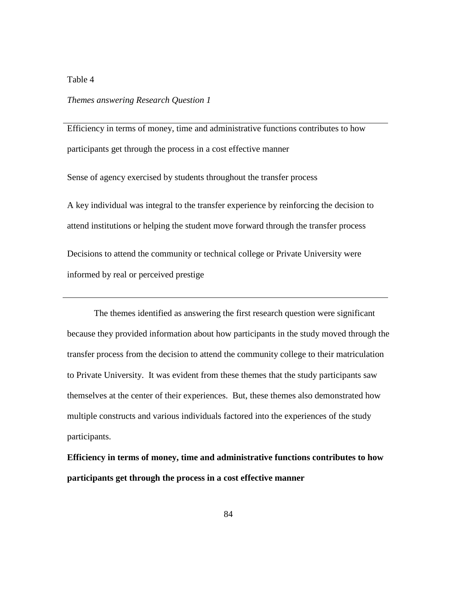# Table 4

# *Themes answering Research Question 1*

Efficiency in terms of money, time and administrative functions contributes to how participants get through the process in a cost effective manner

Sense of agency exercised by students throughout the transfer process

A key individual was integral to the transfer experience by reinforcing the decision to attend institutions or helping the student move forward through the transfer process Decisions to attend the community or technical college or Private University were informed by real or perceived prestige

The themes identified as answering the first research question were significant because they provided information about how participants in the study moved through the transfer process from the decision to attend the community college to their matriculation to Private University. It was evident from these themes that the study participants saw themselves at the center of their experiences. But, these themes also demonstrated how multiple constructs and various individuals factored into the experiences of the study participants.

**Efficiency in terms of money, time and administrative functions contributes to how participants get through the process in a cost effective manner**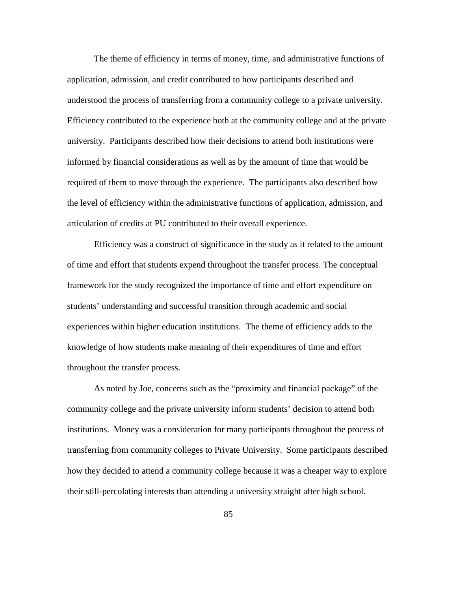The theme of efficiency in terms of money, time, and administrative functions of application, admission, and credit contributed to how participants described and understood the process of transferring from a community college to a private university. Efficiency contributed to the experience both at the community college and at the private university. Participants described how their decisions to attend both institutions were informed by financial considerations as well as by the amount of time that would be required of them to move through the experience. The participants also described how the level of efficiency within the administrative functions of application, admission, and articulation of credits at PU contributed to their overall experience.

Efficiency was a construct of significance in the study as it related to the amount of time and effort that students expend throughout the transfer process. The conceptual framework for the study recognized the importance of time and effort expenditure on students' understanding and successful transition through academic and social experiences within higher education institutions. The theme of efficiency adds to the knowledge of how students make meaning of their expenditures of time and effort throughout the transfer process.

As noted by Joe, concerns such as the "proximity and financial package" of the community college and the private university inform students' decision to attend both institutions. Money was a consideration for many participants throughout the process of transferring from community colleges to Private University. Some participants described how they decided to attend a community college because it was a cheaper way to explore their still-percolating interests than attending a university straight after high school.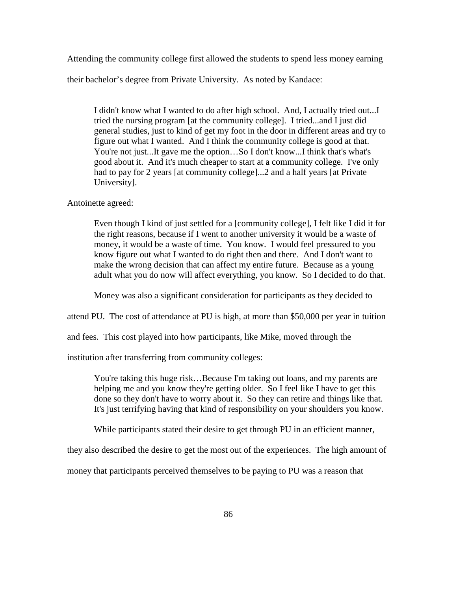Attending the community college first allowed the students to spend less money earning

their bachelor's degree from Private University. As noted by Kandace:

I didn't know what I wanted to do after high school. And, I actually tried out...I tried the nursing program [at the community college]. I tried...and I just did general studies, just to kind of get my foot in the door in different areas and try to figure out what I wanted. And I think the community college is good at that. You're not just...It gave me the option…So I don't know...I think that's what's good about it. And it's much cheaper to start at a community college. I've only had to pay for 2 years [at community college]...2 and a half years [at Private University].

Antoinette agreed:

Even though I kind of just settled for a [community college], I felt like I did it for the right reasons, because if I went to another university it would be a waste of money, it would be a waste of time. You know. I would feel pressured to you know figure out what I wanted to do right then and there. And I don't want to make the wrong decision that can affect my entire future. Because as a young adult what you do now will affect everything, you know. So I decided to do that.

Money was also a significant consideration for participants as they decided to

attend PU. The cost of attendance at PU is high, at more than \$50,000 per year in tuition

and fees. This cost played into how participants, like Mike, moved through the

institution after transferring from community colleges:

You're taking this huge risk…Because I'm taking out loans, and my parents are helping me and you know they're getting older. So I feel like I have to get this done so they don't have to worry about it. So they can retire and things like that. It's just terrifying having that kind of responsibility on your shoulders you know.

While participants stated their desire to get through PU in an efficient manner,

they also described the desire to get the most out of the experiences. The high amount of

money that participants perceived themselves to be paying to PU was a reason that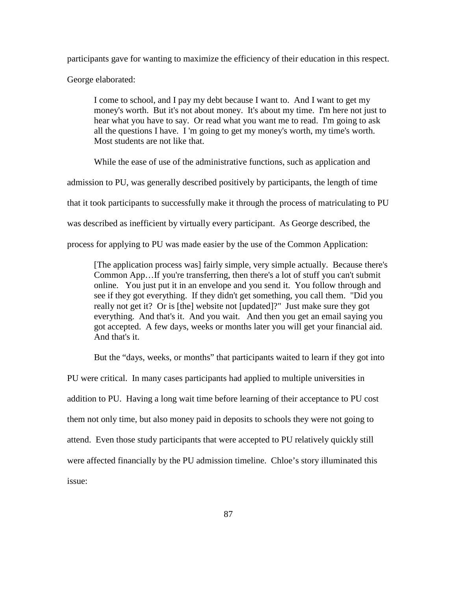participants gave for wanting to maximize the efficiency of their education in this respect.

George elaborated:

I come to school, and I pay my debt because I want to. And I want to get my money's worth. But it's not about money. It's about my time. I'm here not just to hear what you have to say. Or read what you want me to read. I'm going to ask all the questions I have. I 'm going to get my money's worth, my time's worth. Most students are not like that.

While the ease of use of the administrative functions, such as application and

admission to PU, was generally described positively by participants, the length of time

that it took participants to successfully make it through the process of matriculating to PU

was described as inefficient by virtually every participant. As George described, the

process for applying to PU was made easier by the use of the Common Application:

[The application process was] fairly simple, very simple actually. Because there's Common App…If you're transferring, then there's a lot of stuff you can't submit online. You just put it in an envelope and you send it. You follow through and see if they got everything. If they didn't get something, you call them. "Did you really not get it? Or is [the] website not [updated]?" Just make sure they got everything. And that's it. And you wait. And then you get an email saying you got accepted. A few days, weeks or months later you will get your financial aid. And that's it.

But the "days, weeks, or months" that participants waited to learn if they got into

PU were critical. In many cases participants had applied to multiple universities in addition to PU. Having a long wait time before learning of their acceptance to PU cost them not only time, but also money paid in deposits to schools they were not going to attend. Even those study participants that were accepted to PU relatively quickly still were affected financially by the PU admission timeline. Chloe's story illuminated this issue: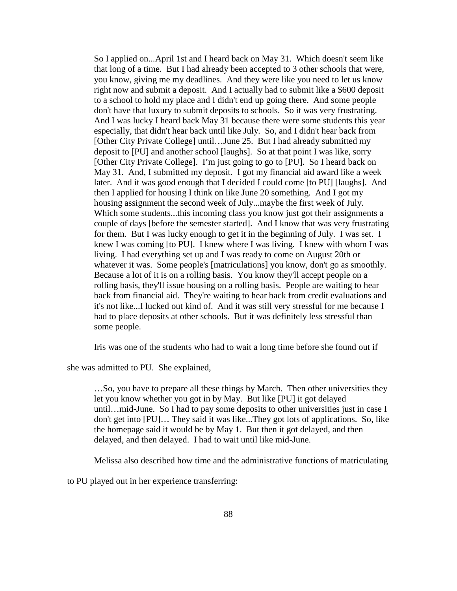So I applied on...April 1st and I heard back on May 31. Which doesn't seem like that long of a time. But I had already been accepted to 3 other schools that were, you know, giving me my deadlines. And they were like you need to let us know right now and submit a deposit. And I actually had to submit like a \$600 deposit to a school to hold my place and I didn't end up going there. And some people don't have that luxury to submit deposits to schools. So it was very frustrating. And I was lucky I heard back May 31 because there were some students this year especially, that didn't hear back until like July. So, and I didn't hear back from [Other City Private College] until…June 25. But I had already submitted my deposit to [PU] and another school [laughs]. So at that point I was like, sorry [Other City Private College]. I'm just going to go to [PU]. So I heard back on May 31. And, I submitted my deposit. I got my financial aid award like a week later. And it was good enough that I decided I could come [to PU] [laughs]. And then I applied for housing I think on like June 20 something. And I got my housing assignment the second week of July...maybe the first week of July. Which some students...this incoming class you know just got their assignments a couple of days [before the semester started]. And I know that was very frustrating for them. But I was lucky enough to get it in the beginning of July. I was set. I knew I was coming [to PU]. I knew where I was living. I knew with whom I was living. I had everything set up and I was ready to come on August 20th or whatever it was. Some people's [matriculations] you know, don't go as smoothly. Because a lot of it is on a rolling basis. You know they'll accept people on a rolling basis, they'll issue housing on a rolling basis. People are waiting to hear back from financial aid. They're waiting to hear back from credit evaluations and it's not like...I lucked out kind of. And it was still very stressful for me because I had to place deposits at other schools. But it was definitely less stressful than some people.

Iris was one of the students who had to wait a long time before she found out if

she was admitted to PU. She explained,

…So, you have to prepare all these things by March. Then other universities they let you know whether you got in by May. But like [PU] it got delayed until…mid-June. So I had to pay some deposits to other universities just in case I don't get into [PU]… They said it was like...They got lots of applications. So, like the homepage said it would be by May 1. But then it got delayed, and then delayed, and then delayed. I had to wait until like mid-June.

Melissa also described how time and the administrative functions of matriculating

to PU played out in her experience transferring: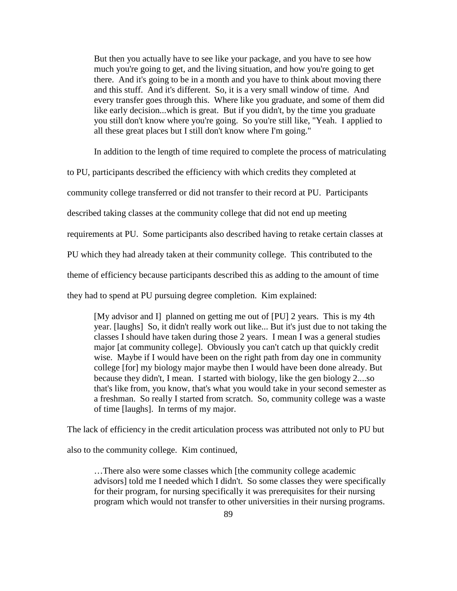But then you actually have to see like your package, and you have to see how much you're going to get, and the living situation, and how you're going to get there. And it's going to be in a month and you have to think about moving there and this stuff. And it's different. So, it is a very small window of time. And every transfer goes through this. Where like you graduate, and some of them did like early decision...which is great. But if you didn't, by the time you graduate you still don't know where you're going. So you're still like, "Yeah. I applied to all these great places but I still don't know where I'm going."

In addition to the length of time required to complete the process of matriculating

to PU, participants described the efficiency with which credits they completed at

community college transferred or did not transfer to their record at PU. Participants

described taking classes at the community college that did not end up meeting

requirements at PU. Some participants also described having to retake certain classes at

PU which they had already taken at their community college. This contributed to the

theme of efficiency because participants described this as adding to the amount of time

they had to spend at PU pursuing degree completion. Kim explained:

[My advisor and I] planned on getting me out of [PU] 2 years. This is my 4th year. [laughs] So, it didn't really work out like... But it's just due to not taking the classes I should have taken during those 2 years. I mean I was a general studies major [at community college]. Obviously you can't catch up that quickly credit wise. Maybe if I would have been on the right path from day one in community college [for] my biology major maybe then I would have been done already. But because they didn't, I mean. I started with biology, like the gen biology 2....so that's like from, you know, that's what you would take in your second semester as a freshman. So really I started from scratch. So, community college was a waste of time [laughs]. In terms of my major.

The lack of efficiency in the credit articulation process was attributed not only to PU but

also to the community college. Kim continued,

…There also were some classes which [the community college academic advisors] told me I needed which I didn't. So some classes they were specifically for their program, for nursing specifically it was prerequisites for their nursing program which would not transfer to other universities in their nursing programs.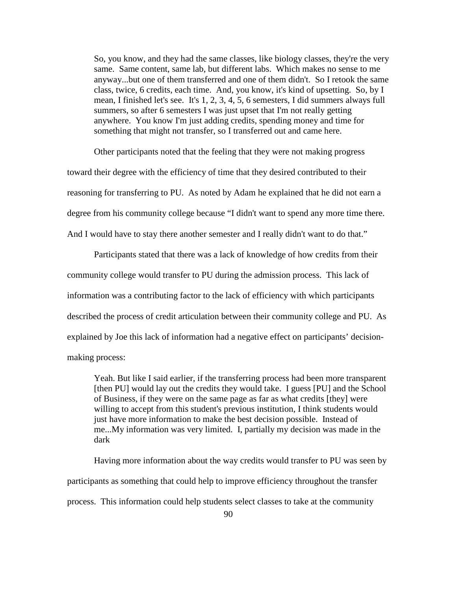So, you know, and they had the same classes, like biology classes, they're the very same. Same content, same lab, but different labs. Which makes no sense to me anyway...but one of them transferred and one of them didn't. So I retook the same class, twice, 6 credits, each time. And, you know, it's kind of upsetting. So, by I mean, I finished let's see. It's 1, 2, 3, 4, 5, 6 semesters, I did summers always full summers, so after 6 semesters I was just upset that I'm not really getting anywhere. You know I'm just adding credits, spending money and time for something that might not transfer, so I transferred out and came here.

Other participants noted that the feeling that they were not making progress toward their degree with the efficiency of time that they desired contributed to their reasoning for transferring to PU. As noted by Adam he explained that he did not earn a degree from his community college because "I didn't want to spend any more time there. And I would have to stay there another semester and I really didn't want to do that."

Participants stated that there was a lack of knowledge of how credits from their community college would transfer to PU during the admission process. This lack of information was a contributing factor to the lack of efficiency with which participants described the process of credit articulation between their community college and PU. As explained by Joe this lack of information had a negative effect on participants' decisionmaking process:

Yeah. But like I said earlier, if the transferring process had been more transparent [then PU] would lay out the credits they would take. I guess [PU] and the School of Business, if they were on the same page as far as what credits [they] were willing to accept from this student's previous institution, I think students would just have more information to make the best decision possible. Instead of me...My information was very limited. I, partially my decision was made in the dark

Having more information about the way credits would transfer to PU was seen by participants as something that could help to improve efficiency throughout the transfer process. This information could help students select classes to take at the community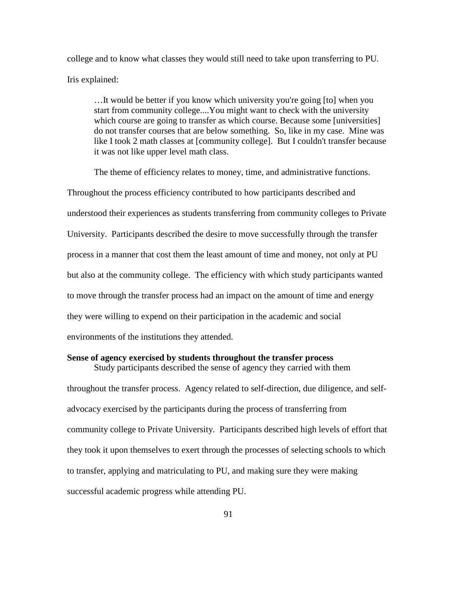college and to know what classes they would still need to take upon transferring to PU. Iris explained:

…It would be better if you know which university you're going [to] when you start from community college....You might want to check with the university which course are going to transfer as which course. Because some [universities] do not transfer courses that are below something. So, like in my case. Mine was like I took 2 math classes at [community college]. But I couldn't transfer because it was not like upper level math class.

The theme of efficiency relates to money, time, and administrative functions. Throughout the process efficiency contributed to how participants described and understood their experiences as students transferring from community colleges to Private University. Participants described the desire to move successfully through the transfer process in a manner that cost them the least amount of time and money, not only at PU but also at the community college. The efficiency with which study participants wanted to move through the transfer process had an impact on the amount of time and energy they were willing to expend on their participation in the academic and social environments of the institutions they attended.

## **Sense of agency exercised by students throughout the transfer process**

Study participants described the sense of agency they carried with them throughout the transfer process. Agency related to self-direction, due diligence, and selfadvocacy exercised by the participants during the process of transferring from community college to Private University. Participants described high levels of effort that they took it upon themselves to exert through the processes of selecting schools to which to transfer, applying and matriculating to PU, and making sure they were making successful academic progress while attending PU.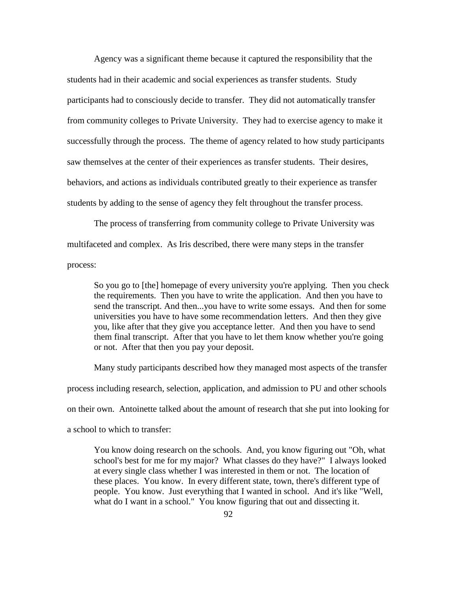Agency was a significant theme because it captured the responsibility that the students had in their academic and social experiences as transfer students. Study participants had to consciously decide to transfer. They did not automatically transfer from community colleges to Private University. They had to exercise agency to make it successfully through the process. The theme of agency related to how study participants saw themselves at the center of their experiences as transfer students. Their desires, behaviors, and actions as individuals contributed greatly to their experience as transfer students by adding to the sense of agency they felt throughout the transfer process.

The process of transferring from community college to Private University was multifaceted and complex. As Iris described, there were many steps in the transfer process:

So you go to [the] homepage of every university you're applying. Then you check the requirements. Then you have to write the application. And then you have to send the transcript. And then...you have to write some essays. And then for some universities you have to have some recommendation letters. And then they give you, like after that they give you acceptance letter. And then you have to send them final transcript. After that you have to let them know whether you're going or not. After that then you pay your deposit.

Many study participants described how they managed most aspects of the transfer process including research, selection, application, and admission to PU and other schools on their own. Antoinette talked about the amount of research that she put into looking for a school to which to transfer:

You know doing research on the schools. And, you know figuring out "Oh, what school's best for me for my major? What classes do they have?" I always looked at every single class whether I was interested in them or not. The location of these places. You know. In every different state, town, there's different type of people. You know. Just everything that I wanted in school. And it's like "Well, what do I want in a school." You know figuring that out and dissecting it.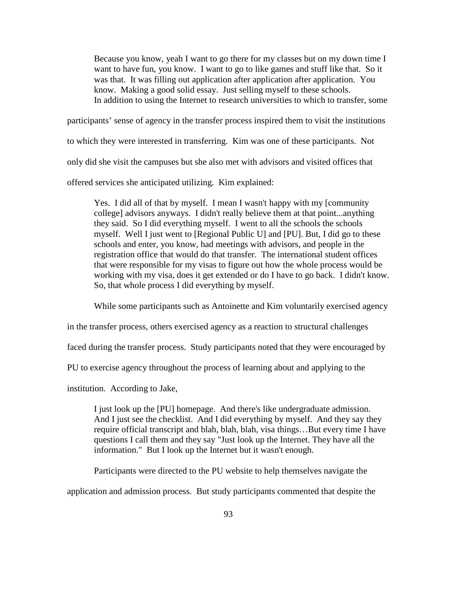Because you know, yeah I want to go there for my classes but on my down time I want to have fun, you know. I want to go to like games and stuff like that. So it was that. It was filling out application after application after application. You know. Making a good solid essay. Just selling myself to these schools. In addition to using the Internet to research universities to which to transfer, some

participants' sense of agency in the transfer process inspired them to visit the institutions to which they were interested in transferring. Kim was one of these participants. Not only did she visit the campuses but she also met with advisors and visited offices that offered services she anticipated utilizing. Kim explained:

Yes. I did all of that by myself. I mean I wasn't happy with my [community college] advisors anyways. I didn't really believe them at that point...anything they said. So I did everything myself. I went to all the schools the schools myself. Well I just went to [Regional Public U] and [PU]. But, I did go to these schools and enter, you know, had meetings with advisors, and people in the registration office that would do that transfer. The international student offices that were responsible for my visas to figure out how the whole process would be working with my visa, does it get extended or do I have to go back. I didn't know. So, that whole process I did everything by myself.

While some participants such as Antoinette and Kim voluntarily exercised agency

in the transfer process, others exercised agency as a reaction to structural challenges

faced during the transfer process. Study participants noted that they were encouraged by

PU to exercise agency throughout the process of learning about and applying to the

institution. According to Jake,

I just look up the [PU] homepage. And there's like undergraduate admission. And I just see the checklist. And I did everything by myself. And they say they require official transcript and blah, blah, blah, visa things…But every time I have questions I call them and they say "Just look up the Internet. They have all the information." But I look up the Internet but it wasn't enough.

Participants were directed to the PU website to help themselves navigate the

application and admission process. But study participants commented that despite the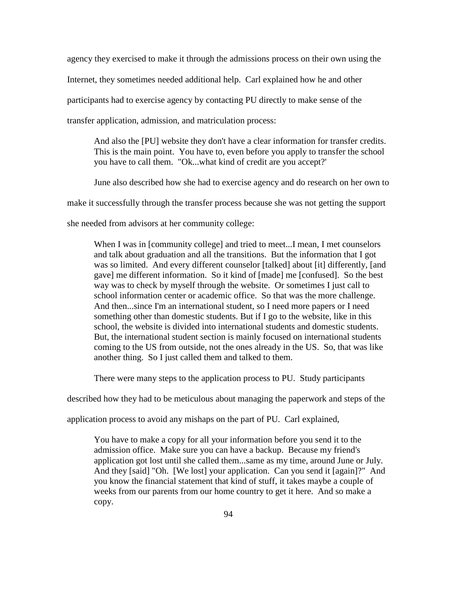agency they exercised to make it through the admissions process on their own using the Internet, they sometimes needed additional help. Carl explained how he and other participants had to exercise agency by contacting PU directly to make sense of the transfer application, admission, and matriculation process:

And also the [PU] website they don't have a clear information for transfer credits. This is the main point. You have to, even before you apply to transfer the school you have to call them. "Ok...what kind of credit are you accept?'

June also described how she had to exercise agency and do research on her own to

make it successfully through the transfer process because she was not getting the support

she needed from advisors at her community college:

When I was in [community college] and tried to meet...I mean, I met counselors and talk about graduation and all the transitions. But the information that I got was so limited. And every different counselor [talked] about [it] differently, [and gave] me different information. So it kind of [made] me [confused]. So the best way was to check by myself through the website. Or sometimes I just call to school information center or academic office. So that was the more challenge. And then...since I'm an international student, so I need more papers or I need something other than domestic students. But if I go to the website, like in this school, the website is divided into international students and domestic students. But, the international student section is mainly focused on international students coming to the US from outside, not the ones already in the US. So, that was like another thing. So I just called them and talked to them.

There were many steps to the application process to PU. Study participants

described how they had to be meticulous about managing the paperwork and steps of the

application process to avoid any mishaps on the part of PU. Carl explained,

You have to make a copy for all your information before you send it to the admission office. Make sure you can have a backup. Because my friend's application got lost until she called them...same as my time, around June or July. And they [said] "Oh. [We lost] your application. Can you send it [again]?" And you know the financial statement that kind of stuff, it takes maybe a couple of weeks from our parents from our home country to get it here. And so make a copy.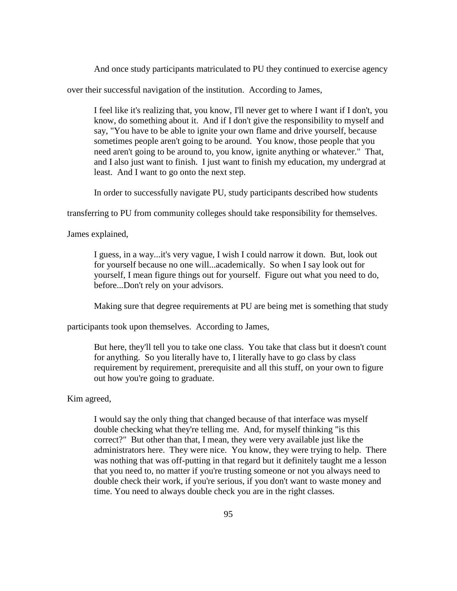And once study participants matriculated to PU they continued to exercise agency

over their successful navigation of the institution. According to James,

I feel like it's realizing that, you know, I'll never get to where I want if I don't, you know, do something about it. And if I don't give the responsibility to myself and say, "You have to be able to ignite your own flame and drive yourself, because sometimes people aren't going to be around. You know, those people that you need aren't going to be around to, you know, ignite anything or whatever." That, and I also just want to finish. I just want to finish my education, my undergrad at least. And I want to go onto the next step.

In order to successfully navigate PU, study participants described how students

transferring to PU from community colleges should take responsibility for themselves.

James explained,

I guess, in a way...it's very vague, I wish I could narrow it down. But, look out for yourself because no one will...academically. So when I say look out for yourself, I mean figure things out for yourself. Figure out what you need to do, before...Don't rely on your advisors.

Making sure that degree requirements at PU are being met is something that study

participants took upon themselves. According to James,

But here, they'll tell you to take one class. You take that class but it doesn't count for anything. So you literally have to, I literally have to go class by class requirement by requirement, prerequisite and all this stuff, on your own to figure out how you're going to graduate.

## Kim agreed,

I would say the only thing that changed because of that interface was myself double checking what they're telling me. And, for myself thinking "is this correct?" But other than that, I mean, they were very available just like the administrators here. They were nice. You know, they were trying to help. There was nothing that was off-putting in that regard but it definitely taught me a lesson that you need to, no matter if you're trusting someone or not you always need to double check their work, if you're serious, if you don't want to waste money and time. You need to always double check you are in the right classes.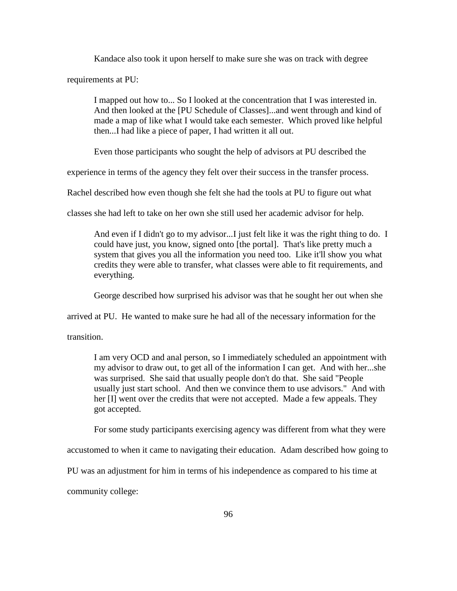Kandace also took it upon herself to make sure she was on track with degree

requirements at PU:

I mapped out how to... So I looked at the concentration that I was interested in. And then looked at the [PU Schedule of Classes]...and went through and kind of made a map of like what I would take each semester. Which proved like helpful then...I had like a piece of paper, I had written it all out.

Even those participants who sought the help of advisors at PU described the

experience in terms of the agency they felt over their success in the transfer process.

Rachel described how even though she felt she had the tools at PU to figure out what

classes she had left to take on her own she still used her academic advisor for help.

And even if I didn't go to my advisor...I just felt like it was the right thing to do. I could have just, you know, signed onto [the portal]. That's like pretty much a system that gives you all the information you need too. Like it'll show you what credits they were able to transfer, what classes were able to fit requirements, and everything.

George described how surprised his advisor was that he sought her out when she

arrived at PU. He wanted to make sure he had all of the necessary information for the

transition.

I am very OCD and anal person, so I immediately scheduled an appointment with my advisor to draw out, to get all of the information I can get. And with her...she was surprised. She said that usually people don't do that. She said "People usually just start school. And then we convince them to use advisors." And with her [I] went over the credits that were not accepted. Made a few appeals. They got accepted.

For some study participants exercising agency was different from what they were

accustomed to when it came to navigating their education. Adam described how going to

PU was an adjustment for him in terms of his independence as compared to his time at

community college: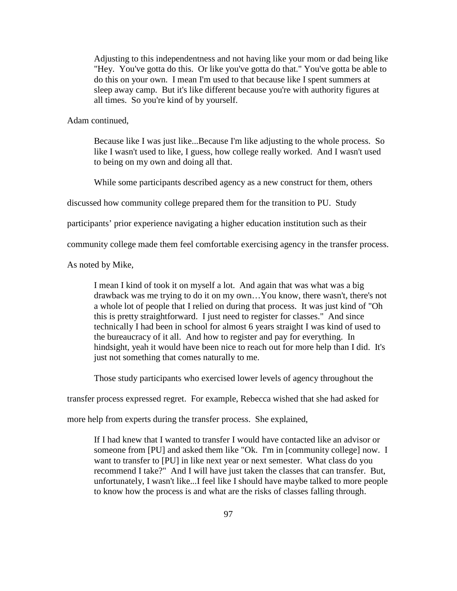Adjusting to this independentness and not having like your mom or dad being like "Hey. You've gotta do this. Or like you've gotta do that." You've gotta be able to do this on your own. I mean I'm used to that because like I spent summers at sleep away camp. But it's like different because you're with authority figures at all times. So you're kind of by yourself.

Adam continued,

Because like I was just like...Because I'm like adjusting to the whole process. So like I wasn't used to like, I guess, how college really worked. And I wasn't used to being on my own and doing all that.

While some participants described agency as a new construct for them, others

discussed how community college prepared them for the transition to PU. Study

participants' prior experience navigating a higher education institution such as their

community college made them feel comfortable exercising agency in the transfer process.

As noted by Mike,

I mean I kind of took it on myself a lot. And again that was what was a big drawback was me trying to do it on my own…You know, there wasn't, there's not a whole lot of people that I relied on during that process. It was just kind of "Oh this is pretty straightforward. I just need to register for classes." And since technically I had been in school for almost 6 years straight I was kind of used to the bureaucracy of it all. And how to register and pay for everything. In hindsight, yeah it would have been nice to reach out for more help than I did. It's just not something that comes naturally to me.

Those study participants who exercised lower levels of agency throughout the

transfer process expressed regret. For example, Rebecca wished that she had asked for

more help from experts during the transfer process. She explained,

If I had knew that I wanted to transfer I would have contacted like an advisor or someone from [PU] and asked them like "Ok. I'm in [community college] now. I want to transfer to [PU] in like next year or next semester. What class do you recommend I take?" And I will have just taken the classes that can transfer. But, unfortunately, I wasn't like...I feel like I should have maybe talked to more people to know how the process is and what are the risks of classes falling through.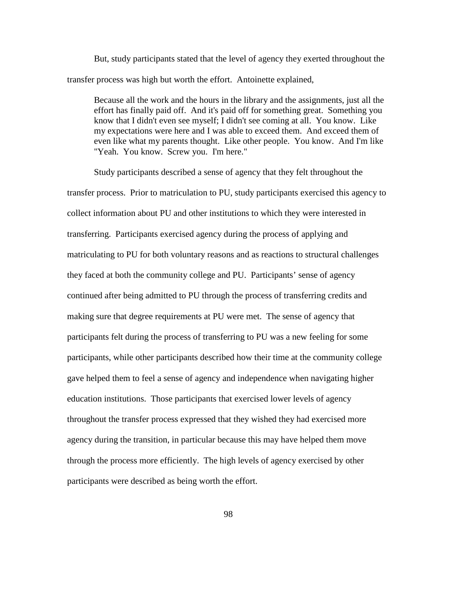But, study participants stated that the level of agency they exerted throughout the transfer process was high but worth the effort. Antoinette explained,

Because all the work and the hours in the library and the assignments, just all the effort has finally paid off. And it's paid off for something great. Something you know that I didn't even see myself; I didn't see coming at all. You know. Like my expectations were here and I was able to exceed them. And exceed them of even like what my parents thought. Like other people. You know. And I'm like "Yeah. You know. Screw you. I'm here."

Study participants described a sense of agency that they felt throughout the transfer process. Prior to matriculation to PU, study participants exercised this agency to collect information about PU and other institutions to which they were interested in transferring. Participants exercised agency during the process of applying and matriculating to PU for both voluntary reasons and as reactions to structural challenges they faced at both the community college and PU. Participants' sense of agency continued after being admitted to PU through the process of transferring credits and making sure that degree requirements at PU were met. The sense of agency that participants felt during the process of transferring to PU was a new feeling for some participants, while other participants described how their time at the community college gave helped them to feel a sense of agency and independence when navigating higher education institutions. Those participants that exercised lower levels of agency throughout the transfer process expressed that they wished they had exercised more agency during the transition, in particular because this may have helped them move through the process more efficiently. The high levels of agency exercised by other participants were described as being worth the effort.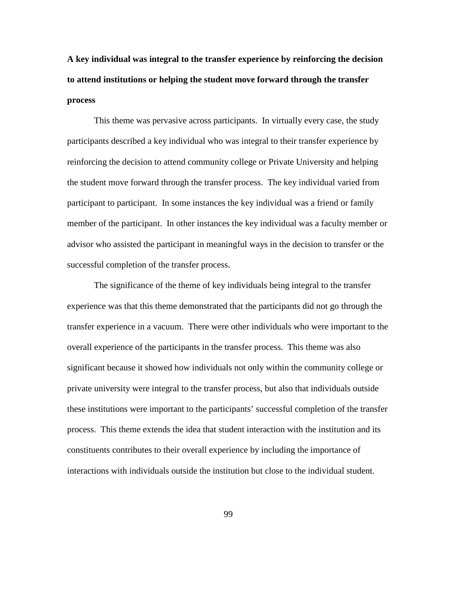**A key individual was integral to the transfer experience by reinforcing the decision to attend institutions or helping the student move forward through the transfer process**

This theme was pervasive across participants. In virtually every case, the study participants described a key individual who was integral to their transfer experience by reinforcing the decision to attend community college or Private University and helping the student move forward through the transfer process. The key individual varied from participant to participant. In some instances the key individual was a friend or family member of the participant. In other instances the key individual was a faculty member or advisor who assisted the participant in meaningful ways in the decision to transfer or the successful completion of the transfer process.

The significance of the theme of key individuals being integral to the transfer experience was that this theme demonstrated that the participants did not go through the transfer experience in a vacuum. There were other individuals who were important to the overall experience of the participants in the transfer process. This theme was also significant because it showed how individuals not only within the community college or private university were integral to the transfer process, but also that individuals outside these institutions were important to the participants' successful completion of the transfer process. This theme extends the idea that student interaction with the institution and its constituents contributes to their overall experience by including the importance of interactions with individuals outside the institution but close to the individual student.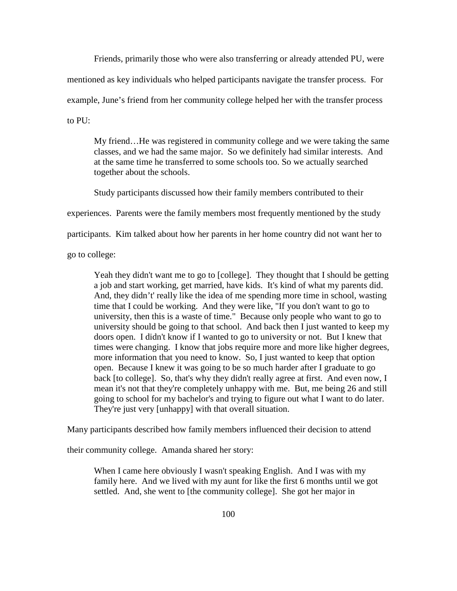Friends, primarily those who were also transferring or already attended PU, were mentioned as key individuals who helped participants navigate the transfer process. For example, June's friend from her community college helped her with the transfer process to PU:

My friend…He was registered in community college and we were taking the same classes, and we had the same major. So we definitely had similar interests. And at the same time he transferred to some schools too. So we actually searched together about the schools.

Study participants discussed how their family members contributed to their

experiences. Parents were the family members most frequently mentioned by the study

participants. Kim talked about how her parents in her home country did not want her to

go to college:

Yeah they didn't want me to go to [college]. They thought that I should be getting a job and start working, get married, have kids. It's kind of what my parents did. And, they didn't' really like the idea of me spending more time in school, wasting time that I could be working. And they were like, "If you don't want to go to university, then this is a waste of time." Because only people who want to go to university should be going to that school. And back then I just wanted to keep my doors open. I didn't know if I wanted to go to university or not. But I knew that times were changing. I know that jobs require more and more like higher degrees, more information that you need to know. So, I just wanted to keep that option open. Because I knew it was going to be so much harder after I graduate to go back [to college]. So, that's why they didn't really agree at first. And even now, I mean it's not that they're completely unhappy with me. But, me being 26 and still going to school for my bachelor's and trying to figure out what I want to do later. They're just very [unhappy] with that overall situation.

Many participants described how family members influenced their decision to attend

their community college. Amanda shared her story:

When I came here obviously I wasn't speaking English. And I was with my family here. And we lived with my aunt for like the first 6 months until we got settled. And, she went to [the community college]. She got her major in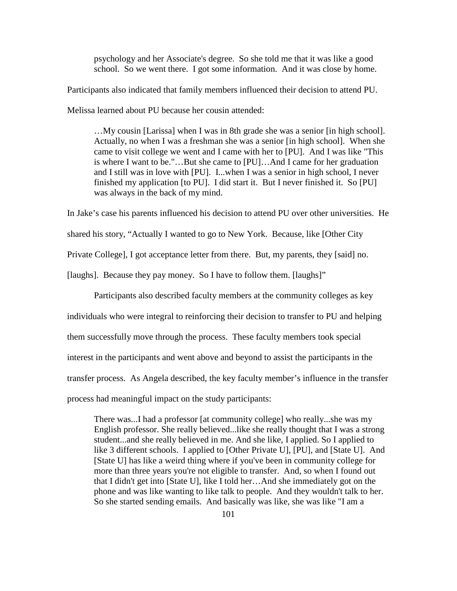psychology and her Associate's degree. So she told me that it was like a good school. So we went there. I got some information. And it was close by home.

Participants also indicated that family members influenced their decision to attend PU.

Melissa learned about PU because her cousin attended:

…My cousin [Larissa] when I was in 8th grade she was a senior [in high school]. Actually, no when I was a freshman she was a senior [in high school]. When she came to visit college we went and I came with her to [PU]. And I was like "This is where I want to be."…But she came to [PU]…And I came for her graduation and I still was in love with [PU]. I...when I was a senior in high school, I never finished my application [to PU]. I did start it. But I never finished it. So [PU] was always in the back of my mind.

In Jake's case his parents influenced his decision to attend PU over other universities. He

shared his story, "Actually I wanted to go to New York. Because, like [Other City

Private College], I got acceptance letter from there. But, my parents, they [said] no.

[laughs]. Because they pay money. So I have to follow them. [laughs]"

Participants also described faculty members at the community colleges as key individuals who were integral to reinforcing their decision to transfer to PU and helping them successfully move through the process. These faculty members took special interest in the participants and went above and beyond to assist the participants in the transfer process. As Angela described, the key faculty member's influence in the transfer process had meaningful impact on the study participants:

There was...I had a professor [at community college] who really...she was my English professor. She really believed...like she really thought that I was a strong student...and she really believed in me. And she like, I applied. So I applied to like 3 different schools. I applied to [Other Private U], [PU], and [State U]. And [State U] has like a weird thing where if you've been in community college for more than three years you're not eligible to transfer. And, so when I found out that I didn't get into [State U], like I told her…And she immediately got on the phone and was like wanting to like talk to people. And they wouldn't talk to her. So she started sending emails. And basically was like, she was like "I am a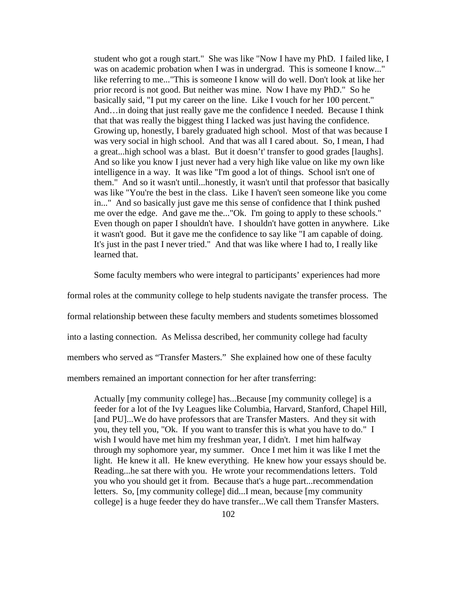student who got a rough start." She was like "Now I have my PhD. I failed like, I was on academic probation when I was in undergrad. This is someone I know..." like referring to me..."This is someone I know will do well. Don't look at like her prior record is not good. But neither was mine. Now I have my PhD." So he basically said, "I put my career on the line. Like I vouch for her 100 percent." And…in doing that just really gave me the confidence I needed. Because I think that that was really the biggest thing I lacked was just having the confidence. Growing up, honestly, I barely graduated high school. Most of that was because I was very social in high school. And that was all I cared about. So, I mean, I had a great...high school was a blast. But it doesn't' transfer to good grades [laughs]. And so like you know I just never had a very high like value on like my own like intelligence in a way. It was like "I'm good a lot of things. School isn't one of them." And so it wasn't until...honestly, it wasn't until that professor that basically was like "You're the best in the class. Like I haven't seen someone like you come in..." And so basically just gave me this sense of confidence that I think pushed me over the edge. And gave me the..."Ok. I'm going to apply to these schools." Even though on paper I shouldn't have. I shouldn't have gotten in anywhere. Like it wasn't good. But it gave me the confidence to say like "I am capable of doing. It's just in the past I never tried." And that was like where I had to, I really like learned that.

Some faculty members who were integral to participants' experiences had more

formal roles at the community college to help students navigate the transfer process. The

formal relationship between these faculty members and students sometimes blossomed

into a lasting connection. As Melissa described, her community college had faculty

members who served as "Transfer Masters." She explained how one of these faculty

members remained an important connection for her after transferring:

Actually [my community college] has...Because [my community college] is a feeder for a lot of the Ivy Leagues like Columbia, Harvard, Stanford, Chapel Hill, [and PU]...We do have professors that are Transfer Masters. And they sit with you, they tell you, "Ok. If you want to transfer this is what you have to do." I wish I would have met him my freshman year, I didn't. I met him halfway through my sophomore year, my summer. Once I met him it was like I met the light. He knew it all. He knew everything. He knew how your essays should be. Reading...he sat there with you. He wrote your recommendations letters. Told you who you should get it from. Because that's a huge part...recommendation letters. So, [my community college] did...I mean, because [my community college] is a huge feeder they do have transfer...We call them Transfer Masters.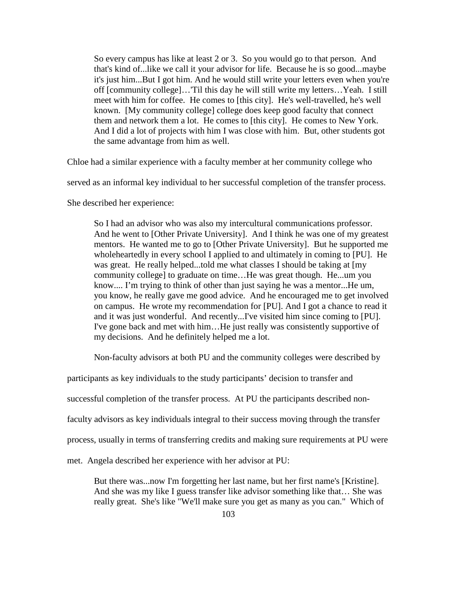So every campus has like at least 2 or 3. So you would go to that person. And that's kind of...like we call it your advisor for life. Because he is so good...maybe it's just him...But I got him. And he would still write your letters even when you're off [community college]…'Til this day he will still write my letters…Yeah. I still meet with him for coffee. He comes to [this city]. He's well-travelled, he's well known. [My community college] college does keep good faculty that connect them and network them a lot. He comes to [this city]. He comes to New York. And I did a lot of projects with him I was close with him. But, other students got the same advantage from him as well.

Chloe had a similar experience with a faculty member at her community college who

served as an informal key individual to her successful completion of the transfer process.

She described her experience:

So I had an advisor who was also my intercultural communications professor. And he went to [Other Private University]. And I think he was one of my greatest mentors. He wanted me to go to [Other Private University]. But he supported me wholeheartedly in every school I applied to and ultimately in coming to [PU]. He was great. He really helped...told me what classes I should be taking at [my community college] to graduate on time…He was great though. He...um you know.... I'm trying to think of other than just saying he was a mentor...He um, you know, he really gave me good advice. And he encouraged me to get involved on campus. He wrote my recommendation for [PU]. And I got a chance to read it and it was just wonderful. And recently...I've visited him since coming to [PU]. I've gone back and met with him…He just really was consistently supportive of my decisions. And he definitely helped me a lot.

Non-faculty advisors at both PU and the community colleges were described by

participants as key individuals to the study participants' decision to transfer and

successful completion of the transfer process. At PU the participants described non-

faculty advisors as key individuals integral to their success moving through the transfer

process, usually in terms of transferring credits and making sure requirements at PU were

met. Angela described her experience with her advisor at PU:

But there was...now I'm forgetting her last name, but her first name's [Kristine]. And she was my like I guess transfer like advisor something like that… She was really great. She's like "We'll make sure you get as many as you can." Which of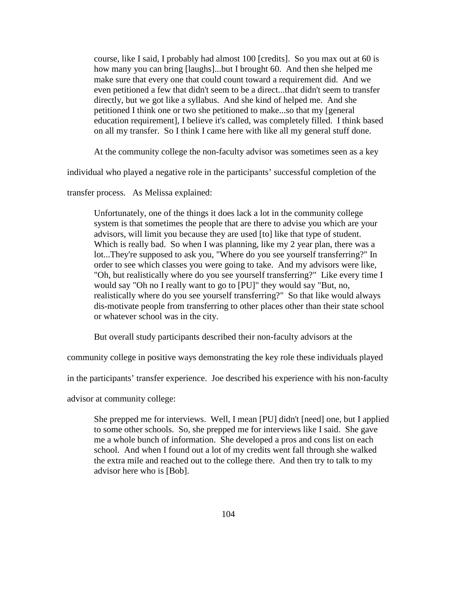course, like I said, I probably had almost 100 [credits]. So you max out at 60 is how many you can bring [laughs]...but I brought 60. And then she helped me make sure that every one that could count toward a requirement did. And we even petitioned a few that didn't seem to be a direct...that didn't seem to transfer directly, but we got like a syllabus. And she kind of helped me. And she petitioned I think one or two she petitioned to make...so that my [general education requirement], I believe it's called, was completely filled. I think based on all my transfer. So I think I came here with like all my general stuff done.

At the community college the non-faculty advisor was sometimes seen as a key

individual who played a negative role in the participants' successful completion of the

transfer process. As Melissa explained:

Unfortunately, one of the things it does lack a lot in the community college system is that sometimes the people that are there to advise you which are your advisors, will limit you because they are used [to] like that type of student. Which is really bad. So when I was planning, like my 2 year plan, there was a lot...They're supposed to ask you, "Where do you see yourself transferring?" In order to see which classes you were going to take. And my advisors were like, "Oh, but realistically where do you see yourself transferring?" Like every time I would say "Oh no I really want to go to [PU]" they would say "But, no, realistically where do you see yourself transferring?" So that like would always dis-motivate people from transferring to other places other than their state school or whatever school was in the city.

But overall study participants described their non-faculty advisors at the

community college in positive ways demonstrating the key role these individuals played

in the participants' transfer experience. Joe described his experience with his non-faculty

advisor at community college:

She prepped me for interviews. Well, I mean [PU] didn't [need] one, but I applied to some other schools. So, she prepped me for interviews like I said. She gave me a whole bunch of information. She developed a pros and cons list on each school. And when I found out a lot of my credits went fall through she walked the extra mile and reached out to the college there. And then try to talk to my advisor here who is [Bob].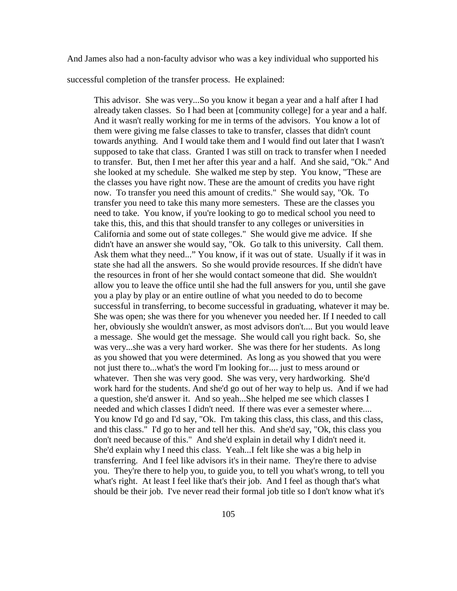And James also had a non-faculty advisor who was a key individual who supported his

successful completion of the transfer process. He explained:

This advisor. She was very...So you know it began a year and a half after I had already taken classes. So I had been at [community college] for a year and a half. And it wasn't really working for me in terms of the advisors. You know a lot of them were giving me false classes to take to transfer, classes that didn't count towards anything. And I would take them and I would find out later that I wasn't supposed to take that class. Granted I was still on track to transfer when I needed to transfer. But, then I met her after this year and a half. And she said, "Ok." And she looked at my schedule. She walked me step by step. You know, "These are the classes you have right now. These are the amount of credits you have right now. To transfer you need this amount of credits." She would say, "Ok. To transfer you need to take this many more semesters. These are the classes you need to take. You know, if you're looking to go to medical school you need to take this, this, and this that should transfer to any colleges or universities in California and some out of state colleges." She would give me advice. If she didn't have an answer she would say, "Ok. Go talk to this university. Call them. Ask them what they need..." You know, if it was out of state. Usually if it was in state she had all the answers. So she would provide resources. If she didn't have the resources in front of her she would contact someone that did. She wouldn't allow you to leave the office until she had the full answers for you, until she gave you a play by play or an entire outline of what you needed to do to become successful in transferring, to become successful in graduating, whatever it may be. She was open; she was there for you whenever you needed her. If I needed to call her, obviously she wouldn't answer, as most advisors don't.... But you would leave a message. She would get the message. She would call you right back. So, she was very...she was a very hard worker. She was there for her students. As long as you showed that you were determined. As long as you showed that you were not just there to...what's the word I'm looking for.... just to mess around or whatever. Then she was very good. She was very, very hardworking. She'd work hard for the students. And she'd go out of her way to help us. And if we had a question, she'd answer it. And so yeah...She helped me see which classes I needed and which classes I didn't need. If there was ever a semester where.... You know I'd go and I'd say, "Ok. I'm taking this class, this class, and this class, and this class." I'd go to her and tell her this. And she'd say, "Ok, this class you don't need because of this." And she'd explain in detail why I didn't need it. She'd explain why I need this class. Yeah...I felt like she was a big help in transferring. And I feel like advisors it's in their name. They're there to advise you. They're there to help you, to guide you, to tell you what's wrong, to tell you what's right. At least I feel like that's their job. And I feel as though that's what should be their job. I've never read their formal job title so I don't know what it's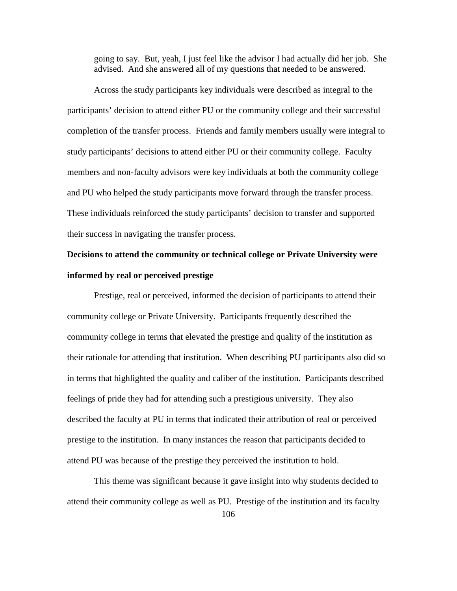going to say. But, yeah, I just feel like the advisor I had actually did her job. She advised. And she answered all of my questions that needed to be answered.

Across the study participants key individuals were described as integral to the participants' decision to attend either PU or the community college and their successful completion of the transfer process. Friends and family members usually were integral to study participants' decisions to attend either PU or their community college. Faculty members and non-faculty advisors were key individuals at both the community college and PU who helped the study participants move forward through the transfer process. These individuals reinforced the study participants' decision to transfer and supported their success in navigating the transfer process.

# **Decisions to attend the community or technical college or Private University were informed by real or perceived prestige**

Prestige, real or perceived, informed the decision of participants to attend their community college or Private University. Participants frequently described the community college in terms that elevated the prestige and quality of the institution as their rationale for attending that institution. When describing PU participants also did so in terms that highlighted the quality and caliber of the institution. Participants described feelings of pride they had for attending such a prestigious university. They also described the faculty at PU in terms that indicated their attribution of real or perceived prestige to the institution. In many instances the reason that participants decided to attend PU was because of the prestige they perceived the institution to hold.

106 This theme was significant because it gave insight into why students decided to attend their community college as well as PU. Prestige of the institution and its faculty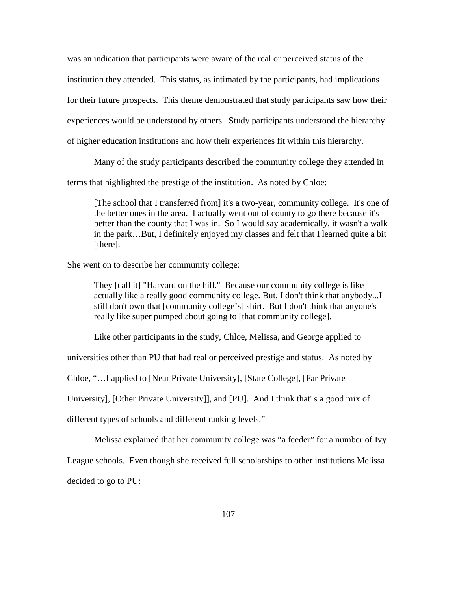was an indication that participants were aware of the real or perceived status of the institution they attended. This status, as intimated by the participants, had implications for their future prospects. This theme demonstrated that study participants saw how their experiences would be understood by others. Study participants understood the hierarchy of higher education institutions and how their experiences fit within this hierarchy.

Many of the study participants described the community college they attended in

terms that highlighted the prestige of the institution. As noted by Chloe:

[The school that I transferred from] it's a two-year, community college. It's one of the better ones in the area. I actually went out of county to go there because it's better than the county that I was in. So I would say academically, it wasn't a walk in the park…But, I definitely enjoyed my classes and felt that I learned quite a bit [there].

She went on to describe her community college:

They [call it] "Harvard on the hill." Because our community college is like actually like a really good community college. But, I don't think that anybody...I still don't own that [community college's] shirt. But I don't think that anyone's really like super pumped about going to [that community college].

Like other participants in the study, Chloe, Melissa, and George applied to

universities other than PU that had real or perceived prestige and status. As noted by

Chloe, "…I applied to [Near Private University], [State College], [Far Private

University], [Other Private University]], and [PU]. And I think that' s a good mix of

different types of schools and different ranking levels."

Melissa explained that her community college was "a feeder" for a number of Ivy

League schools. Even though she received full scholarships to other institutions Melissa

decided to go to PU: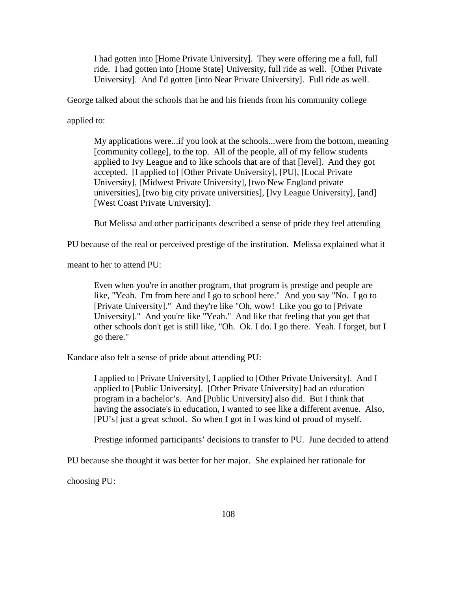I had gotten into [Home Private University]. They were offering me a full, full ride. I had gotten into [Home State] University, full ride as well. [Other Private University]. And I'd gotten [into Near Private University]. Full ride as well.

George talked about the schools that he and his friends from his community college

applied to:

My applications were...if you look at the schools...were from the bottom, meaning [community college], to the top. All of the people, all of my fellow students applied to Ivy League and to like schools that are of that [level]. And they got accepted. [I applied to] [Other Private University], [PU], [Local Private University], [Midwest Private University], [two New England private universities], [two big city private universities], [Ivy League University], [and] [West Coast Private University].

But Melissa and other participants described a sense of pride they feel attending

PU because of the real or perceived prestige of the institution. Melissa explained what it

meant to her to attend PU:

Even when you're in another program, that program is prestige and people are like, "Yeah. I'm from here and I go to school here." And you say "No. I go to [Private University]." And they're like "Oh, wow! Like you go to [Private University]." And you're like "Yeah." And like that feeling that you get that other schools don't get is still like, "Oh. Ok. I do. I go there. Yeah. I forget, but I go there."

Kandace also felt a sense of pride about attending PU:

I applied to [Private University], I applied to [Other Private University]. And I applied to [Public University]. [Other Private University] had an education program in a bachelor's. And [Public University] also did. But I think that having the associate's in education, I wanted to see like a different avenue. Also, [PU's] just a great school. So when I got in I was kind of proud of myself.

Prestige informed participants' decisions to transfer to PU. June decided to attend

PU because she thought it was better for her major. She explained her rationale for

choosing PU: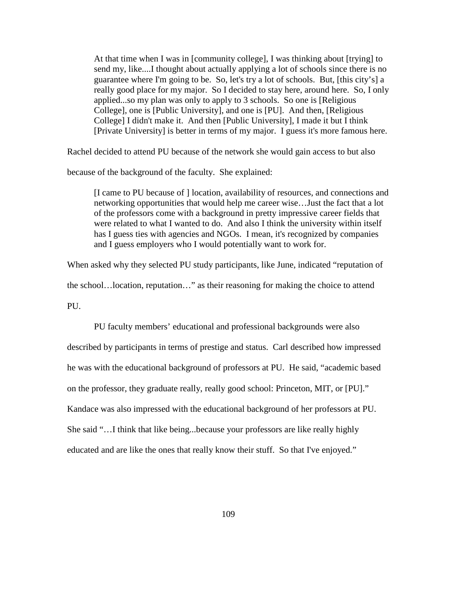At that time when I was in [community college], I was thinking about [trying] to send my, like....I thought about actually applying a lot of schools since there is no guarantee where I'm going to be. So, let's try a lot of schools. But, [this city's] a really good place for my major. So I decided to stay here, around here. So, I only applied...so my plan was only to apply to 3 schools. So one is [Religious College], one is [Public University], and one is [PU]. And then, [Religious College] I didn't make it. And then [Public University], I made it but I think [Private University] is better in terms of my major. I guess it's more famous here.

Rachel decided to attend PU because of the network she would gain access to but also

because of the background of the faculty. She explained:

[I came to PU because of ] location, availability of resources, and connections and networking opportunities that would help me career wise…Just the fact that a lot of the professors come with a background in pretty impressive career fields that were related to what I wanted to do. And also I think the university within itself has I guess ties with agencies and NGOs. I mean, it's recognized by companies and I guess employers who I would potentially want to work for.

When asked why they selected PU study participants, like June, indicated "reputation of

the school…location, reputation…" as their reasoning for making the choice to attend

PU.

PU faculty members' educational and professional backgrounds were also described by participants in terms of prestige and status. Carl described how impressed he was with the educational background of professors at PU. He said, "academic based on the professor, they graduate really, really good school: Princeton, MIT, or [PU]." Kandace was also impressed with the educational background of her professors at PU. She said "…I think that like being...because your professors are like really highly educated and are like the ones that really know their stuff. So that I've enjoyed."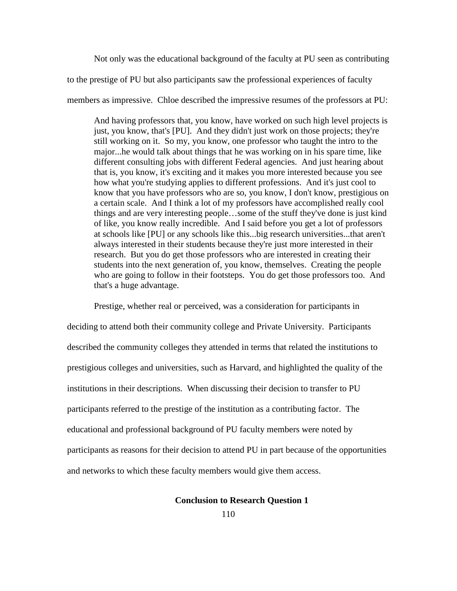Not only was the educational background of the faculty at PU seen as contributing

to the prestige of PU but also participants saw the professional experiences of faculty

members as impressive. Chloe described the impressive resumes of the professors at PU:

And having professors that, you know, have worked on such high level projects is just, you know, that's [PU]. And they didn't just work on those projects; they're still working on it. So my, you know, one professor who taught the intro to the major...he would talk about things that he was working on in his spare time, like different consulting jobs with different Federal agencies. And just hearing about that is, you know, it's exciting and it makes you more interested because you see how what you're studying applies to different professions. And it's just cool to know that you have professors who are so, you know, I don't know, prestigious on a certain scale. And I think a lot of my professors have accomplished really cool things and are very interesting people…some of the stuff they've done is just kind of like, you know really incredible. And I said before you get a lot of professors at schools like [PU] or any schools like this...big research universities...that aren't always interested in their students because they're just more interested in their research. But you do get those professors who are interested in creating their students into the next generation of, you know, themselves. Creating the people who are going to follow in their footsteps. You do get those professors too. And that's a huge advantage.

Prestige, whether real or perceived, was a consideration for participants in deciding to attend both their community college and Private University. Participants described the community colleges they attended in terms that related the institutions to prestigious colleges and universities, such as Harvard, and highlighted the quality of the institutions in their descriptions. When discussing their decision to transfer to PU participants referred to the prestige of the institution as a contributing factor. The educational and professional background of PU faculty members were noted by participants as reasons for their decision to attend PU in part because of the opportunities and networks to which these faculty members would give them access.

### **Conclusion to Research Question 1**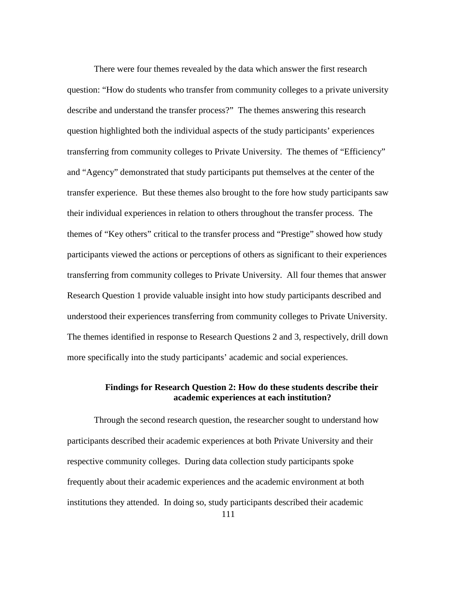There were four themes revealed by the data which answer the first research question: "How do students who transfer from community colleges to a private university describe and understand the transfer process?" The themes answering this research question highlighted both the individual aspects of the study participants' experiences transferring from community colleges to Private University. The themes of "Efficiency" and "Agency" demonstrated that study participants put themselves at the center of the transfer experience. But these themes also brought to the fore how study participants saw their individual experiences in relation to others throughout the transfer process. The themes of "Key others" critical to the transfer process and "Prestige" showed how study participants viewed the actions or perceptions of others as significant to their experiences transferring from community colleges to Private University. All four themes that answer Research Question 1 provide valuable insight into how study participants described and understood their experiences transferring from community colleges to Private University. The themes identified in response to Research Questions 2 and 3, respectively, drill down more specifically into the study participants' academic and social experiences.

## **Findings for Research Question 2: How do these students describe their academic experiences at each institution?**

111 Through the second research question, the researcher sought to understand how participants described their academic experiences at both Private University and their respective community colleges. During data collection study participants spoke frequently about their academic experiences and the academic environment at both institutions they attended. In doing so, study participants described their academic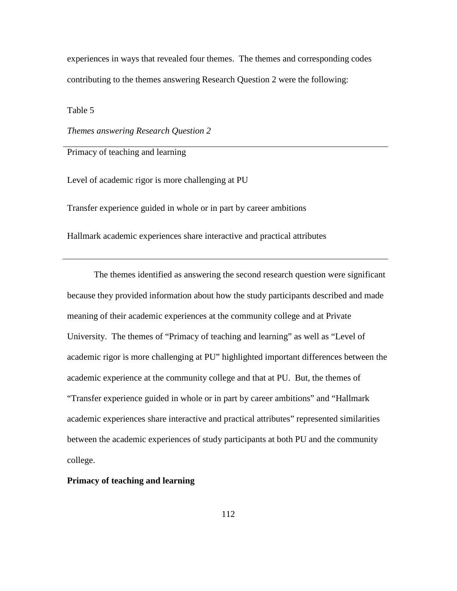experiences in ways that revealed four themes. The themes and corresponding codes contributing to the themes answering Research Question 2 were the following:

Table 5

*Themes answering Research Question 2*

Primacy of teaching and learning

Level of academic rigor is more challenging at PU

Transfer experience guided in whole or in part by career ambitions

Hallmark academic experiences share interactive and practical attributes

The themes identified as answering the second research question were significant because they provided information about how the study participants described and made meaning of their academic experiences at the community college and at Private University. The themes of "Primacy of teaching and learning" as well as "Level of academic rigor is more challenging at PU" highlighted important differences between the academic experience at the community college and that at PU. But, the themes of "Transfer experience guided in whole or in part by career ambitions" and "Hallmark academic experiences share interactive and practical attributes" represented similarities between the academic experiences of study participants at both PU and the community college.

**Primacy of teaching and learning**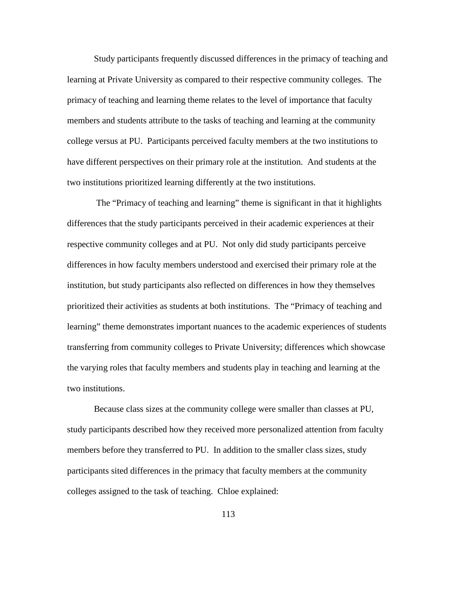Study participants frequently discussed differences in the primacy of teaching and learning at Private University as compared to their respective community colleges. The primacy of teaching and learning theme relates to the level of importance that faculty members and students attribute to the tasks of teaching and learning at the community college versus at PU. Participants perceived faculty members at the two institutions to have different perspectives on their primary role at the institution. And students at the two institutions prioritized learning differently at the two institutions.

The "Primacy of teaching and learning" theme is significant in that it highlights differences that the study participants perceived in their academic experiences at their respective community colleges and at PU. Not only did study participants perceive differences in how faculty members understood and exercised their primary role at the institution, but study participants also reflected on differences in how they themselves prioritized their activities as students at both institutions. The "Primacy of teaching and learning" theme demonstrates important nuances to the academic experiences of students transferring from community colleges to Private University; differences which showcase the varying roles that faculty members and students play in teaching and learning at the two institutions.

Because class sizes at the community college were smaller than classes at PU, study participants described how they received more personalized attention from faculty members before they transferred to PU. In addition to the smaller class sizes, study participants sited differences in the primacy that faculty members at the community colleges assigned to the task of teaching. Chloe explained: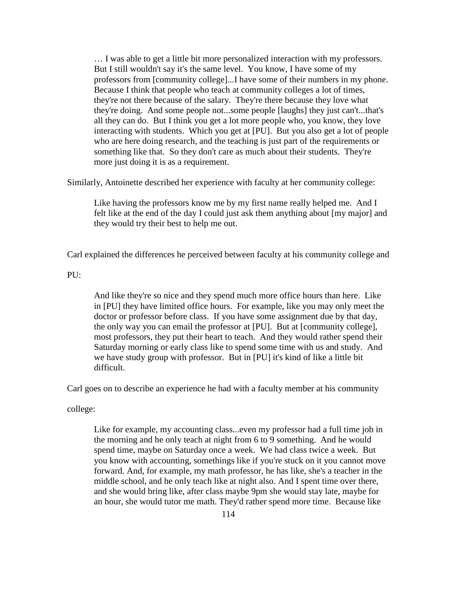… I was able to get a little bit more personalized interaction with my professors. But I still wouldn't say it's the same level. You know, I have some of my professors from [community college]...I have some of their numbers in my phone. Because I think that people who teach at community colleges a lot of times, they're not there because of the salary. They're there because they love what they're doing. And some people not...some people [laughs] they just can't...that's all they can do. But I think you get a lot more people who, you know, they love interacting with students. Which you get at [PU]. But you also get a lot of people who are here doing research, and the teaching is just part of the requirements or something like that. So they don't care as much about their students. They're more just doing it is as a requirement.

Similarly, Antoinette described her experience with faculty at her community college:

Like having the professors know me by my first name really helped me. And I felt like at the end of the day I could just ask them anything about [my major] and they would try their best to help me out.

Carl explained the differences he perceived between faculty at his community college and

PU:

And like they're so nice and they spend much more office hours than here. Like in [PU] they have limited office hours. For example, like you may only meet the doctor or professor before class. If you have some assignment due by that day, the only way you can email the professor at [PU]. But at [community college], most professors, they put their heart to teach. And they would rather spend their Saturday morning or early class like to spend some time with us and study. And we have study group with professor. But in [PU] it's kind of like a little bit difficult.

Carl goes on to describe an experience he had with a faculty member at his community

college:

Like for example, my accounting class...even my professor had a full time job in the morning and he only teach at night from 6 to 9 something. And he would spend time, maybe on Saturday once a week. We had class twice a week. But you know with accounting, somethings like if you're stuck on it you cannot move forward. And, for example, my math professor, he has like, she's a teacher in the middle school, and he only teach like at night also. And I spent time over there, and she would bring like, after class maybe 9pm she would stay late, maybe for an hour, she would tutor me math. They'd rather spend more time. Because like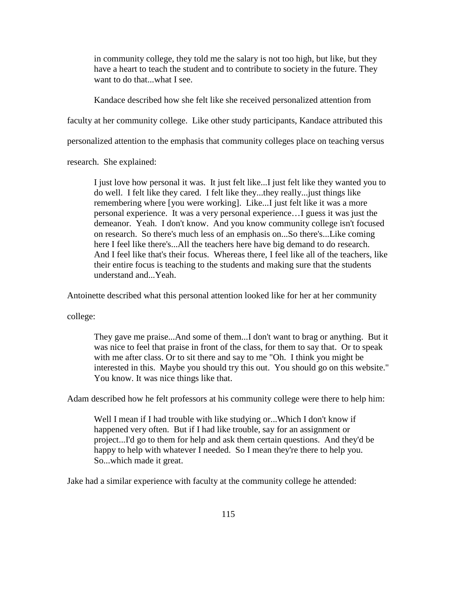in community college, they told me the salary is not too high, but like, but they have a heart to teach the student and to contribute to society in the future. They want to do that...what I see.

Kandace described how she felt like she received personalized attention from

faculty at her community college. Like other study participants, Kandace attributed this

personalized attention to the emphasis that community colleges place on teaching versus

research. She explained:

I just love how personal it was. It just felt like...I just felt like they wanted you to do well. I felt like they cared. I felt like they...they really...just things like remembering where [you were working]. Like...I just felt like it was a more personal experience. It was a very personal experience…I guess it was just the demeanor. Yeah. I don't know. And you know community college isn't focused on research. So there's much less of an emphasis on...So there's...Like coming here I feel like there's...All the teachers here have big demand to do research. And I feel like that's their focus. Whereas there, I feel like all of the teachers, like their entire focus is teaching to the students and making sure that the students understand and...Yeah.

Antoinette described what this personal attention looked like for her at her community

college:

They gave me praise...And some of them...I don't want to brag or anything. But it was nice to feel that praise in front of the class, for them to say that. Or to speak with me after class. Or to sit there and say to me "Oh. I think you might be interested in this. Maybe you should try this out. You should go on this website." You know. It was nice things like that.

Adam described how he felt professors at his community college were there to help him:

Well I mean if I had trouble with like studying or...Which I don't know if happened very often. But if I had like trouble, say for an assignment or project...I'd go to them for help and ask them certain questions. And they'd be happy to help with whatever I needed. So I mean they're there to help you. So...which made it great.

Jake had a similar experience with faculty at the community college he attended: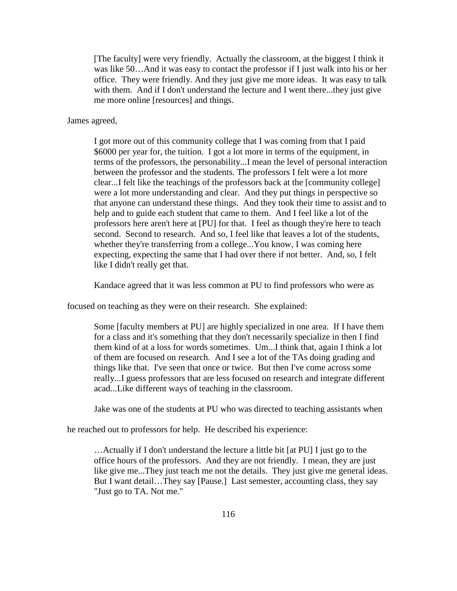[The faculty] were very friendly. Actually the classroom, at the biggest I think it was like 50…And it was easy to contact the professor if I just walk into his or her office. They were friendly. And they just give me more ideas. It was easy to talk with them. And if I don't understand the lecture and I went there...they just give me more online [resources] and things.

James agreed,

I got more out of this community college that I was coming from that I paid \$6000 per year for, the tuition. I got a lot more in terms of the equipment, in terms of the professors, the personability...I mean the level of personal interaction between the professor and the students. The professors I felt were a lot more clear...I felt like the teachings of the professors back at the [community college] were a lot more understanding and clear. And they put things in perspective so that anyone can understand these things. And they took their time to assist and to help and to guide each student that came to them. And I feel like a lot of the professors here aren't here at [PU] for that. I feel as though they're here to teach second. Second to research. And so, I feel like that leaves a lot of the students, whether they're transferring from a college...You know, I was coming here expecting, expecting the same that I had over there if not better. And, so, I felt like I didn't really get that.

Kandace agreed that it was less common at PU to find professors who were as

focused on teaching as they were on their research. She explained:

Some [faculty members at PU] are highly specialized in one area. If I have them for a class and it's something that they don't necessarily specialize in then I find them kind of at a loss for words sometimes. Um...I think that, again I think a lot of them are focused on research. And I see a lot of the TAs doing grading and things like that. I've seen that once or twice. But then I've come across some really...I guess professors that are less focused on research and integrate different acad...Like different ways of teaching in the classroom.

Jake was one of the students at PU who was directed to teaching assistants when

he reached out to professors for help. He described his experience:

…Actually if I don't understand the lecture a little bit [at PU] I just go to the office hours of the professors. And they are not friendly. I mean, they are just like give me...They just teach me not the details. They just give me general ideas. But I want detail…They say [Pause.] Last semester, accounting class, they say "Just go to TA. Not me."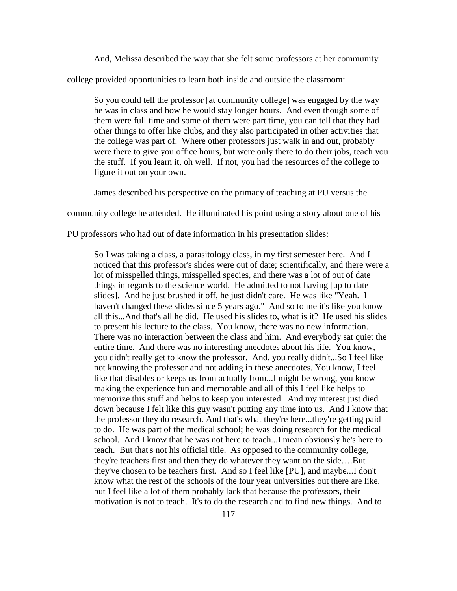And, Melissa described the way that she felt some professors at her community

college provided opportunities to learn both inside and outside the classroom:

So you could tell the professor [at community college] was engaged by the way he was in class and how he would stay longer hours. And even though some of them were full time and some of them were part time, you can tell that they had other things to offer like clubs, and they also participated in other activities that the college was part of. Where other professors just walk in and out, probably were there to give you office hours, but were only there to do their jobs, teach you the stuff. If you learn it, oh well. If not, you had the resources of the college to figure it out on your own.

James described his perspective on the primacy of teaching at PU versus the

community college he attended. He illuminated his point using a story about one of his

PU professors who had out of date information in his presentation slides:

So I was taking a class, a parasitology class, in my first semester here. And I noticed that this professor's slides were out of date; scientifically, and there were a lot of misspelled things, misspelled species, and there was a lot of out of date things in regards to the science world. He admitted to not having [up to date slides]. And he just brushed it off, he just didn't care. He was like "Yeah. I haven't changed these slides since 5 years ago." And so to me it's like you know all this...And that's all he did. He used his slides to, what is it? He used his slides to present his lecture to the class. You know, there was no new information. There was no interaction between the class and him. And everybody sat quiet the entire time. And there was no interesting anecdotes about his life. You know, you didn't really get to know the professor. And, you really didn't...So I feel like not knowing the professor and not adding in these anecdotes. You know, I feel like that disables or keeps us from actually from...I might be wrong, you know making the experience fun and memorable and all of this I feel like helps to memorize this stuff and helps to keep you interested. And my interest just died down because I felt like this guy wasn't putting any time into us. And I know that the professor they do research. And that's what they're here...they're getting paid to do. He was part of the medical school; he was doing research for the medical school. And I know that he was not here to teach...I mean obviously he's here to teach. But that's not his official title. As opposed to the community college, they're teachers first and then they do whatever they want on the side….But they've chosen to be teachers first. And so I feel like [PU], and maybe...I don't know what the rest of the schools of the four year universities out there are like, but I feel like a lot of them probably lack that because the professors, their motivation is not to teach. It's to do the research and to find new things. And to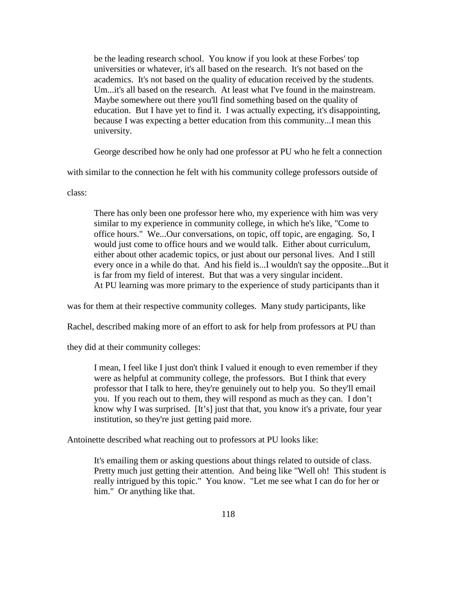be the leading research school. You know if you look at these Forbes' top universities or whatever, it's all based on the research. It's not based on the academics. It's not based on the quality of education received by the students. Um...it's all based on the research. At least what I've found in the mainstream. Maybe somewhere out there you'll find something based on the quality of education. But I have yet to find it. I was actually expecting, it's disappointing, because I was expecting a better education from this community...I mean this university.

George described how he only had one professor at PU who he felt a connection

with similar to the connection he felt with his community college professors outside of

class:

There has only been one professor here who, my experience with him was very similar to my experience in community college, in which he's like, "Come to office hours." We...Our conversations, on topic, off topic, are engaging. So, I would just come to office hours and we would talk. Either about curriculum, either about other academic topics, or just about our personal lives. And I still every once in a while do that. And his field is...I wouldn't say the opposite...But it is far from my field of interest. But that was a very singular incident. At PU learning was more primary to the experience of study participants than it

was for them at their respective community colleges. Many study participants, like

Rachel, described making more of an effort to ask for help from professors at PU than

they did at their community colleges:

I mean, I feel like I just don't think I valued it enough to even remember if they were as helpful at community college, the professors. But I think that every professor that I talk to here, they're genuinely out to help you. So they'll email you. If you reach out to them, they will respond as much as they can. I don't know why I was surprised. [It's] just that that, you know it's a private, four year institution, so they're just getting paid more.

Antoinette described what reaching out to professors at PU looks like:

It's emailing them or asking questions about things related to outside of class. Pretty much just getting their attention. And being like "Well oh! This student is really intrigued by this topic." You know. "Let me see what I can do for her or him." Or anything like that.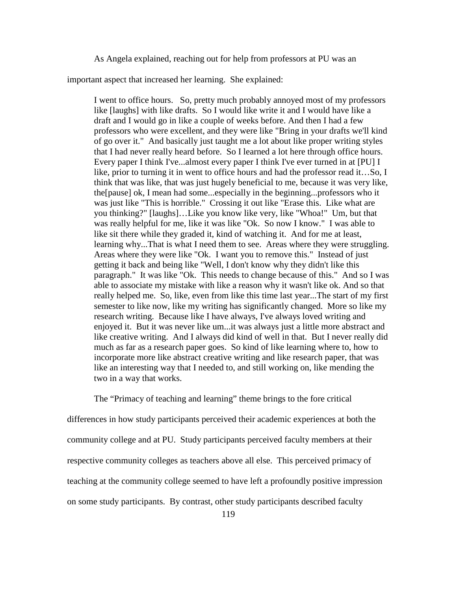As Angela explained, reaching out for help from professors at PU was an

important aspect that increased her learning. She explained:

I went to office hours. So, pretty much probably annoyed most of my professors like [laughs] with like drafts. So I would like write it and I would have like a draft and I would go in like a couple of weeks before. And then I had a few professors who were excellent, and they were like "Bring in your drafts we'll kind of go over it." And basically just taught me a lot about like proper writing styles that I had never really heard before. So I learned a lot here through office hours. Every paper I think I've...almost every paper I think I've ever turned in at [PU] I like, prior to turning it in went to office hours and had the professor read it…So, I think that was like, that was just hugely beneficial to me, because it was very like, the[pause] ok, I mean had some...especially in the beginning...professors who it was just like "This is horrible." Crossing it out like "Erase this. Like what are you thinking?" [laughs]…Like you know like very, like "Whoa!" Um, but that was really helpful for me, like it was like "Ok. So now I know." I was able to like sit there while they graded it, kind of watching it. And for me at least, learning why...That is what I need them to see. Areas where they were struggling. Areas where they were like "Ok. I want you to remove this." Instead of just getting it back and being like "Well, I don't know why they didn't like this paragraph." It was like "Ok. This needs to change because of this." And so I was able to associate my mistake with like a reason why it wasn't like ok. And so that really helped me. So, like, even from like this time last year...The start of my first semester to like now, like my writing has significantly changed. More so like my research writing. Because like I have always, I've always loved writing and enjoyed it. But it was never like um...it was always just a little more abstract and like creative writing. And I always did kind of well in that. But I never really did much as far as a research paper goes. So kind of like learning where to, how to incorporate more like abstract creative writing and like research paper, that was like an interesting way that I needed to, and still working on, like mending the two in a way that works.

The "Primacy of teaching and learning" theme brings to the fore critical differences in how study participants perceived their academic experiences at both the community college and at PU. Study participants perceived faculty members at their respective community colleges as teachers above all else. This perceived primacy of teaching at the community college seemed to have left a profoundly positive impression on some study participants. By contrast, other study participants described faculty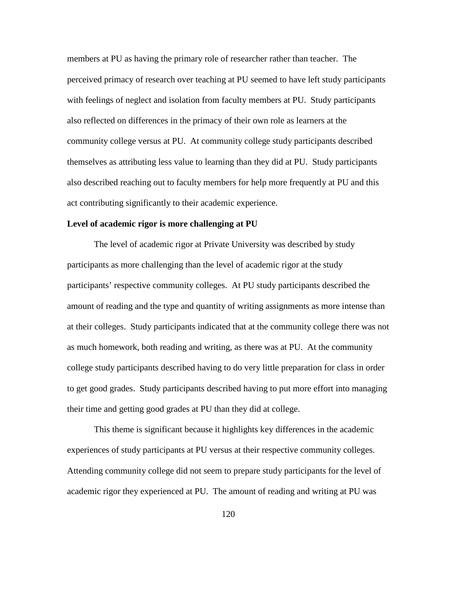members at PU as having the primary role of researcher rather than teacher. The perceived primacy of research over teaching at PU seemed to have left study participants with feelings of neglect and isolation from faculty members at PU. Study participants also reflected on differences in the primacy of their own role as learners at the community college versus at PU. At community college study participants described themselves as attributing less value to learning than they did at PU. Study participants also described reaching out to faculty members for help more frequently at PU and this act contributing significantly to their academic experience.

#### **Level of academic rigor is more challenging at PU**

The level of academic rigor at Private University was described by study participants as more challenging than the level of academic rigor at the study participants' respective community colleges. At PU study participants described the amount of reading and the type and quantity of writing assignments as more intense than at their colleges. Study participants indicated that at the community college there was not as much homework, both reading and writing, as there was at PU. At the community college study participants described having to do very little preparation for class in order to get good grades. Study participants described having to put more effort into managing their time and getting good grades at PU than they did at college.

This theme is significant because it highlights key differences in the academic experiences of study participants at PU versus at their respective community colleges. Attending community college did not seem to prepare study participants for the level of academic rigor they experienced at PU. The amount of reading and writing at PU was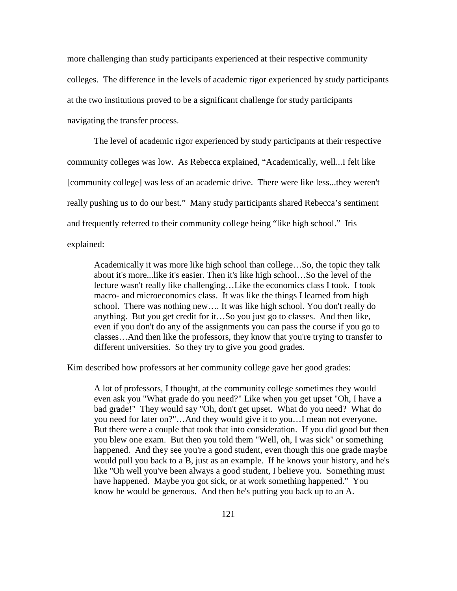more challenging than study participants experienced at their respective community colleges. The difference in the levels of academic rigor experienced by study participants at the two institutions proved to be a significant challenge for study participants navigating the transfer process.

The level of academic rigor experienced by study participants at their respective community colleges was low. As Rebecca explained, "Academically, well...I felt like [community college] was less of an academic drive. There were like less...they weren't really pushing us to do our best." Many study participants shared Rebecca's sentiment and frequently referred to their community college being "like high school." Iris explained:

Academically it was more like high school than college…So, the topic they talk about it's more...like it's easier. Then it's like high school…So the level of the lecture wasn't really like challenging…Like the economics class I took. I took macro- and microeconomics class. It was like the things I learned from high school. There was nothing new…. It was like high school. You don't really do anything. But you get credit for it…So you just go to classes. And then like, even if you don't do any of the assignments you can pass the course if you go to classes…And then like the professors, they know that you're trying to transfer to different universities. So they try to give you good grades.

Kim described how professors at her community college gave her good grades:

A lot of professors, I thought, at the community college sometimes they would even ask you "What grade do you need?" Like when you get upset "Oh, I have a bad grade!" They would say "Oh, don't get upset. What do you need? What do you need for later on?"…And they would give it to you…I mean not everyone. But there were a couple that took that into consideration. If you did good but then you blew one exam. But then you told them "Well, oh, I was sick" or something happened. And they see you're a good student, even though this one grade maybe would pull you back to a B, just as an example. If he knows your history, and he's like "Oh well you've been always a good student, I believe you. Something must have happened. Maybe you got sick, or at work something happened." You know he would be generous. And then he's putting you back up to an A.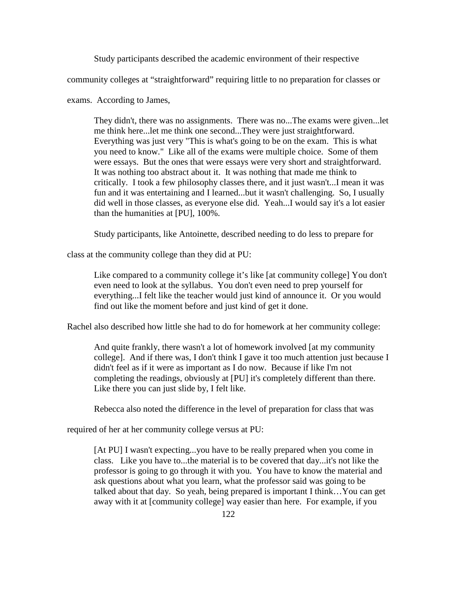Study participants described the academic environment of their respective

community colleges at "straightforward" requiring little to no preparation for classes or

exams. According to James,

They didn't, there was no assignments. There was no...The exams were given...let me think here...let me think one second...They were just straightforward. Everything was just very "This is what's going to be on the exam. This is what you need to know." Like all of the exams were multiple choice. Some of them were essays. But the ones that were essays were very short and straightforward. It was nothing too abstract about it. It was nothing that made me think to critically. I took a few philosophy classes there, and it just wasn't...I mean it was fun and it was entertaining and I learned...but it wasn't challenging. So, I usually did well in those classes, as everyone else did. Yeah...I would say it's a lot easier than the humanities at [PU], 100%.

Study participants, like Antoinette, described needing to do less to prepare for

class at the community college than they did at PU:

Like compared to a community college it's like [at community college] You don't even need to look at the syllabus. You don't even need to prep yourself for everything...I felt like the teacher would just kind of announce it. Or you would find out like the moment before and just kind of get it done.

Rachel also described how little she had to do for homework at her community college:

And quite frankly, there wasn't a lot of homework involved [at my community college]. And if there was, I don't think I gave it too much attention just because I didn't feel as if it were as important as I do now. Because if like I'm not completing the readings, obviously at [PU] it's completely different than there. Like there you can just slide by, I felt like.

Rebecca also noted the difference in the level of preparation for class that was

required of her at her community college versus at PU:

[At PU] I wasn't expecting...you have to be really prepared when you come in class. Like you have to...the material is to be covered that day...it's not like the professor is going to go through it with you. You have to know the material and ask questions about what you learn, what the professor said was going to be talked about that day. So yeah, being prepared is important I think…You can get away with it at [community college] way easier than here. For example, if you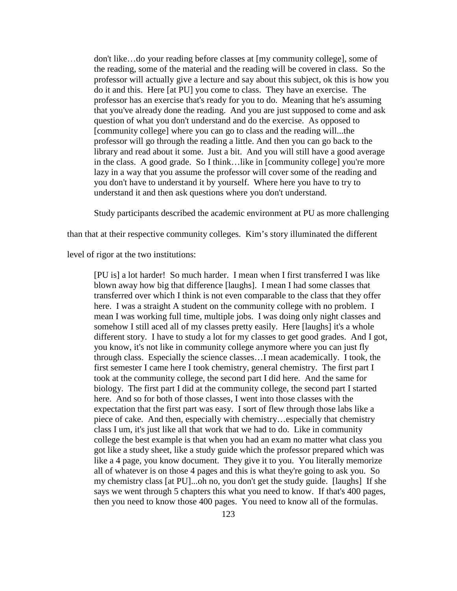don't like…do your reading before classes at [my community college], some of the reading, some of the material and the reading will be covered in class. So the professor will actually give a lecture and say about this subject, ok this is how you do it and this. Here [at PU] you come to class. They have an exercise. The professor has an exercise that's ready for you to do. Meaning that he's assuming that you've already done the reading. And you are just supposed to come and ask question of what you don't understand and do the exercise. As opposed to [community college] where you can go to class and the reading will...the professor will go through the reading a little. And then you can go back to the library and read about it some. Just a bit. And you will still have a good average in the class. A good grade. So I think…like in [community college] you're more lazy in a way that you assume the professor will cover some of the reading and you don't have to understand it by yourself. Where here you have to try to understand it and then ask questions where you don't understand.

Study participants described the academic environment at PU as more challenging

than that at their respective community colleges. Kim's story illuminated the different

level of rigor at the two institutions:

[PU is] a lot harder! So much harder. I mean when I first transferred I was like blown away how big that difference [laughs]. I mean I had some classes that transferred over which I think is not even comparable to the class that they offer here. I was a straight A student on the community college with no problem. I mean I was working full time, multiple jobs. I was doing only night classes and somehow I still aced all of my classes pretty easily. Here [laughs] it's a whole different story. I have to study a lot for my classes to get good grades. And I got, you know, it's not like in community college anymore where you can just fly through class. Especially the science classes…I mean academically. I took, the first semester I came here I took chemistry, general chemistry. The first part I took at the community college, the second part I did here. And the same for biology. The first part I did at the community college, the second part I started here. And so for both of those classes, I went into those classes with the expectation that the first part was easy. I sort of flew through those labs like a piece of cake. And then, especially with chemistry…especially that chemistry class I um, it's just like all that work that we had to do. Like in community college the best example is that when you had an exam no matter what class you got like a study sheet, like a study guide which the professor prepared which was like a 4 page, you know document. They give it to you. You literally memorize all of whatever is on those 4 pages and this is what they're going to ask you. So my chemistry class [at PU]...oh no, you don't get the study guide. [laughs] If she says we went through 5 chapters this what you need to know. If that's 400 pages, then you need to know those 400 pages. You need to know all of the formulas.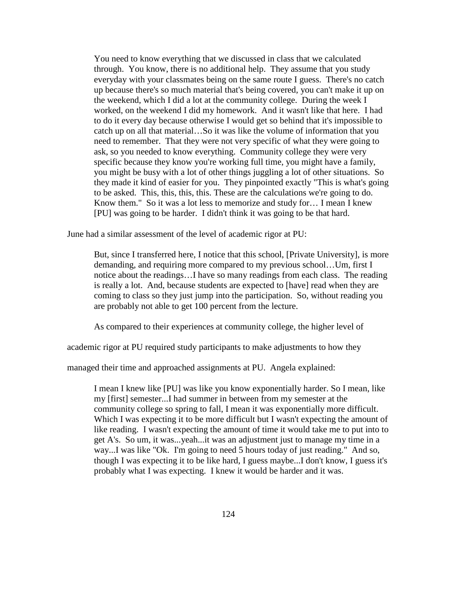You need to know everything that we discussed in class that we calculated through. You know, there is no additional help. They assume that you study everyday with your classmates being on the same route I guess. There's no catch up because there's so much material that's being covered, you can't make it up on the weekend, which I did a lot at the community college. During the week I worked, on the weekend I did my homework. And it wasn't like that here. I had to do it every day because otherwise I would get so behind that it's impossible to catch up on all that material…So it was like the volume of information that you need to remember. That they were not very specific of what they were going to ask, so you needed to know everything. Community college they were very specific because they know you're working full time, you might have a family, you might be busy with a lot of other things juggling a lot of other situations. So they made it kind of easier for you. They pinpointed exactly "This is what's going to be asked. This, this, this, this. These are the calculations we're going to do. Know them." So it was a lot less to memorize and study for… I mean I knew [PU] was going to be harder. I didn't think it was going to be that hard.

June had a similar assessment of the level of academic rigor at PU:

But, since I transferred here, I notice that this school, [Private University], is more demanding, and requiring more compared to my previous school…Um, first I notice about the readings…I have so many readings from each class. The reading is really a lot. And, because students are expected to [have] read when they are coming to class so they just jump into the participation. So, without reading you are probably not able to get 100 percent from the lecture.

As compared to their experiences at community college, the higher level of

academic rigor at PU required study participants to make adjustments to how they

managed their time and approached assignments at PU. Angela explained:

I mean I knew like [PU] was like you know exponentially harder. So I mean, like my [first] semester...I had summer in between from my semester at the community college so spring to fall, I mean it was exponentially more difficult. Which I was expecting it to be more difficult but I wasn't expecting the amount of like reading. I wasn't expecting the amount of time it would take me to put into to get A's. So um, it was...yeah...it was an adjustment just to manage my time in a way...I was like "Ok. I'm going to need 5 hours today of just reading." And so, though I was expecting it to be like hard, I guess maybe...I don't know, I guess it's probably what I was expecting. I knew it would be harder and it was.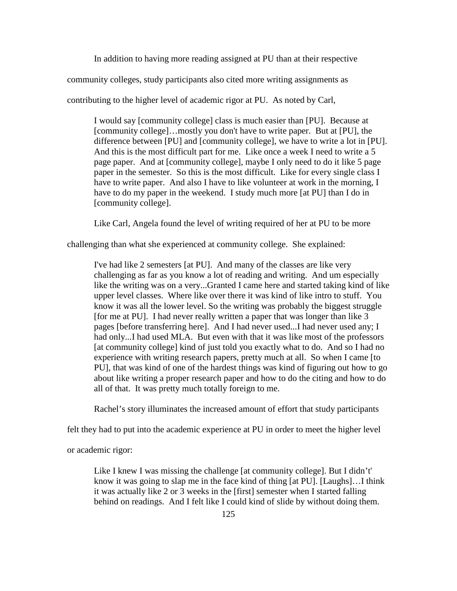In addition to having more reading assigned at PU than at their respective

community colleges, study participants also cited more writing assignments as

contributing to the higher level of academic rigor at PU. As noted by Carl,

I would say [community college] class is much easier than [PU]. Because at [community college]…mostly you don't have to write paper. But at [PU], the difference between [PU] and [community college], we have to write a lot in [PU]. And this is the most difficult part for me. Like once a week I need to write a 5 page paper. And at [community college], maybe I only need to do it like 5 page paper in the semester. So this is the most difficult. Like for every single class I have to write paper. And also I have to like volunteer at work in the morning, I have to do my paper in the weekend. I study much more [at PU] than I do in [community college].

Like Carl, Angela found the level of writing required of her at PU to be more

challenging than what she experienced at community college. She explained:

I've had like 2 semesters [at PU]. And many of the classes are like very challenging as far as you know a lot of reading and writing. And um especially like the writing was on a very...Granted I came here and started taking kind of like upper level classes. Where like over there it was kind of like intro to stuff. You know it was all the lower level. So the writing was probably the biggest struggle [for me at PU]. I had never really written a paper that was longer than like 3 pages [before transferring here]. And I had never used...I had never used any; I had only...I had used MLA. But even with that it was like most of the professors [at community college] kind of just told you exactly what to do. And so I had no experience with writing research papers, pretty much at all. So when I came [to PU], that was kind of one of the hardest things was kind of figuring out how to go about like writing a proper research paper and how to do the citing and how to do all of that. It was pretty much totally foreign to me.

Rachel's story illuminates the increased amount of effort that study participants

felt they had to put into the academic experience at PU in order to meet the higher level

or academic rigor:

Like I knew I was missing the challenge [at community college]. But I didn't' know it was going to slap me in the face kind of thing [at PU]. [Laughs]…I think it was actually like 2 or 3 weeks in the [first] semester when I started falling behind on readings. And I felt like I could kind of slide by without doing them.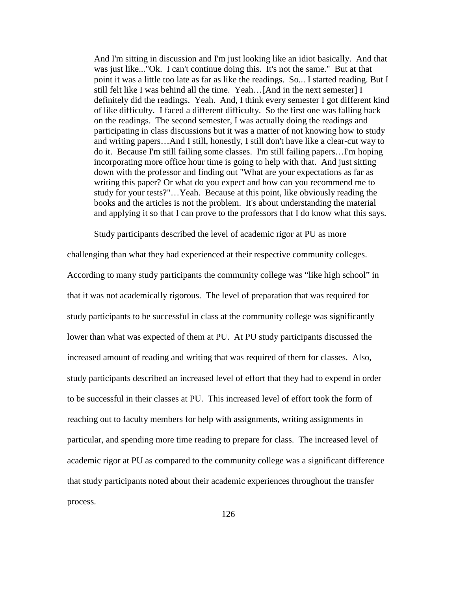And I'm sitting in discussion and I'm just looking like an idiot basically. And that was just like..."Ok. I can't continue doing this. It's not the same." But at that point it was a little too late as far as like the readings. So... I started reading. But I still felt like I was behind all the time. Yeah…[And in the next semester] I definitely did the readings. Yeah. And, I think every semester I got different kind of like difficulty. I faced a different difficulty. So the first one was falling back on the readings. The second semester, I was actually doing the readings and participating in class discussions but it was a matter of not knowing how to study and writing papers…And I still, honestly, I still don't have like a clear-cut way to do it. Because I'm still failing some classes. I'm still failing papers…I'm hoping incorporating more office hour time is going to help with that. And just sitting down with the professor and finding out "What are your expectations as far as writing this paper? Or what do you expect and how can you recommend me to study for your tests?"…Yeah. Because at this point, like obviously reading the books and the articles is not the problem. It's about understanding the material and applying it so that I can prove to the professors that I do know what this says.

Study participants described the level of academic rigor at PU as more

challenging than what they had experienced at their respective community colleges. According to many study participants the community college was "like high school" in that it was not academically rigorous. The level of preparation that was required for study participants to be successful in class at the community college was significantly lower than what was expected of them at PU. At PU study participants discussed the increased amount of reading and writing that was required of them for classes. Also, study participants described an increased level of effort that they had to expend in order to be successful in their classes at PU. This increased level of effort took the form of reaching out to faculty members for help with assignments, writing assignments in particular, and spending more time reading to prepare for class. The increased level of academic rigor at PU as compared to the community college was a significant difference that study participants noted about their academic experiences throughout the transfer process.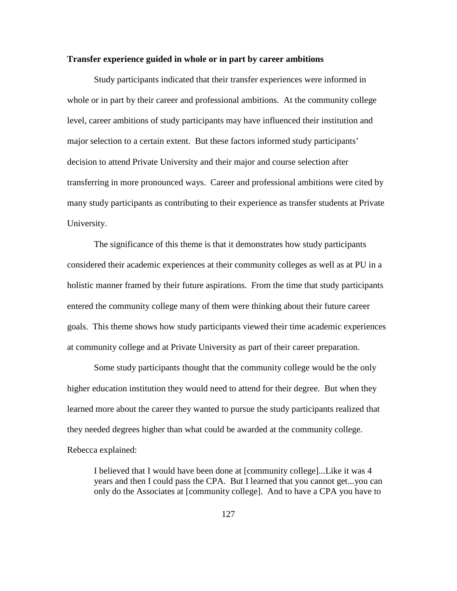#### **Transfer experience guided in whole or in part by career ambitions**

Study participants indicated that their transfer experiences were informed in whole or in part by their career and professional ambitions. At the community college level, career ambitions of study participants may have influenced their institution and major selection to a certain extent. But these factors informed study participants' decision to attend Private University and their major and course selection after transferring in more pronounced ways. Career and professional ambitions were cited by many study participants as contributing to their experience as transfer students at Private University.

The significance of this theme is that it demonstrates how study participants considered their academic experiences at their community colleges as well as at PU in a holistic manner framed by their future aspirations. From the time that study participants entered the community college many of them were thinking about their future career goals. This theme shows how study participants viewed their time academic experiences at community college and at Private University as part of their career preparation.

Some study participants thought that the community college would be the only higher education institution they would need to attend for their degree. But when they learned more about the career they wanted to pursue the study participants realized that they needed degrees higher than what could be awarded at the community college. Rebecca explained:

I believed that I would have been done at [community college]...Like it was 4 years and then I could pass the CPA. But I learned that you cannot get...you can only do the Associates at [community college]. And to have a CPA you have to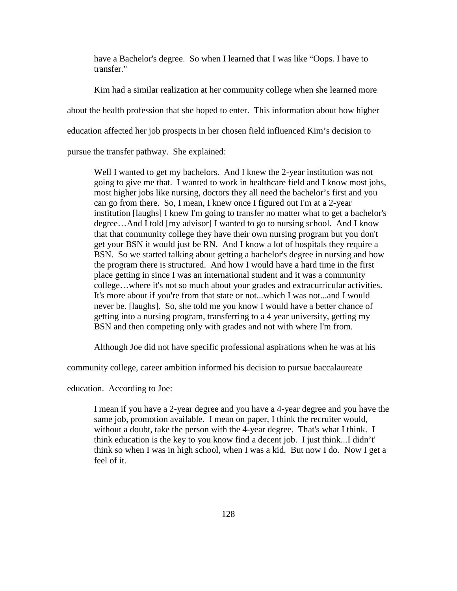have a Bachelor's degree. So when I learned that I was like "Oops. I have to transfer."

Kim had a similar realization at her community college when she learned more about the health profession that she hoped to enter. This information about how higher education affected her job prospects in her chosen field influenced Kim's decision to pursue the transfer pathway. She explained:

Well I wanted to get my bachelors. And I knew the 2-year institution was not going to give me that. I wanted to work in healthcare field and I know most jobs, most higher jobs like nursing, doctors they all need the bachelor's first and you can go from there. So, I mean, I knew once I figured out I'm at a 2-year institution [laughs] I knew I'm going to transfer no matter what to get a bachelor's degree…And I told [my advisor] I wanted to go to nursing school. And I know that that community college they have their own nursing program but you don't get your BSN it would just be RN. And I know a lot of hospitals they require a BSN. So we started talking about getting a bachelor's degree in nursing and how the program there is structured. And how I would have a hard time in the first place getting in since I was an international student and it was a community college…where it's not so much about your grades and extracurricular activities. It's more about if you're from that state or not...which I was not...and I would never be. [laughs]. So, she told me you know I would have a better chance of getting into a nursing program, transferring to a 4 year university, getting my BSN and then competing only with grades and not with where I'm from.

Although Joe did not have specific professional aspirations when he was at his

community college, career ambition informed his decision to pursue baccalaureate

education. According to Joe:

I mean if you have a 2-year degree and you have a 4-year degree and you have the same job, promotion available. I mean on paper, I think the recruiter would, without a doubt, take the person with the 4-year degree. That's what I think. I think education is the key to you know find a decent job. I just think...I didn't' think so when I was in high school, when I was a kid. But now I do. Now I get a feel of it.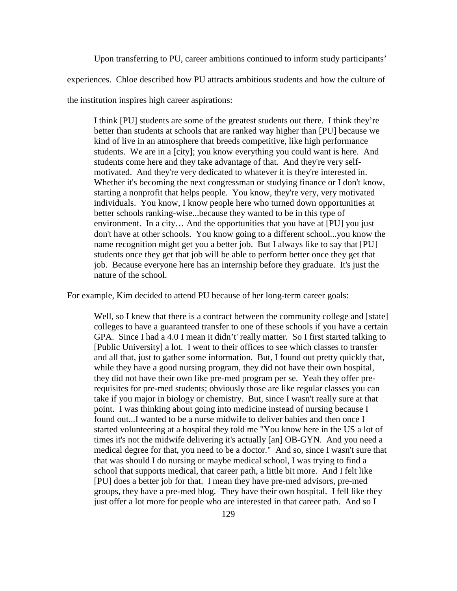Upon transferring to PU, career ambitions continued to inform study participants'

experiences. Chloe described how PU attracts ambitious students and how the culture of

the institution inspires high career aspirations:

I think [PU] students are some of the greatest students out there. I think they're better than students at schools that are ranked way higher than [PU] because we kind of live in an atmosphere that breeds competitive, like high performance students. We are in a [city]; you know everything you could want is here. And students come here and they take advantage of that. And they're very selfmotivated. And they're very dedicated to whatever it is they're interested in. Whether it's becoming the next congressman or studying finance or I don't know, starting a nonprofit that helps people. You know, they're very, very motivated individuals. You know, I know people here who turned down opportunities at better schools ranking-wise...because they wanted to be in this type of environment. In a city… And the opportunities that you have at [PU] you just don't have at other schools. You know going to a different school...you know the name recognition might get you a better job. But I always like to say that [PU] students once they get that job will be able to perform better once they get that job. Because everyone here has an internship before they graduate. It's just the nature of the school.

For example, Kim decided to attend PU because of her long-term career goals:

Well, so I knew that there is a contract between the community college and [state] colleges to have a guaranteed transfer to one of these schools if you have a certain GPA. Since I had a 4.0 I mean it didn't' really matter. So I first started talking to [Public University] a lot. I went to their offices to see which classes to transfer and all that, just to gather some information. But, I found out pretty quickly that, while they have a good nursing program, they did not have their own hospital, they did not have their own like pre-med program per se. Yeah they offer prerequisites for pre-med students; obviously those are like regular classes you can take if you major in biology or chemistry. But, since I wasn't really sure at that point. I was thinking about going into medicine instead of nursing because I found out...I wanted to be a nurse midwife to deliver babies and then once I started volunteering at a hospital they told me "You know here in the US a lot of times it's not the midwife delivering it's actually [an] OB-GYN. And you need a medical degree for that, you need to be a doctor." And so, since I wasn't sure that that was should I do nursing or maybe medical school, I was trying to find a school that supports medical, that career path, a little bit more. And I felt like [PU] does a better job for that. I mean they have pre-med advisors, pre-med groups, they have a pre-med blog. They have their own hospital. I fell like they just offer a lot more for people who are interested in that career path. And so I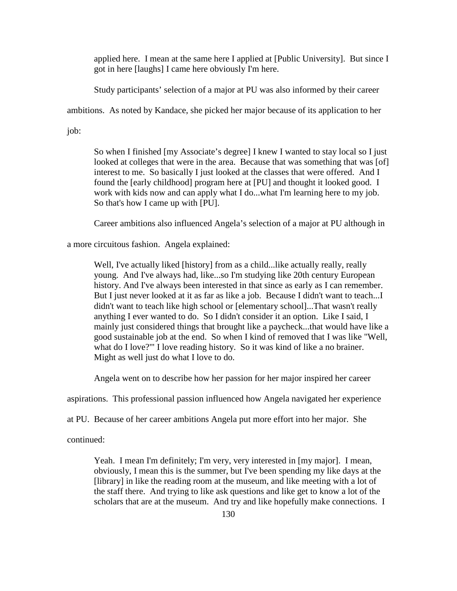applied here. I mean at the same here I applied at [Public University]. But since I got in here [laughs] I came here obviously I'm here.

Study participants' selection of a major at PU was also informed by their career

ambitions. As noted by Kandace, she picked her major because of its application to her

job:

So when I finished [my Associate's degree] I knew I wanted to stay local so I just looked at colleges that were in the area. Because that was something that was [of] interest to me. So basically I just looked at the classes that were offered. And I found the [early childhood] program here at [PU] and thought it looked good. I work with kids now and can apply what I do...what I'm learning here to my job. So that's how I came up with [PU].

Career ambitions also influenced Angela's selection of a major at PU although in

a more circuitous fashion. Angela explained:

Well, I've actually liked [history] from as a child...like actually really, really young. And I've always had, like...so I'm studying like 20th century European history. And I've always been interested in that since as early as I can remember. But I just never looked at it as far as like a job. Because I didn't want to teach...I didn't want to teach like high school or [elementary school]...That wasn't really anything I ever wanted to do. So I didn't consider it an option. Like I said, I mainly just considered things that brought like a paycheck...that would have like a good sustainable job at the end. So when I kind of removed that I was like "Well, what do I love?'" I love reading history. So it was kind of like a no brainer. Might as well just do what I love to do.

Angela went on to describe how her passion for her major inspired her career

aspirations. This professional passion influenced how Angela navigated her experience

at PU. Because of her career ambitions Angela put more effort into her major. She

continued:

Yeah. I mean I'm definitely; I'm very, very interested in [my major]. I mean, obviously, I mean this is the summer, but I've been spending my like days at the [library] in like the reading room at the museum, and like meeting with a lot of the staff there. And trying to like ask questions and like get to know a lot of the scholars that are at the museum. And try and like hopefully make connections. I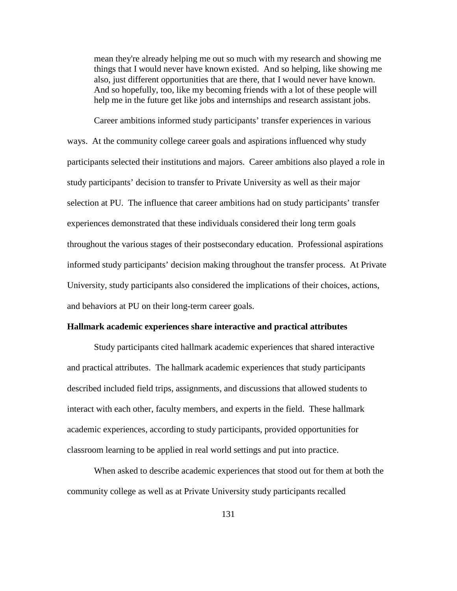mean they're already helping me out so much with my research and showing me things that I would never have known existed. And so helping, like showing me also, just different opportunities that are there, that I would never have known. And so hopefully, too, like my becoming friends with a lot of these people will help me in the future get like jobs and internships and research assistant jobs.

Career ambitions informed study participants' transfer experiences in various ways. At the community college career goals and aspirations influenced why study participants selected their institutions and majors. Career ambitions also played a role in study participants' decision to transfer to Private University as well as their major selection at PU. The influence that career ambitions had on study participants' transfer experiences demonstrated that these individuals considered their long term goals throughout the various stages of their postsecondary education. Professional aspirations informed study participants' decision making throughout the transfer process. At Private University, study participants also considered the implications of their choices, actions, and behaviors at PU on their long-term career goals.

#### **Hallmark academic experiences share interactive and practical attributes**

Study participants cited hallmark academic experiences that shared interactive and practical attributes. The hallmark academic experiences that study participants described included field trips, assignments, and discussions that allowed students to interact with each other, faculty members, and experts in the field. These hallmark academic experiences, according to study participants, provided opportunities for classroom learning to be applied in real world settings and put into practice.

When asked to describe academic experiences that stood out for them at both the community college as well as at Private University study participants recalled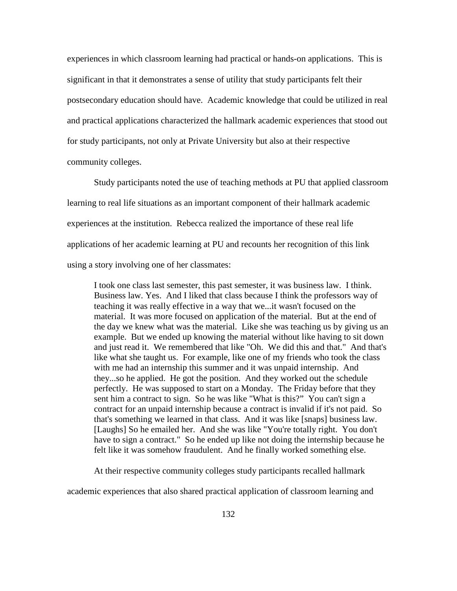experiences in which classroom learning had practical or hands-on applications. This is significant in that it demonstrates a sense of utility that study participants felt their postsecondary education should have. Academic knowledge that could be utilized in real and practical applications characterized the hallmark academic experiences that stood out for study participants, not only at Private University but also at their respective community colleges.

Study participants noted the use of teaching methods at PU that applied classroom learning to real life situations as an important component of their hallmark academic experiences at the institution. Rebecca realized the importance of these real life applications of her academic learning at PU and recounts her recognition of this link using a story involving one of her classmates:

I took one class last semester, this past semester, it was business law. I think. Business law. Yes. And I liked that class because I think the professors way of teaching it was really effective in a way that we...it wasn't focused on the material. It was more focused on application of the material. But at the end of the day we knew what was the material. Like she was teaching us by giving us an example. But we ended up knowing the material without like having to sit down and just read it. We remembered that like "Oh. We did this and that." And that's like what she taught us. For example, like one of my friends who took the class with me had an internship this summer and it was unpaid internship. And they...so he applied. He got the position. And they worked out the schedule perfectly. He was supposed to start on a Monday. The Friday before that they sent him a contract to sign. So he was like "What is this?" You can't sign a contract for an unpaid internship because a contract is invalid if it's not paid. So that's something we learned in that class. And it was like [snaps] business law. [Laughs] So he emailed her. And she was like "You're totally right. You don't have to sign a contract." So he ended up like not doing the internship because he felt like it was somehow fraudulent. And he finally worked something else.

At their respective community colleges study participants recalled hallmark

academic experiences that also shared practical application of classroom learning and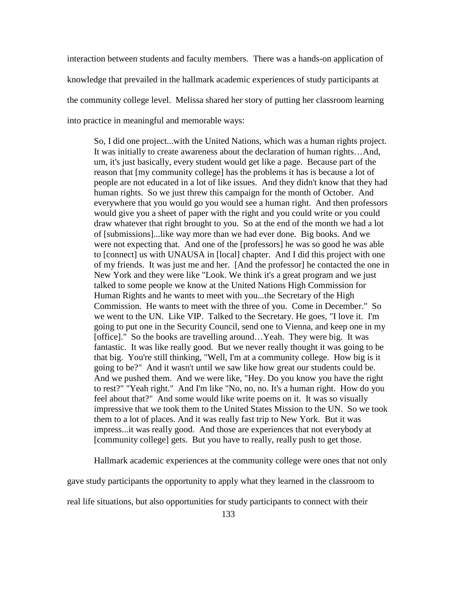interaction between students and faculty members. There was a hands-on application of knowledge that prevailed in the hallmark academic experiences of study participants at the community college level. Melissa shared her story of putting her classroom learning into practice in meaningful and memorable ways:

So, I did one project...with the United Nations, which was a human rights project. It was initially to create awareness about the declaration of human rights…And, um, it's just basically, every student would get like a page. Because part of the reason that [my community college] has the problems it has is because a lot of people are not educated in a lot of like issues. And they didn't know that they had human rights. So we just threw this campaign for the month of October. And everywhere that you would go you would see a human right. And then professors would give you a sheet of paper with the right and you could write or you could draw whatever that right brought to you. So at the end of the month we had a lot of [submissions]...like way more than we had ever done. Big books. And we were not expecting that. And one of the [professors] he was so good he was able to [connect] us with UNAUSA in [local] chapter. And I did this project with one of my friends. It was just me and her. [And the professor] he contacted the one in New York and they were like "Look. We think it's a great program and we just talked to some people we know at the United Nations High Commission for Human Rights and he wants to meet with you...the Secretary of the High Commission. He wants to meet with the three of you. Come in December." So we went to the UN. Like VIP. Talked to the Secretary. He goes, "I love it. I'm going to put one in the Security Council, send one to Vienna, and keep one in my [office]." So the books are travelling around...Yeah. They were big. It was fantastic. It was like really good. But we never really thought it was going to be that big. You're still thinking, "Well, I'm at a community college. How big is it going to be?" And it wasn't until we saw like how great our students could be. And we pushed them. And we were like, "Hey. Do you know you have the right to rest?" "Yeah right." And I'm like "No, no, no. It's a human right. How do you feel about that?" And some would like write poems on it. It was so visually impressive that we took them to the United States Mission to the UN. So we took them to a lot of places. And it was really fast trip to New York. But it was impress...it was really good. And those are experiences that not everybody at [community college] gets. But you have to really, really push to get those.

Hallmark academic experiences at the community college were ones that not only

gave study participants the opportunity to apply what they learned in the classroom to

real life situations, but also opportunities for study participants to connect with their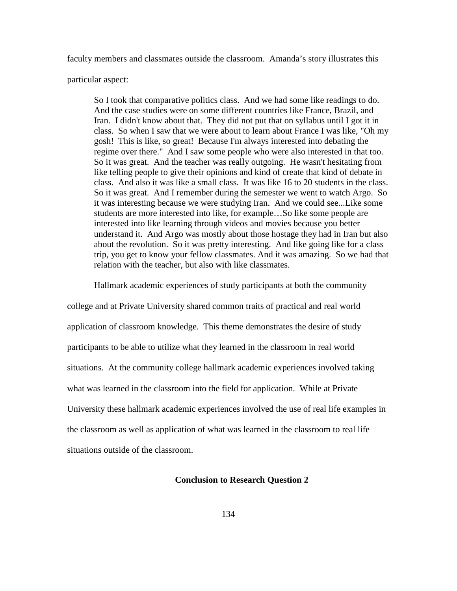faculty members and classmates outside the classroom. Amanda's story illustrates this

particular aspect:

So I took that comparative politics class. And we had some like readings to do. And the case studies were on some different countries like France, Brazil, and Iran. I didn't know about that. They did not put that on syllabus until I got it in class. So when I saw that we were about to learn about France I was like, "Oh my gosh! This is like, so great! Because I'm always interested into debating the regime over there." And I saw some people who were also interested in that too. So it was great. And the teacher was really outgoing. He wasn't hesitating from like telling people to give their opinions and kind of create that kind of debate in class. And also it was like a small class. It was like 16 to 20 students in the class. So it was great. And I remember during the semester we went to watch Argo. So it was interesting because we were studying Iran. And we could see...Like some students are more interested into like, for example…So like some people are interested into like learning through videos and movies because you better understand it. And Argo was mostly about those hostage they had in Iran but also about the revolution. So it was pretty interesting. And like going like for a class trip, you get to know your fellow classmates. And it was amazing. So we had that relation with the teacher, but also with like classmates.

Hallmark academic experiences of study participants at both the community

college and at Private University shared common traits of practical and real world application of classroom knowledge. This theme demonstrates the desire of study participants to be able to utilize what they learned in the classroom in real world situations. At the community college hallmark academic experiences involved taking what was learned in the classroom into the field for application. While at Private University these hallmark academic experiences involved the use of real life examples in the classroom as well as application of what was learned in the classroom to real life situations outside of the classroom.

# **Conclusion to Research Question 2**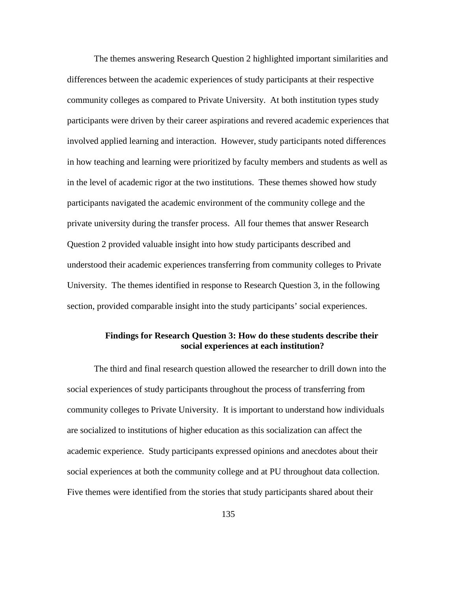The themes answering Research Question 2 highlighted important similarities and differences between the academic experiences of study participants at their respective community colleges as compared to Private University. At both institution types study participants were driven by their career aspirations and revered academic experiences that involved applied learning and interaction. However, study participants noted differences in how teaching and learning were prioritized by faculty members and students as well as in the level of academic rigor at the two institutions. These themes showed how study participants navigated the academic environment of the community college and the private university during the transfer process. All four themes that answer Research Question 2 provided valuable insight into how study participants described and understood their academic experiences transferring from community colleges to Private University. The themes identified in response to Research Question 3, in the following section, provided comparable insight into the study participants' social experiences.

# **Findings for Research Question 3: How do these students describe their social experiences at each institution?**

The third and final research question allowed the researcher to drill down into the social experiences of study participants throughout the process of transferring from community colleges to Private University. It is important to understand how individuals are socialized to institutions of higher education as this socialization can affect the academic experience. Study participants expressed opinions and anecdotes about their social experiences at both the community college and at PU throughout data collection. Five themes were identified from the stories that study participants shared about their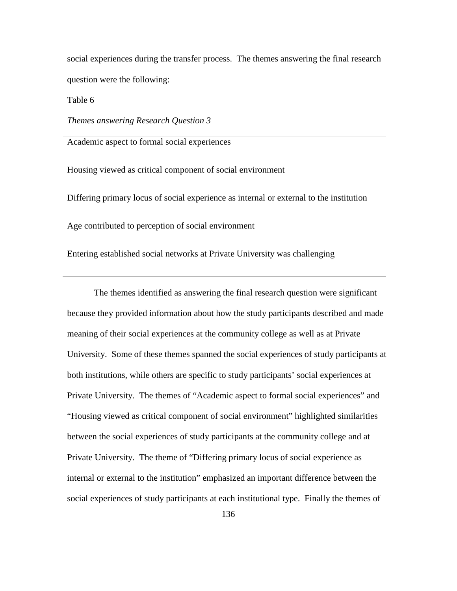social experiences during the transfer process. The themes answering the final research question were the following:

Table 6

*Themes answering Research Question 3*

Academic aspect to formal social experiences

Housing viewed as critical component of social environment

Differing primary locus of social experience as internal or external to the institution

Age contributed to perception of social environment

Entering established social networks at Private University was challenging

The themes identified as answering the final research question were significant because they provided information about how the study participants described and made meaning of their social experiences at the community college as well as at Private University. Some of these themes spanned the social experiences of study participants at both institutions, while others are specific to study participants' social experiences at Private University. The themes of "Academic aspect to formal social experiences" and "Housing viewed as critical component of social environment" highlighted similarities between the social experiences of study participants at the community college and at Private University. The theme of "Differing primary locus of social experience as internal or external to the institution" emphasized an important difference between the social experiences of study participants at each institutional type. Finally the themes of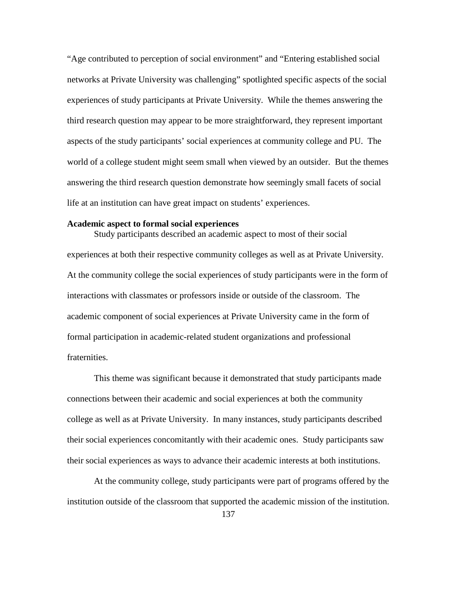"Age contributed to perception of social environment" and "Entering established social networks at Private University was challenging" spotlighted specific aspects of the social experiences of study participants at Private University. While the themes answering the third research question may appear to be more straightforward, they represent important aspects of the study participants' social experiences at community college and PU. The world of a college student might seem small when viewed by an outsider. But the themes answering the third research question demonstrate how seemingly small facets of social life at an institution can have great impact on students' experiences.

### **Academic aspect to formal social experiences**

Study participants described an academic aspect to most of their social experiences at both their respective community colleges as well as at Private University. At the community college the social experiences of study participants were in the form of interactions with classmates or professors inside or outside of the classroom. The academic component of social experiences at Private University came in the form of formal participation in academic-related student organizations and professional fraternities.

This theme was significant because it demonstrated that study participants made connections between their academic and social experiences at both the community college as well as at Private University. In many instances, study participants described their social experiences concomitantly with their academic ones. Study participants saw their social experiences as ways to advance their academic interests at both institutions.

At the community college, study participants were part of programs offered by the institution outside of the classroom that supported the academic mission of the institution.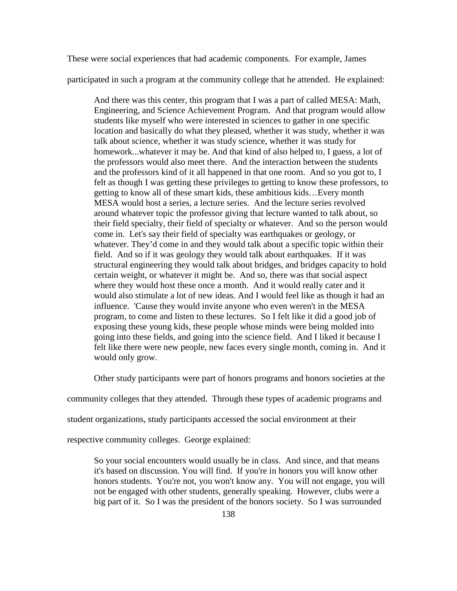These were social experiences that had academic components. For example, James

participated in such a program at the community college that he attended. He explained:

And there was this center, this program that I was a part of called MESA: Math, Engineering, and Science Achievement Program. And that program would allow students like myself who were interested in sciences to gather in one specific location and basically do what they pleased, whether it was study, whether it was talk about science, whether it was study science, whether it was study for homework...whatever it may be. And that kind of also helped to, I guess, a lot of the professors would also meet there. And the interaction between the students and the professors kind of it all happened in that one room. And so you got to, I felt as though I was getting these privileges to getting to know these professors, to getting to know all of these smart kids, these ambitious kids…Every month MESA would host a series, a lecture series. And the lecture series revolved around whatever topic the professor giving that lecture wanted to talk about, so their field specialty, their field of specialty or whatever. And so the person would come in. Let's say their field of specialty was earthquakes or geology, or whatever. They'd come in and they would talk about a specific topic within their field. And so if it was geology they would talk about earthquakes. If it was structural engineering they would talk about bridges, and bridges capacity to hold certain weight, or whatever it might be. And so, there was that social aspect where they would host these once a month. And it would really cater and it would also stimulate a lot of new ideas. And I would feel like as though it had an influence. 'Cause they would invite anyone who even weren't in the MESA program, to come and listen to these lectures. So I felt like it did a good job of exposing these young kids, these people whose minds were being molded into going into these fields, and going into the science field. And I liked it because I felt like there were new people, new faces every single month, coming in. And it would only grow.

Other study participants were part of honors programs and honors societies at the

community colleges that they attended. Through these types of academic programs and

student organizations, study participants accessed the social environment at their

respective community colleges. George explained:

So your social encounters would usually be in class. And since, and that means it's based on discussion. You will find. If you're in honors you will know other honors students. You're not, you won't know any. You will not engage, you will not be engaged with other students, generally speaking. However, clubs were a big part of it. So I was the president of the honors society. So I was surrounded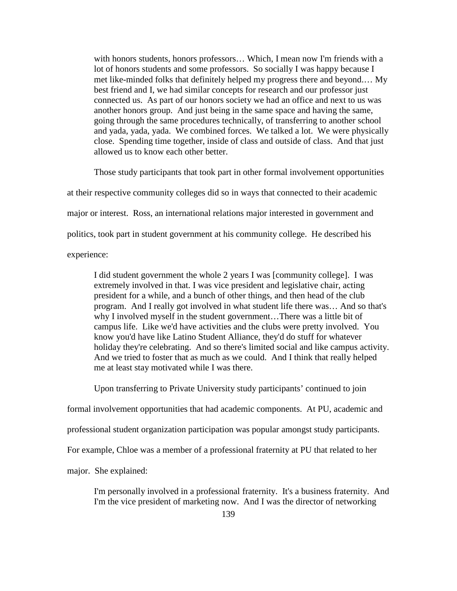with honors students, honors professors… Which, I mean now I'm friends with a lot of honors students and some professors. So socially I was happy because I met like-minded folks that definitely helped my progress there and beyond.… My best friend and I, we had similar concepts for research and our professor just connected us. As part of our honors society we had an office and next to us was another honors group. And just being in the same space and having the same, going through the same procedures technically, of transferring to another school and yada, yada, yada. We combined forces. We talked a lot. We were physically close. Spending time together, inside of class and outside of class. And that just allowed us to know each other better.

Those study participants that took part in other formal involvement opportunities at their respective community colleges did so in ways that connected to their academic major or interest. Ross, an international relations major interested in government and politics, took part in student government at his community college. He described his experience:

I did student government the whole 2 years I was [community college]. I was extremely involved in that. I was vice president and legislative chair, acting president for a while, and a bunch of other things, and then head of the club program. And I really got involved in what student life there was… And so that's why I involved myself in the student government…There was a little bit of campus life. Like we'd have activities and the clubs were pretty involved. You know you'd have like Latino Student Alliance, they'd do stuff for whatever holiday they're celebrating. And so there's limited social and like campus activity. And we tried to foster that as much as we could. And I think that really helped me at least stay motivated while I was there.

Upon transferring to Private University study participants' continued to join

formal involvement opportunities that had academic components. At PU, academic and

professional student organization participation was popular amongst study participants.

For example, Chloe was a member of a professional fraternity at PU that related to her

major. She explained:

I'm personally involved in a professional fraternity. It's a business fraternity. And I'm the vice president of marketing now. And I was the director of networking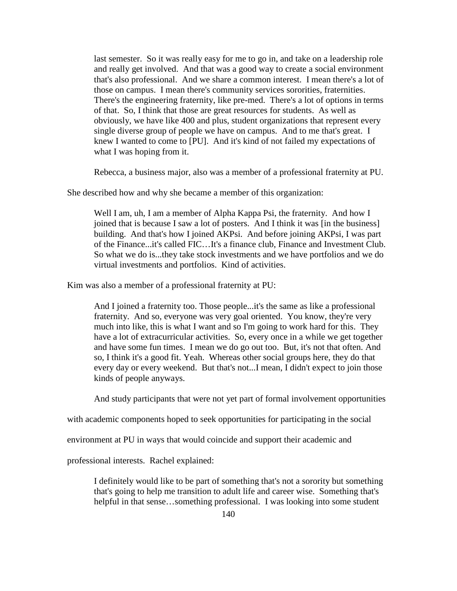last semester. So it was really easy for me to go in, and take on a leadership role and really get involved. And that was a good way to create a social environment that's also professional. And we share a common interest. I mean there's a lot of those on campus. I mean there's community services sororities, fraternities. There's the engineering fraternity, like pre-med. There's a lot of options in terms of that. So, I think that those are great resources for students. As well as obviously, we have like 400 and plus, student organizations that represent every single diverse group of people we have on campus. And to me that's great. I knew I wanted to come to [PU]. And it's kind of not failed my expectations of what I was hoping from it.

Rebecca, a business major, also was a member of a professional fraternity at PU.

She described how and why she became a member of this organization:

Well I am, uh, I am a member of Alpha Kappa Psi, the fraternity. And how I joined that is because I saw a lot of posters. And I think it was [in the business] building. And that's how I joined AKPsi. And before joining AKPsi, I was part of the Finance...it's called FIC…It's a finance club, Finance and Investment Club. So what we do is...they take stock investments and we have portfolios and we do virtual investments and portfolios. Kind of activities.

Kim was also a member of a professional fraternity at PU:

And I joined a fraternity too. Those people...it's the same as like a professional fraternity. And so, everyone was very goal oriented. You know, they're very much into like, this is what I want and so I'm going to work hard for this. They have a lot of extracurricular activities. So, every once in a while we get together and have some fun times. I mean we do go out too. But, it's not that often. And so, I think it's a good fit. Yeah. Whereas other social groups here, they do that every day or every weekend. But that's not...I mean, I didn't expect to join those kinds of people anyways.

And study participants that were not yet part of formal involvement opportunities

with academic components hoped to seek opportunities for participating in the social

environment at PU in ways that would coincide and support their academic and

professional interests. Rachel explained:

I definitely would like to be part of something that's not a sorority but something that's going to help me transition to adult life and career wise. Something that's helpful in that sense...something professional. I was looking into some student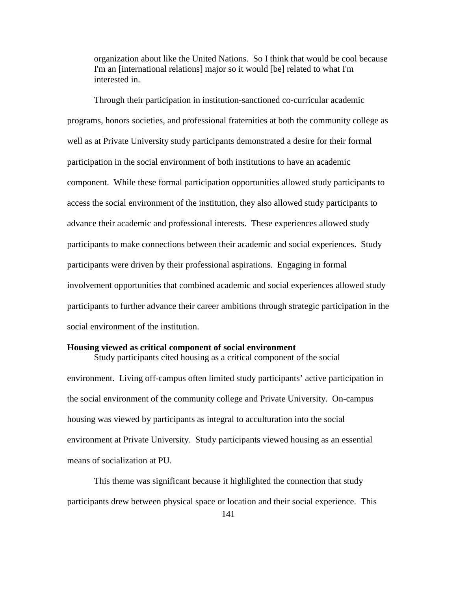organization about like the United Nations. So I think that would be cool because I'm an [international relations] major so it would [be] related to what I'm interested in.

Through their participation in institution-sanctioned co-curricular academic programs, honors societies, and professional fraternities at both the community college as well as at Private University study participants demonstrated a desire for their formal participation in the social environment of both institutions to have an academic component. While these formal participation opportunities allowed study participants to access the social environment of the institution, they also allowed study participants to advance their academic and professional interests. These experiences allowed study participants to make connections between their academic and social experiences. Study participants were driven by their professional aspirations. Engaging in formal involvement opportunities that combined academic and social experiences allowed study participants to further advance their career ambitions through strategic participation in the social environment of the institution.

#### **Housing viewed as critical component of social environment**

Study participants cited housing as a critical component of the social environment. Living off-campus often limited study participants' active participation in the social environment of the community college and Private University. On-campus housing was viewed by participants as integral to acculturation into the social environment at Private University. Study participants viewed housing as an essential means of socialization at PU.

This theme was significant because it highlighted the connection that study participants drew between physical space or location and their social experience. This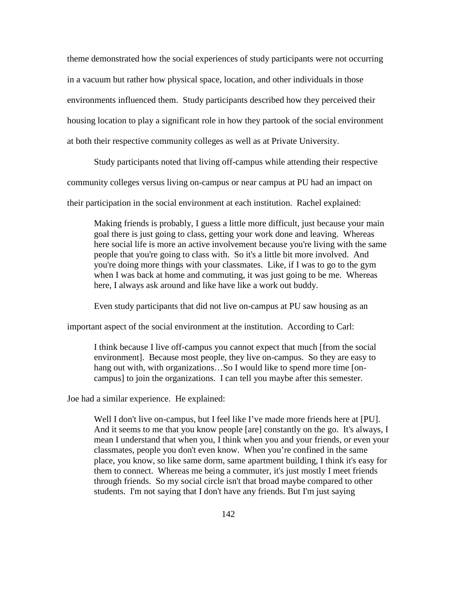theme demonstrated how the social experiences of study participants were not occurring in a vacuum but rather how physical space, location, and other individuals in those environments influenced them. Study participants described how they perceived their housing location to play a significant role in how they partook of the social environment at both their respective community colleges as well as at Private University.

Study participants noted that living off-campus while attending their respective

community colleges versus living on-campus or near campus at PU had an impact on

their participation in the social environment at each institution. Rachel explained:

Making friends is probably, I guess a little more difficult, just because your main goal there is just going to class, getting your work done and leaving. Whereas here social life is more an active involvement because you're living with the same people that you're going to class with. So it's a little bit more involved. And you're doing more things with your classmates. Like, if I was to go to the gym when I was back at home and commuting, it was just going to be me. Whereas here, I always ask around and like have like a work out buddy.

Even study participants that did not live on-campus at PU saw housing as an

important aspect of the social environment at the institution. According to Carl:

I think because I live off-campus you cannot expect that much [from the social environment]. Because most people, they live on-campus. So they are easy to hang out with, with organizations...So I would like to spend more time [oncampus] to join the organizations. I can tell you maybe after this semester.

Joe had a similar experience. He explained:

Well I don't live on-campus, but I feel like I've made more friends here at [PU]. And it seems to me that you know people [are] constantly on the go. It's always, I mean I understand that when you, I think when you and your friends, or even your classmates, people you don't even know. When you're confined in the same place, you know, so like same dorm, same apartment building, I think it's easy for them to connect. Whereas me being a commuter, it's just mostly I meet friends through friends. So my social circle isn't that broad maybe compared to other students. I'm not saying that I don't have any friends. But I'm just saying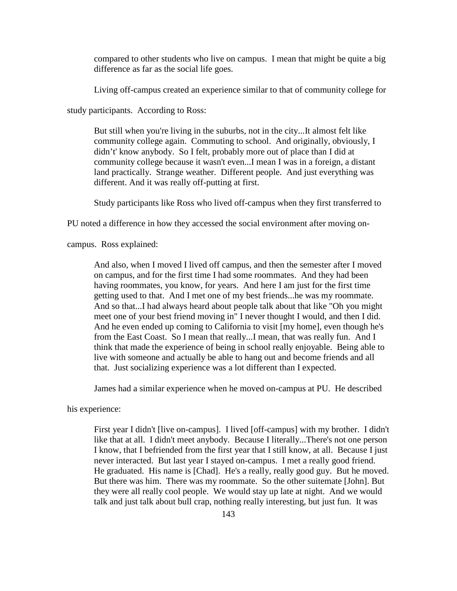compared to other students who live on campus. I mean that might be quite a big difference as far as the social life goes.

Living off-campus created an experience similar to that of community college for

study participants. According to Ross:

But still when you're living in the suburbs, not in the city...It almost felt like community college again. Commuting to school. And originally, obviously, I didn't' know anybody. So I felt, probably more out of place than I did at community college because it wasn't even...I mean I was in a foreign, a distant land practically. Strange weather. Different people. And just everything was different. And it was really off-putting at first.

Study participants like Ross who lived off-campus when they first transferred to

PU noted a difference in how they accessed the social environment after moving on-

campus. Ross explained:

And also, when I moved I lived off campus, and then the semester after I moved on campus, and for the first time I had some roommates. And they had been having roommates, you know, for years. And here I am just for the first time getting used to that. And I met one of my best friends...he was my roommate. And so that...I had always heard about people talk about that like "Oh you might meet one of your best friend moving in" I never thought I would, and then I did. And he even ended up coming to California to visit [my home], even though he's from the East Coast. So I mean that really...I mean, that was really fun. And I think that made the experience of being in school really enjoyable. Being able to live with someone and actually be able to hang out and become friends and all that. Just socializing experience was a lot different than I expected.

James had a similar experience when he moved on-campus at PU. He described

his experience:

First year I didn't [live on-campus]. I lived [off-campus] with my brother. I didn't like that at all. I didn't meet anybody. Because I literally...There's not one person I know, that I befriended from the first year that I still know, at all. Because I just never interacted. But last year I stayed on-campus. I met a really good friend. He graduated. His name is [Chad]. He's a really, really good guy. But he moved. But there was him. There was my roommate. So the other suitemate [John]. But they were all really cool people. We would stay up late at night. And we would talk and just talk about bull crap, nothing really interesting, but just fun. It was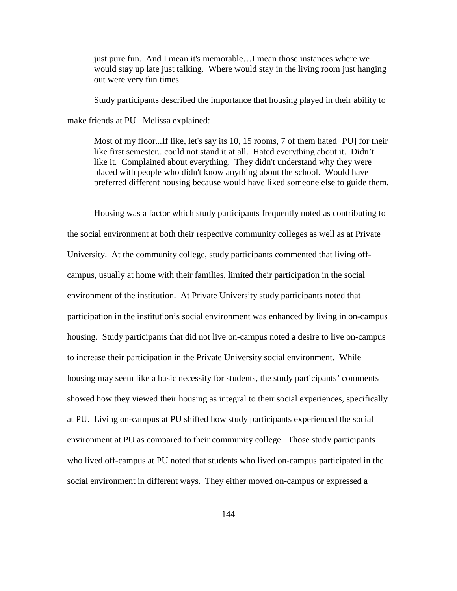just pure fun. And I mean it's memorable…I mean those instances where we would stay up late just talking. Where would stay in the living room just hanging out were very fun times.

Study participants described the importance that housing played in their ability to make friends at PU. Melissa explained:

Most of my floor...If like, let's say its 10, 15 rooms, 7 of them hated [PU] for their like first semester...could not stand it at all. Hated everything about it. Didn't like it. Complained about everything. They didn't understand why they were placed with people who didn't know anything about the school. Would have preferred different housing because would have liked someone else to guide them.

Housing was a factor which study participants frequently noted as contributing to the social environment at both their respective community colleges as well as at Private University. At the community college, study participants commented that living offcampus, usually at home with their families, limited their participation in the social environment of the institution. At Private University study participants noted that participation in the institution's social environment was enhanced by living in on-campus housing. Study participants that did not live on-campus noted a desire to live on-campus to increase their participation in the Private University social environment. While housing may seem like a basic necessity for students, the study participants' comments showed how they viewed their housing as integral to their social experiences, specifically at PU. Living on-campus at PU shifted how study participants experienced the social environment at PU as compared to their community college. Those study participants who lived off-campus at PU noted that students who lived on-campus participated in the social environment in different ways. They either moved on-campus or expressed a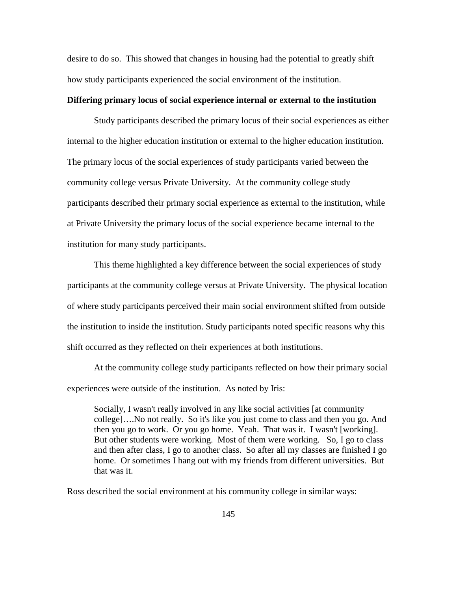desire to do so. This showed that changes in housing had the potential to greatly shift how study participants experienced the social environment of the institution.

## **Differing primary locus of social experience internal or external to the institution**

Study participants described the primary locus of their social experiences as either internal to the higher education institution or external to the higher education institution. The primary locus of the social experiences of study participants varied between the community college versus Private University. At the community college study participants described their primary social experience as external to the institution, while at Private University the primary locus of the social experience became internal to the institution for many study participants.

This theme highlighted a key difference between the social experiences of study participants at the community college versus at Private University. The physical location of where study participants perceived their main social environment shifted from outside the institution to inside the institution. Study participants noted specific reasons why this shift occurred as they reflected on their experiences at both institutions.

At the community college study participants reflected on how their primary social experiences were outside of the institution. As noted by Iris:

Socially, I wasn't really involved in any like social activities [at community college]….No not really. So it's like you just come to class and then you go. And then you go to work. Or you go home. Yeah. That was it. I wasn't [working]. But other students were working. Most of them were working. So, I go to class and then after class, I go to another class. So after all my classes are finished I go home. Or sometimes I hang out with my friends from different universities. But that was it.

Ross described the social environment at his community college in similar ways: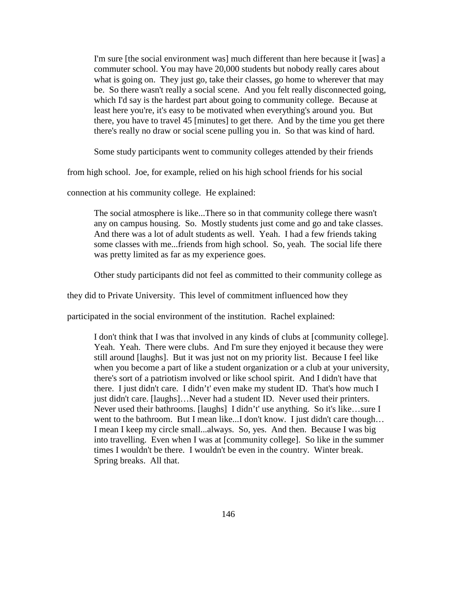I'm sure [the social environment was] much different than here because it [was] a commuter school. You may have 20,000 students but nobody really cares about what is going on. They just go, take their classes, go home to wherever that may be. So there wasn't really a social scene. And you felt really disconnected going, which I'd say is the hardest part about going to community college. Because at least here you're, it's easy to be motivated when everything's around you. But there, you have to travel 45 [minutes] to get there. And by the time you get there there's really no draw or social scene pulling you in. So that was kind of hard.

Some study participants went to community colleges attended by their friends

from high school. Joe, for example, relied on his high school friends for his social

connection at his community college. He explained:

The social atmosphere is like...There so in that community college there wasn't any on campus housing. So. Mostly students just come and go and take classes. And there was a lot of adult students as well. Yeah. I had a few friends taking some classes with me...friends from high school. So, yeah. The social life there was pretty limited as far as my experience goes.

Other study participants did not feel as committed to their community college as

they did to Private University. This level of commitment influenced how they

participated in the social environment of the institution. Rachel explained:

I don't think that I was that involved in any kinds of clubs at [community college]. Yeah. Yeah. There were clubs. And I'm sure they enjoyed it because they were still around [laughs]. But it was just not on my priority list. Because I feel like when you become a part of like a student organization or a club at your university, there's sort of a patriotism involved or like school spirit. And I didn't have that there. I just didn't care. I didn't' even make my student ID. That's how much I just didn't care. [laughs]…Never had a student ID. Never used their printers. Never used their bathrooms. [laughs] I didn't' use anything. So it's like…sure I went to the bathroom. But I mean like...I don't know. I just didn't care though... I mean I keep my circle small...always. So, yes. And then. Because I was big into travelling. Even when I was at [community college]. So like in the summer times I wouldn't be there. I wouldn't be even in the country. Winter break. Spring breaks. All that.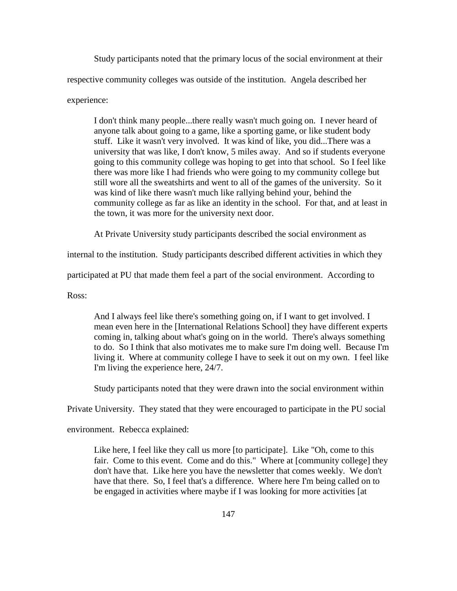Study participants noted that the primary locus of the social environment at their respective community colleges was outside of the institution. Angela described her experience:

I don't think many people...there really wasn't much going on. I never heard of anyone talk about going to a game, like a sporting game, or like student body stuff. Like it wasn't very involved. It was kind of like, you did...There was a university that was like, I don't know, 5 miles away. And so if students everyone going to this community college was hoping to get into that school. So I feel like there was more like I had friends who were going to my community college but still wore all the sweatshirts and went to all of the games of the university. So it was kind of like there wasn't much like rallying behind your, behind the community college as far as like an identity in the school. For that, and at least in the town, it was more for the university next door.

At Private University study participants described the social environment as

internal to the institution. Study participants described different activities in which they

participated at PU that made them feel a part of the social environment. According to

Ross:

And I always feel like there's something going on, if I want to get involved. I mean even here in the [International Relations School] they have different experts coming in, talking about what's going on in the world. There's always something to do. So I think that also motivates me to make sure I'm doing well. Because I'm living it. Where at community college I have to seek it out on my own. I feel like I'm living the experience here, 24/7.

Study participants noted that they were drawn into the social environment within

Private University. They stated that they were encouraged to participate in the PU social

environment. Rebecca explained:

Like here, I feel like they call us more [to participate]. Like "Oh, come to this fair. Come to this event. Come and do this." Where at [community college] they don't have that. Like here you have the newsletter that comes weekly. We don't have that there. So, I feel that's a difference. Where here I'm being called on to be engaged in activities where maybe if I was looking for more activities [at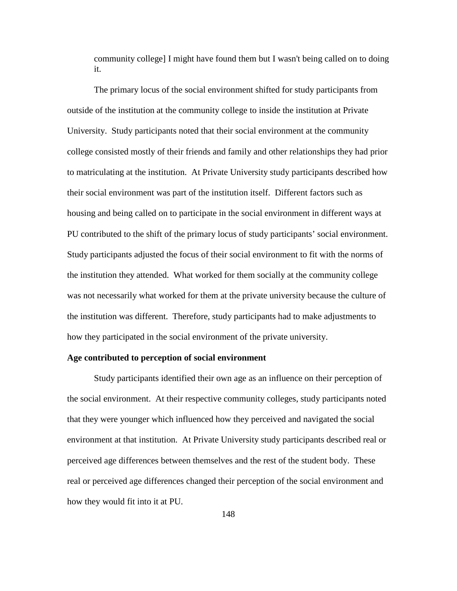community college] I might have found them but I wasn't being called on to doing it.

The primary locus of the social environment shifted for study participants from outside of the institution at the community college to inside the institution at Private University. Study participants noted that their social environment at the community college consisted mostly of their friends and family and other relationships they had prior to matriculating at the institution. At Private University study participants described how their social environment was part of the institution itself. Different factors such as housing and being called on to participate in the social environment in different ways at PU contributed to the shift of the primary locus of study participants' social environment. Study participants adjusted the focus of their social environment to fit with the norms of the institution they attended. What worked for them socially at the community college was not necessarily what worked for them at the private university because the culture of the institution was different. Therefore, study participants had to make adjustments to how they participated in the social environment of the private university.

## **Age contributed to perception of social environment**

Study participants identified their own age as an influence on their perception of the social environment. At their respective community colleges, study participants noted that they were younger which influenced how they perceived and navigated the social environment at that institution. At Private University study participants described real or perceived age differences between themselves and the rest of the student body. These real or perceived age differences changed their perception of the social environment and how they would fit into it at PU.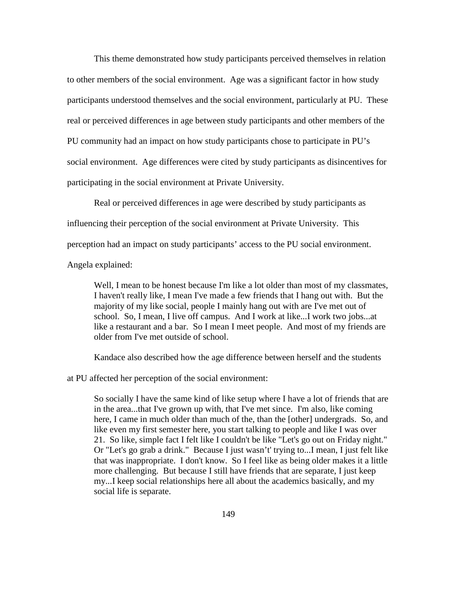This theme demonstrated how study participants perceived themselves in relation to other members of the social environment. Age was a significant factor in how study participants understood themselves and the social environment, particularly at PU. These real or perceived differences in age between study participants and other members of the PU community had an impact on how study participants chose to participate in PU's social environment. Age differences were cited by study participants as disincentives for participating in the social environment at Private University.

Real or perceived differences in age were described by study participants as influencing their perception of the social environment at Private University. This perception had an impact on study participants' access to the PU social environment. Angela explained:

Well, I mean to be honest because I'm like a lot older than most of my classmates, I haven't really like, I mean I've made a few friends that I hang out with. But the majority of my like social, people I mainly hang out with are I've met out of school. So, I mean, I live off campus. And I work at like...I work two jobs...at like a restaurant and a bar. So I mean I meet people. And most of my friends are older from I've met outside of school.

Kandace also described how the age difference between herself and the students

at PU affected her perception of the social environment:

So socially I have the same kind of like setup where I have a lot of friends that are in the area...that I've grown up with, that I've met since. I'm also, like coming here, I came in much older than much of the, than the [other] undergrads. So, and like even my first semester here, you start talking to people and like I was over 21. So like, simple fact I felt like I couldn't be like "Let's go out on Friday night." Or "Let's go grab a drink." Because I just wasn't' trying to...I mean, I just felt like that was inappropriate. I don't know. So I feel like as being older makes it a little more challenging. But because I still have friends that are separate, I just keep my...I keep social relationships here all about the academics basically, and my social life is separate.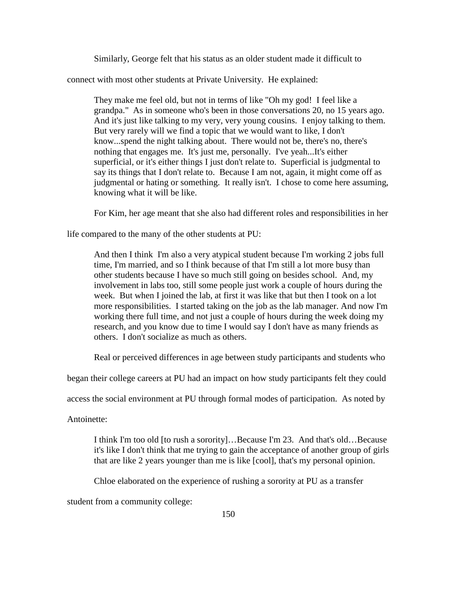Similarly, George felt that his status as an older student made it difficult to

connect with most other students at Private University. He explained:

They make me feel old, but not in terms of like "Oh my god! I feel like a grandpa." As in someone who's been in those conversations 20, no 15 years ago. And it's just like talking to my very, very young cousins. I enjoy talking to them. But very rarely will we find a topic that we would want to like, I don't know...spend the night talking about. There would not be, there's no, there's nothing that engages me. It's just me, personally. I've yeah...It's either superficial, or it's either things I just don't relate to. Superficial is judgmental to say its things that I don't relate to. Because I am not, again, it might come off as judgmental or hating or something. It really isn't. I chose to come here assuming, knowing what it will be like.

For Kim, her age meant that she also had different roles and responsibilities in her

life compared to the many of the other students at PU:

And then I think I'm also a very atypical student because I'm working 2 jobs full time, I'm married, and so I think because of that I'm still a lot more busy than other students because I have so much still going on besides school. And, my involvement in labs too, still some people just work a couple of hours during the week. But when I joined the lab, at first it was like that but then I took on a lot more responsibilities. I started taking on the job as the lab manager. And now I'm working there full time, and not just a couple of hours during the week doing my research, and you know due to time I would say I don't have as many friends as others. I don't socialize as much as others.

Real or perceived differences in age between study participants and students who

began their college careers at PU had an impact on how study participants felt they could

access the social environment at PU through formal modes of participation. As noted by

Antoinette:

I think I'm too old [to rush a sorority]…Because I'm 23. And that's old…Because it's like I don't think that me trying to gain the acceptance of another group of girls that are like 2 years younger than me is like [cool], that's my personal opinion.

Chloe elaborated on the experience of rushing a sorority at PU as a transfer

student from a community college: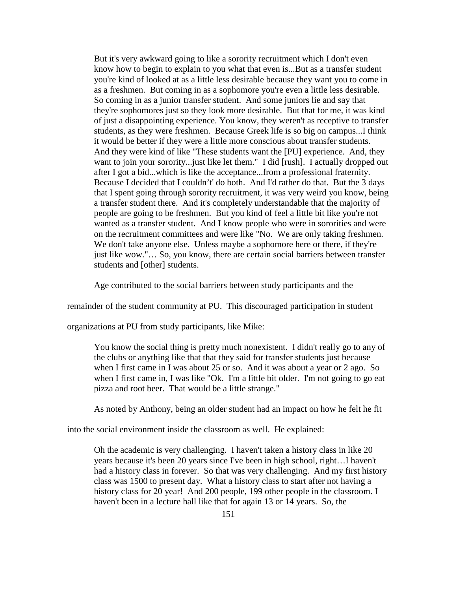But it's very awkward going to like a sorority recruitment which I don't even know how to begin to explain to you what that even is...But as a transfer student you're kind of looked at as a little less desirable because they want you to come in as a freshmen. But coming in as a sophomore you're even a little less desirable. So coming in as a junior transfer student. And some juniors lie and say that they're sophomores just so they look more desirable. But that for me, it was kind of just a disappointing experience. You know, they weren't as receptive to transfer students, as they were freshmen. Because Greek life is so big on campus...I think it would be better if they were a little more conscious about transfer students. And they were kind of like "These students want the [PU] experience. And, they want to join your sorority...just like let them." I did [rush]. I actually dropped out after I got a bid...which is like the acceptance...from a professional fraternity. Because I decided that I couldn't' do both. And I'd rather do that. But the 3 days that I spent going through sorority recruitment, it was very weird you know, being a transfer student there. And it's completely understandable that the majority of people are going to be freshmen. But you kind of feel a little bit like you're not wanted as a transfer student. And I know people who were in sororities and were on the recruitment committees and were like "No. We are only taking freshmen. We don't take anyone else. Unless maybe a sophomore here or there, if they're just like wow."... So, you know, there are certain social barriers between transfer students and [other] students.

Age contributed to the social barriers between study participants and the

remainder of the student community at PU. This discouraged participation in student

organizations at PU from study participants, like Mike:

You know the social thing is pretty much nonexistent. I didn't really go to any of the clubs or anything like that that they said for transfer students just because when I first came in I was about 25 or so. And it was about a year or 2 ago. So when I first came in, I was like "Ok. I'm a little bit older. I'm not going to go eat pizza and root beer. That would be a little strange."

As noted by Anthony, being an older student had an impact on how he felt he fit

into the social environment inside the classroom as well. He explained:

Oh the academic is very challenging. I haven't taken a history class in like 20 years because it's been 20 years since I've been in high school, right…I haven't had a history class in forever. So that was very challenging. And my first history class was 1500 to present day. What a history class to start after not having a history class for 20 year! And 200 people, 199 other people in the classroom. I haven't been in a lecture hall like that for again 13 or 14 years. So, the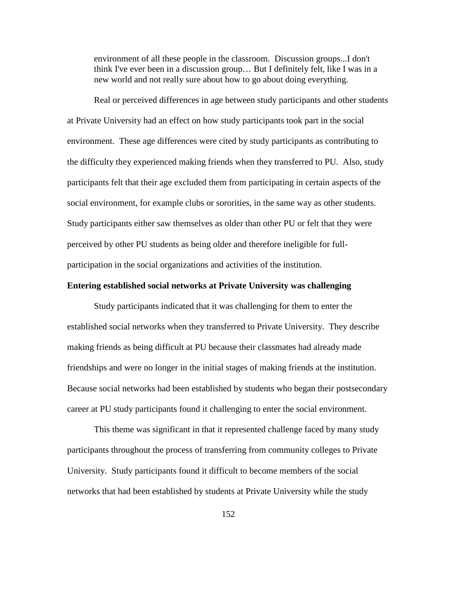environment of all these people in the classroom. Discussion groups...I don't think I've ever been in a discussion group… But I definitely felt, like I was in a new world and not really sure about how to go about doing everything.

Real or perceived differences in age between study participants and other students at Private University had an effect on how study participants took part in the social environment. These age differences were cited by study participants as contributing to the difficulty they experienced making friends when they transferred to PU. Also, study participants felt that their age excluded them from participating in certain aspects of the social environment, for example clubs or sororities, in the same way as other students. Study participants either saw themselves as older than other PU or felt that they were perceived by other PU students as being older and therefore ineligible for fullparticipation in the social organizations and activities of the institution.

# **Entering established social networks at Private University was challenging**

Study participants indicated that it was challenging for them to enter the established social networks when they transferred to Private University. They describe making friends as being difficult at PU because their classmates had already made friendships and were no longer in the initial stages of making friends at the institution. Because social networks had been established by students who began their postsecondary career at PU study participants found it challenging to enter the social environment.

This theme was significant in that it represented challenge faced by many study participants throughout the process of transferring from community colleges to Private University. Study participants found it difficult to become members of the social networks that had been established by students at Private University while the study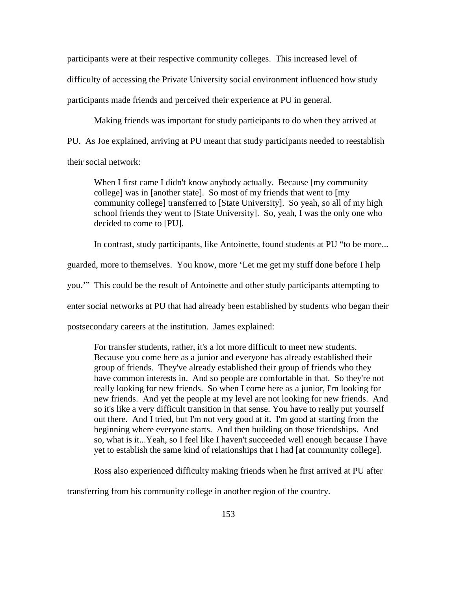participants were at their respective community colleges. This increased level of difficulty of accessing the Private University social environment influenced how study participants made friends and perceived their experience at PU in general.

Making friends was important for study participants to do when they arrived at PU. As Joe explained, arriving at PU meant that study participants needed to reestablish their social network:

When I first came I didn't know anybody actually. Because [my community college] was in [another state]. So most of my friends that went to [my community college] transferred to [State University]. So yeah, so all of my high school friends they went to [State University]. So, yeah, I was the only one who decided to come to [PU].

In contrast, study participants, like Antoinette, found students at PU "to be more...

guarded, more to themselves. You know, more 'Let me get my stuff done before I help

you.'" This could be the result of Antoinette and other study participants attempting to

enter social networks at PU that had already been established by students who began their

postsecondary careers at the institution. James explained:

For transfer students, rather, it's a lot more difficult to meet new students. Because you come here as a junior and everyone has already established their group of friends. They've already established their group of friends who they have common interests in. And so people are comfortable in that. So they're not really looking for new friends. So when I come here as a junior, I'm looking for new friends. And yet the people at my level are not looking for new friends. And so it's like a very difficult transition in that sense. You have to really put yourself out there. And I tried, but I'm not very good at it. I'm good at starting from the beginning where everyone starts. And then building on those friendships. And so, what is it...Yeah, so I feel like I haven't succeeded well enough because I have yet to establish the same kind of relationships that I had [at community college].

Ross also experienced difficulty making friends when he first arrived at PU after

transferring from his community college in another region of the country.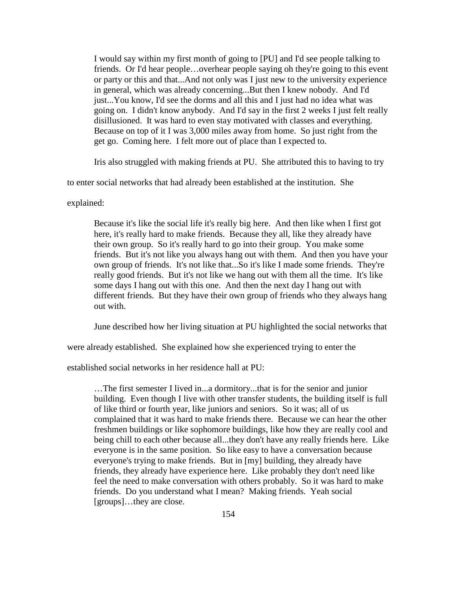I would say within my first month of going to [PU] and I'd see people talking to friends. Or I'd hear people…overhear people saying oh they're going to this event or party or this and that...And not only was I just new to the university experience in general, which was already concerning...But then I knew nobody. And I'd just...You know, I'd see the dorms and all this and I just had no idea what was going on. I didn't know anybody. And I'd say in the first 2 weeks I just felt really disillusioned. It was hard to even stay motivated with classes and everything. Because on top of it I was 3,000 miles away from home. So just right from the get go. Coming here. I felt more out of place than I expected to.

Iris also struggled with making friends at PU. She attributed this to having to try

to enter social networks that had already been established at the institution. She

explained:

Because it's like the social life it's really big here. And then like when I first got here, it's really hard to make friends. Because they all, like they already have their own group. So it's really hard to go into their group. You make some friends. But it's not like you always hang out with them. And then you have your own group of friends. It's not like that...So it's like I made some friends. They're really good friends. But it's not like we hang out with them all the time. It's like some days I hang out with this one. And then the next day I hang out with different friends. But they have their own group of friends who they always hang out with.

June described how her living situation at PU highlighted the social networks that

were already established. She explained how she experienced trying to enter the

established social networks in her residence hall at PU:

…The first semester I lived in...a dormitory...that is for the senior and junior building. Even though I live with other transfer students, the building itself is full of like third or fourth year, like juniors and seniors. So it was; all of us complained that it was hard to make friends there. Because we can hear the other freshmen buildings or like sophomore buildings, like how they are really cool and being chill to each other because all...they don't have any really friends here. Like everyone is in the same position. So like easy to have a conversation because everyone's trying to make friends. But in [my] building, they already have friends, they already have experience here. Like probably they don't need like feel the need to make conversation with others probably. So it was hard to make friends. Do you understand what I mean? Making friends. Yeah social [groups]…they are close.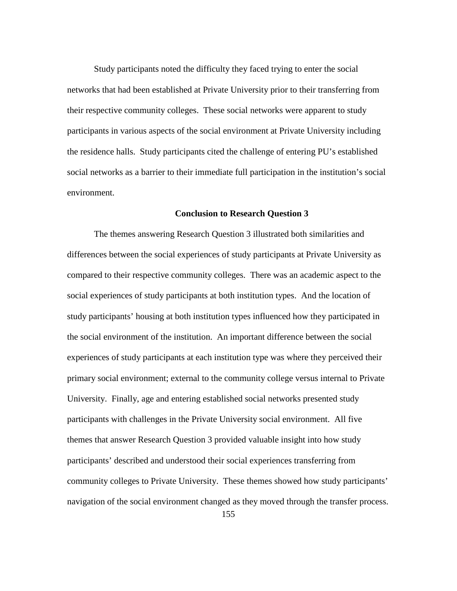Study participants noted the difficulty they faced trying to enter the social networks that had been established at Private University prior to their transferring from their respective community colleges. These social networks were apparent to study participants in various aspects of the social environment at Private University including the residence halls. Study participants cited the challenge of entering PU's established social networks as a barrier to their immediate full participation in the institution's social environment.

## **Conclusion to Research Question 3**

The themes answering Research Question 3 illustrated both similarities and differences between the social experiences of study participants at Private University as compared to their respective community colleges. There was an academic aspect to the social experiences of study participants at both institution types. And the location of study participants' housing at both institution types influenced how they participated in the social environment of the institution. An important difference between the social experiences of study participants at each institution type was where they perceived their primary social environment; external to the community college versus internal to Private University. Finally, age and entering established social networks presented study participants with challenges in the Private University social environment. All five themes that answer Research Question 3 provided valuable insight into how study participants' described and understood their social experiences transferring from community colleges to Private University. These themes showed how study participants' navigation of the social environment changed as they moved through the transfer process.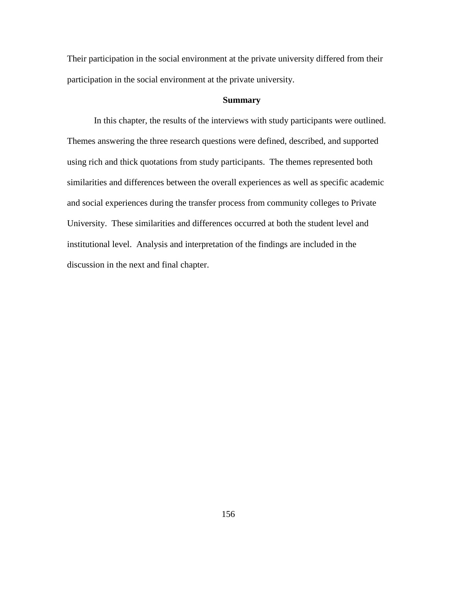Their participation in the social environment at the private university differed from their participation in the social environment at the private university.

# **Summary**

In this chapter, the results of the interviews with study participants were outlined. Themes answering the three research questions were defined, described, and supported using rich and thick quotations from study participants. The themes represented both similarities and differences between the overall experiences as well as specific academic and social experiences during the transfer process from community colleges to Private University. These similarities and differences occurred at both the student level and institutional level. Analysis and interpretation of the findings are included in the discussion in the next and final chapter.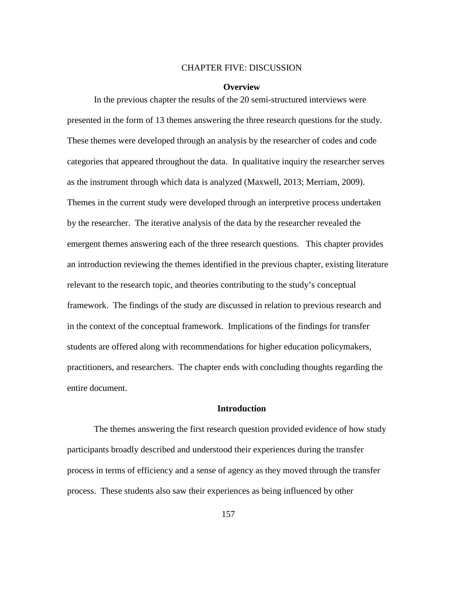#### CHAPTER FIVE: DISCUSSION

#### **Overview**

In the previous chapter the results of the 20 semi-structured interviews were presented in the form of 13 themes answering the three research questions for the study. These themes were developed through an analysis by the researcher of codes and code categories that appeared throughout the data. In qualitative inquiry the researcher serves as the instrument through which data is analyzed (Maxwell, 2013; Merriam, 2009). Themes in the current study were developed through an interpretive process undertaken by the researcher. The iterative analysis of the data by the researcher revealed the emergent themes answering each of the three research questions. This chapter provides an introduction reviewing the themes identified in the previous chapter, existing literature relevant to the research topic, and theories contributing to the study's conceptual framework. The findings of the study are discussed in relation to previous research and in the context of the conceptual framework. Implications of the findings for transfer students are offered along with recommendations for higher education policymakers, practitioners, and researchers. The chapter ends with concluding thoughts regarding the entire document.

### **Introduction**

The themes answering the first research question provided evidence of how study participants broadly described and understood their experiences during the transfer process in terms of efficiency and a sense of agency as they moved through the transfer process. These students also saw their experiences as being influenced by other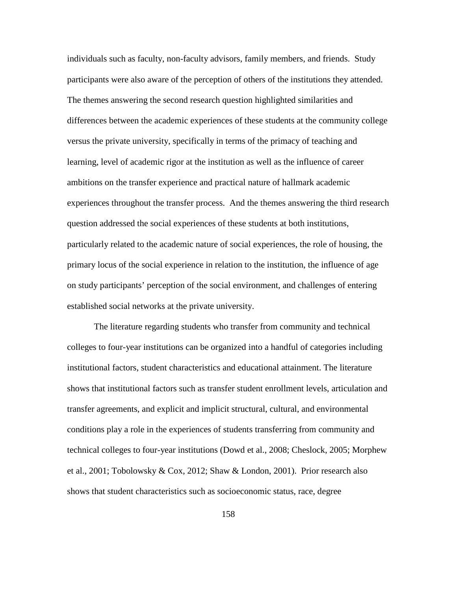individuals such as faculty, non-faculty advisors, family members, and friends. Study participants were also aware of the perception of others of the institutions they attended. The themes answering the second research question highlighted similarities and differences between the academic experiences of these students at the community college versus the private university, specifically in terms of the primacy of teaching and learning, level of academic rigor at the institution as well as the influence of career ambitions on the transfer experience and practical nature of hallmark academic experiences throughout the transfer process. And the themes answering the third research question addressed the social experiences of these students at both institutions, particularly related to the academic nature of social experiences, the role of housing, the primary locus of the social experience in relation to the institution, the influence of age on study participants' perception of the social environment, and challenges of entering established social networks at the private university.

The literature regarding students who transfer from community and technical colleges to four-year institutions can be organized into a handful of categories including institutional factors, student characteristics and educational attainment. The literature shows that institutional factors such as transfer student enrollment levels, articulation and transfer agreements, and explicit and implicit structural, cultural, and environmental conditions play a role in the experiences of students transferring from community and technical colleges to four-year institutions (Dowd et al., 2008; Cheslock, 2005; Morphew et al., 2001; Tobolowsky & Cox, 2012; Shaw & London, 2001). Prior research also shows that student characteristics such as socioeconomic status, race, degree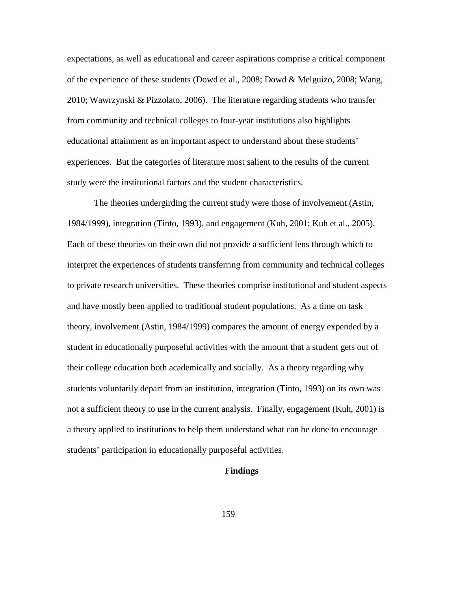expectations, as well as educational and career aspirations comprise a critical component of the experience of these students (Dowd et al., 2008; Dowd & Melguizo, 2008; Wang, 2010; Wawrzynski & Pizzolato, 2006). The literature regarding students who transfer from community and technical colleges to four-year institutions also highlights educational attainment as an important aspect to understand about these students' experiences. But the categories of literature most salient to the results of the current study were the institutional factors and the student characteristics.

The theories undergirding the current study were those of involvement (Astin, 1984/1999), integration (Tinto, 1993), and engagement (Kuh, 2001; Kuh et al., 2005). Each of these theories on their own did not provide a sufficient lens through which to interpret the experiences of students transferring from community and technical colleges to private research universities. These theories comprise institutional and student aspects and have mostly been applied to traditional student populations. As a time on task theory, involvement (Astin, 1984/1999) compares the amount of energy expended by a student in educationally purposeful activities with the amount that a student gets out of their college education both academically and socially. As a theory regarding why students voluntarily depart from an institution, integration (Tinto, 1993) on its own was not a sufficient theory to use in the current analysis. Finally, engagement (Kuh, 2001) is a theory applied to institutions to help them understand what can be done to encourage students' participation in educationally purposeful activities.

### **Findings**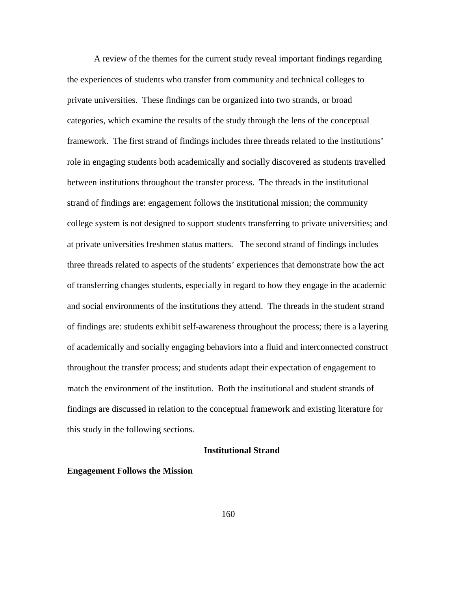A review of the themes for the current study reveal important findings regarding the experiences of students who transfer from community and technical colleges to private universities. These findings can be organized into two strands, or broad categories, which examine the results of the study through the lens of the conceptual framework. The first strand of findings includes three threads related to the institutions' role in engaging students both academically and socially discovered as students travelled between institutions throughout the transfer process. The threads in the institutional strand of findings are: engagement follows the institutional mission; the community college system is not designed to support students transferring to private universities; and at private universities freshmen status matters. The second strand of findings includes three threads related to aspects of the students' experiences that demonstrate how the act of transferring changes students, especially in regard to how they engage in the academic and social environments of the institutions they attend. The threads in the student strand of findings are: students exhibit self-awareness throughout the process; there is a layering of academically and socially engaging behaviors into a fluid and interconnected construct throughout the transfer process; and students adapt their expectation of engagement to match the environment of the institution. Both the institutional and student strands of findings are discussed in relation to the conceptual framework and existing literature for this study in the following sections.

## **Institutional Strand**

#### **Engagement Follows the Mission**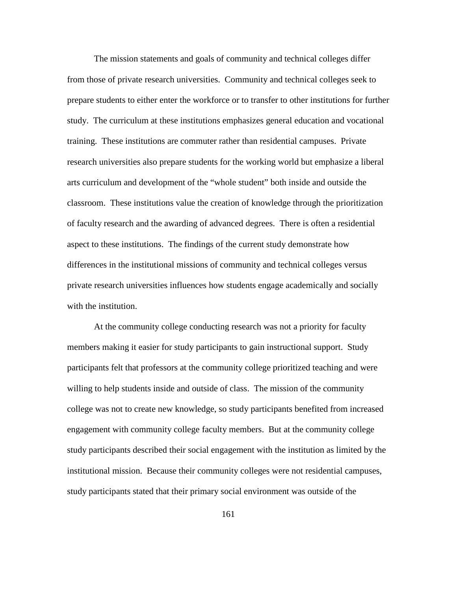The mission statements and goals of community and technical colleges differ from those of private research universities. Community and technical colleges seek to prepare students to either enter the workforce or to transfer to other institutions for further study. The curriculum at these institutions emphasizes general education and vocational training. These institutions are commuter rather than residential campuses. Private research universities also prepare students for the working world but emphasize a liberal arts curriculum and development of the "whole student" both inside and outside the classroom. These institutions value the creation of knowledge through the prioritization of faculty research and the awarding of advanced degrees. There is often a residential aspect to these institutions. The findings of the current study demonstrate how differences in the institutional missions of community and technical colleges versus private research universities influences how students engage academically and socially with the institution.

At the community college conducting research was not a priority for faculty members making it easier for study participants to gain instructional support. Study participants felt that professors at the community college prioritized teaching and were willing to help students inside and outside of class. The mission of the community college was not to create new knowledge, so study participants benefited from increased engagement with community college faculty members. But at the community college study participants described their social engagement with the institution as limited by the institutional mission. Because their community colleges were not residential campuses, study participants stated that their primary social environment was outside of the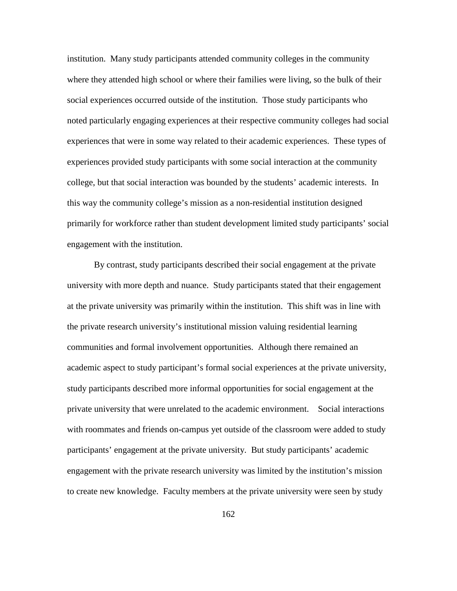institution. Many study participants attended community colleges in the community where they attended high school or where their families were living, so the bulk of their social experiences occurred outside of the institution. Those study participants who noted particularly engaging experiences at their respective community colleges had social experiences that were in some way related to their academic experiences. These types of experiences provided study participants with some social interaction at the community college, but that social interaction was bounded by the students' academic interests. In this way the community college's mission as a non-residential institution designed primarily for workforce rather than student development limited study participants' social engagement with the institution.

By contrast, study participants described their social engagement at the private university with more depth and nuance. Study participants stated that their engagement at the private university was primarily within the institution. This shift was in line with the private research university's institutional mission valuing residential learning communities and formal involvement opportunities. Although there remained an academic aspect to study participant's formal social experiences at the private university, study participants described more informal opportunities for social engagement at the private university that were unrelated to the academic environment. Social interactions with roommates and friends on-campus yet outside of the classroom were added to study participants' engagement at the private university. But study participants' academic engagement with the private research university was limited by the institution's mission to create new knowledge. Faculty members at the private university were seen by study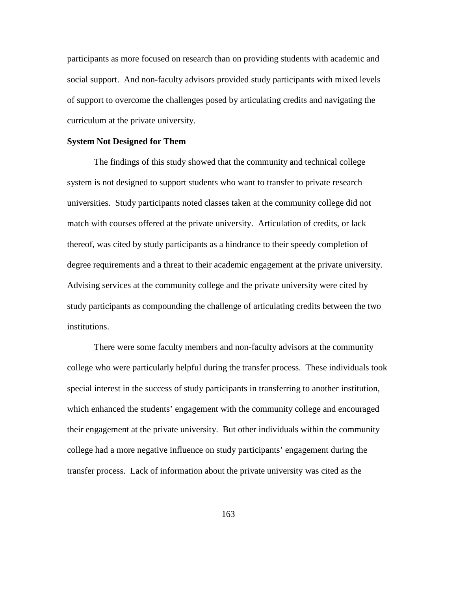participants as more focused on research than on providing students with academic and social support. And non-faculty advisors provided study participants with mixed levels of support to overcome the challenges posed by articulating credits and navigating the curriculum at the private university.

## **System Not Designed for Them**

The findings of this study showed that the community and technical college system is not designed to support students who want to transfer to private research universities. Study participants noted classes taken at the community college did not match with courses offered at the private university. Articulation of credits, or lack thereof, was cited by study participants as a hindrance to their speedy completion of degree requirements and a threat to their academic engagement at the private university. Advising services at the community college and the private university were cited by study participants as compounding the challenge of articulating credits between the two institutions.

There were some faculty members and non-faculty advisors at the community college who were particularly helpful during the transfer process. These individuals took special interest in the success of study participants in transferring to another institution, which enhanced the students' engagement with the community college and encouraged their engagement at the private university. But other individuals within the community college had a more negative influence on study participants' engagement during the transfer process. Lack of information about the private university was cited as the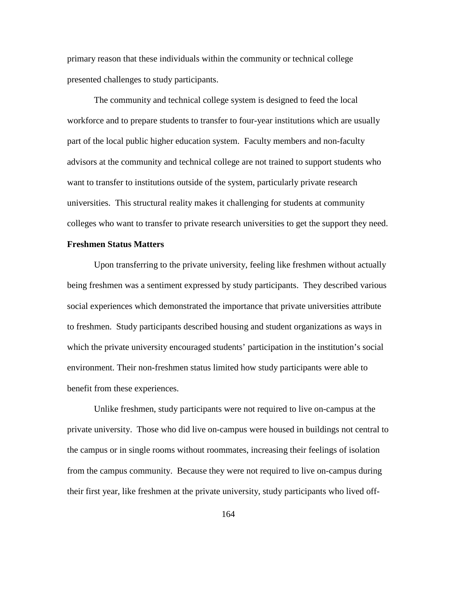primary reason that these individuals within the community or technical college presented challenges to study participants.

The community and technical college system is designed to feed the local workforce and to prepare students to transfer to four-year institutions which are usually part of the local public higher education system. Faculty members and non-faculty advisors at the community and technical college are not trained to support students who want to transfer to institutions outside of the system, particularly private research universities. This structural reality makes it challenging for students at community colleges who want to transfer to private research universities to get the support they need.

# **Freshmen Status Matters**

Upon transferring to the private university, feeling like freshmen without actually being freshmen was a sentiment expressed by study participants. They described various social experiences which demonstrated the importance that private universities attribute to freshmen. Study participants described housing and student organizations as ways in which the private university encouraged students' participation in the institution's social environment. Their non-freshmen status limited how study participants were able to benefit from these experiences.

Unlike freshmen, study participants were not required to live on-campus at the private university. Those who did live on-campus were housed in buildings not central to the campus or in single rooms without roommates, increasing their feelings of isolation from the campus community. Because they were not required to live on-campus during their first year, like freshmen at the private university, study participants who lived off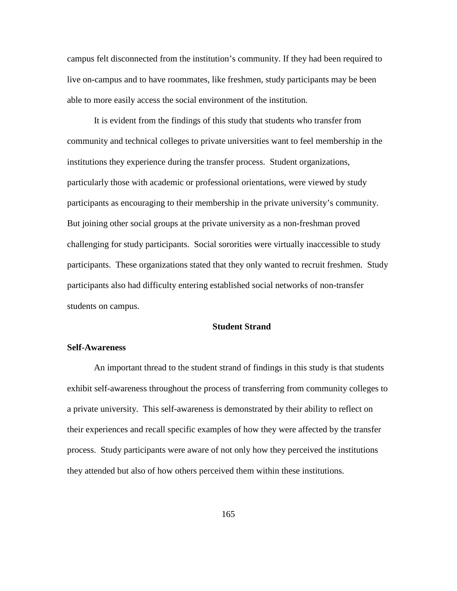campus felt disconnected from the institution's community. If they had been required to live on-campus and to have roommates, like freshmen, study participants may be been able to more easily access the social environment of the institution.

It is evident from the findings of this study that students who transfer from community and technical colleges to private universities want to feel membership in the institutions they experience during the transfer process. Student organizations, particularly those with academic or professional orientations, were viewed by study participants as encouraging to their membership in the private university's community. But joining other social groups at the private university as a non-freshman proved challenging for study participants. Social sororities were virtually inaccessible to study participants. These organizations stated that they only wanted to recruit freshmen. Study participants also had difficulty entering established social networks of non-transfer students on campus.

#### **Student Strand**

## **Self-Awareness**

An important thread to the student strand of findings in this study is that students exhibit self-awareness throughout the process of transferring from community colleges to a private university. This self-awareness is demonstrated by their ability to reflect on their experiences and recall specific examples of how they were affected by the transfer process. Study participants were aware of not only how they perceived the institutions they attended but also of how others perceived them within these institutions.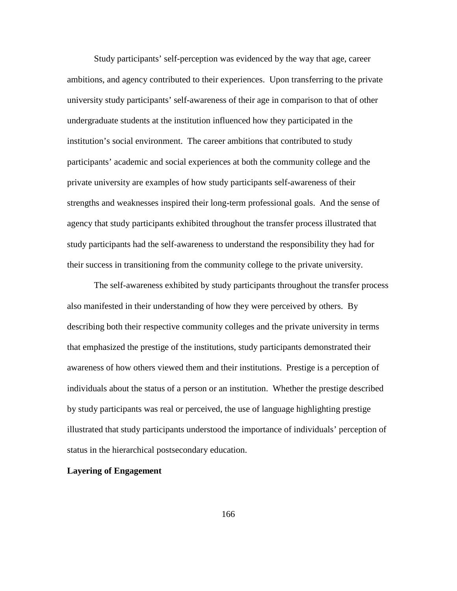Study participants' self-perception was evidenced by the way that age, career ambitions, and agency contributed to their experiences. Upon transferring to the private university study participants' self-awareness of their age in comparison to that of other undergraduate students at the institution influenced how they participated in the institution's social environment. The career ambitions that contributed to study participants' academic and social experiences at both the community college and the private university are examples of how study participants self-awareness of their strengths and weaknesses inspired their long-term professional goals. And the sense of agency that study participants exhibited throughout the transfer process illustrated that study participants had the self-awareness to understand the responsibility they had for their success in transitioning from the community college to the private university.

The self-awareness exhibited by study participants throughout the transfer process also manifested in their understanding of how they were perceived by others. By describing both their respective community colleges and the private university in terms that emphasized the prestige of the institutions, study participants demonstrated their awareness of how others viewed them and their institutions. Prestige is a perception of individuals about the status of a person or an institution. Whether the prestige described by study participants was real or perceived, the use of language highlighting prestige illustrated that study participants understood the importance of individuals' perception of status in the hierarchical postsecondary education.

### **Layering of Engagement**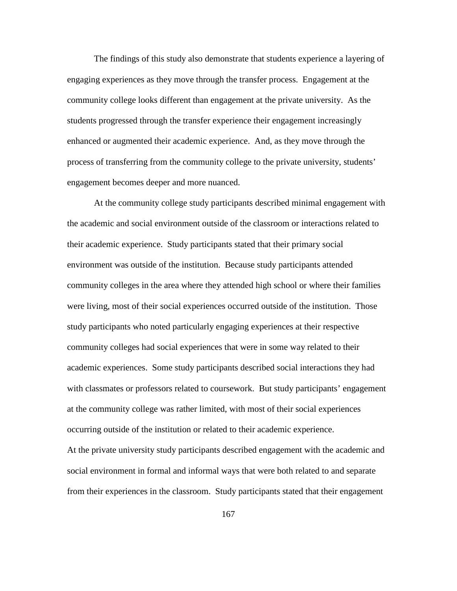The findings of this study also demonstrate that students experience a layering of engaging experiences as they move through the transfer process. Engagement at the community college looks different than engagement at the private university. As the students progressed through the transfer experience their engagement increasingly enhanced or augmented their academic experience. And, as they move through the process of transferring from the community college to the private university, students' engagement becomes deeper and more nuanced.

At the community college study participants described minimal engagement with the academic and social environment outside of the classroom or interactions related to their academic experience. Study participants stated that their primary social environment was outside of the institution. Because study participants attended community colleges in the area where they attended high school or where their families were living, most of their social experiences occurred outside of the institution. Those study participants who noted particularly engaging experiences at their respective community colleges had social experiences that were in some way related to their academic experiences. Some study participants described social interactions they had with classmates or professors related to coursework. But study participants' engagement at the community college was rather limited, with most of their social experiences occurring outside of the institution or related to their academic experience. At the private university study participants described engagement with the academic and social environment in formal and informal ways that were both related to and separate from their experiences in the classroom. Study participants stated that their engagement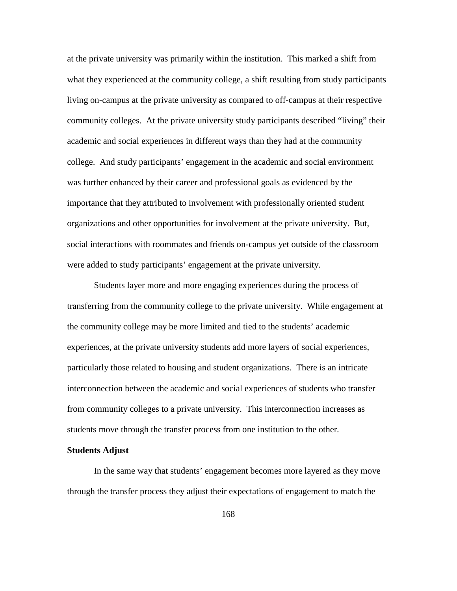at the private university was primarily within the institution. This marked a shift from what they experienced at the community college, a shift resulting from study participants living on-campus at the private university as compared to off-campus at their respective community colleges. At the private university study participants described "living" their academic and social experiences in different ways than they had at the community college. And study participants' engagement in the academic and social environment was further enhanced by their career and professional goals as evidenced by the importance that they attributed to involvement with professionally oriented student organizations and other opportunities for involvement at the private university. But, social interactions with roommates and friends on-campus yet outside of the classroom were added to study participants' engagement at the private university.

Students layer more and more engaging experiences during the process of transferring from the community college to the private university. While engagement at the community college may be more limited and tied to the students' academic experiences, at the private university students add more layers of social experiences, particularly those related to housing and student organizations. There is an intricate interconnection between the academic and social experiences of students who transfer from community colleges to a private university. This interconnection increases as students move through the transfer process from one institution to the other.

# **Students Adjust**

In the same way that students' engagement becomes more layered as they move through the transfer process they adjust their expectations of engagement to match the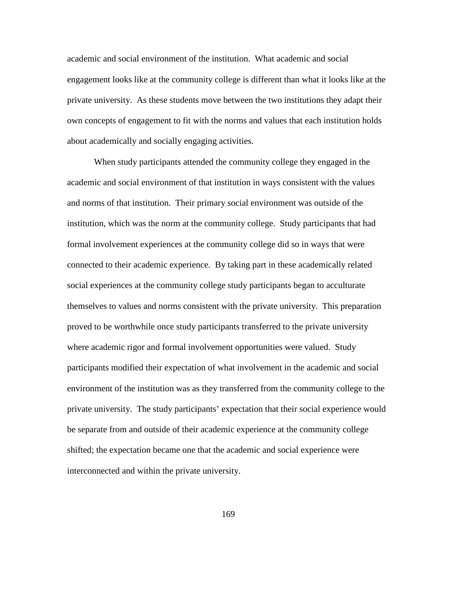academic and social environment of the institution. What academic and social engagement looks like at the community college is different than what it looks like at the private university. As these students move between the two institutions they adapt their own concepts of engagement to fit with the norms and values that each institution holds about academically and socially engaging activities.

When study participants attended the community college they engaged in the academic and social environment of that institution in ways consistent with the values and norms of that institution. Their primary social environment was outside of the institution, which was the norm at the community college. Study participants that had formal involvement experiences at the community college did so in ways that were connected to their academic experience. By taking part in these academically related social experiences at the community college study participants began to acculturate themselves to values and norms consistent with the private university. This preparation proved to be worthwhile once study participants transferred to the private university where academic rigor and formal involvement opportunities were valued. Study participants modified their expectation of what involvement in the academic and social environment of the institution was as they transferred from the community college to the private university. The study participants' expectation that their social experience would be separate from and outside of their academic experience at the community college shifted; the expectation became one that the academic and social experience were interconnected and within the private university.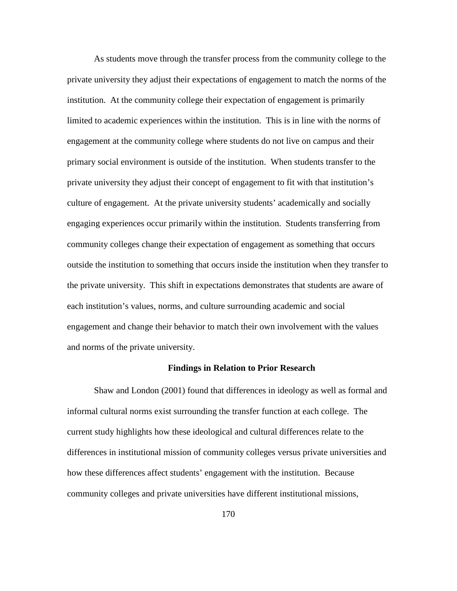As students move through the transfer process from the community college to the private university they adjust their expectations of engagement to match the norms of the institution. At the community college their expectation of engagement is primarily limited to academic experiences within the institution. This is in line with the norms of engagement at the community college where students do not live on campus and their primary social environment is outside of the institution. When students transfer to the private university they adjust their concept of engagement to fit with that institution's culture of engagement. At the private university students' academically and socially engaging experiences occur primarily within the institution. Students transferring from community colleges change their expectation of engagement as something that occurs outside the institution to something that occurs inside the institution when they transfer to the private university. This shift in expectations demonstrates that students are aware of each institution's values, norms, and culture surrounding academic and social engagement and change their behavior to match their own involvement with the values and norms of the private university.

#### **Findings in Relation to Prior Research**

Shaw and London (2001) found that differences in ideology as well as formal and informal cultural norms exist surrounding the transfer function at each college. The current study highlights how these ideological and cultural differences relate to the differences in institutional mission of community colleges versus private universities and how these differences affect students' engagement with the institution. Because community colleges and private universities have different institutional missions,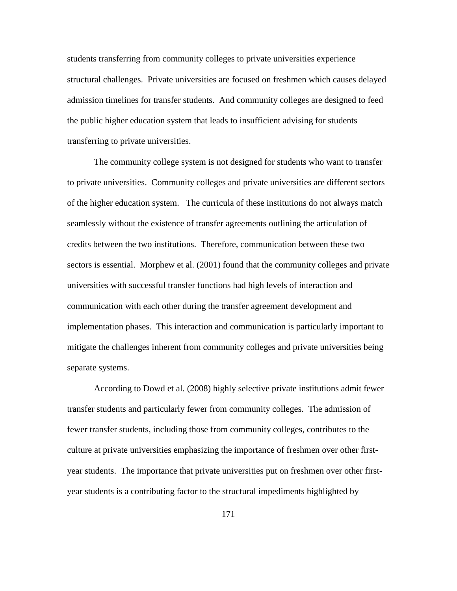students transferring from community colleges to private universities experience structural challenges. Private universities are focused on freshmen which causes delayed admission timelines for transfer students. And community colleges are designed to feed the public higher education system that leads to insufficient advising for students transferring to private universities.

The community college system is not designed for students who want to transfer to private universities. Community colleges and private universities are different sectors of the higher education system. The curricula of these institutions do not always match seamlessly without the existence of transfer agreements outlining the articulation of credits between the two institutions. Therefore, communication between these two sectors is essential. Morphew et al. (2001) found that the community colleges and private universities with successful transfer functions had high levels of interaction and communication with each other during the transfer agreement development and implementation phases. This interaction and communication is particularly important to mitigate the challenges inherent from community colleges and private universities being separate systems.

According to Dowd et al. (2008) highly selective private institutions admit fewer transfer students and particularly fewer from community colleges. The admission of fewer transfer students, including those from community colleges, contributes to the culture at private universities emphasizing the importance of freshmen over other firstyear students. The importance that private universities put on freshmen over other firstyear students is a contributing factor to the structural impediments highlighted by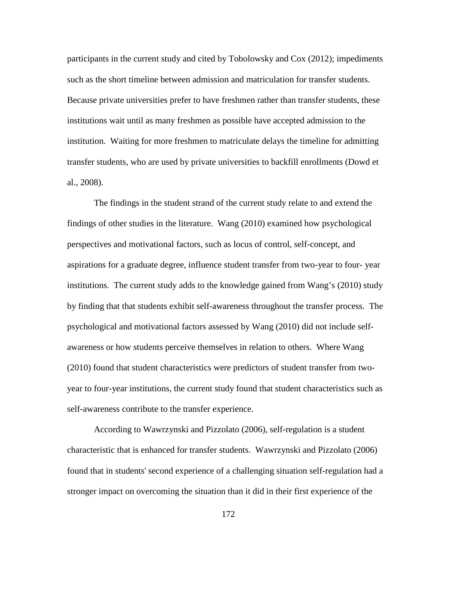participants in the current study and cited by Tobolowsky and Cox (2012); impediments such as the short timeline between admission and matriculation for transfer students. Because private universities prefer to have freshmen rather than transfer students, these institutions wait until as many freshmen as possible have accepted admission to the institution. Waiting for more freshmen to matriculate delays the timeline for admitting transfer students, who are used by private universities to backfill enrollments (Dowd et al., 2008).

The findings in the student strand of the current study relate to and extend the findings of other studies in the literature. Wang (2010) examined how psychological perspectives and motivational factors, such as locus of control, self-concept, and aspirations for a graduate degree, influence student transfer from two-year to four- year institutions. The current study adds to the knowledge gained from Wang's (2010) study by finding that that students exhibit self-awareness throughout the transfer process. The psychological and motivational factors assessed by Wang (2010) did not include selfawareness or how students perceive themselves in relation to others. Where Wang (2010) found that student characteristics were predictors of student transfer from twoyear to four-year institutions, the current study found that student characteristics such as self-awareness contribute to the transfer experience.

According to Wawrzynski and Pizzolato (2006), self-regulation is a student characteristic that is enhanced for transfer students. Wawrzynski and Pizzolato (2006) found that in students' second experience of a challenging situation self-regulation had a stronger impact on overcoming the situation than it did in their first experience of the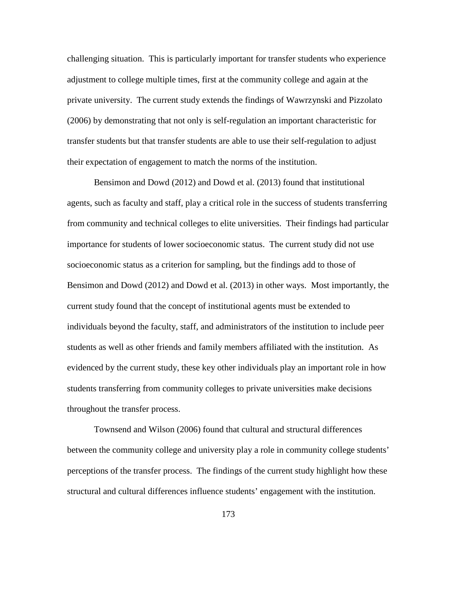challenging situation. This is particularly important for transfer students who experience adjustment to college multiple times, first at the community college and again at the private university. The current study extends the findings of Wawrzynski and Pizzolato (2006) by demonstrating that not only is self-regulation an important characteristic for transfer students but that transfer students are able to use their self-regulation to adjust their expectation of engagement to match the norms of the institution.

Bensimon and Dowd (2012) and Dowd et al. (2013) found that institutional agents, such as faculty and staff, play a critical role in the success of students transferring from community and technical colleges to elite universities. Their findings had particular importance for students of lower socioeconomic status. The current study did not use socioeconomic status as a criterion for sampling, but the findings add to those of Bensimon and Dowd (2012) and Dowd et al. (2013) in other ways. Most importantly, the current study found that the concept of institutional agents must be extended to individuals beyond the faculty, staff, and administrators of the institution to include peer students as well as other friends and family members affiliated with the institution. As evidenced by the current study, these key other individuals play an important role in how students transferring from community colleges to private universities make decisions throughout the transfer process.

Townsend and Wilson (2006) found that cultural and structural differences between the community college and university play a role in community college students' perceptions of the transfer process. The findings of the current study highlight how these structural and cultural differences influence students' engagement with the institution.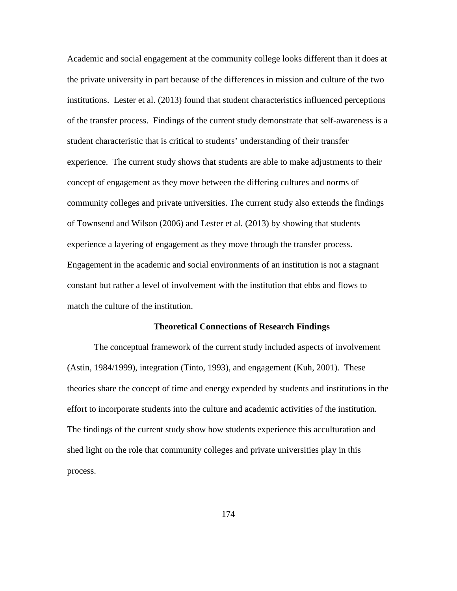Academic and social engagement at the community college looks different than it does at the private university in part because of the differences in mission and culture of the two institutions. Lester et al. (2013) found that student characteristics influenced perceptions of the transfer process. Findings of the current study demonstrate that self-awareness is a student characteristic that is critical to students' understanding of their transfer experience. The current study shows that students are able to make adjustments to their concept of engagement as they move between the differing cultures and norms of community colleges and private universities. The current study also extends the findings of Townsend and Wilson (2006) and Lester et al. (2013) by showing that students experience a layering of engagement as they move through the transfer process. Engagement in the academic and social environments of an institution is not a stagnant constant but rather a level of involvement with the institution that ebbs and flows to match the culture of the institution.

# **Theoretical Connections of Research Findings**

The conceptual framework of the current study included aspects of involvement (Astin, 1984/1999), integration (Tinto, 1993), and engagement (Kuh, 2001). These theories share the concept of time and energy expended by students and institutions in the effort to incorporate students into the culture and academic activities of the institution. The findings of the current study show how students experience this acculturation and shed light on the role that community colleges and private universities play in this process.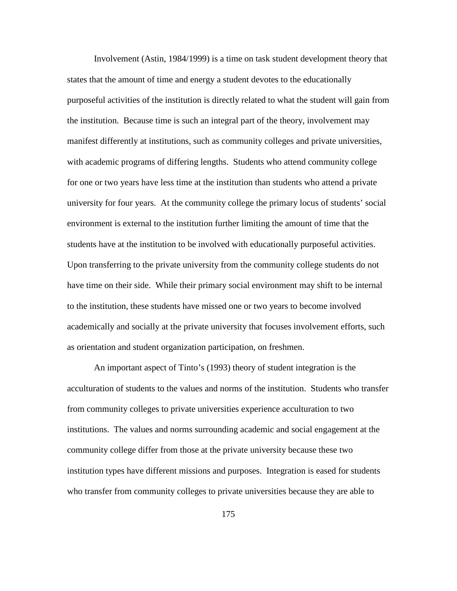Involvement (Astin, 1984/1999) is a time on task student development theory that states that the amount of time and energy a student devotes to the educationally purposeful activities of the institution is directly related to what the student will gain from the institution. Because time is such an integral part of the theory, involvement may manifest differently at institutions, such as community colleges and private universities, with academic programs of differing lengths. Students who attend community college for one or two years have less time at the institution than students who attend a private university for four years. At the community college the primary locus of students' social environment is external to the institution further limiting the amount of time that the students have at the institution to be involved with educationally purposeful activities. Upon transferring to the private university from the community college students do not have time on their side. While their primary social environment may shift to be internal to the institution, these students have missed one or two years to become involved academically and socially at the private university that focuses involvement efforts, such as orientation and student organization participation, on freshmen.

An important aspect of Tinto's (1993) theory of student integration is the acculturation of students to the values and norms of the institution. Students who transfer from community colleges to private universities experience acculturation to two institutions. The values and norms surrounding academic and social engagement at the community college differ from those at the private university because these two institution types have different missions and purposes. Integration is eased for students who transfer from community colleges to private universities because they are able to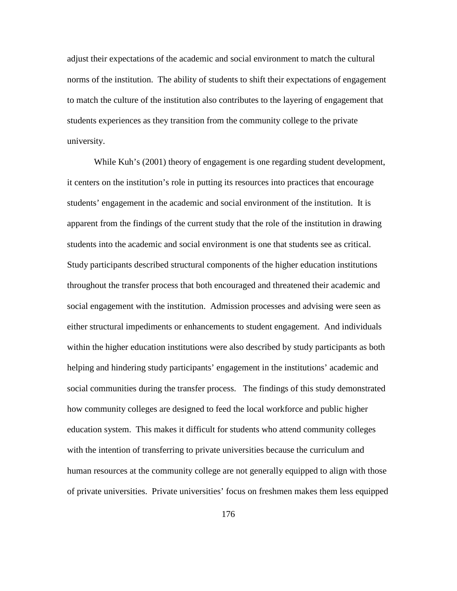adjust their expectations of the academic and social environment to match the cultural norms of the institution. The ability of students to shift their expectations of engagement to match the culture of the institution also contributes to the layering of engagement that students experiences as they transition from the community college to the private university.

While Kuh's (2001) theory of engagement is one regarding student development, it centers on the institution's role in putting its resources into practices that encourage students' engagement in the academic and social environment of the institution. It is apparent from the findings of the current study that the role of the institution in drawing students into the academic and social environment is one that students see as critical. Study participants described structural components of the higher education institutions throughout the transfer process that both encouraged and threatened their academic and social engagement with the institution. Admission processes and advising were seen as either structural impediments or enhancements to student engagement. And individuals within the higher education institutions were also described by study participants as both helping and hindering study participants' engagement in the institutions' academic and social communities during the transfer process. The findings of this study demonstrated how community colleges are designed to feed the local workforce and public higher education system. This makes it difficult for students who attend community colleges with the intention of transferring to private universities because the curriculum and human resources at the community college are not generally equipped to align with those of private universities. Private universities' focus on freshmen makes them less equipped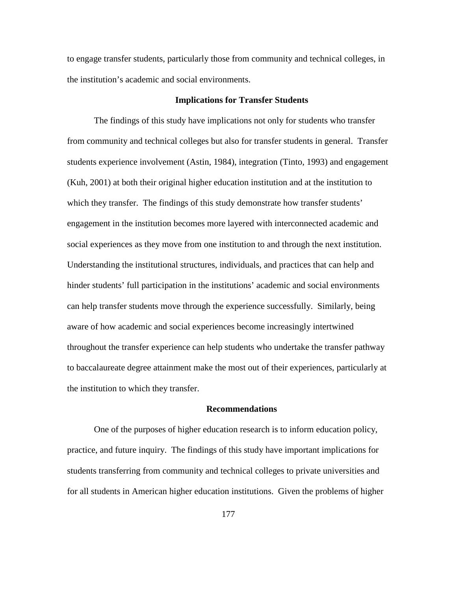to engage transfer students, particularly those from community and technical colleges, in the institution's academic and social environments.

# **Implications for Transfer Students**

The findings of this study have implications not only for students who transfer from community and technical colleges but also for transfer students in general. Transfer students experience involvement (Astin, 1984), integration (Tinto, 1993) and engagement (Kuh, 2001) at both their original higher education institution and at the institution to which they transfer. The findings of this study demonstrate how transfer students' engagement in the institution becomes more layered with interconnected academic and social experiences as they move from one institution to and through the next institution. Understanding the institutional structures, individuals, and practices that can help and hinder students' full participation in the institutions' academic and social environments can help transfer students move through the experience successfully. Similarly, being aware of how academic and social experiences become increasingly intertwined throughout the transfer experience can help students who undertake the transfer pathway to baccalaureate degree attainment make the most out of their experiences, particularly at the institution to which they transfer.

# **Recommendations**

One of the purposes of higher education research is to inform education policy, practice, and future inquiry. The findings of this study have important implications for students transferring from community and technical colleges to private universities and for all students in American higher education institutions. Given the problems of higher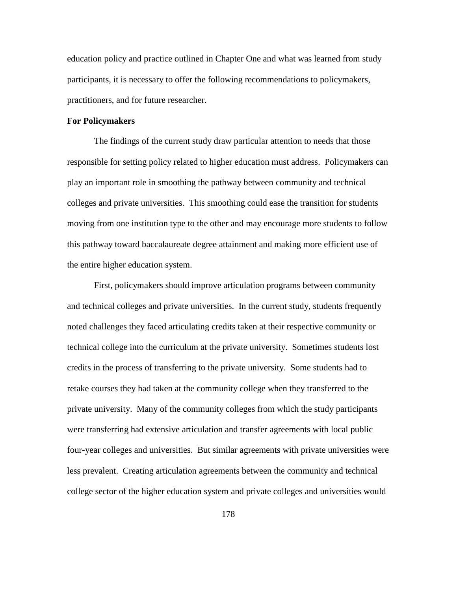education policy and practice outlined in Chapter One and what was learned from study participants, it is necessary to offer the following recommendations to policymakers, practitioners, and for future researcher.

# **For Policymakers**

The findings of the current study draw particular attention to needs that those responsible for setting policy related to higher education must address. Policymakers can play an important role in smoothing the pathway between community and technical colleges and private universities. This smoothing could ease the transition for students moving from one institution type to the other and may encourage more students to follow this pathway toward baccalaureate degree attainment and making more efficient use of the entire higher education system.

First, policymakers should improve articulation programs between community and technical colleges and private universities. In the current study, students frequently noted challenges they faced articulating credits taken at their respective community or technical college into the curriculum at the private university. Sometimes students lost credits in the process of transferring to the private university. Some students had to retake courses they had taken at the community college when they transferred to the private university. Many of the community colleges from which the study participants were transferring had extensive articulation and transfer agreements with local public four-year colleges and universities. But similar agreements with private universities were less prevalent. Creating articulation agreements between the community and technical college sector of the higher education system and private colleges and universities would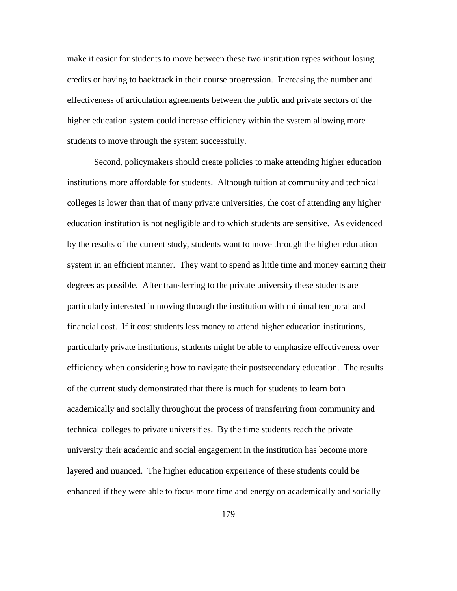make it easier for students to move between these two institution types without losing credits or having to backtrack in their course progression. Increasing the number and effectiveness of articulation agreements between the public and private sectors of the higher education system could increase efficiency within the system allowing more students to move through the system successfully.

Second, policymakers should create policies to make attending higher education institutions more affordable for students. Although tuition at community and technical colleges is lower than that of many private universities, the cost of attending any higher education institution is not negligible and to which students are sensitive. As evidenced by the results of the current study, students want to move through the higher education system in an efficient manner. They want to spend as little time and money earning their degrees as possible. After transferring to the private university these students are particularly interested in moving through the institution with minimal temporal and financial cost. If it cost students less money to attend higher education institutions, particularly private institutions, students might be able to emphasize effectiveness over efficiency when considering how to navigate their postsecondary education. The results of the current study demonstrated that there is much for students to learn both academically and socially throughout the process of transferring from community and technical colleges to private universities. By the time students reach the private university their academic and social engagement in the institution has become more layered and nuanced. The higher education experience of these students could be enhanced if they were able to focus more time and energy on academically and socially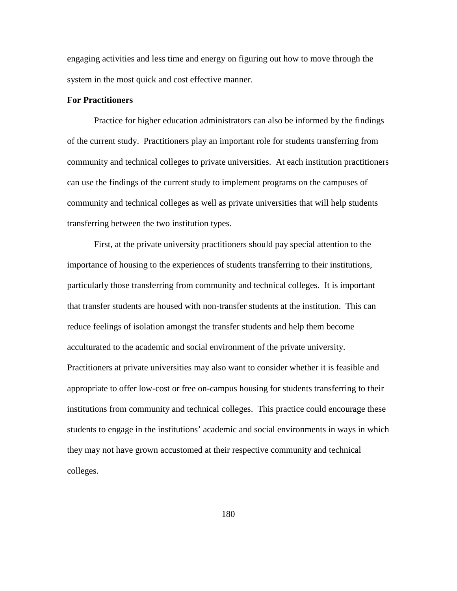engaging activities and less time and energy on figuring out how to move through the system in the most quick and cost effective manner.

# **For Practitioners**

Practice for higher education administrators can also be informed by the findings of the current study. Practitioners play an important role for students transferring from community and technical colleges to private universities. At each institution practitioners can use the findings of the current study to implement programs on the campuses of community and technical colleges as well as private universities that will help students transferring between the two institution types.

First, at the private university practitioners should pay special attention to the importance of housing to the experiences of students transferring to their institutions, particularly those transferring from community and technical colleges. It is important that transfer students are housed with non-transfer students at the institution. This can reduce feelings of isolation amongst the transfer students and help them become acculturated to the academic and social environment of the private university. Practitioners at private universities may also want to consider whether it is feasible and appropriate to offer low-cost or free on-campus housing for students transferring to their institutions from community and technical colleges. This practice could encourage these students to engage in the institutions' academic and social environments in ways in which they may not have grown accustomed at their respective community and technical colleges.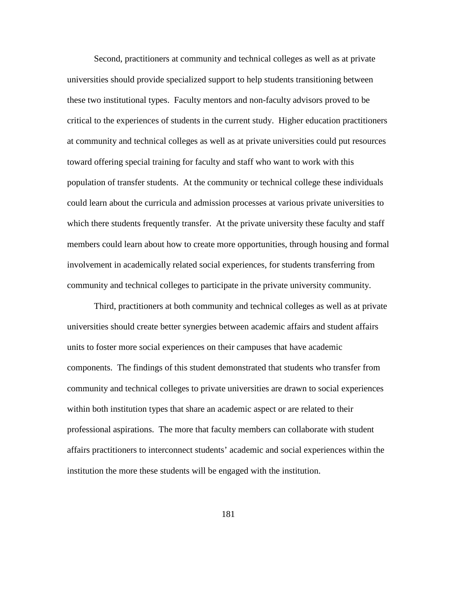Second, practitioners at community and technical colleges as well as at private universities should provide specialized support to help students transitioning between these two institutional types. Faculty mentors and non-faculty advisors proved to be critical to the experiences of students in the current study. Higher education practitioners at community and technical colleges as well as at private universities could put resources toward offering special training for faculty and staff who want to work with this population of transfer students. At the community or technical college these individuals could learn about the curricula and admission processes at various private universities to which there students frequently transfer. At the private university these faculty and staff members could learn about how to create more opportunities, through housing and formal involvement in academically related social experiences, for students transferring from community and technical colleges to participate in the private university community.

Third, practitioners at both community and technical colleges as well as at private universities should create better synergies between academic affairs and student affairs units to foster more social experiences on their campuses that have academic components. The findings of this student demonstrated that students who transfer from community and technical colleges to private universities are drawn to social experiences within both institution types that share an academic aspect or are related to their professional aspirations. The more that faculty members can collaborate with student affairs practitioners to interconnect students' academic and social experiences within the institution the more these students will be engaged with the institution.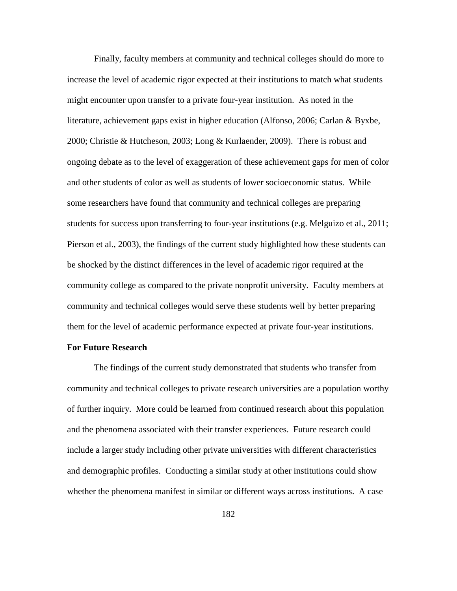Finally, faculty members at community and technical colleges should do more to increase the level of academic rigor expected at their institutions to match what students might encounter upon transfer to a private four-year institution. As noted in the literature, achievement gaps exist in higher education (Alfonso, 2006; Carlan & Byxbe, 2000; Christie & Hutcheson, 2003; Long & Kurlaender, 2009). There is robust and ongoing debate as to the level of exaggeration of these achievement gaps for men of color and other students of color as well as students of lower socioeconomic status. While some researchers have found that community and technical colleges are preparing students for success upon transferring to four-year institutions (e.g. Melguizo et al., 2011; Pierson et al., 2003), the findings of the current study highlighted how these students can be shocked by the distinct differences in the level of academic rigor required at the community college as compared to the private nonprofit university. Faculty members at community and technical colleges would serve these students well by better preparing them for the level of academic performance expected at private four-year institutions.

# **For Future Research**

The findings of the current study demonstrated that students who transfer from community and technical colleges to private research universities are a population worthy of further inquiry. More could be learned from continued research about this population and the phenomena associated with their transfer experiences. Future research could include a larger study including other private universities with different characteristics and demographic profiles. Conducting a similar study at other institutions could show whether the phenomena manifest in similar or different ways across institutions. A case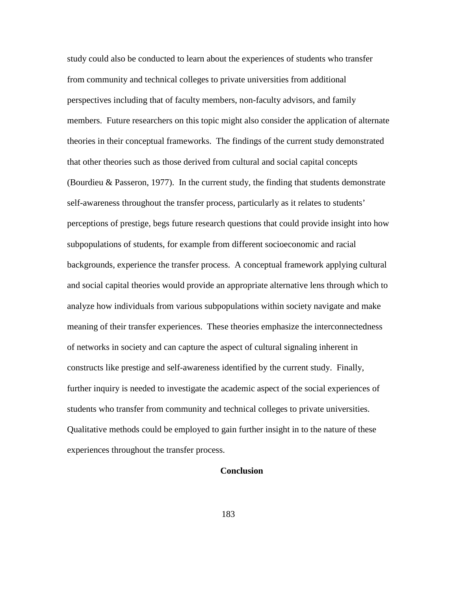study could also be conducted to learn about the experiences of students who transfer from community and technical colleges to private universities from additional perspectives including that of faculty members, non-faculty advisors, and family members. Future researchers on this topic might also consider the application of alternate theories in their conceptual frameworks. The findings of the current study demonstrated that other theories such as those derived from cultural and social capital concepts (Bourdieu & Passeron, 1977). In the current study, the finding that students demonstrate self-awareness throughout the transfer process, particularly as it relates to students' perceptions of prestige, begs future research questions that could provide insight into how subpopulations of students, for example from different socioeconomic and racial backgrounds, experience the transfer process. A conceptual framework applying cultural and social capital theories would provide an appropriate alternative lens through which to analyze how individuals from various subpopulations within society navigate and make meaning of their transfer experiences. These theories emphasize the interconnectedness of networks in society and can capture the aspect of cultural signaling inherent in constructs like prestige and self-awareness identified by the current study. Finally, further inquiry is needed to investigate the academic aspect of the social experiences of students who transfer from community and technical colleges to private universities. Qualitative methods could be employed to gain further insight in to the nature of these experiences throughout the transfer process.

# **Conclusion**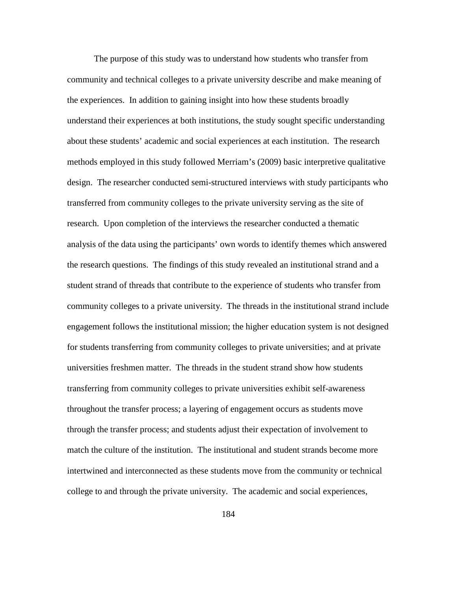The purpose of this study was to understand how students who transfer from community and technical colleges to a private university describe and make meaning of the experiences. In addition to gaining insight into how these students broadly understand their experiences at both institutions, the study sought specific understanding about these students' academic and social experiences at each institution. The research methods employed in this study followed Merriam's (2009) basic interpretive qualitative design. The researcher conducted semi-structured interviews with study participants who transferred from community colleges to the private university serving as the site of research. Upon completion of the interviews the researcher conducted a thematic analysis of the data using the participants' own words to identify themes which answered the research questions. The findings of this study revealed an institutional strand and a student strand of threads that contribute to the experience of students who transfer from community colleges to a private university. The threads in the institutional strand include engagement follows the institutional mission; the higher education system is not designed for students transferring from community colleges to private universities; and at private universities freshmen matter. The threads in the student strand show how students transferring from community colleges to private universities exhibit self-awareness throughout the transfer process; a layering of engagement occurs as students move through the transfer process; and students adjust their expectation of involvement to match the culture of the institution. The institutional and student strands become more intertwined and interconnected as these students move from the community or technical college to and through the private university. The academic and social experiences,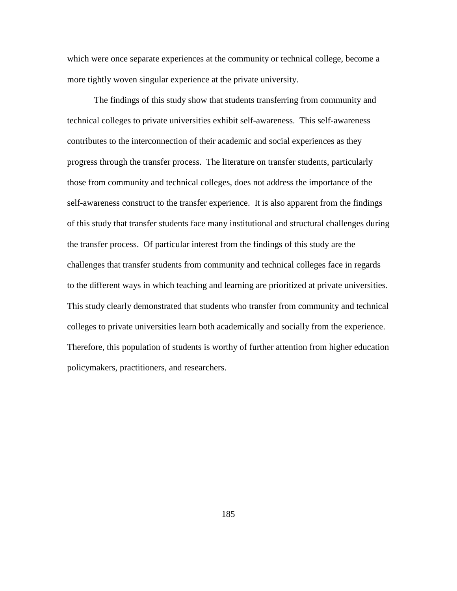which were once separate experiences at the community or technical college, become a more tightly woven singular experience at the private university.

The findings of this study show that students transferring from community and technical colleges to private universities exhibit self-awareness. This self-awareness contributes to the interconnection of their academic and social experiences as they progress through the transfer process. The literature on transfer students, particularly those from community and technical colleges, does not address the importance of the self-awareness construct to the transfer experience. It is also apparent from the findings of this study that transfer students face many institutional and structural challenges during the transfer process. Of particular interest from the findings of this study are the challenges that transfer students from community and technical colleges face in regards to the different ways in which teaching and learning are prioritized at private universities. This study clearly demonstrated that students who transfer from community and technical colleges to private universities learn both academically and socially from the experience. Therefore, this population of students is worthy of further attention from higher education policymakers, practitioners, and researchers.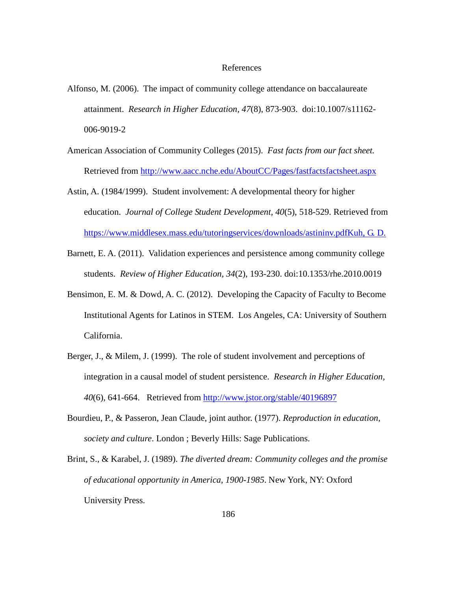### References

- Alfonso, M. (2006). The impact of community college attendance on baccalaureate attainment. *Research in Higher Education, 47*(8), 873-903. doi:10.1007/s11162- 006-9019-2
- American Association of Community Colleges (2015). *Fast facts from our fact sheet.* Retrieved from<http://www.aacc.nche.edu/AboutCC/Pages/fastfactsfactsheet.aspx>
- Astin, A. (1984/1999). Student involvement: A developmental theory for higher education. *Journal of College Student Development, 40*(5), 518-529. Retrieved from https://www.middlesex.mass.edu/tutoringservices/downloads/astininv.pdfKuh, G. D.
- Barnett, E. A. (2011). Validation experiences and persistence among community college students. *Review of Higher Education, 34*(2), 193-230. doi:10.1353/rhe.2010.0019
- Bensimon, E. M. & Dowd, A. C. (2012). Developing the Capacity of Faculty to Become Institutional Agents for Latinos in STEM. Los Angeles, CA: University of Southern California.
- Berger, J., & Milem, J. (1999). The role of student involvement and perceptions of integration in a causal model of student persistence. *Research in Higher Education, 40*(6), 641-664. Retrieved from<http://www.jstor.org/stable/40196897>
- Bourdieu, P., & Passeron, Jean Claude, joint author. (1977). *Reproduction in education, society and culture*. London ; Beverly Hills: Sage Publications.
- Brint, S., & Karabel, J. (1989). *The diverted dream: Community colleges and the promise of educational opportunity in America, 1900-1985*. New York, NY: Oxford University Press.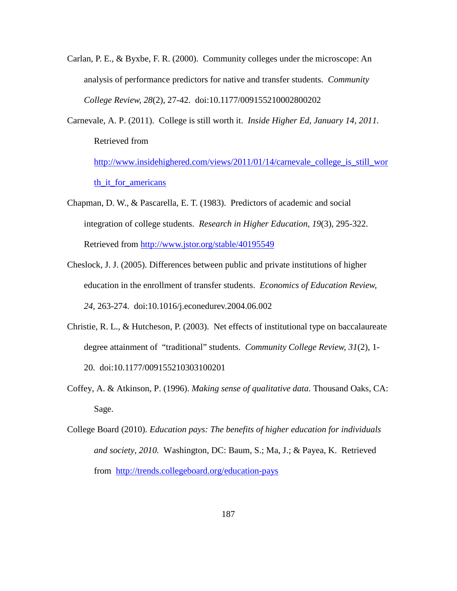- Carlan, P. E., & Byxbe, F. R. (2000). Community colleges under the microscope: An analysis of performance predictors for native and transfer students. *Community College Review, 28*(2), 27-42. doi:10.1177/009155210002800202
- Carnevale, A. P. (2011). College is still worth it. *Inside Higher Ed, January 14, 2011.*  Retrieved from [http://www.insidehighered.com/views/2011/01/14/carnevale\\_college\\_is\\_still\\_wor](http://www.insidehighered.com/views/2011/01/14/carnevale_college_is_still_worth_it_for_americans) [th\\_it\\_for\\_americans](http://www.insidehighered.com/views/2011/01/14/carnevale_college_is_still_worth_it_for_americans)
- Chapman, D. W., & Pascarella, E. T. (1983). Predictors of academic and social integration of college students. *Research in Higher Education, 19*(3), 295-322. Retrieved from<http://www.jstor.org/stable/40195549>
- Cheslock, J. J. (2005). Differences between public and private institutions of higher education in the enrollment of transfer students. *Economics of Education Review, 24*, 263-274. doi:10.1016/j.econedurev.2004.06.002
- Christie, R. L., & Hutcheson, P. (2003). Net effects of institutional type on baccalaureate degree attainment of "traditional" students. *Community College Review, 31*(2), 1- 20. doi:10.1177/009155210303100201
- Coffey, A. & Atkinson, P. (1996). *Making sense of qualitative data*. Thousand Oaks, CA: Sage.
- College Board (2010). *Education pays: The benefits of higher education for individuals and society, 2010.* Washington, DC: Baum, S.; Ma, J.; & Payea, K. Retrieved from <http://trends.collegeboard.org/education-pays>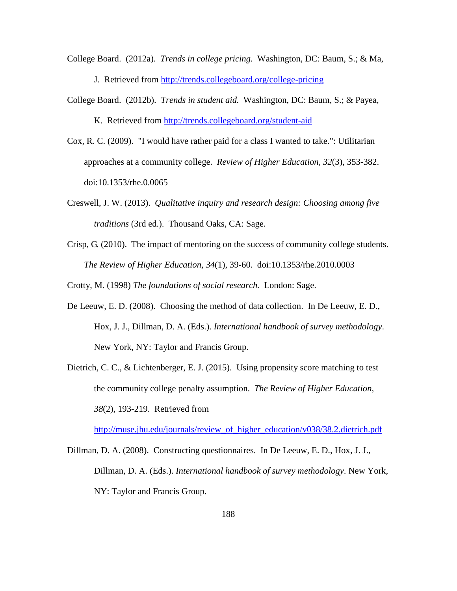College Board. (2012a). *Trends in college pricing.* Washington, DC: Baum, S.; & Ma, J. Retrieved from<http://trends.collegeboard.org/college-pricing>

College Board. (2012b). *Trends in student aid.* Washington, DC: Baum, S.; & Payea,

K. Retrieved from<http://trends.collegeboard.org/student-aid>

- Cox, R. C. (2009). "I would have rather paid for a class I wanted to take.": Utilitarian approaches at a community college. *Review of Higher Education, 32*(3), 353-382. doi:10.1353/rhe.0.0065
- Creswell, J. W. (2013). *Qualitative inquiry and research design: Choosing among five traditions* (3rd ed.). Thousand Oaks, CA: Sage.
- Crisp, G. (2010). The impact of mentoring on the success of community college students. *The Review of Higher Education, 34*(1), 39-60. doi:10.1353/rhe.2010.0003

Crotty, M. (1998) *The foundations of social research.* London: Sage.

- De Leeuw, E. D. (2008). Choosing the method of data collection. In De Leeuw, E. D., Hox, J. J., Dillman, D. A. (Eds.). *International handbook of survey methodology*. New York, NY: Taylor and Francis Group.
- Dietrich, C. C., & Lichtenberger, E. J. (2015). Using propensity score matching to test the community college penalty assumption. *The Review of Higher Education*, *38*(2), 193-219. Retrieved from

[http://muse.jhu.edu/journals/review\\_of\\_higher\\_education/v038/38.2.dietrich.pdf](http://muse.jhu.edu/journals/review_of_higher_education/v038/38.2.dietrich.pdf) 

Dillman, D. A. (2008). Constructing questionnaires. In De Leeuw, E. D., Hox, J. J., Dillman, D. A. (Eds.). *International handbook of survey methodology*. New York, NY: Taylor and Francis Group.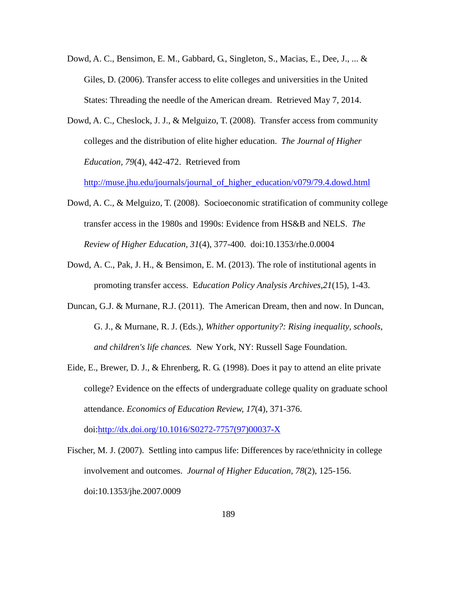- Dowd, A. C., Bensimon, E. M., Gabbard, G., Singleton, S., Macias, E., Dee, J., ... & Giles, D. (2006). Transfer access to elite colleges and universities in the United States: Threading the needle of the American dream. Retrieved May 7, 2014.
- Dowd, A. C., Cheslock, J. J., & Melguizo, T. (2008). Transfer access from community colleges and the distribution of elite higher education. *The Journal of Higher Education, 79*(4), 442-472. Retrieved from

[http://muse.jhu.edu/journals/journal\\_of\\_higher\\_education/v079/79.4.dowd.html](http://muse.jhu.edu/journals/journal_of_higher_education/v079/79.4.dowd.html)

- Dowd, A. C., & Melguizo, T. (2008). Socioeconomic stratification of community college transfer access in the 1980s and 1990s: Evidence from HS&B and NELS. *The Review of Higher Education, 31*(4), 377-400. doi:10.1353/rhe.0.0004
- Dowd, A. C., Pak, J. H., & Bensimon, E. M. (2013). The role of institutional agents in promoting transfer access. E*ducation Policy Analysis Archives*,*21*(15), 1-43.
- Duncan, G.J. & Murnane, R.J. (2011). The American Dream, then and now. In Duncan, G. J., & Murnane, R. J. (Eds.), *Whither opportunity?: Rising inequality, schools, and children's life chances.* New York, NY: Russell Sage Foundation.
- Eide, E., Brewer, D. J., & Ehrenberg, R. G. (1998). Does it pay to attend an elite private college? Evidence on the effects of undergraduate college quality on graduate school attendance. *Economics of Education Review, 17*(4), 371-376.

doi[:http://dx.doi.org/10.1016/S0272-7757\(97\)00037-X](http://dx.doi.org/10.1016/S0272-7757(97)00037-X)

Fischer, M. J. (2007). Settling into campus life: Differences by race/ethnicity in college involvement and outcomes. *Journal of Higher Education, 78*(2), 125-156. doi:10.1353/jhe.2007.0009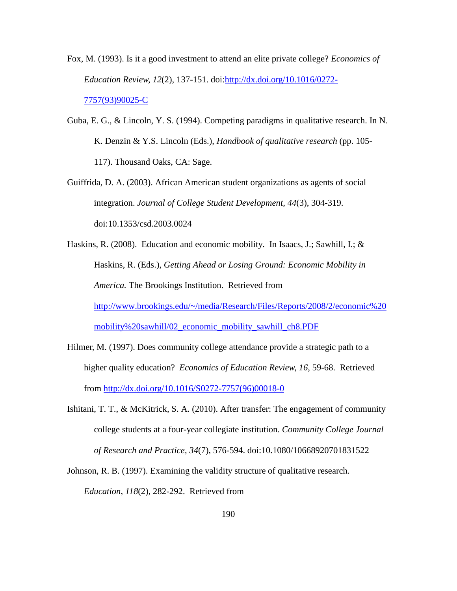- Fox, M. (1993). Is it a good investment to attend an elite private college? *Economics of Education Review, 12*(2), 137-151. doi[:http://dx.doi.org/10.1016/0272-](http://dx.doi.org/10.1016/0272-7757(93)90025-C) [7757\(93\)90025-C](http://dx.doi.org/10.1016/0272-7757(93)90025-C)
- Guba, E. G., & Lincoln, Y. S. (1994). Competing paradigms in qualitative research. In N. K. Denzin & Y.S. Lincoln (Eds.), *Handbook of qualitative research* (pp. 105- 117). Thousand Oaks, CA: Sage.
- Guiffrida, D. A. (2003). African American student organizations as agents of social integration. *Journal of College Student Development, 44*(3), 304-319. doi:10.1353/csd.2003.0024
- Haskins, R. (2008). Education and economic mobility. In Isaacs, J.; Sawhill, I.; & Haskins, R. (Eds.), *Getting Ahead or Losing Ground: Economic Mobility in America.* The Brookings Institution. Retrieved from [http://www.brookings.edu/~/media/Research/Files/Reports/2008/2/economic%20](http://www.brookings.edu/~/media/Research/Files/Reports/2008/2/economic%20mobility%20sawhill/02_economic_mobility_sawhill_ch8.PDF) [mobility%20sawhill/02\\_economic\\_mobility\\_sawhill\\_ch8.PDF](http://www.brookings.edu/~/media/Research/Files/Reports/2008/2/economic%20mobility%20sawhill/02_economic_mobility_sawhill_ch8.PDF)
- Hilmer, M. (1997). Does community college attendance provide a strategic path to a higher quality education? *Economics of Education Review, 16*, 59-68. Retrieved from [http://dx.doi.org/10.1016/S0272-7757\(96\)00018-0](http://dx.doi.org/10.1016/S0272-7757(96)00018-0)
- Ishitani, T. T., & McKitrick, S. A. (2010). After transfer: The engagement of community college students at a four-year collegiate institution. *Community College Journal of Research and Practice, 34*(7), 576-594. doi:10.1080/10668920701831522
- Johnson, R. B. (1997). Examining the validity structure of qualitative research. *Education*, *118*(2), 282-292. Retrieved from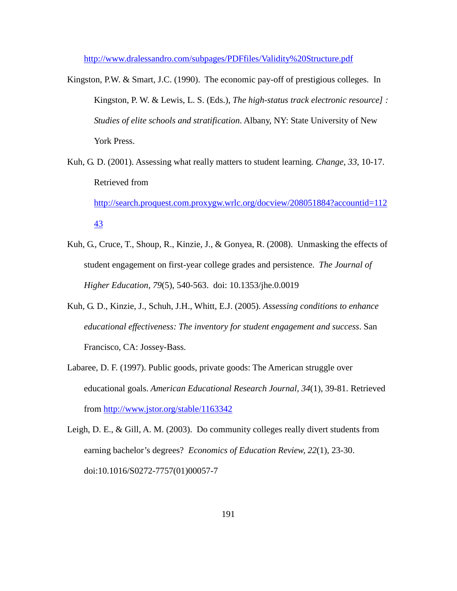<http://www.dralessandro.com/subpages/PDFfiles/Validity%20Structure.pdf>

Kingston, P.W. & Smart, J.C. (1990). The economic pay-off of prestigious colleges. In Kingston, P. W. & Lewis, L. S. (Eds.), *The high-status track electronic resource] : Studies of elite schools and stratification*. Albany, NY: State University of New York Press.

Kuh, G. D. (2001). Assessing what really matters to student learning. *Change, 33*, 10-17. Retrieved from

[http://search.proquest.com.proxygw.wrlc.org/docview/208051884?accountid=112](http://search.proquest.com.proxygw.wrlc.org/docview/208051884?accountid=11243) [43](http://search.proquest.com.proxygw.wrlc.org/docview/208051884?accountid=11243)

- Kuh, G., Cruce, T., Shoup, R., Kinzie, J., & Gonyea, R. (2008). Unmasking the effects of student engagement on first-year college grades and persistence. *The Journal of Higher Education, 79*(5), 540-563. doi: 10.1353/jhe.0.0019
- Kuh, G. D., Kinzie, J., Schuh, J.H., Whitt, E.J. (2005). *Assessing conditions to enhance educational effectiveness: The inventory for student engagement and success*. San Francisco, CA: Jossey-Bass.
- Labaree, D. F. (1997). Public goods, private goods: The American struggle over educational goals. *American Educational Research Journal, 34*(1), 39-81. Retrieved from<http://www.jstor.org/stable/1163342>
- Leigh, D. E., & Gill, A. M. (2003). Do community colleges really divert students from earning bachelor's degrees? *Economics of Education Review, 22*(1), 23-30. doi:10.1016/S0272-7757(01)00057-7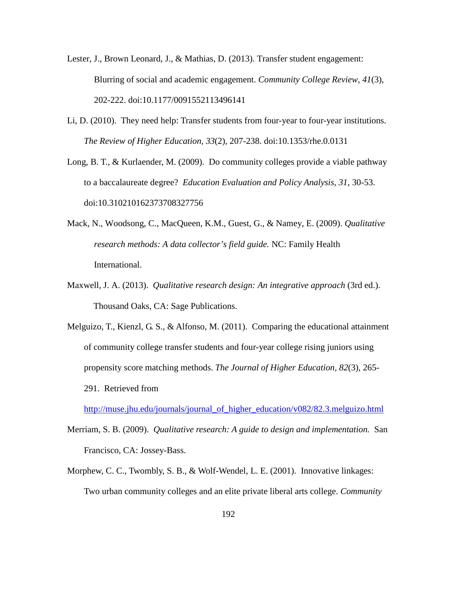- Lester, J., Brown Leonard, J., & Mathias, D. (2013). Transfer student engagement: Blurring of social and academic engagement. *Community College Review, 41*(3), 202-222. doi:10.1177/0091552113496141
- Li, D. (2010). They need help: Transfer students from four-year to four-year institutions. *The Review of Higher Education, 33*(2), 207-238. doi:10.1353/rhe.0.0131
- Long, B. T., & Kurlaender, M. (2009). Do community colleges provide a viable pathway to a baccalaureate degree? *Education Evaluation and Policy Analysis, 31*, 30-53. doi:10.310210162373708327756
- Mack, N., Woodsong, C., MacQueen, K.M., Guest, G., & Namey, E. (2009). *Qualitative research methods: A data collector's field guide.* NC: Family Health International.
- Maxwell, J. A. (2013). *Qualitative research design: An integrative approach* (3rd ed.). Thousand Oaks, CA: Sage Publications.
- Melguizo, T., Kienzl, G. S., & Alfonso, M. (2011). Comparing the educational attainment of community college transfer students and four-year college rising juniors using propensity score matching methods. *The Journal of Higher Education, 82*(3), 265- 291. Retrieved from

[http://muse.jhu.edu/journals/journal\\_of\\_higher\\_education/v082/82.3.melguizo.html](http://muse.jhu.edu/journals/journal_of_higher_education/v082/82.3.melguizo.html)

- Merriam, S. B. (2009). *Qualitative research: A guide to design and implementation.* San Francisco, CA: Jossey-Bass.
- Morphew, C. C., Twombly, S. B., & Wolf-Wendel, L. E. (2001). Innovative linkages: Two urban community colleges and an elite private liberal arts college. *Community*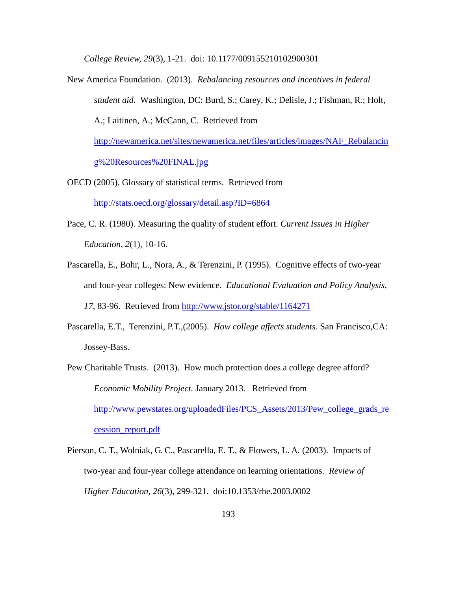*College Review, 29*(3), 1-21. doi: 10.1177/009155210102900301

- New America Foundation. (2013). *Rebalancing resources and incentives in federal student aid.* Washington, DC: Burd, S.; Carey, K.; Delisle, J.; Fishman, R.; Holt, A.; Laitinen, A.; McCann, C. Retrieved from [http://newamerica.net/sites/newamerica.net/files/articles/images/NAF\\_Rebalancin](http://newamerica.net/sites/newamerica.net/files/articles/images/NAF_Rebalancing%20Resources%20FINAL.jpg) [g%20Resources%20FINAL.jpg](http://newamerica.net/sites/newamerica.net/files/articles/images/NAF_Rebalancing%20Resources%20FINAL.jpg)
- OECD (2005). Glossary of statistical terms. Retrieved from <http://stats.oecd.org/glossary/detail.asp?ID=6864>
- Pace, C. R. (1980). Measuring the quality of student effort. *Current Issues in Higher Education, 2*(1), 10-16.
- Pascarella, E., Bohr, L., Nora, A., & Terenzini, P. (1995). Cognitive effects of two-year and four-year colleges: New evidence. *Educational Evaluation and Policy Analysis, 17*, 83-96. Retrieved from<http://www.jstor.org/stable/1164271>
- Pascarella, E.T., Terenzini, P.T.,(2005). *How college affects students.* San Francisco,CA: Jossey-Bass.
- Pew Charitable Trusts. (2013). How much protection does a college degree afford? *Economic Mobility Project.* January 2013. Retrieved from [http://www.pewstates.org/uploadedFiles/PCS\\_Assets/2013/Pew\\_college\\_grads\\_re](http://www.pewstates.org/uploadedFiles/PCS_Assets/2013/Pew_college_grads_recession_report.pdf) [cession\\_report.pdf](http://www.pewstates.org/uploadedFiles/PCS_Assets/2013/Pew_college_grads_recession_report.pdf)
- Pierson, C. T., Wolniak, G. C., Pascarella, E. T., & Flowers, L. A. (2003). Impacts of two-year and four-year college attendance on learning orientations. *Review of Higher Education, 26*(3), 299-321. doi:10.1353/rhe.2003.0002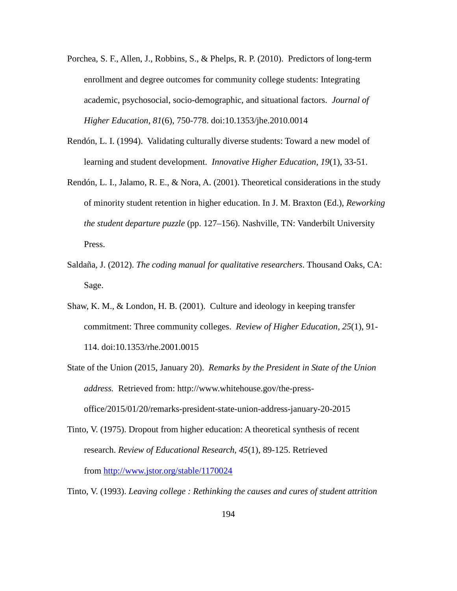- Porchea, S. F., Allen, J., Robbins, S., & Phelps, R. P. (2010). Predictors of long-term enrollment and degree outcomes for community college students: Integrating academic, psychosocial, socio-demographic, and situational factors. *Journal of Higher Education, 81*(6), 750-778. doi:10.1353/jhe.2010.0014
- Rendón, L. I. (1994). Validating culturally diverse students: Toward a new model of learning and student development. *Innovative Higher Education, 19*(1), 33-51.
- Rendón, L. I., Jalamo, R. E., & Nora, A. (2001). Theoretical considerations in the study of minority student retention in higher education. In J. M. Braxton (Ed.), *Reworking the student departure puzzle* (pp. 127–156). Nashville, TN: Vanderbilt University Press.
- Saldaña, J. (2012). *The coding manual for qualitative researchers*. Thousand Oaks, CA: Sage.
- Shaw, K. M., & London, H. B. (2001). Culture and ideology in keeping transfer commitment: Three community colleges. *Review of Higher Education, 25*(1), 91- 114. doi:10.1353/rhe.2001.0015
- State of the Union (2015, January 20). *Remarks by the President in State of the Union address.* Retrieved from: http://www.whitehouse.gov/the-pressoffice/2015/01/20/remarks-president-state-union-address-january-20-2015
- Tinto, V. (1975). Dropout from higher education: A theoretical synthesis of recent research. *Review of Educational Research, 45*(1), 89-125. Retrieved from <http://www.jstor.org/stable/1170024>
- Tinto, V. (1993). *Leaving college : Rethinking the causes and cures of student attrition*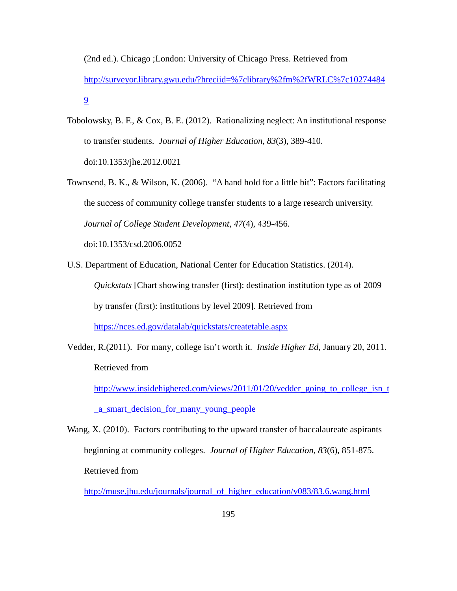(2nd ed.). Chicago ;London: University of Chicago Press. Retrieved from [http://surveyor.library.gwu.edu/?hreciid=%7clibrary%2fm%2fWRLC%7c10274484](http://surveyor.library.gwu.edu/?hreciid=%7Clibrary%2Fm%2FWRLC%7C102744849) [9](http://surveyor.library.gwu.edu/?hreciid=%7Clibrary%2Fm%2FWRLC%7C102744849)

- Tobolowsky, B. F., & Cox, B. E. (2012). Rationalizing neglect: An institutional response to transfer students. *Journal of Higher Education, 83*(3), 389-410. doi:10.1353/jhe.2012.0021
- Townsend, B. K., & Wilson, K. (2006). "A hand hold for a little bit": Factors facilitating the success of community college transfer students to a large research university. *Journal of College Student Development, 47*(4), 439-456.

doi:10.1353/csd.2006.0052

U.S. Department of Education, National Center for Education Statistics. (2014).

*Quickstats* [Chart showing transfer (first): destination institution type as of 2009 by transfer (first): institutions by level 2009]. Retrieved from

<https://nces.ed.gov/datalab/quickstats/createtable.aspx>

Vedder, R.(2011). For many, college isn't worth it*. Inside Higher Ed*, January 20, 2011. Retrieved from

[http://www.insidehighered.com/views/2011/01/20/vedder\\_going\\_to\\_college\\_isn\\_t](http://www.insidehighered.com/views/2011/01/20/vedder_going_to_college_isn_t_a_smart_decision_for_many_young_people) [\\_a\\_smart\\_decision\\_for\\_many\\_young\\_people](http://www.insidehighered.com/views/2011/01/20/vedder_going_to_college_isn_t_a_smart_decision_for_many_young_people)

Wang, X. (2010). Factors contributing to the upward transfer of baccalaureate aspirants beginning at community colleges. *Journal of Higher Education, 83*(6), 851-875. Retrieved from

[http://muse.jhu.edu/journals/journal\\_of\\_higher\\_education/v083/83.6.wang.html](http://muse.jhu.edu/journals/journal_of_higher_education/v083/83.6.wang.html)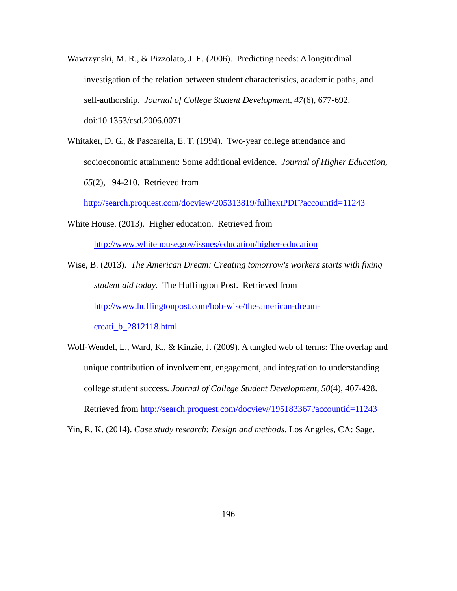- Wawrzynski, M. R., & Pizzolato, J. E. (2006). Predicting needs: A longitudinal investigation of the relation between student characteristics, academic paths, and self-authorship. *Journal of College Student Development, 47*(6), 677-692. doi:10.1353/csd.2006.0071
- Whitaker, D. G., & Pascarella, E. T. (1994). Two-year college attendance and socioeconomic attainment: Some additional evidence. *Journal of Higher Education, 65*(2), 194-210. Retrieved from

<http://search.proquest.com/docview/205313819/fulltextPDF?accountid=11243>

White House. (2013). Higher education. Retrieved from

<http://www.whitehouse.gov/issues/education/higher-education>

- Wise, B. (2013). *The American Dream: Creating tomorrow's workers starts with fixing student aid today.* The Huffington Post. Retrieved from http://www.huffingtonpost.com/bob-wise/the-american-dreamcreati\_b\_2812118.html
- Wolf-Wendel, L., Ward, K., & Kinzie, J. (2009). A tangled web of terms: The overlap and unique contribution of involvement, engagement, and integration to understanding college student success. *Journal of College Student Development, 50*(4), 407-428. Retrieved from<http://search.proquest.com/docview/195183367?accountid=11243>

Yin, R. K. (2014). *Case study research: Design and methods*. Los Angeles, CA: Sage.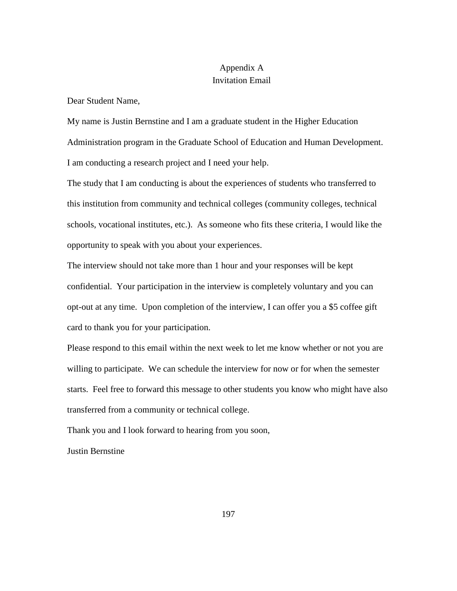# Appendix A Invitation Email

Dear Student Name,

My name is Justin Bernstine and I am a graduate student in the Higher Education Administration program in the Graduate School of Education and Human Development. I am conducting a research project and I need your help.

The study that I am conducting is about the experiences of students who transferred to this institution from community and technical colleges (community colleges, technical schools, vocational institutes, etc.). As someone who fits these criteria, I would like the opportunity to speak with you about your experiences.

The interview should not take more than 1 hour and your responses will be kept confidential. Your participation in the interview is completely voluntary and you can opt-out at any time. Upon completion of the interview, I can offer you a \$5 coffee gift card to thank you for your participation.

Please respond to this email within the next week to let me know whether or not you are willing to participate. We can schedule the interview for now or for when the semester starts. Feel free to forward this message to other students you know who might have also transferred from a community or technical college.

Thank you and I look forward to hearing from you soon,

Justin Bernstine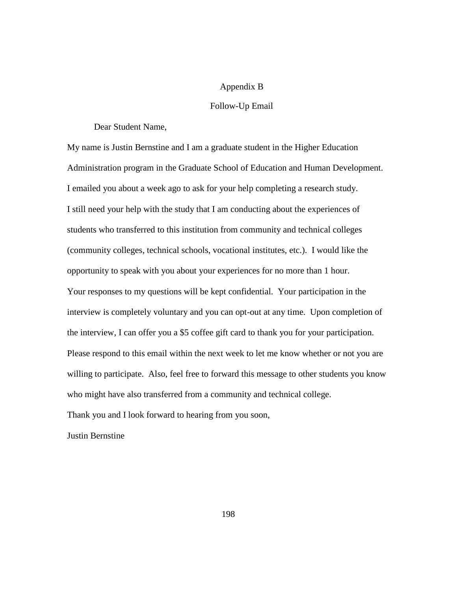# Appendix B

# Follow-Up Email

Dear Student Name,

My name is Justin Bernstine and I am a graduate student in the Higher Education Administration program in the Graduate School of Education and Human Development. I emailed you about a week ago to ask for your help completing a research study. I still need your help with the study that I am conducting about the experiences of students who transferred to this institution from community and technical colleges (community colleges, technical schools, vocational institutes, etc.). I would like the opportunity to speak with you about your experiences for no more than 1 hour. Your responses to my questions will be kept confidential. Your participation in the interview is completely voluntary and you can opt-out at any time. Upon completion of the interview, I can offer you a \$5 coffee gift card to thank you for your participation. Please respond to this email within the next week to let me know whether or not you are willing to participate. Also, feel free to forward this message to other students you know who might have also transferred from a community and technical college.

Thank you and I look forward to hearing from you soon,

Justin Bernstine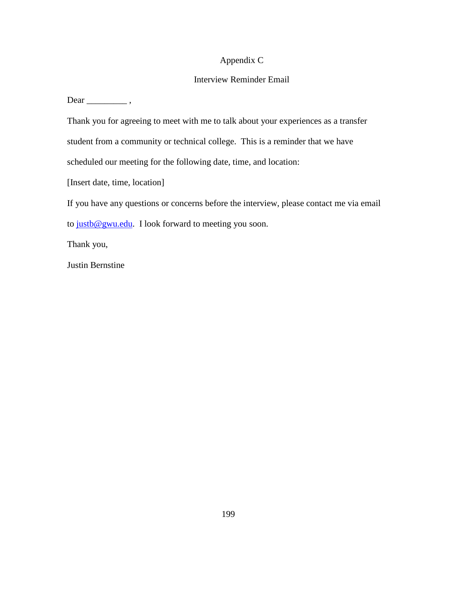# Appendix C

# Interview Reminder Email

Dear \_\_\_\_\_\_\_\_\_ ,

Thank you for agreeing to meet with me to talk about your experiences as a transfer student from a community or technical college. This is a reminder that we have scheduled our meeting for the following date, time, and location:

[Insert date, time, location]

If you have any questions or concerns before the interview, please contact me via email to [justb@gwu.edu.](mailto:justb@gwu.edu) I look forward to meeting you soon.

Thank you,

Justin Bernstine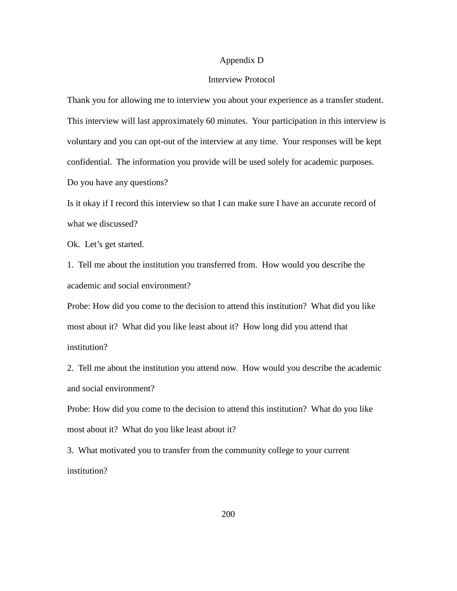# Appendix D

### Interview Protocol

Thank you for allowing me to interview you about your experience as a transfer student. This interview will last approximately 60 minutes. Your participation in this interview is voluntary and you can opt-out of the interview at any time. Your responses will be kept confidential. The information you provide will be used solely for academic purposes. Do you have any questions?

Is it okay if I record this interview so that I can make sure I have an accurate record of what we discussed?

Ok. Let's get started.

1. Tell me about the institution you transferred from. How would you describe the academic and social environment?

Probe: How did you come to the decision to attend this institution? What did you like most about it? What did you like least about it? How long did you attend that institution?

2. Tell me about the institution you attend now. How would you describe the academic and social environment?

Probe: How did you come to the decision to attend this institution? What do you like most about it? What do you like least about it?

3. What motivated you to transfer from the community college to your current institution?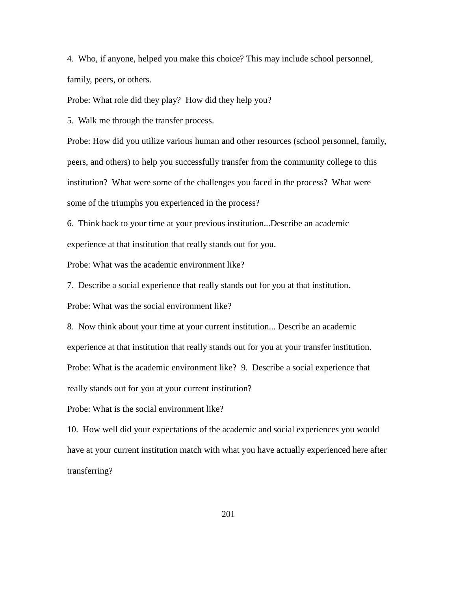4. Who, if anyone, helped you make this choice? This may include school personnel, family, peers, or others.

Probe: What role did they play? How did they help you?

5. Walk me through the transfer process.

Probe: How did you utilize various human and other resources (school personnel, family, peers, and others) to help you successfully transfer from the community college to this institution? What were some of the challenges you faced in the process? What were some of the triumphs you experienced in the process?

6. Think back to your time at your previous institution...Describe an academic experience at that institution that really stands out for you.

Probe: What was the academic environment like?

7. Describe a social experience that really stands out for you at that institution.

Probe: What was the social environment like?

8. Now think about your time at your current institution... Describe an academic

experience at that institution that really stands out for you at your transfer institution.

Probe: What is the academic environment like? 9. Describe a social experience that

really stands out for you at your current institution?

Probe: What is the social environment like?

10. How well did your expectations of the academic and social experiences you would have at your current institution match with what you have actually experienced here after transferring?